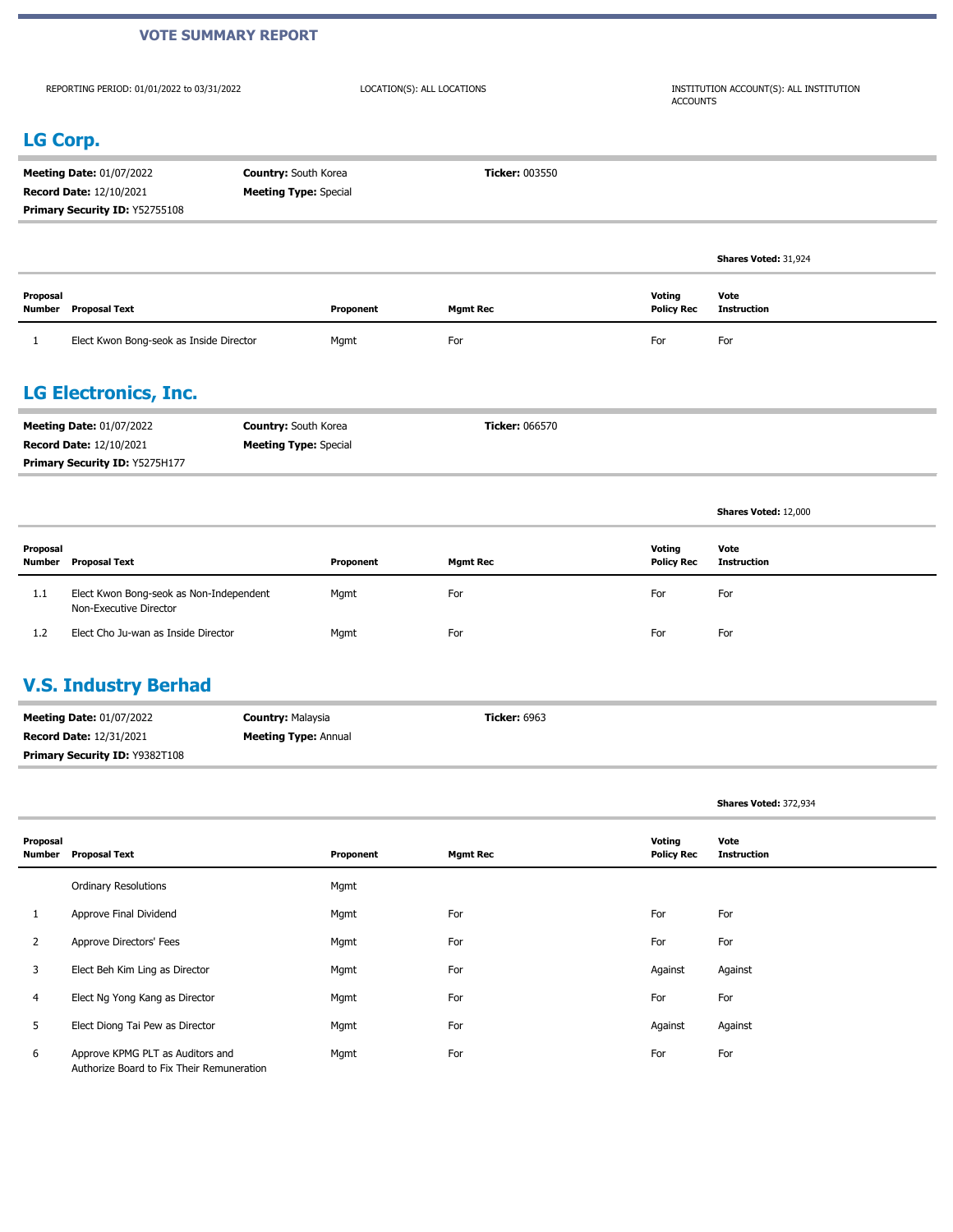#### **VOTE SUMMARY REPORT**

REPORTING PERIOD: 01/01/2022 to 03/31/2022

LOCATION(S): ALL LOCATIONS INSTITUTION ACCOUNT(S): ALL INSTITUTION ACCOUNTS

#### **LG Corp.**

| <b>Meeting Date: 01/07/2022</b> | <b>Country:</b> South Korea  | <b>Ticker: 003550</b> |
|---------------------------------|------------------------------|-----------------------|
| <b>Record Date: 12/10/2021</b>  | <b>Meeting Type:</b> Special |                       |
| Primary Security ID: Y52755108  |                              |                       |
|                                 |                              |                       |

|                    |                                         |           |                 |                             | <b>Shares Voted: 31,924</b> |
|--------------------|-----------------------------------------|-----------|-----------------|-----------------------------|-----------------------------|
| Proposal<br>Number | Proposal Text                           | Proponent | <b>Mgmt Rec</b> | Voting<br><b>Policy Rec</b> | Vote<br>Instruction         |
|                    | Elect Kwon Bong-seok as Inside Director | Mgmt      | For             | For                         | For                         |

#### **LG Electronics, Inc.**

| <b>Meeting Date: 01/07/2022</b>       | <b>Country:</b> South Korea  | <b>Ticker:</b> 066570 |
|---------------------------------------|------------------------------|-----------------------|
| <b>Record Date: 12/10/2021</b>        | <b>Meeting Type:</b> Special |                       |
| <b>Primary Security ID: Y5275H177</b> |                              |                       |

| Proposal<br>Number | Proposal Text                                                     | Proponent | <b>Mgmt Rec</b> | Voting<br><b>Policy Rec</b> | Vote<br>Instruction |
|--------------------|-------------------------------------------------------------------|-----------|-----------------|-----------------------------|---------------------|
| 1.1                | Elect Kwon Bong-seok as Non-Independent<br>Non-Executive Director | Mgmt      | For             | For                         | For                 |
| 1.2                | Elect Cho Ju-wan as Inside Director                               | Mgmt      | For             | For                         | For                 |

#### **V.S. Industry Berhad**

| <b>Meeting Date: 01/07/2022</b>       | <b>Country: Malaysia</b>    | <b>Ticker:</b> 6963 |
|---------------------------------------|-----------------------------|---------------------|
| <b>Record Date: 12/31/2021</b>        | <b>Meeting Type: Annual</b> |                     |
| <b>Primary Security ID: Y9382T108</b> |                             |                     |

**Shares Voted:** 372,934

**Shares Voted:** 12,000

| Proposal<br>Number | <b>Proposal Text</b>                                                          | Proponent | <b>Mgmt Rec</b> | Voting<br><b>Policy Rec</b> | Vote<br><b>Instruction</b> |
|--------------------|-------------------------------------------------------------------------------|-----------|-----------------|-----------------------------|----------------------------|
|                    | <b>Ordinary Resolutions</b>                                                   | Mgmt      |                 |                             |                            |
|                    | Approve Final Dividend                                                        | Mgmt      | For             | For                         | For                        |
| 2                  | Approve Directors' Fees                                                       | Mgmt      | For             | For                         | For                        |
| 3                  | Elect Beh Kim Ling as Director                                                | Mgmt      | For             | Against                     | Against                    |
| 4                  | Elect Ng Yong Kang as Director                                                | Mgmt      | For             | For                         | For                        |
| 5                  | Elect Diong Tai Pew as Director                                               | Mgmt      | For             | Against                     | Against                    |
| 6                  | Approve KPMG PLT as Auditors and<br>Authorize Board to Fix Their Remuneration | Mgmt      | For             | For                         | For                        |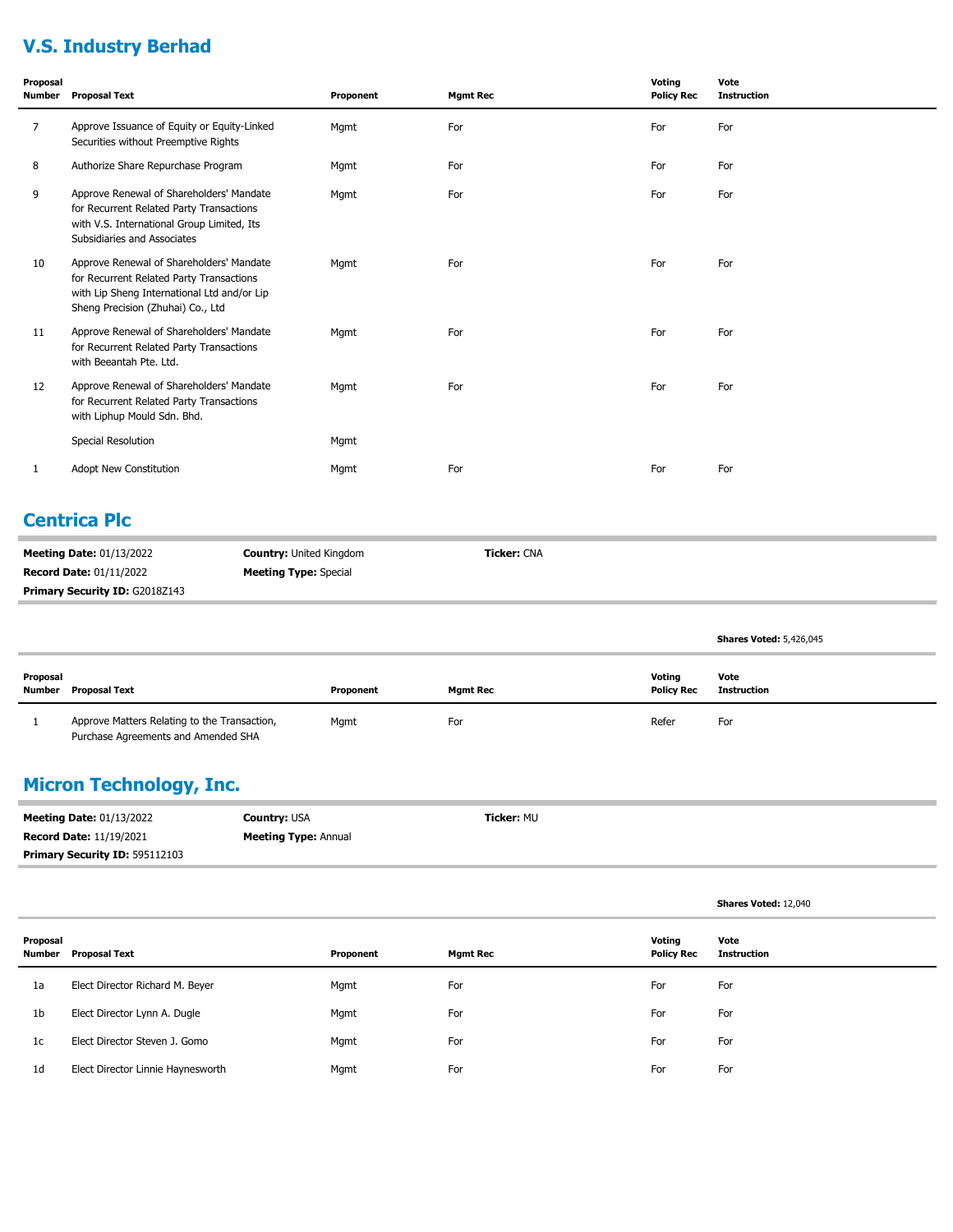# **V.S. Industry Berhad**

| Proposal<br><b>Number</b> | <b>Proposal Text</b>                                                                                                                                                     | Proponent | <b>Mgmt Rec</b> | Voting<br><b>Policy Rec</b> | Vote<br><b>Instruction</b> |
|---------------------------|--------------------------------------------------------------------------------------------------------------------------------------------------------------------------|-----------|-----------------|-----------------------------|----------------------------|
| 7                         | Approve Issuance of Equity or Equity-Linked<br>Securities without Preemptive Rights                                                                                      | Mgmt      | For             | For                         | For                        |
| 8                         | Authorize Share Repurchase Program                                                                                                                                       | Mgmt      | For             | For                         | For                        |
| 9                         | Approve Renewal of Shareholders' Mandate<br>for Recurrent Related Party Transactions<br>with V.S. International Group Limited, Its<br>Subsidiaries and Associates        | Mgmt      | For             | For                         | For                        |
| 10                        | Approve Renewal of Shareholders' Mandate<br>for Recurrent Related Party Transactions<br>with Lip Sheng International Ltd and/or Lip<br>Sheng Precision (Zhuhai) Co., Ltd | Mgmt      | For             | For                         | For                        |
| 11                        | Approve Renewal of Shareholders' Mandate<br>for Recurrent Related Party Transactions<br>with Beeantah Pte. Ltd.                                                          | Mgmt      | For             | For                         | For                        |
| 12                        | Approve Renewal of Shareholders' Mandate<br>for Recurrent Related Party Transactions<br>with Liphup Mould Sdn. Bhd.                                                      | Mgmt      | For             | For                         | For                        |
|                           | Special Resolution                                                                                                                                                       | Mgmt      |                 |                             |                            |
| 1                         | Adopt New Constitution                                                                                                                                                   | Mgmt      | For             | For                         | For                        |

#### **Centrica Plc**

| <b>Meeting Date: 01/13/2022</b>       | <b>Country: United Kingdom</b> | <b>Ticker:</b> CNA |
|---------------------------------------|--------------------------------|--------------------|
| <b>Record Date: 01/11/2022</b>        | <b>Meeting Type:</b> Special   |                    |
| <b>Primary Security ID: G2018Z143</b> |                                |                    |

|                    |                                                                                     |           |          |                             | <b>Shares Voted: 5,426,045</b> |
|--------------------|-------------------------------------------------------------------------------------|-----------|----------|-----------------------------|--------------------------------|
| Proposal<br>Number | <b>Proposal Text</b>                                                                | Proponent | Mamt Rec | Voting<br><b>Policy Rec</b> | Vote<br>Instruction            |
|                    | Approve Matters Relating to the Transaction,<br>Purchase Agreements and Amended SHA | Mgmt      | For      | Refer                       | For                            |

# **Micron Technology, Inc.**

| <b>Meeting Date: 01/13/2022</b>       | <b>Country: USA</b>         | <b>Ticker: MU</b> |
|---------------------------------------|-----------------------------|-------------------|
| <b>Record Date: 11/19/2021</b>        | <b>Meeting Type: Annual</b> |                   |
| <b>Primary Security ID: 595112103</b> |                             |                   |

**Shares Voted:** 12,040

| Proposal<br>Number | <b>Proposal Text</b>              | Proponent | <b>Mgmt Rec</b> | Voting<br><b>Policy Rec</b> | Vote<br>Instruction |
|--------------------|-----------------------------------|-----------|-----------------|-----------------------------|---------------------|
| 1a                 | Elect Director Richard M. Beyer   | Mgmt      | For             | For                         | For                 |
| 1b                 | Elect Director Lynn A. Dugle      | Mgmt      | For             | For                         | For                 |
| 1c                 | Elect Director Steven J. Gomo     | Mgmt      | For             | For                         | For                 |
| 1 <sub>d</sub>     | Elect Director Linnie Haynesworth | Mgmt      | For             | For                         | For                 |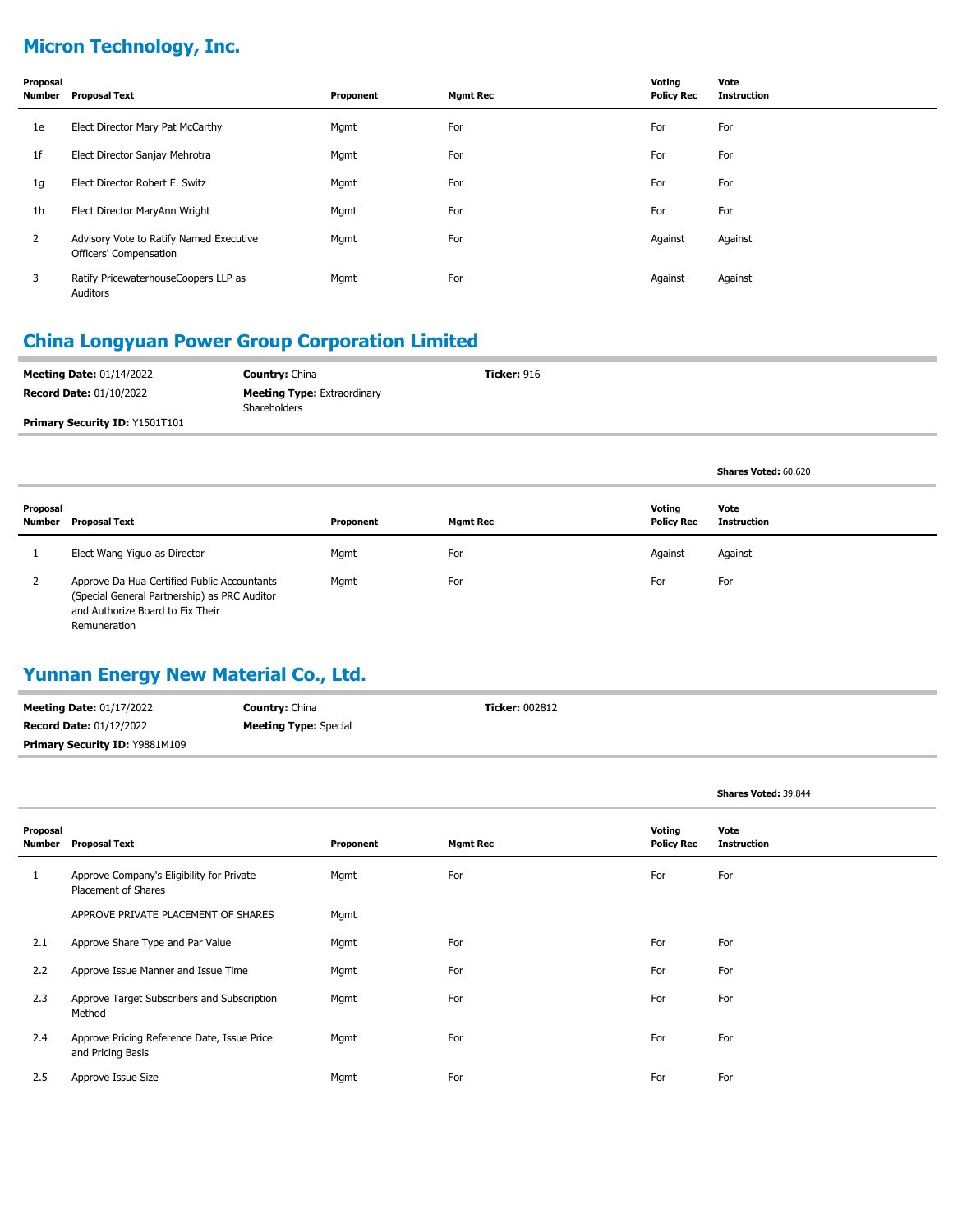# **Micron Technology, Inc.**

| Proposal<br>Number | <b>Proposal Text</b>                                              | Proponent | <b>Mgmt Rec</b> | Voting<br><b>Policy Rec</b> | Vote<br><b>Instruction</b> |
|--------------------|-------------------------------------------------------------------|-----------|-----------------|-----------------------------|----------------------------|
| 1e                 | Elect Director Mary Pat McCarthy                                  | Mgmt      | For             | For                         | For                        |
| 1f                 | Elect Director Sanjay Mehrotra                                    | Mgmt      | For             | For                         | For                        |
| 1g                 | Elect Director Robert E. Switz                                    | Mgmt      | For             | For                         | For                        |
| 1h                 | Elect Director MaryAnn Wright                                     | Mgmt      | For             | For                         | For                        |
| 2                  | Advisory Vote to Ratify Named Executive<br>Officers' Compensation | Mgmt      | For             | Against                     | Against                    |
| 3                  | Ratify PricewaterhouseCoopers LLP as<br>Auditors                  | Mgmt      | For             | Against                     | Against                    |

#### **China Longyuan Power Group Corporation Limited**

| <b>Meeting Date: 01/14/2022</b>       | <b>Country: China</b>                              | <b>Ticker: 916</b> |
|---------------------------------------|----------------------------------------------------|--------------------|
| <b>Record Date: 01/10/2022</b>        | <b>Meeting Type: Extraordinary</b><br>Shareholders |                    |
| <b>Primary Security ID: Y1501T101</b> |                                                    |                    |

**Shares Voted:** 60,620

**Shares Voted:** 39,844

| Proposal<br>Number | Proposal Text                                                                                                                                   | Proponent | Mgmt Rec | Votina<br><b>Policy Rec</b> | Vote<br><b>Instruction</b> |
|--------------------|-------------------------------------------------------------------------------------------------------------------------------------------------|-----------|----------|-----------------------------|----------------------------|
|                    | Elect Wang Yiguo as Director                                                                                                                    | Mgmt      | For      | Against                     | Against                    |
| ∠                  | Approve Da Hua Certified Public Accountants<br>(Special General Partnership) as PRC Auditor<br>and Authorize Board to Fix Their<br>Remuneration | Mgmt      | For      | For                         | For                        |

### **Yunnan Energy New Material Co., Ltd.**

| <b>Meeting Date: 01/17/2022</b>       | <b>Country: China</b>        | <b>Ticker: 002812</b> |
|---------------------------------------|------------------------------|-----------------------|
| <b>Record Date: 01/12/2022</b>        | <b>Meeting Type:</b> Special |                       |
| <b>Primary Security ID: Y9881M109</b> |                              |                       |

| Proposal<br>Number | <b>Proposal Text</b>                                             | Proponent | <b>Mgmt Rec</b> | Voting<br><b>Policy Rec</b> | Vote<br><b>Instruction</b> |
|--------------------|------------------------------------------------------------------|-----------|-----------------|-----------------------------|----------------------------|
| Τ.                 | Approve Company's Eligibility for Private<br>Placement of Shares | Mgmt      | For             | For                         | For                        |
|                    | APPROVE PRIVATE PLACEMENT OF SHARES                              | Mgmt      |                 |                             |                            |
| 2.1                | Approve Share Type and Par Value                                 | Mgmt      | For             | For                         | For                        |
| 2.2                | Approve Issue Manner and Issue Time                              | Mgmt      | For             | For                         | For                        |
| 2.3                | Approve Target Subscribers and Subscription<br>Method            | Mgmt      | For             | For                         | For                        |
| 2.4                | Approve Pricing Reference Date, Issue Price<br>and Pricing Basis | Mgmt      | For             | For                         | For                        |
| 2.5                | Approve Issue Size                                               | Mgmt      | For             | For                         | For                        |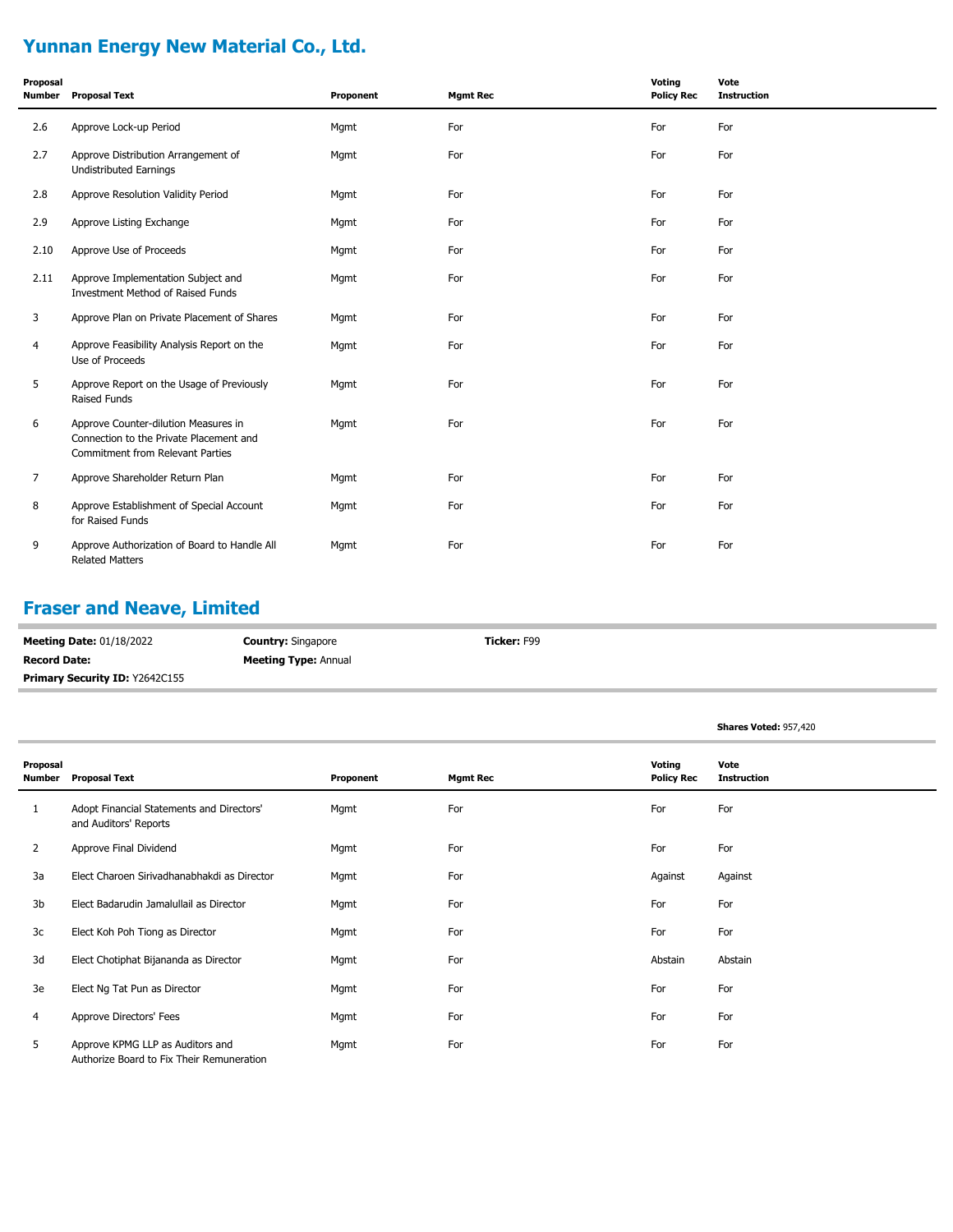# **Yunnan Energy New Material Co., Ltd.**

| Proposal<br><b>Number</b> | <b>Proposal Text</b>                                                                                                | Proponent | <b>Mgmt Rec</b> | Voting<br><b>Policy Rec</b> | Vote<br><b>Instruction</b> |
|---------------------------|---------------------------------------------------------------------------------------------------------------------|-----------|-----------------|-----------------------------|----------------------------|
| 2.6                       | Approve Lock-up Period                                                                                              | Mgmt      | For             | For                         | For                        |
| 2.7                       | Approve Distribution Arrangement of<br><b>Undistributed Earnings</b>                                                | Mgmt      | For             | For                         | For                        |
| 2.8                       | Approve Resolution Validity Period                                                                                  | Mgmt      | For             | For                         | For                        |
| 2.9                       | Approve Listing Exchange                                                                                            | Mgmt      | For             | For                         | For                        |
| 2.10                      | Approve Use of Proceeds                                                                                             | Mgmt      | For             | For                         | For                        |
| 2.11                      | Approve Implementation Subject and<br>Investment Method of Raised Funds                                             | Mgmt      | For             | For                         | For                        |
| 3                         | Approve Plan on Private Placement of Shares                                                                         | Mgmt      | For             | For                         | For                        |
| 4                         | Approve Feasibility Analysis Report on the<br>Use of Proceeds                                                       | Mgmt      | For             | For                         | For                        |
| 5                         | Approve Report on the Usage of Previously<br>Raised Funds                                                           | Mgmt      | For             | For                         | For                        |
| 6                         | Approve Counter-dilution Measures in<br>Connection to the Private Placement and<br>Commitment from Relevant Parties | Mgmt      | For             | For                         | For                        |
| $\overline{7}$            | Approve Shareholder Return Plan                                                                                     | Mgmt      | For             | For                         | For                        |
| 8                         | Approve Establishment of Special Account<br>for Raised Funds                                                        | Mgmt      | For             | For                         | For                        |
| 9                         | Approve Authorization of Board to Handle All<br><b>Related Matters</b>                                              | Mgmt      | For             | For                         | For                        |

### **Fraser and Neave, Limited**

| <b>Meeting Date: 01/18/2022</b> | <b>Country: Singapore</b>   | Ticker: F99 |
|---------------------------------|-----------------------------|-------------|
| <b>Record Date:</b>             | <b>Meeting Type: Annual</b> |             |
| Primary Security ID: Y2642C155  |                             |             |

|                    |                                                                               |           |                 |                             | Shares Voted: 957,420 |
|--------------------|-------------------------------------------------------------------------------|-----------|-----------------|-----------------------------|-----------------------|
| Proposal<br>Number | <b>Proposal Text</b>                                                          | Proponent | <b>Mgmt Rec</b> | Voting<br><b>Policy Rec</b> | Vote<br>Instruction   |
| 1                  | Adopt Financial Statements and Directors'<br>and Auditors' Reports            | Mgmt      | For             | For                         | For                   |
| 2                  | Approve Final Dividend                                                        | Mgmt      | For             | For                         | For                   |
| 3a                 | Elect Charoen Sirivadhanabhakdi as Director                                   | Mgmt      | For             | Against                     | Against               |
| 3b                 | Elect Badarudin Jamalullail as Director                                       | Mgmt      | For             | For                         | For                   |
| 3c                 | Elect Koh Poh Tiong as Director                                               | Mgmt      | For             | For                         | For                   |
| 3d                 | Elect Chotiphat Bijananda as Director                                         | Mgmt      | For             | Abstain                     | Abstain               |
| 3e                 | Elect Ng Tat Pun as Director                                                  | Mgmt      | For             | For                         | For                   |
| 4                  | Approve Directors' Fees                                                       | Mgmt      | For             | For                         | For                   |
| 5                  | Approve KPMG LLP as Auditors and<br>Authorize Board to Fix Their Remuneration | Mgmt      | For             | For                         | For                   |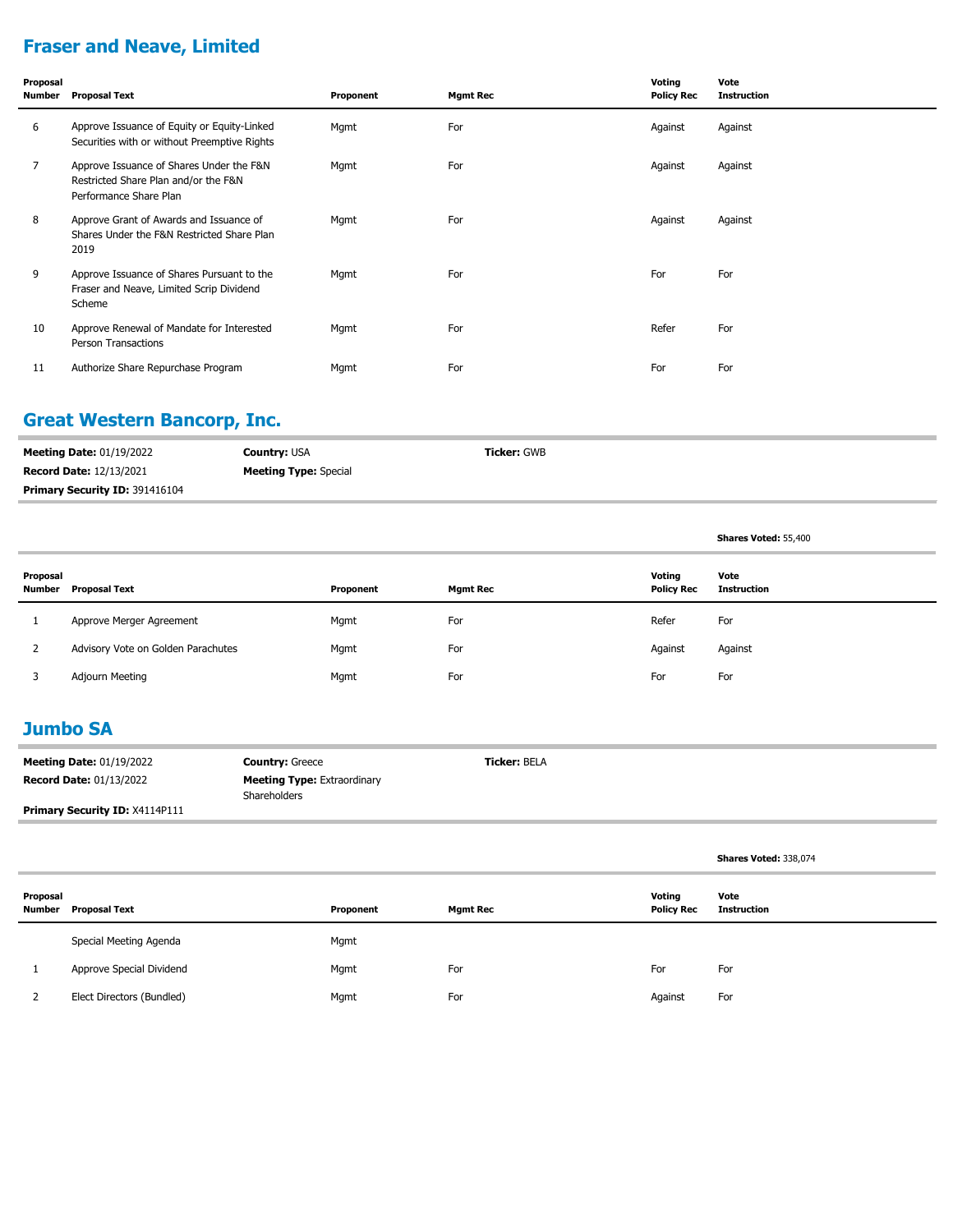# **Fraser and Neave, Limited**

| Proposal<br>Number | <b>Proposal Text</b>                                                                                       | Proponent | <b>Mgmt Rec</b> | Voting<br><b>Policy Rec</b> | Vote<br><b>Instruction</b> |
|--------------------|------------------------------------------------------------------------------------------------------------|-----------|-----------------|-----------------------------|----------------------------|
| 6                  | Approve Issuance of Equity or Equity-Linked<br>Securities with or without Preemptive Rights                | Mgmt      | For             | Against                     | Against                    |
| $\overline{7}$     | Approve Issuance of Shares Under the F&N<br>Restricted Share Plan and/or the F&N<br>Performance Share Plan | Mgmt      | For             | Against                     | Against                    |
| 8                  | Approve Grant of Awards and Issuance of<br>Shares Under the F&N Restricted Share Plan<br>2019              | Mgmt      | For             | Against                     | Against                    |
| 9                  | Approve Issuance of Shares Pursuant to the<br>Fraser and Neave, Limited Scrip Dividend<br>Scheme           | Mgmt      | For             | For                         | For                        |
| 10                 | Approve Renewal of Mandate for Interested<br>Person Transactions                                           | Mgmt      | For             | Refer                       | For                        |
| 11                 | Authorize Share Repurchase Program                                                                         | Mgmt      | For             | For                         | For                        |

### **Great Western Bancorp, Inc.**

| <b>Meeting Date: 01/19/2022</b>       | <b>Country: USA</b>          | <b>Ticker: GWB</b> |
|---------------------------------------|------------------------------|--------------------|
| <b>Record Date: 12/13/2021</b>        | <b>Meeting Type:</b> Special |                    |
| <b>Primary Security ID: 391416104</b> |                              |                    |

**Shares Voted:** 55,400

| Proposal<br>Number | Proposal Text                      | Proponent | <b>Mgmt Rec</b> | Votina<br><b>Policy Rec</b> | Vote<br>Instruction |
|--------------------|------------------------------------|-----------|-----------------|-----------------------------|---------------------|
|                    | Approve Merger Agreement           | Mgmt      | For             | Refer                       | For                 |
|                    | Advisory Vote on Golden Parachutes | Mgmt      | For             | Against                     | Against             |
|                    | Adjourn Meeting                    | Mgmt      | For             | For                         | For                 |

#### **Jumbo SA**

| <b>Meeting Date: 01/19/2022</b>       | <b>Country: Greece</b>                             | <b>Ticker: BELA</b> |
|---------------------------------------|----------------------------------------------------|---------------------|
| <b>Record Date: 01/13/2022</b>        | <b>Meeting Type: Extraordinary</b><br>Shareholders |                     |
| <b>Primary Security ID: X4114P111</b> |                                                    |                     |

|          |                             |           |                 |                             | Shares Voted: 338,074 |
|----------|-----------------------------|-----------|-----------------|-----------------------------|-----------------------|
| Proposal | <b>Number</b> Proposal Text | Proponent | <b>Mgmt Rec</b> | Voting<br><b>Policy Rec</b> | Vote<br>Instruction   |
|          | Special Meeting Agenda      | Mgmt      |                 |                             |                       |
|          | Approve Special Dividend    | Mgmt      | For             | For                         | For                   |
|          | Elect Directors (Bundled)   | Mgmt      | For             | Against                     | For                   |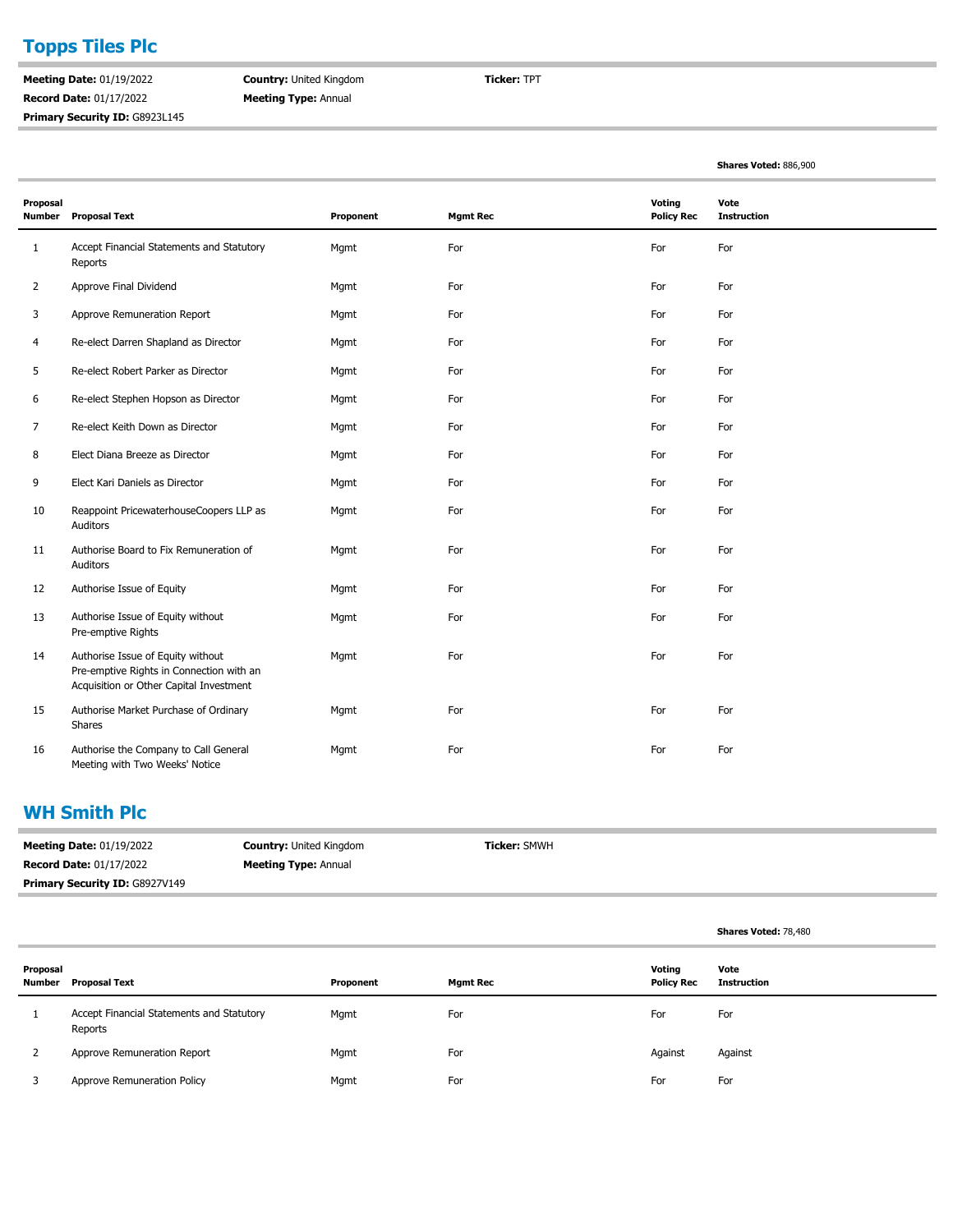# **Topps Tiles Plc**

**Meeting Date:** 01/19/2022 **Record Date:** 01/17/2022 Primary Security ID: G8923L145 **Country:** United Kingdom **Meeting Type:** Annual

**Ticker:** TPT

**Shares Voted:** 886,900

| Proposal<br><b>Number</b> | <b>Proposal Text</b>                                                                                                     | Proponent | <b>Mgmt Rec</b> | Voting<br><b>Policy Rec</b> | Vote<br><b>Instruction</b> |
|---------------------------|--------------------------------------------------------------------------------------------------------------------------|-----------|-----------------|-----------------------------|----------------------------|
| $\mathbf{1}$              | Accept Financial Statements and Statutory<br>Reports                                                                     | Mgmt      | For             | For                         | For                        |
| $\overline{2}$            | Approve Final Dividend                                                                                                   | Mgmt      | For             | For                         | For                        |
| 3                         | Approve Remuneration Report                                                                                              | Mgmt      | For             | For                         | For                        |
| 4                         | Re-elect Darren Shapland as Director                                                                                     | Mgmt      | For             | For                         | For                        |
| 5                         | Re-elect Robert Parker as Director                                                                                       | Mgmt      | For             | For                         | For                        |
| 6                         | Re-elect Stephen Hopson as Director                                                                                      | Mgmt      | For             | For                         | For                        |
| 7                         | Re-elect Keith Down as Director                                                                                          | Mgmt      | For             | For                         | For                        |
| 8                         | Elect Diana Breeze as Director                                                                                           | Mgmt      | For             | For                         | For                        |
| 9                         | Elect Kari Daniels as Director                                                                                           | Mgmt      | For             | For                         | For                        |
| 10                        | Reappoint PricewaterhouseCoopers LLP as<br>Auditors                                                                      | Mgmt      | For             | For                         | For                        |
| 11                        | Authorise Board to Fix Remuneration of<br>Auditors                                                                       | Mgmt      | For             | For                         | For                        |
| 12                        | Authorise Issue of Equity                                                                                                | Mgmt      | For             | For                         | For                        |
| 13                        | Authorise Issue of Equity without<br>Pre-emptive Rights                                                                  | Mgmt      | For             | For                         | For                        |
| 14                        | Authorise Issue of Equity without<br>Pre-emptive Rights in Connection with an<br>Acquisition or Other Capital Investment | Mgmt      | For             | For                         | For                        |
| 15                        | Authorise Market Purchase of Ordinary<br>Shares                                                                          | Mgmt      | For             | For                         | For                        |
| 16                        | Authorise the Company to Call General<br>Meeting with Two Weeks' Notice                                                  | Mgmt      | For             | For                         | For                        |

#### **WH Smith Plc**

| <b>Meeting Date: 01/19/2022</b>       | <b>Country: United Kingdom</b> | <b>Ticker: SMWH</b> |
|---------------------------------------|--------------------------------|---------------------|
| <b>Record Date: 01/17/2022</b>        | <b>Meeting Type: Annual</b>    |                     |
| <b>Primary Security ID: G8927V149</b> |                                |                     |

|                    |                                                      |           |                 |                             | Shares Voted: 78,480       |
|--------------------|------------------------------------------------------|-----------|-----------------|-----------------------------|----------------------------|
| Proposal<br>Number | <b>Proposal Text</b>                                 | Proponent | <b>Mgmt Rec</b> | Voting<br><b>Policy Rec</b> | Vote<br><b>Instruction</b> |
|                    | Accept Financial Statements and Statutory<br>Reports | Mgmt      | For             | For                         | For                        |
|                    | Approve Remuneration Report                          | Mgmt      | For             | Against                     | Against                    |
|                    | Approve Remuneration Policy                          | Mgmt      | For             | For                         | For                        |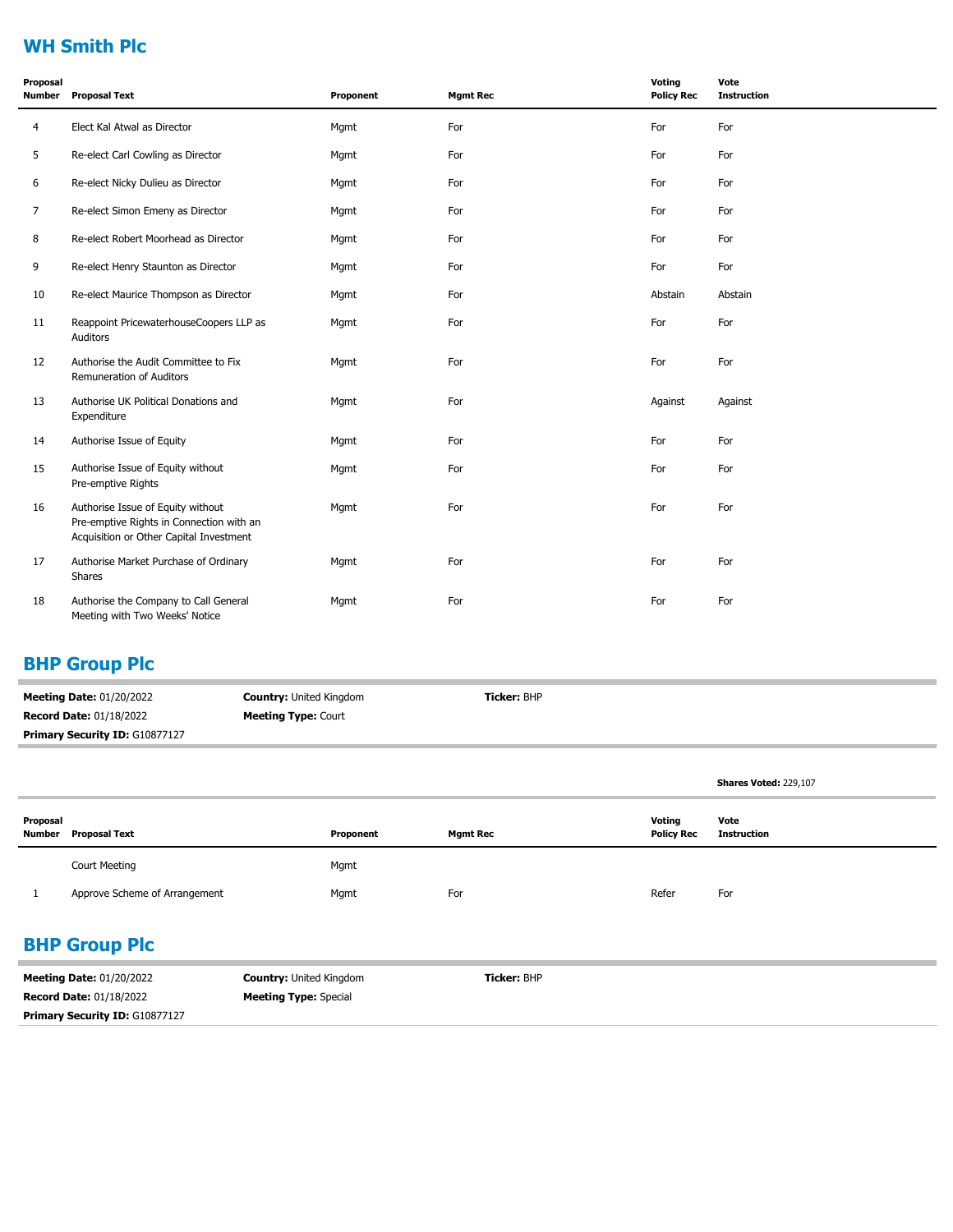## **WH Smith Plc**

| Proposal<br><b>Number</b> | <b>Proposal Text</b>                                                                                                     | Proponent | <b>Mgmt Rec</b> | Voting<br><b>Policy Rec</b> | Vote<br><b>Instruction</b> |
|---------------------------|--------------------------------------------------------------------------------------------------------------------------|-----------|-----------------|-----------------------------|----------------------------|
| $\overline{4}$            | Elect Kal Atwal as Director                                                                                              | Mgmt      | For             | For                         | For                        |
| 5                         | Re-elect Carl Cowling as Director                                                                                        | Mgmt      | For             | For                         | For                        |
| 6                         | Re-elect Nicky Dulieu as Director                                                                                        | Mgmt      | For             | For                         | For                        |
| $\overline{7}$            | Re-elect Simon Emeny as Director                                                                                         | Mgmt      | For             | For                         | For                        |
| 8                         | Re-elect Robert Moorhead as Director                                                                                     | Mgmt      | For             | For                         | For                        |
| 9                         | Re-elect Henry Staunton as Director                                                                                      | Mgmt      | For             | For                         | For                        |
| 10                        | Re-elect Maurice Thompson as Director                                                                                    | Mgmt      | For             | Abstain                     | Abstain                    |
| 11                        | Reappoint PricewaterhouseCoopers LLP as<br>Auditors                                                                      | Mgmt      | For             | For                         | For                        |
| 12                        | Authorise the Audit Committee to Fix<br>Remuneration of Auditors                                                         | Mgmt      | For             | For                         | For                        |
| 13                        | Authorise UK Political Donations and<br>Expenditure                                                                      | Mgmt      | For             | Against                     | Against                    |
| 14                        | Authorise Issue of Equity                                                                                                | Mgmt      | For             | For                         | For                        |
| 15                        | Authorise Issue of Equity without<br>Pre-emptive Rights                                                                  | Mgmt      | For             | For                         | For                        |
| 16                        | Authorise Issue of Equity without<br>Pre-emptive Rights in Connection with an<br>Acquisition or Other Capital Investment | Mgmt      | For             | For                         | For                        |
| 17                        | Authorise Market Purchase of Ordinary<br><b>Shares</b>                                                                   | Mgmt      | For             | For                         | For                        |
| 18                        | Authorise the Company to Call General<br>Meeting with Two Weeks' Notice                                                  | Mgmt      | For             | For                         | For                        |

### **BHP Group Plc**

| <b>Meeting Date: 01/20/2022</b>       | <b>Country: United Kingdom</b> | <b>Ticker: BHP</b> |
|---------------------------------------|--------------------------------|--------------------|
| <b>Record Date: 01/18/2022</b>        | <b>Meeting Type: Court</b>     |                    |
| <b>Primary Security ID: G10877127</b> |                                |                    |

|                    |                               |           |                 |                             | <b>Shares Voted: 229,107</b> |
|--------------------|-------------------------------|-----------|-----------------|-----------------------------|------------------------------|
| Proposal<br>Number | Proposal Text                 | Proponent | <b>Mgmt Rec</b> | Voting<br><b>Policy Rec</b> | Vote<br><b>Instruction</b>   |
|                    | <b>Court Meeting</b>          | Mgmt      |                 |                             |                              |
|                    | Approve Scheme of Arrangement | Mgmt      | For             | Refer                       | For                          |

# **BHP Group Plc**

| <b>Meeting Date: 01/20/2022</b>       | <b>Country: United Kingdom</b> | <b>Ticker:</b> BHP |  |
|---------------------------------------|--------------------------------|--------------------|--|
| <b>Record Date: 01/18/2022</b>        | <b>Meeting Type: Special</b>   |                    |  |
| <b>Primary Security ID: G10877127</b> |                                |                    |  |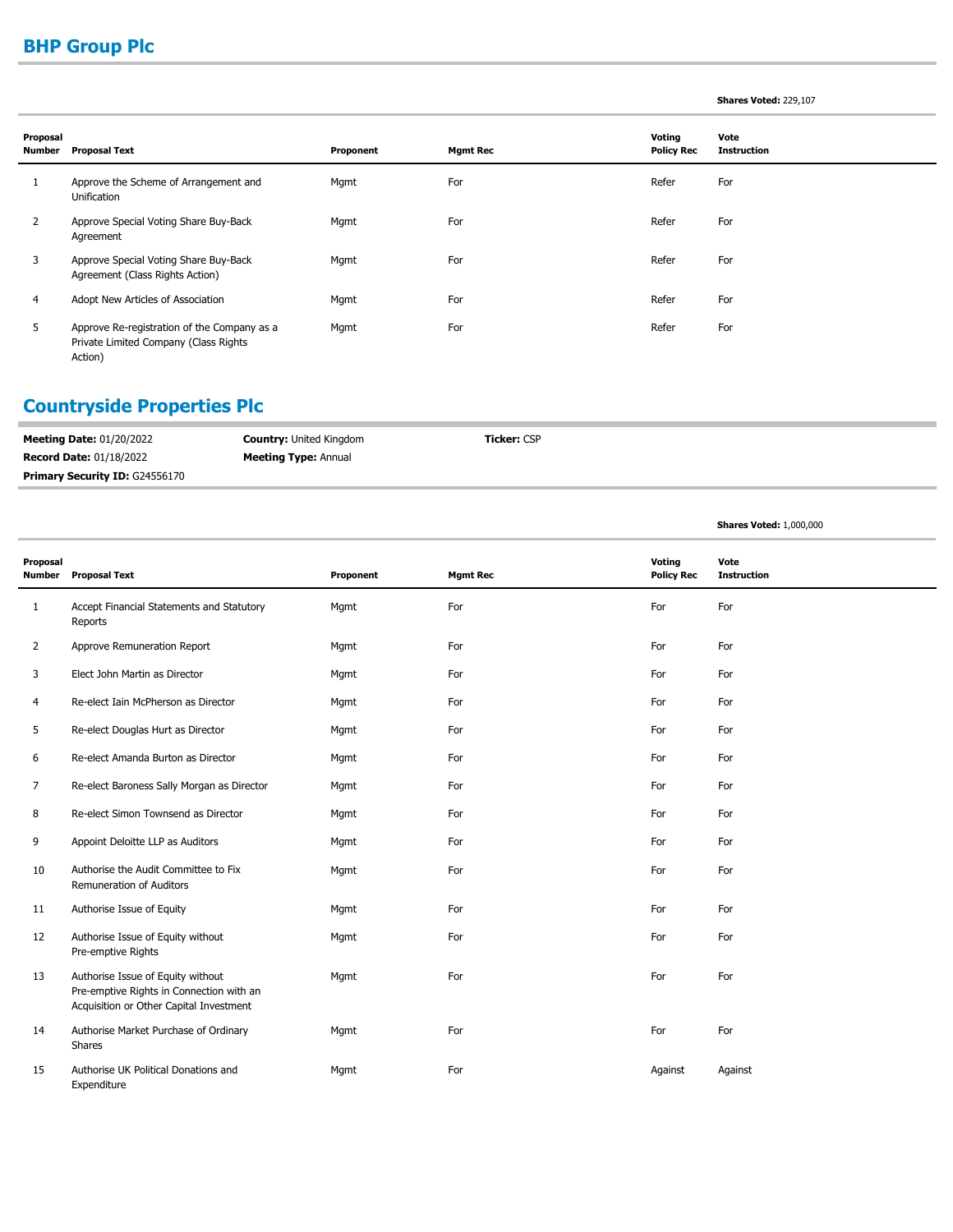# **BHP Group Plc**

#### **Shares Voted:** 229,107

**Shares Voted:** 1,000,000

| Proposal<br>Number | <b>Proposal Text</b>                                                                            | Proponent | <b>Mgmt Rec</b> | Voting<br><b>Policy Rec</b> | Vote<br><b>Instruction</b> |
|--------------------|-------------------------------------------------------------------------------------------------|-----------|-----------------|-----------------------------|----------------------------|
|                    | Approve the Scheme of Arrangement and<br>Unification                                            | Mgmt      | For             | Refer                       | For                        |
| 2                  | Approve Special Voting Share Buy-Back<br>Agreement                                              | Mgmt      | For             | Refer                       | For                        |
| 3                  | Approve Special Voting Share Buy-Back<br>Agreement (Class Rights Action)                        | Mgmt      | For             | Refer                       | For                        |
| 4                  | Adopt New Articles of Association                                                               | Mgmt      | For             | Refer                       | For                        |
| 5                  | Approve Re-registration of the Company as a<br>Private Limited Company (Class Rights<br>Action) | Mgmt      | For             | Refer                       | For                        |

# **Countryside Properties Plc**

 $\overline{a}$ 

| <b>Record Date: 01/18/2022</b><br><b>Meeting Type: Annual</b><br><b>Primary Security ID: G24556170</b> | <b>Meeting Date: 01/20/2022</b> | <b>Country: United Kingdom</b> | <b>Ticker:</b> CSP |
|--------------------------------------------------------------------------------------------------------|---------------------------------|--------------------------------|--------------------|
|                                                                                                        |                                 |                                |                    |
|                                                                                                        |                                 |                                |                    |

| Proposal<br>Number | <b>Proposal Text</b>                                                                                                     | Proponent | <b>Mgmt Rec</b> | Voting<br><b>Policy Rec</b> | Vote<br><b>Instruction</b> |
|--------------------|--------------------------------------------------------------------------------------------------------------------------|-----------|-----------------|-----------------------------|----------------------------|
| $\mathbf{1}$       | Accept Financial Statements and Statutory<br>Reports                                                                     | Mgmt      | For             | For                         | For                        |
| $\overline{2}$     | Approve Remuneration Report                                                                                              | Mgmt      | For             | For                         | For                        |
| 3                  | Elect John Martin as Director                                                                                            | Mgmt      | For             | For                         | For                        |
| 4                  | Re-elect Iain McPherson as Director                                                                                      | Mgmt      | For             | For                         | For                        |
| 5                  | Re-elect Douglas Hurt as Director                                                                                        | Mgmt      | For             | For                         | For                        |
| 6                  | Re-elect Amanda Burton as Director                                                                                       | Mgmt      | For             | For                         | For                        |
| 7                  | Re-elect Baroness Sally Morgan as Director                                                                               | Mgmt      | For             | For                         | For                        |
| 8                  | Re-elect Simon Townsend as Director                                                                                      | Mgmt      | For             | For                         | For                        |
| 9                  | Appoint Deloitte LLP as Auditors                                                                                         | Mgmt      | For             | For                         | For                        |
| 10                 | Authorise the Audit Committee to Fix<br>Remuneration of Auditors                                                         | Mgmt      | For             | For                         | For                        |
| 11                 | Authorise Issue of Equity                                                                                                | Mgmt      | For             | For                         | For                        |
| 12                 | Authorise Issue of Equity without<br>Pre-emptive Rights                                                                  | Mgmt      | For             | For                         | For                        |
| 13                 | Authorise Issue of Equity without<br>Pre-emptive Rights in Connection with an<br>Acquisition or Other Capital Investment | Mgmt      | For             | For                         | For                        |
| 14                 | Authorise Market Purchase of Ordinary<br>Shares                                                                          | Mgmt      | For             | For                         | For                        |
| 15                 | Authorise UK Political Donations and<br>Expenditure                                                                      | Mgmt      | For             | Against                     | Against                    |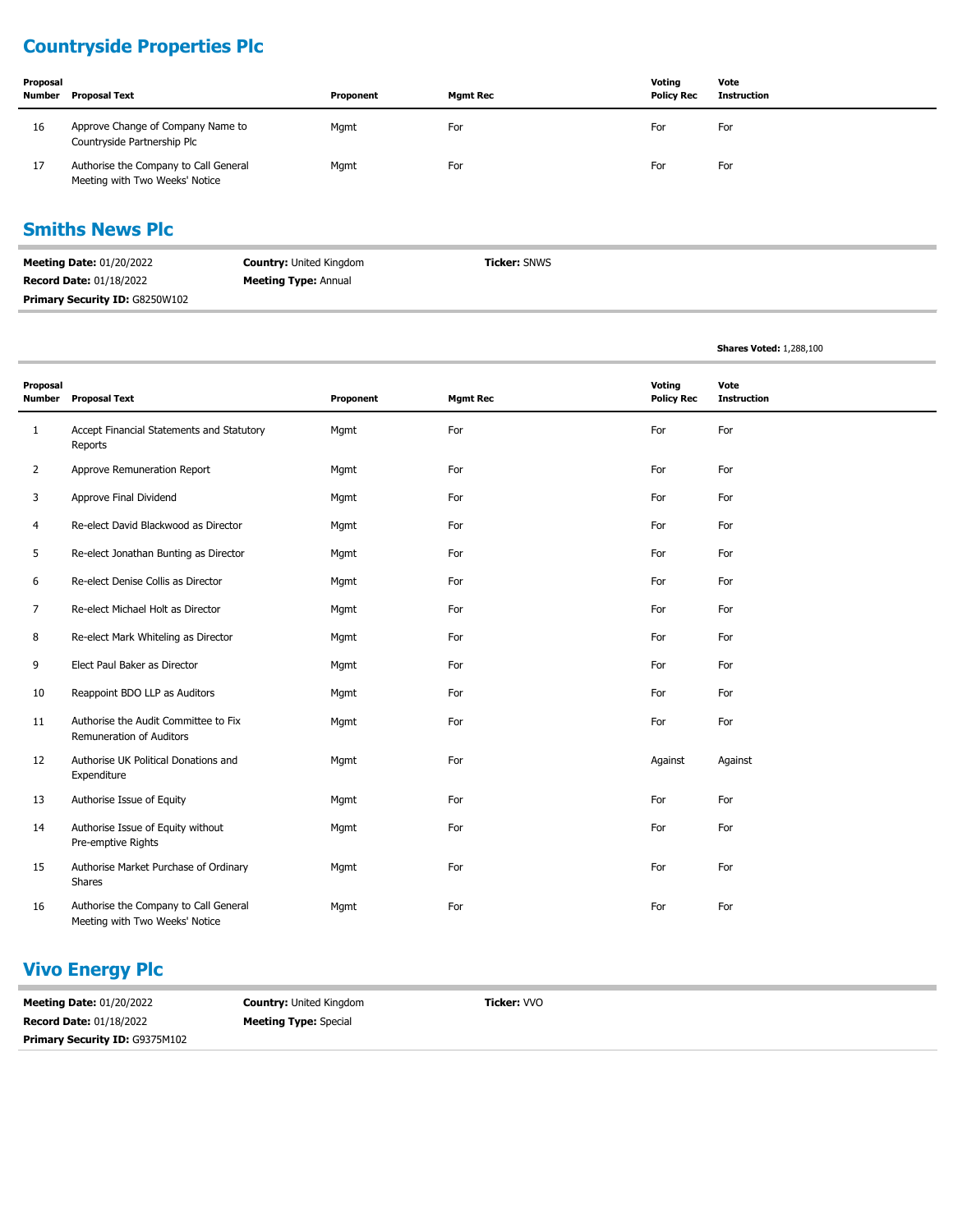## **Countryside Properties Plc**

| Proposal<br>Number | <b>Proposal Text</b>                                                    | Proponent | Mamt Rec | Votina<br><b>Policy Rec</b> | Vote<br>Instruction |
|--------------------|-------------------------------------------------------------------------|-----------|----------|-----------------------------|---------------------|
| 16                 | Approve Change of Company Name to<br>Countryside Partnership Plc        | Mgmt      | For      | For                         | For                 |
| 17                 | Authorise the Company to Call General<br>Meeting with Two Weeks' Notice | Mgmt      | For      | For                         | For                 |

#### **Smiths News Plc**

| <b>Meeting Date: 01/20/2022</b> | <b>Country: United Kingdom</b> | <b>Ticker: SNWS</b> |
|---------------------------------|--------------------------------|---------------------|
| <b>Record Date: 01/18/2022</b>  | <b>Meeting Type: Annual</b>    |                     |
| Primary Security ID: G8250W102  |                                |                     |

|                           |                                                                         |           |                 |                             | <b>Shares Voted: 1,288,100</b> |
|---------------------------|-------------------------------------------------------------------------|-----------|-----------------|-----------------------------|--------------------------------|
| Proposal<br><b>Number</b> | <b>Proposal Text</b>                                                    | Proponent | <b>Mgmt Rec</b> | Voting<br><b>Policy Rec</b> | Vote<br><b>Instruction</b>     |
| $\mathbf{1}$              | Accept Financial Statements and Statutory<br>Reports                    | Mgmt      | For             | For                         | For                            |
| $\overline{2}$            | Approve Remuneration Report                                             | Mgmt      | For             | For                         | For                            |
| 3                         | Approve Final Dividend                                                  | Mgmt      | For             | For                         | For                            |
| 4                         | Re-elect David Blackwood as Director                                    | Mgmt      | For             | For                         | For                            |
| 5                         | Re-elect Jonathan Bunting as Director                                   | Mgmt      | For             | For                         | For                            |
| 6                         | Re-elect Denise Collis as Director                                      | Mgmt      | For             | For                         | For                            |
| 7                         | Re-elect Michael Holt as Director                                       | Mgmt      | For             | For                         | For                            |
| 8                         | Re-elect Mark Whiteling as Director                                     | Mgmt      | For             | For                         | For                            |
| 9                         | Elect Paul Baker as Director                                            | Mgmt      | For             | For                         | For                            |
| 10                        | Reappoint BDO LLP as Auditors                                           | Mgmt      | For             | For                         | For                            |
| 11                        | Authorise the Audit Committee to Fix<br>Remuneration of Auditors        | Mgmt      | For             | For                         | For                            |
| 12                        | Authorise UK Political Donations and<br>Expenditure                     | Mgmt      | For             | Against                     | Against                        |
| 13                        | Authorise Issue of Equity                                               | Mqmt      | For             | For                         | For                            |
| 14                        | Authorise Issue of Equity without<br>Pre-emptive Rights                 | Mgmt      | For             | For                         | For                            |
| 15                        | Authorise Market Purchase of Ordinary<br>Shares                         | Mgmt      | For             | For                         | For                            |
| 16                        | Authorise the Company to Call General<br>Meeting with Two Weeks' Notice | Mgmt      | For             | For                         | For                            |

### **Vivo Energy Plc**

**Meeting Date:** 01/20/2022 **Record Date:** 01/18/2022 **Country:** United Kingdom **Meeting Type:** Special **Ticker:** VVO **Primary Security ID:** G9375M102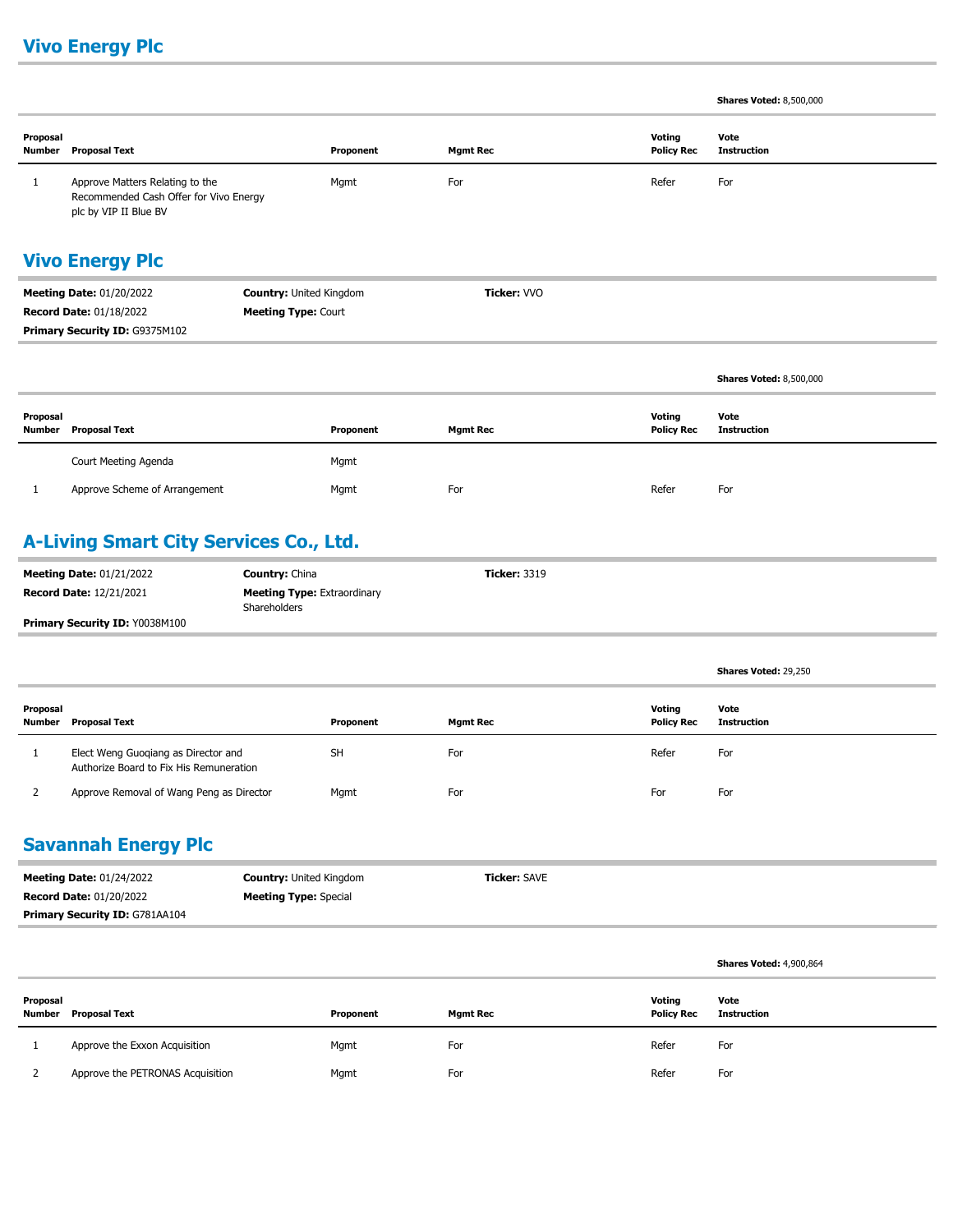### **Vivo Energy Plc**

**Shares Voted:** 8,500,000

**Shares Voted:** 29,250

| Proposal<br><b>Number</b>                                         | <b>Proposal Text</b>                                                                               |                            | Proponent   | <b>Mgmt Rec</b> |  | Voting<br><b>Policy Rec</b> | Vote<br><b>Instruction</b>     |
|-------------------------------------------------------------------|----------------------------------------------------------------------------------------------------|----------------------------|-------------|-----------------|--|-----------------------------|--------------------------------|
| 1                                                                 | Approve Matters Relating to the<br>Recommended Cash Offer for Vivo Energy<br>plc by VIP II Blue BV |                            | Mgmt        | For             |  | Refer                       | For                            |
| <b>Vivo Energy Plc</b>                                            |                                                                                                    |                            |             |                 |  |                             |                                |
| <b>Country: United Kingdom</b><br><b>Meeting Date: 01/20/2022</b> |                                                                                                    |                            | Ticker: VVO |                 |  |                             |                                |
|                                                                   | <b>Record Date: 01/18/2022</b>                                                                     | <b>Meeting Type: Court</b> |             |                 |  |                             |                                |
|                                                                   | Primary Security ID: G9375M102                                                                     |                            |             |                 |  |                             |                                |
|                                                                   |                                                                                                    |                            |             |                 |  |                             |                                |
|                                                                   |                                                                                                    |                            |             |                 |  |                             | <b>Shares Voted: 8,500,000</b> |
| Proposal<br>Number                                                | <b>Proposal Text</b>                                                                               |                            | Proponent   | <b>Mgmt Rec</b> |  | Voting<br><b>Policy Rec</b> | Vote<br><b>Instruction</b>     |
|                                                                   | Court Meeting Agenda                                                                               |                            | Mgmt        |                 |  |                             |                                |
|                                                                   | Approve Scheme of Arrangement                                                                      |                            | Mgmt        | For             |  | Refer                       | For                            |

### **A-Living Smart City Services Co., Ltd.**

| <b>Meeting Date: 01/21/2022</b>       | <b>Country: China</b>                              | <b>Ticker: 3319</b> |
|---------------------------------------|----------------------------------------------------|---------------------|
| <b>Record Date: 12/21/2021</b>        | <b>Meeting Type: Extraordinary</b><br>Shareholders |                     |
| <b>Primary Security ID: Y0038M100</b> |                                                    |                     |

| Proposal<br>Number | Proposal Text                                                                  | Proponent | <b>Mgmt Rec</b> | Votina<br><b>Policy Rec</b> | Vote<br>Instruction |
|--------------------|--------------------------------------------------------------------------------|-----------|-----------------|-----------------------------|---------------------|
|                    | Elect Weng Guoqiang as Director and<br>Authorize Board to Fix His Remuneration | <b>SH</b> | For             | Refer                       | For                 |
|                    | Approve Removal of Wang Peng as Director                                       | Mgmt      | For             | For                         | For                 |

#### **Savannah Energy Plc**

| <b>Meeting Date: 01/24/2022</b>       | <b>Country: United Kingdom</b> | <b>Ticker:</b> SAVE |
|---------------------------------------|--------------------------------|---------------------|
| <b>Record Date: 01/20/2022</b>        | <b>Meeting Type:</b> Special   |                     |
| <b>Primary Security ID: G781AA104</b> |                                |                     |

|          |                                  |           |                 |                             | <b>Shares Voted: 4,900,864</b> |
|----------|----------------------------------|-----------|-----------------|-----------------------------|--------------------------------|
| Proposal | Number Proposal Text             | Proponent | <b>Mgmt Rec</b> | Voting<br><b>Policy Rec</b> | Vote<br>Instruction            |
|          | Approve the Exxon Acquisition    | Mgmt      | For             | Refer                       | For                            |
|          | Approve the PETRONAS Acquisition | Mgmt      | For             | Refer                       | For                            |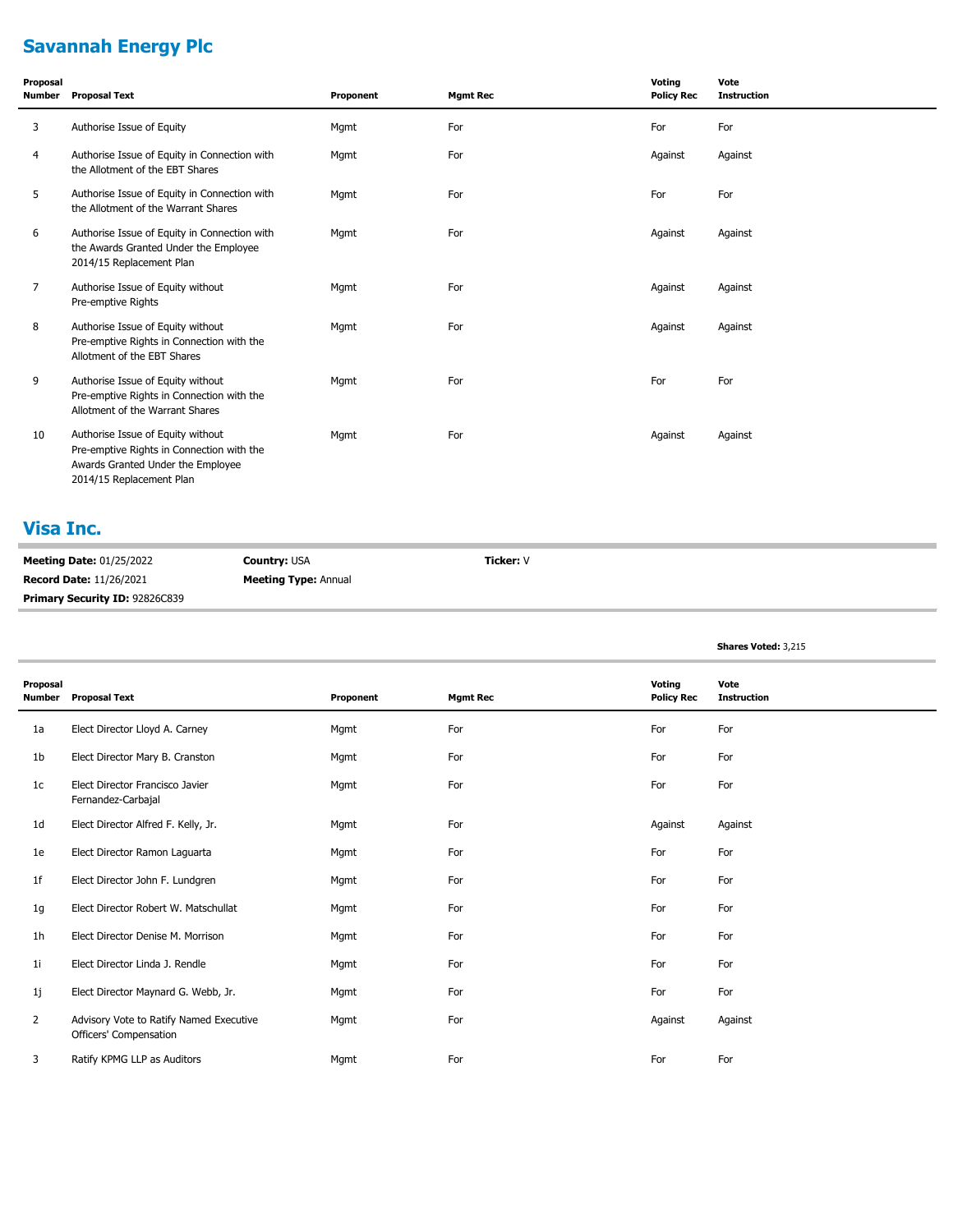# **Savannah Energy Plc**

| Proposal<br>Number | <b>Proposal Text</b>                                                                                                                            | Proponent | <b>Mgmt Rec</b> | Voting<br><b>Policy Rec</b> | Vote<br><b>Instruction</b> |
|--------------------|-------------------------------------------------------------------------------------------------------------------------------------------------|-----------|-----------------|-----------------------------|----------------------------|
| 3                  | Authorise Issue of Equity                                                                                                                       | Mgmt      | For             | For                         | For                        |
| 4                  | Authorise Issue of Equity in Connection with<br>the Allotment of the EBT Shares                                                                 | Mgmt      | For             | Against                     | Against                    |
| 5                  | Authorise Issue of Equity in Connection with<br>the Allotment of the Warrant Shares                                                             | Mgmt      | For             | For                         | For                        |
| 6                  | Authorise Issue of Equity in Connection with<br>the Awards Granted Under the Employee<br>2014/15 Replacement Plan                               | Mgmt      | For             | Against                     | Against                    |
| 7                  | Authorise Issue of Equity without<br>Pre-emptive Rights                                                                                         | Mgmt      | For             | Against                     | Against                    |
| 8                  | Authorise Issue of Equity without<br>Pre-emptive Rights in Connection with the<br>Allotment of the EBT Shares                                   | Mgmt      | For             | Against                     | Against                    |
| 9                  | Authorise Issue of Equity without<br>Pre-emptive Rights in Connection with the<br>Allotment of the Warrant Shares                               | Mqmt      | For             | For                         | For                        |
| 10                 | Authorise Issue of Equity without<br>Pre-emptive Rights in Connection with the<br>Awards Granted Under the Employee<br>2014/15 Replacement Plan | Mgmt      | For             | Against                     | Against                    |

#### **Visa Inc.**

| <b>Meeting Date: 01/25/2022</b> | <b>Country: USA</b>         | Ticker: V |
|---------------------------------|-----------------------------|-----------|
| <b>Record Date: 11/26/2021</b>  | <b>Meeting Type: Annual</b> |           |
| Primary Security ID: 92826C839  |                             |           |

**Shares Voted:** 3,215

| Proposal<br><b>Number</b> | <b>Proposal Text</b>                                              | Proponent | <b>Mgmt Rec</b> | Voting<br><b>Policy Rec</b> | Vote<br><b>Instruction</b> |
|---------------------------|-------------------------------------------------------------------|-----------|-----------------|-----------------------------|----------------------------|
| 1a                        | Elect Director Lloyd A. Carney                                    | Mgmt      | For             | For                         | For                        |
| 1 <sub>b</sub>            | Elect Director Mary B. Cranston                                   | Mgmt      | For             | For                         | For                        |
| 1 <sub>c</sub>            | Elect Director Francisco Javier<br>Fernandez-Carbajal             | Mgmt      | For             | For                         | For                        |
| 1 <sub>d</sub>            | Elect Director Alfred F. Kelly, Jr.                               | Mgmt      | For             | Against                     | Against                    |
| 1e                        | Elect Director Ramon Laguarta                                     | Mgmt      | For             | For                         | For                        |
| 1f                        | Elect Director John F. Lundgren                                   | Mgmt      | For             | For                         | For                        |
| 1g                        | Elect Director Robert W. Matschullat                              | Mgmt      | For             | For                         | For                        |
| 1 <sub>h</sub>            | Elect Director Denise M. Morrison                                 | Mgmt      | For             | For                         | For                        |
| 1 <sub>i</sub>            | Elect Director Linda J. Rendle                                    | Mgmt      | For             | For                         | For                        |
| 1j                        | Elect Director Maynard G. Webb, Jr.                               | Mgmt      | For             | For                         | For                        |
| 2                         | Advisory Vote to Ratify Named Executive<br>Officers' Compensation | Mgmt      | For             | Against                     | Against                    |
| 3                         | Ratify KPMG LLP as Auditors                                       | Mgmt      | For             | For                         | For                        |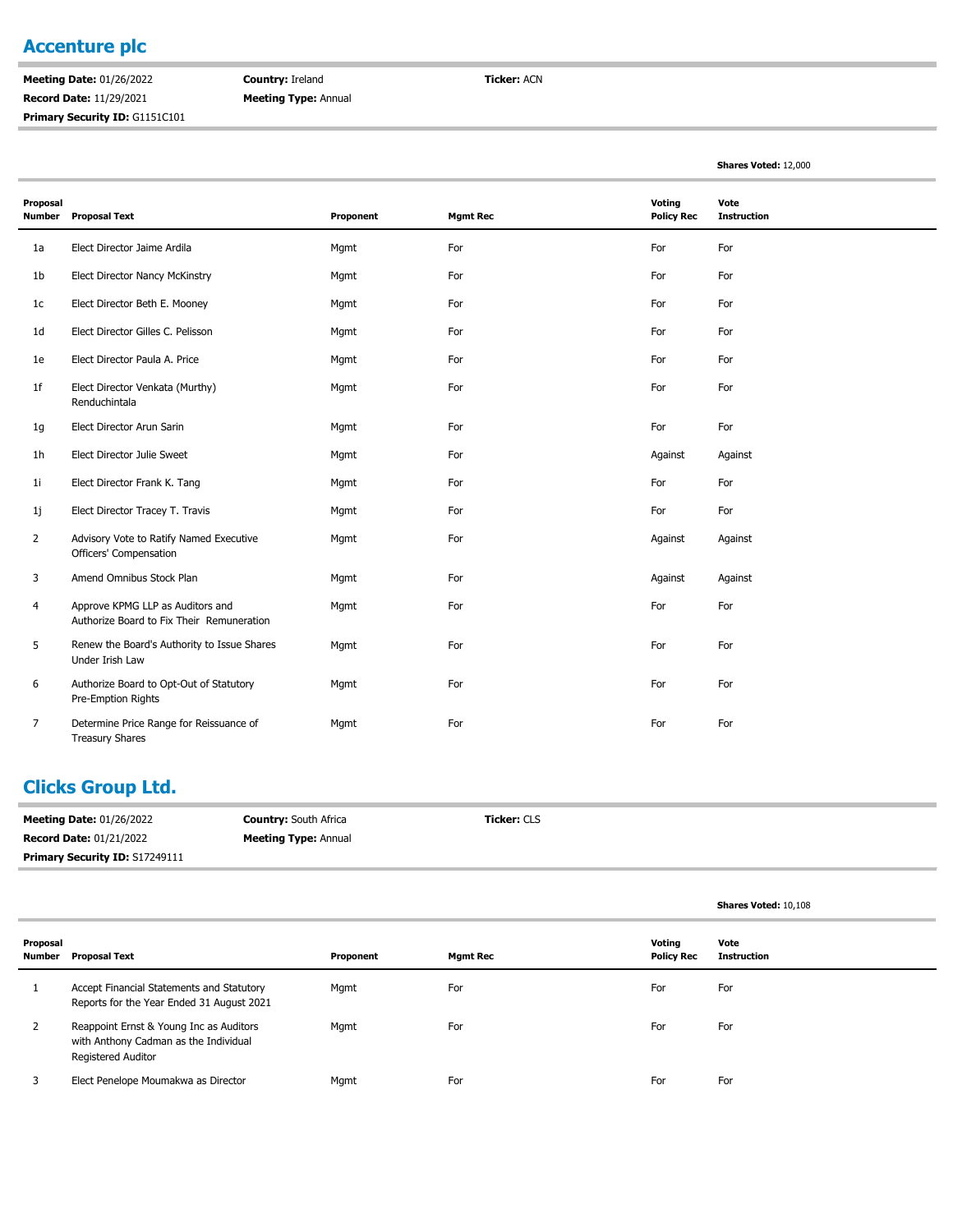#### **Accenture plc**

**Meeting Date:** 01/26/2022 **Record Date:** 11/29/2021 **Primary Security ID: G1151C101**  **Country:** Ireland **Meeting Type:** Annual **Ticker:** ACN

**Shares Voted:** 12,000

| Proposal<br><b>Number</b> | <b>Proposal Text</b>                                                          | Proponent | <b>Mgmt Rec</b> | Voting<br><b>Policy Rec</b> | Vote<br><b>Instruction</b> |
|---------------------------|-------------------------------------------------------------------------------|-----------|-----------------|-----------------------------|----------------------------|
| 1a                        | Elect Director Jaime Ardila                                                   | Mgmt      | For             | For                         | For                        |
| 1 <sub>b</sub>            | Elect Director Nancy McKinstry                                                | Mgmt      | For             | For                         | For                        |
| 1c                        | Elect Director Beth E. Mooney                                                 | Mgmt      | For             | For                         | For                        |
| 1 <sub>d</sub>            | Elect Director Gilles C. Pelisson                                             | Mgmt      | For             | For                         | For                        |
| 1e                        | Elect Director Paula A. Price                                                 | Mgmt      | For             | For                         | For                        |
| 1f                        | Elect Director Venkata (Murthy)<br>Renduchintala                              | Mgmt      | For             | For                         | For                        |
| 1g                        | Elect Director Arun Sarin                                                     | Mgmt      | For             | For                         | For                        |
| 1 <sub>h</sub>            | Elect Director Julie Sweet                                                    | Mgmt      | For             | Against                     | Against                    |
| 11                        | Elect Director Frank K. Tang                                                  | Mgmt      | For             | For                         | For                        |
| 1j                        | Elect Director Tracey T. Travis                                               | Mgmt      | For             | For                         | For                        |
| $\overline{2}$            | Advisory Vote to Ratify Named Executive<br>Officers' Compensation             | Mgmt      | For             | Against                     | Against                    |
| 3                         | Amend Omnibus Stock Plan                                                      | Mgmt      | For             | Against                     | Against                    |
| 4                         | Approve KPMG LLP as Auditors and<br>Authorize Board to Fix Their Remuneration | Mgmt      | For             | For                         | For                        |
| 5                         | Renew the Board's Authority to Issue Shares<br>Under Irish Law                | Mgmt      | For             | For                         | For                        |
| 6                         | Authorize Board to Opt-Out of Statutory<br>Pre-Emption Rights                 | Mgmt      | For             | For                         | For                        |
| $\overline{7}$            | Determine Price Range for Reissuance of<br><b>Treasury Shares</b>             | Mgmt      | For             | For                         | For                        |

#### **Clicks Group Ltd.**

| <b>Meeting Date: 01/26/2022</b>       | <b>Country: South Africa</b> | <b>Ticker: CLS</b> |
|---------------------------------------|------------------------------|--------------------|
| <b>Record Date: 01/21/2022</b>        | <b>Meeting Type: Annual</b>  |                    |
| <b>Primary Security ID: S17249111</b> |                              |                    |

|                    |                                                                                                               |           |                 |                             | Shares Voted: 10,108       |
|--------------------|---------------------------------------------------------------------------------------------------------------|-----------|-----------------|-----------------------------|----------------------------|
| Proposal<br>Number | <b>Proposal Text</b>                                                                                          | Proponent | <b>Mgmt Rec</b> | Votina<br><b>Policy Rec</b> | Vote<br><b>Instruction</b> |
|                    | Accept Financial Statements and Statutory<br>Reports for the Year Ended 31 August 2021                        | Mgmt      | For             | For                         | For                        |
| 2                  | Reappoint Ernst & Young Inc as Auditors<br>with Anthony Cadman as the Individual<br><b>Registered Auditor</b> | Mgmt      | For             | For                         | For                        |
|                    | Elect Penelope Moumakwa as Director                                                                           | Mgmt      | For             | For                         | For                        |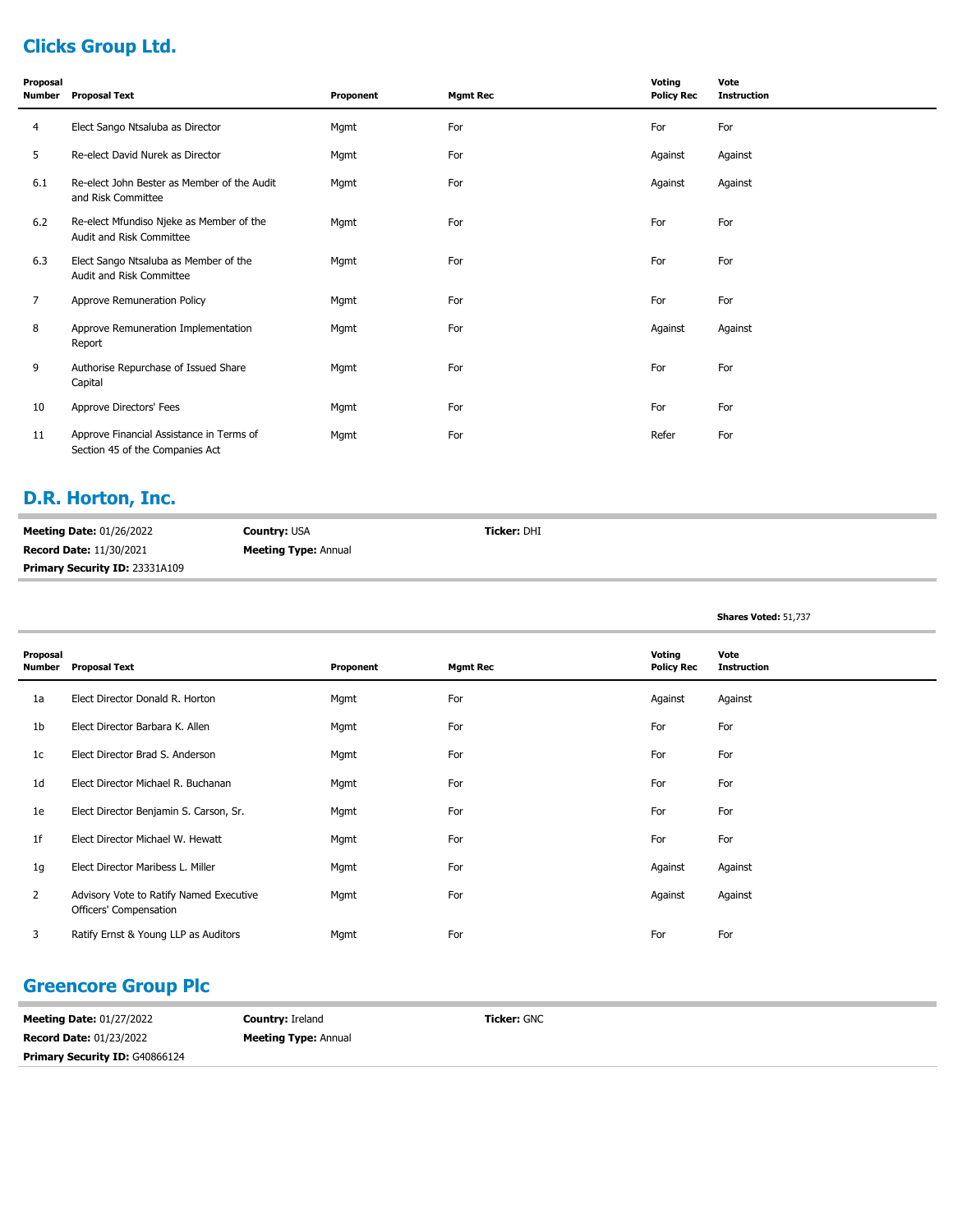# **Clicks Group Ltd.**

| Proposal<br>Number | <b>Proposal Text</b>                                                        | Proponent | <b>Mgmt Rec</b> | Voting<br><b>Policy Rec</b> | Vote<br><b>Instruction</b> |
|--------------------|-----------------------------------------------------------------------------|-----------|-----------------|-----------------------------|----------------------------|
| 4                  | Elect Sango Ntsaluba as Director                                            | Mgmt      | For             | For                         | For                        |
| 5                  | Re-elect David Nurek as Director                                            | Mgmt      | For             | Against                     | Against                    |
| 6.1                | Re-elect John Bester as Member of the Audit<br>and Risk Committee           | Mgmt      | For             | Against                     | Against                    |
| 6.2                | Re-elect Mfundiso Njeke as Member of the<br>Audit and Risk Committee        | Mgmt      | For             | For                         | For                        |
| 6.3                | Elect Sango Ntsaluba as Member of the<br>Audit and Risk Committee           | Mgmt      | For             | For                         | For                        |
| 7                  | Approve Remuneration Policy                                                 | Mgmt      | For             | For                         | For                        |
| 8                  | Approve Remuneration Implementation<br>Report                               | Mgmt      | For             | Against                     | Against                    |
| 9                  | Authorise Repurchase of Issued Share<br>Capital                             | Mgmt      | For             | For                         | For                        |
| 10                 | Approve Directors' Fees                                                     | Mgmt      | For             | For                         | For                        |
| 11                 | Approve Financial Assistance in Terms of<br>Section 45 of the Companies Act | Mgmt      | For             | Refer                       | For                        |

### **D.R. Horton, Inc.**

| <b>Meeting Date: 01/26/2022</b>       | <b>Country: USA</b>         | <b>Ticker: DHI</b> |
|---------------------------------------|-----------------------------|--------------------|
| <b>Record Date: 11/30/2021</b>        | <b>Meeting Type: Annual</b> |                    |
| <b>Primary Security ID: 23331A109</b> |                             |                    |

**Shares Voted:** 51,737

| Proposal<br>Number | <b>Proposal Text</b>                                              | Proponent | <b>Mgmt Rec</b> | Voting<br><b>Policy Rec</b> | Vote<br><b>Instruction</b> |
|--------------------|-------------------------------------------------------------------|-----------|-----------------|-----------------------------|----------------------------|
| 1a                 | Elect Director Donald R. Horton                                   | Mgmt      | For             | Against                     | Against                    |
| 1b                 | Elect Director Barbara K. Allen                                   | Mgmt      | For             | For                         | For                        |
| 1c                 | Elect Director Brad S. Anderson                                   | Mgmt      | For             | For                         | For                        |
| 1 <sub>d</sub>     | Elect Director Michael R. Buchanan                                | Mgmt      | For             | For                         | For                        |
| 1e                 | Elect Director Benjamin S. Carson, Sr.                            | Mgmt      | For             | For                         | For                        |
| 1 <sup>f</sup>     | Elect Director Michael W. Hewatt                                  | Mgmt      | For             | For                         | For                        |
| 1g                 | Elect Director Maribess L. Miller                                 | Mgmt      | For             | Against                     | Against                    |
| $\mathbf{2}$       | Advisory Vote to Ratify Named Executive<br>Officers' Compensation | Mgmt      | For             | Against                     | Against                    |
| 3                  | Ratify Ernst & Young LLP as Auditors                              | Mgmt      | For             | For                         | For                        |

#### **Greencore Group Plc**

| <b>Meeting Date: 01/27/2022</b>       | <b>Country: Ireland</b>     | <b>Ticker: GNC</b> |
|---------------------------------------|-----------------------------|--------------------|
| <b>Record Date: 01/23/2022</b>        | <b>Meeting Type: Annual</b> |                    |
| <b>Primary Security ID: G40866124</b> |                             |                    |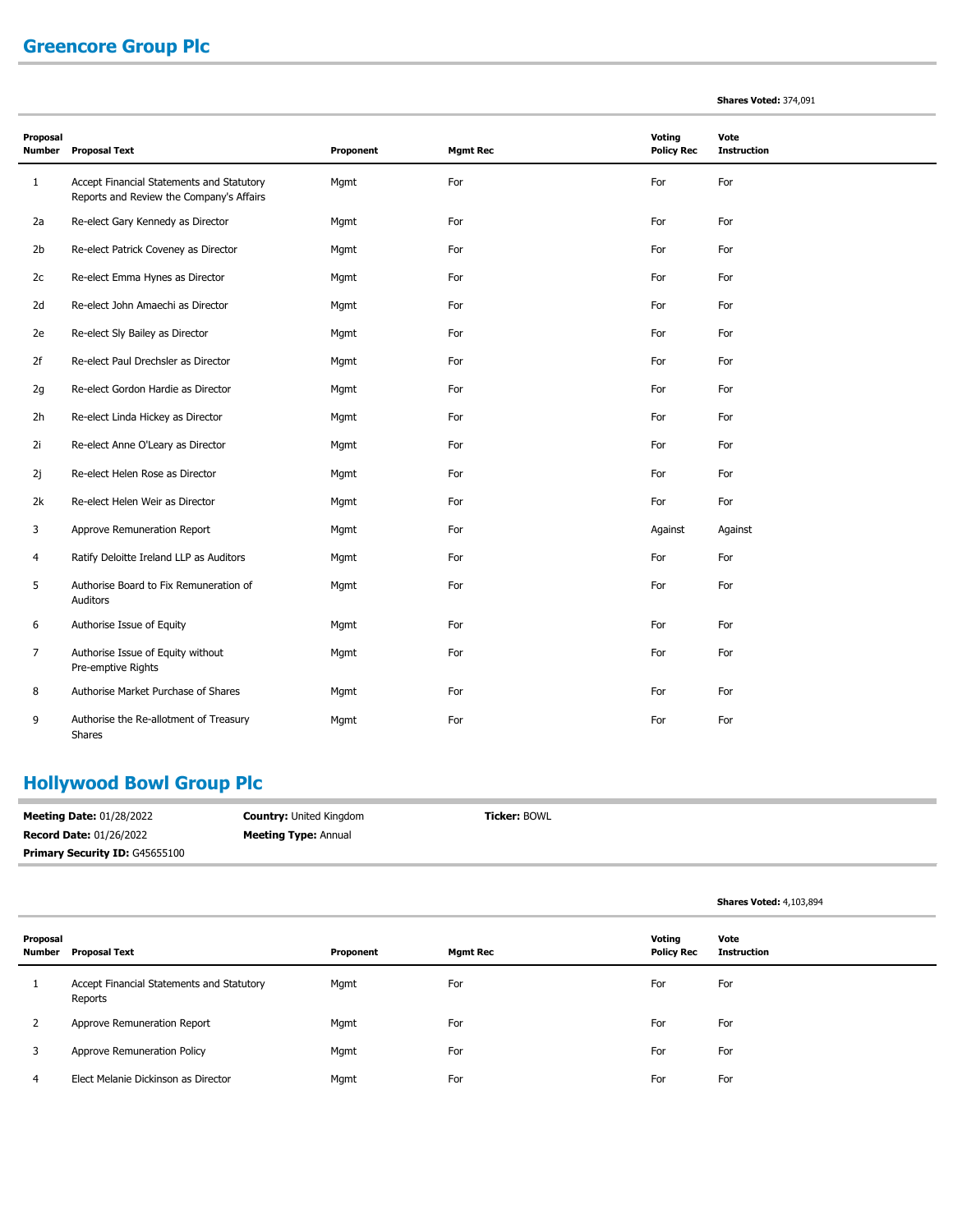# **Greencore Group Plc**

|  |  | <b>Shares Voted: 374,091</b> |
|--|--|------------------------------|
|--|--|------------------------------|

| Proposal<br>Number | <b>Proposal Text</b>                                                                  | Proponent | <b>Mgmt Rec</b> | Voting<br><b>Policy Rec</b> | Vote<br><b>Instruction</b> |  |
|--------------------|---------------------------------------------------------------------------------------|-----------|-----------------|-----------------------------|----------------------------|--|
| $\mathbf{1}$       | Accept Financial Statements and Statutory<br>Reports and Review the Company's Affairs | Mgmt      | For             | For                         | For                        |  |
| 2a                 | Re-elect Gary Kennedy as Director                                                     | Mgmt      | For             | For                         | For                        |  |
| 2 <sub>b</sub>     | Re-elect Patrick Coveney as Director                                                  | Mgmt      | For             | For                         | For                        |  |
| 2c                 | Re-elect Emma Hynes as Director                                                       | Mgmt      | For             | For                         | For                        |  |
| 2d                 | Re-elect John Amaechi as Director                                                     | Mgmt      | For             | For                         | For                        |  |
| 2e                 | Re-elect Sly Bailey as Director                                                       | Mgmt      | For             | For                         | For                        |  |
| 2f                 | Re-elect Paul Drechsler as Director                                                   | Mgmt      | For             | For                         | For                        |  |
| 2g                 | Re-elect Gordon Hardie as Director                                                    | Mgmt      | For             | For                         | For                        |  |
| 2h                 | Re-elect Linda Hickey as Director                                                     | Mgmt      | For             | For                         | For                        |  |
| 2i                 | Re-elect Anne O'Leary as Director                                                     | Mgmt      | For             | For                         | For                        |  |
| 2j                 | Re-elect Helen Rose as Director                                                       | Mgmt      | For             | For                         | For                        |  |
| 2k                 | Re-elect Helen Weir as Director                                                       | Mgmt      | For             | For                         | For                        |  |
| 3                  | Approve Remuneration Report                                                           | Mgmt      | For             | Against                     | Against                    |  |
| 4                  | Ratify Deloitte Ireland LLP as Auditors                                               | Mgmt      | For             | For                         | For                        |  |
| 5                  | Authorise Board to Fix Remuneration of<br>Auditors                                    | Mgmt      | For             | For                         | For                        |  |
| 6                  | Authorise Issue of Equity                                                             | Mgmt      | For             | For                         | For                        |  |
| 7                  | Authorise Issue of Equity without<br>Pre-emptive Rights                               | Mgmt      | For             | For                         | For                        |  |
| 8                  | Authorise Market Purchase of Shares                                                   | Mgmt      | For             | For                         | For                        |  |
| 9                  | Authorise the Re-allotment of Treasury<br><b>Shares</b>                               | Mgmt      | For             | For                         | For                        |  |

# **Hollywood Bowl Group Plc**

| <b>Meeting Date: 01/28/2022</b>       | <b>Country: United Kingdom</b> | <b>Ticker: BOWL</b> |
|---------------------------------------|--------------------------------|---------------------|
| <b>Record Date: 01/26/2022</b>        | <b>Meeting Type:</b> Annual    |                     |
| <b>Primary Security ID: G45655100</b> |                                |                     |

|                    |                                                      |           |                 |                             | <b>Shares Voted: 4,103,894</b> |
|--------------------|------------------------------------------------------|-----------|-----------------|-----------------------------|--------------------------------|
| Proposal<br>Number | <b>Proposal Text</b>                                 | Proponent | <b>Mgmt Rec</b> | Voting<br><b>Policy Rec</b> | Vote<br><b>Instruction</b>     |
|                    | Accept Financial Statements and Statutory<br>Reports | Mgmt      | For             | For                         | For                            |
| 2                  | Approve Remuneration Report                          | Mgmt      | For             | For                         | For                            |
| 3                  | Approve Remuneration Policy                          | Mgmt      | For             | For                         | For                            |
| 4                  | Elect Melanie Dickinson as Director                  | Mgmt      | For             | For                         | For                            |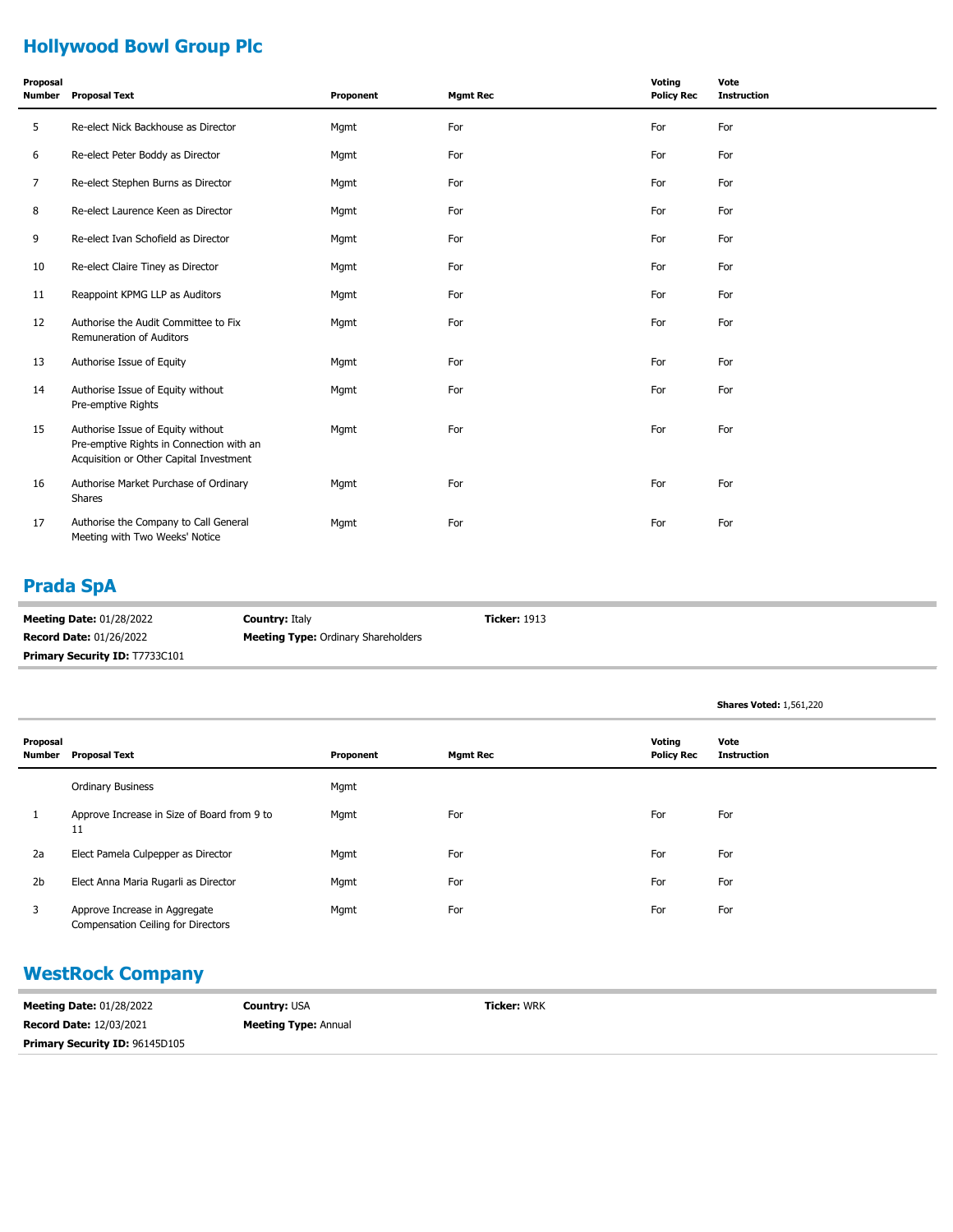# **Hollywood Bowl Group Plc**

| Proposal<br><b>Number</b> | <b>Proposal Text</b>                                                                                                     | Proponent | <b>Mgmt Rec</b> | Voting<br><b>Policy Rec</b> | Vote<br><b>Instruction</b> |
|---------------------------|--------------------------------------------------------------------------------------------------------------------------|-----------|-----------------|-----------------------------|----------------------------|
| 5                         | Re-elect Nick Backhouse as Director                                                                                      | Mgmt      | For             | For                         | For                        |
| 6                         | Re-elect Peter Boddy as Director                                                                                         | Mgmt      | For             | For                         | For                        |
| 7                         | Re-elect Stephen Burns as Director                                                                                       | Mgmt      | For             | For                         | For                        |
| 8                         | Re-elect Laurence Keen as Director                                                                                       | Mgmt      | For             | For                         | For                        |
| 9                         | Re-elect Ivan Schofield as Director                                                                                      | Mgmt      | For             | For                         | For                        |
| 10                        | Re-elect Claire Tiney as Director                                                                                        | Mgmt      | For             | For                         | For                        |
| 11                        | Reappoint KPMG LLP as Auditors                                                                                           | Mgmt      | For             | For                         | For                        |
| 12                        | Authorise the Audit Committee to Fix<br>Remuneration of Auditors                                                         | Mgmt      | For             | For                         | For                        |
| 13                        | Authorise Issue of Equity                                                                                                | Mgmt      | For             | For                         | For                        |
| 14                        | Authorise Issue of Equity without<br>Pre-emptive Rights                                                                  | Mgmt      | For             | For                         | For                        |
| 15                        | Authorise Issue of Equity without<br>Pre-emptive Rights in Connection with an<br>Acquisition or Other Capital Investment | Mgmt      | For             | For                         | For                        |
| 16                        | Authorise Market Purchase of Ordinary<br>Shares                                                                          | Mgmt      | For             | For                         | For                        |
| 17                        | Authorise the Company to Call General<br>Meeting with Two Weeks' Notice                                                  | Mgmt      | For             | For                         | For                        |

# **Prada SpA**

| <b>Meeting Date: 01/28/2022</b>       | <b>Country: Italy</b>                      | <b>Ticker: 1913</b> |
|---------------------------------------|--------------------------------------------|---------------------|
| <b>Record Date: 01/26/2022</b>        | <b>Meeting Type: Ordinary Shareholders</b> |                     |
| <b>Primary Security ID: T7733C101</b> |                                            |                     |

|                |                    |                                                                            |           |                 |                             | <b>Shares Voted: 1,561,220</b> |
|----------------|--------------------|----------------------------------------------------------------------------|-----------|-----------------|-----------------------------|--------------------------------|
|                | Proposal<br>Number | <b>Proposal Text</b>                                                       | Proponent | <b>Mgmt Rec</b> | Voting<br><b>Policy Rec</b> | Vote<br><b>Instruction</b>     |
|                |                    | <b>Ordinary Business</b>                                                   | Mgmt      |                 |                             |                                |
|                | 11                 | Approve Increase in Size of Board from 9 to                                | Mgmt      | For             | For                         | For                            |
| 2a             |                    | Elect Pamela Culpepper as Director                                         | Mgmt      | For             | For                         | For                            |
| 2 <sub>b</sub> |                    | Elect Anna Maria Rugarli as Director                                       | Mgmt      | For             | For                         | For                            |
| 3              |                    | Approve Increase in Aggregate<br><b>Compensation Ceiling for Directors</b> | Mgmt      | For             | For                         | For                            |

### **WestRock Company**

| <b>Meeting Date: 01/28/2022</b>       | <b>Country: USA</b>         | <b>Ticker: WRK</b> |
|---------------------------------------|-----------------------------|--------------------|
| <b>Record Date: 12/03/2021</b>        | <b>Meeting Type: Annual</b> |                    |
| <b>Primary Security ID: 96145D105</b> |                             |                    |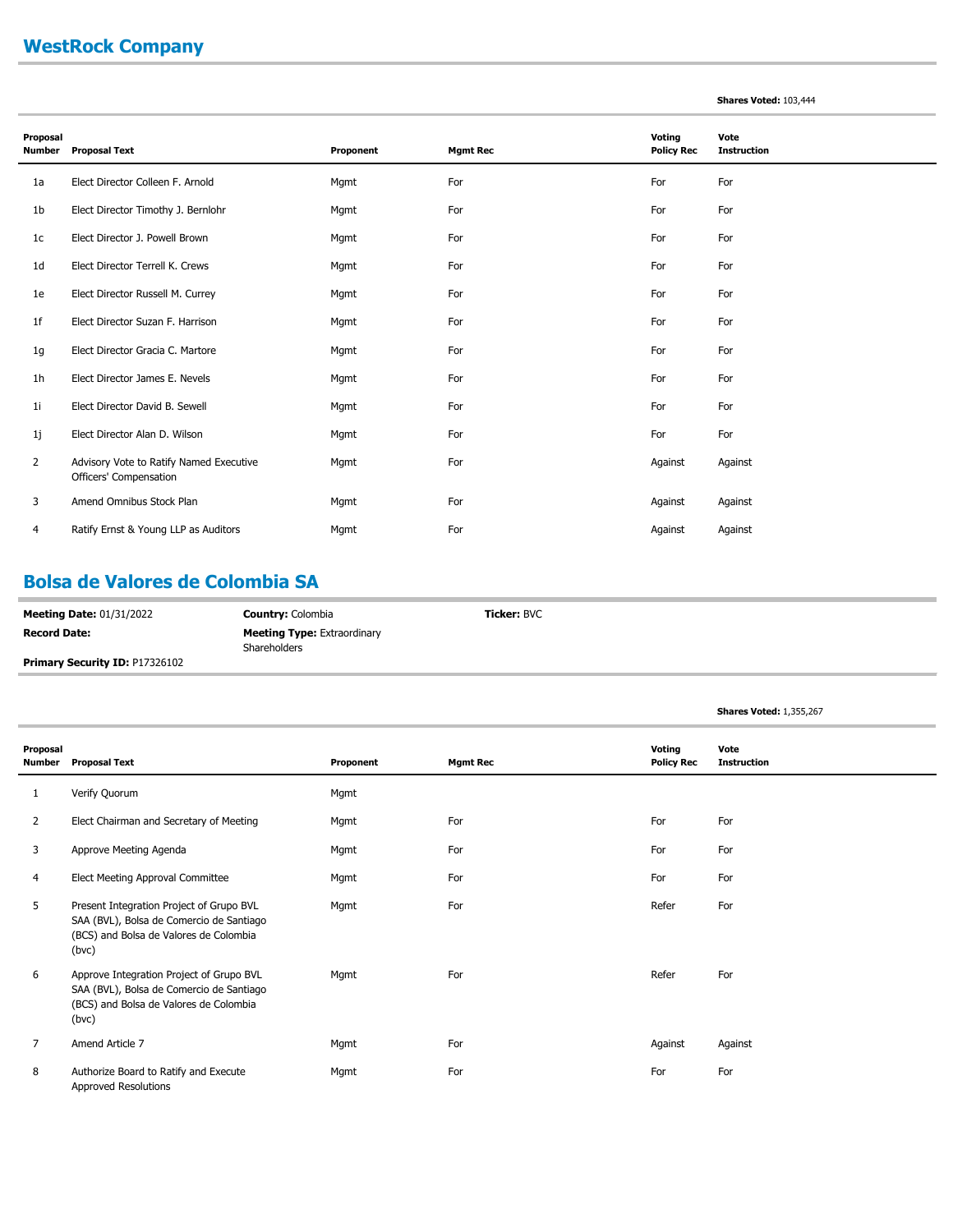### **WestRock Company**

#### **Shares Voted:** 103,444

| Proposal<br><b>Number</b> | <b>Proposal Text</b>                                              | Proponent | <b>Mgmt Rec</b> | Voting<br><b>Policy Rec</b> | Vote<br><b>Instruction</b> |
|---------------------------|-------------------------------------------------------------------|-----------|-----------------|-----------------------------|----------------------------|
| 1a                        | Elect Director Colleen F. Arnold                                  | Mgmt      | For             | For                         | For                        |
| 1 <sub>b</sub>            | Elect Director Timothy J. Bernlohr                                | Mgmt      | For             | For                         | For                        |
| 1 <sub>c</sub>            | Elect Director J. Powell Brown                                    | Mgmt      | For             | For                         | For                        |
| 1 <sub>d</sub>            | Elect Director Terrell K. Crews                                   | Mgmt      | For             | For                         | For                        |
| 1e                        | Elect Director Russell M. Currey                                  | Mgmt      | For             | For                         | For                        |
| 1f                        | Elect Director Suzan F. Harrison                                  | Mgmt      | For             | For                         | For                        |
| 1g                        | Elect Director Gracia C. Martore                                  | Mgmt      | For             | For                         | For                        |
| 1h                        | Elect Director James E. Nevels                                    | Mgmt      | For             | For                         | For                        |
| 1 <sub>i</sub>            | Elect Director David B. Sewell                                    | Mgmt      | For             | For                         | For                        |
| 1j                        | Elect Director Alan D. Wilson                                     | Mgmt      | For             | For                         | For                        |
| $\overline{2}$            | Advisory Vote to Ratify Named Executive<br>Officers' Compensation | Mgmt      | For             | Against                     | Against                    |
| 3                         | Amend Omnibus Stock Plan                                          | Mgmt      | For             | Against                     | Against                    |
| 4                         | Ratify Ernst & Young LLP as Auditors                              | Mgmt      | For             | Against                     | Against                    |

#### **Bolsa de Valores de Colombia SA**

| <b>Meeting Date: 01/31/2022</b>       | <b>Country: Colombia</b>           | <b>Ticker: BVC</b> |
|---------------------------------------|------------------------------------|--------------------|
| <b>Record Date:</b>                   | <b>Meeting Type: Extraordinary</b> |                    |
|                                       | Shareholders                       |                    |
| <b>Primary Security ID: P17326102</b> |                                    |                    |

|                    |                                                                                                                                         |           |                 |                             | <b>Shares Voted: 1,355,267</b> |
|--------------------|-----------------------------------------------------------------------------------------------------------------------------------------|-----------|-----------------|-----------------------------|--------------------------------|
| Proposal<br>Number | <b>Proposal Text</b>                                                                                                                    | Proponent | <b>Mgmt Rec</b> | Voting<br><b>Policy Rec</b> | Vote<br><b>Instruction</b>     |
| 1                  | Verify Quorum                                                                                                                           | Mgmt      |                 |                             |                                |
| $\overline{2}$     | Elect Chairman and Secretary of Meeting                                                                                                 | Mgmt      | For             | For                         | For                            |
| 3                  | Approve Meeting Agenda                                                                                                                  | Mgmt      | For             | For                         | For                            |
| 4                  | Elect Meeting Approval Committee                                                                                                        | Mgmt      | For             | For                         | For                            |
| 5                  | Present Integration Project of Grupo BVL<br>SAA (BVL), Bolsa de Comercio de Santiago<br>(BCS) and Bolsa de Valores de Colombia<br>(bvc) | Mgmt      | For             | Refer                       | For                            |
| 6                  | Approve Integration Project of Grupo BVL<br>SAA (BVL), Bolsa de Comercio de Santiago<br>(BCS) and Bolsa de Valores de Colombia<br>(bvc) | Mgmt      | For             | Refer                       | For                            |
| $\overline{7}$     | Amend Article 7                                                                                                                         | Mgmt      | For             | Against                     | Against                        |
| 8                  | Authorize Board to Ratify and Execute<br>Approved Resolutions                                                                           | Mgmt      | For             | For                         | For                            |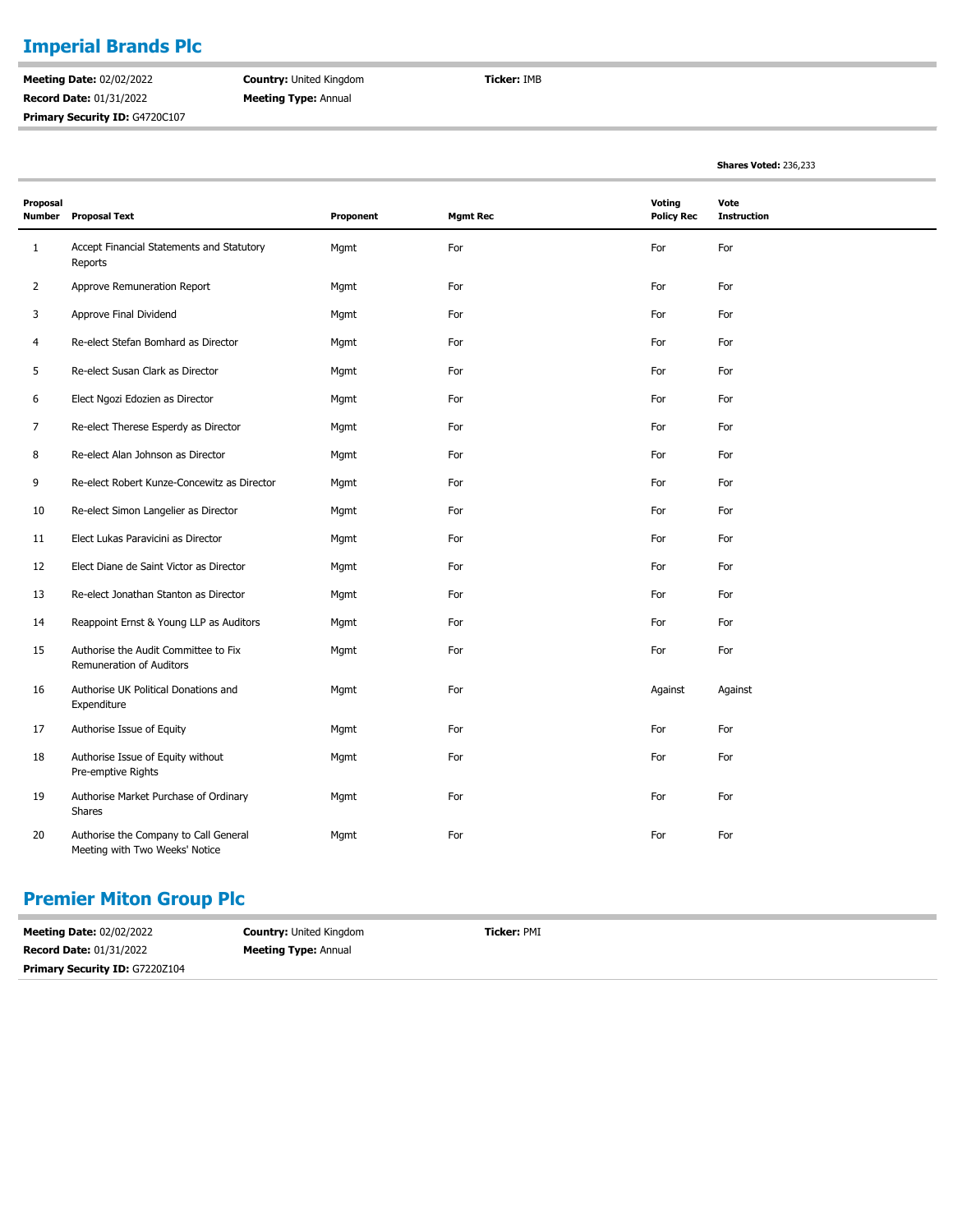### **Imperial Brands Plc**

**Meeting Date:** 02/02/2022 **Record Date:** 01/31/2022 Primary Security ID: G4720C107 **Country:** United Kingdom **Meeting Type:** Annual

**Ticker:** IMB

**Shares Voted:** 236,233

| Proposal<br><b>Number</b> | <b>Proposal Text</b>                                                    | Proponent | <b>Mgmt Rec</b> | <b>Voting</b><br><b>Policy Rec</b> | Vote<br><b>Instruction</b> |
|---------------------------|-------------------------------------------------------------------------|-----------|-----------------|------------------------------------|----------------------------|
| $\mathbf{1}$              | Accept Financial Statements and Statutory<br>Reports                    | Mgmt      | For             | For                                | For                        |
| $\overline{2}$            | Approve Remuneration Report                                             | Mgmt      | For             | For                                | For                        |
| 3                         | Approve Final Dividend                                                  | Mgmt      | For             | For                                | For                        |
| 4                         | Re-elect Stefan Bomhard as Director                                     | Mgmt      | For             | For                                | For                        |
| 5                         | Re-elect Susan Clark as Director                                        | Mgmt      | For             | For                                | For                        |
| 6                         | Elect Ngozi Edozien as Director                                         | Mgmt      | For             | For                                | For                        |
| 7                         | Re-elect Therese Esperdy as Director                                    | Mgmt      | For             | For                                | For                        |
| 8                         | Re-elect Alan Johnson as Director                                       | Mgmt      | For             | For                                | For                        |
| 9                         | Re-elect Robert Kunze-Concewitz as Director                             | Mgmt      | For             | For                                | For                        |
| 10                        | Re-elect Simon Langelier as Director                                    | Mgmt      | For             | For                                | For                        |
| 11                        | Elect Lukas Paravicini as Director                                      | Mgmt      | For             | For                                | For                        |
| 12                        | Elect Diane de Saint Victor as Director                                 | Mgmt      | For             | For                                | For                        |
| 13                        | Re-elect Jonathan Stanton as Director                                   | Mgmt      | For             | For                                | For                        |
| 14                        | Reappoint Ernst & Young LLP as Auditors                                 | Mgmt      | For             | For                                | For                        |
| 15                        | Authorise the Audit Committee to Fix<br>Remuneration of Auditors        | Mgmt      | For             | For                                | For                        |
| 16                        | Authorise UK Political Donations and<br>Expenditure                     | Mgmt      | For             | Against                            | Against                    |
| 17                        | Authorise Issue of Equity                                               | Mgmt      | For             | For                                | For                        |
| 18                        | Authorise Issue of Equity without<br>Pre-emptive Rights                 | Mgmt      | For             | For                                | For                        |
| 19                        | Authorise Market Purchase of Ordinary<br><b>Shares</b>                  | Mgmt      | For             | For                                | For                        |
| 20                        | Authorise the Company to Call General<br>Meeting with Two Weeks' Notice | Mgmt      | For             | For                                | For                        |

#### **Premier Miton Group Plc**

| <b>Meeting Date: 02/02/2022</b>       | <b>Country: United Kingdom</b> | Ticker: PMI |
|---------------------------------------|--------------------------------|-------------|
| <b>Record Date: 01/31/2022</b>        | <b>Meeting Type: Annual</b>    |             |
| <b>Primary Security ID: G7220Z104</b> |                                |             |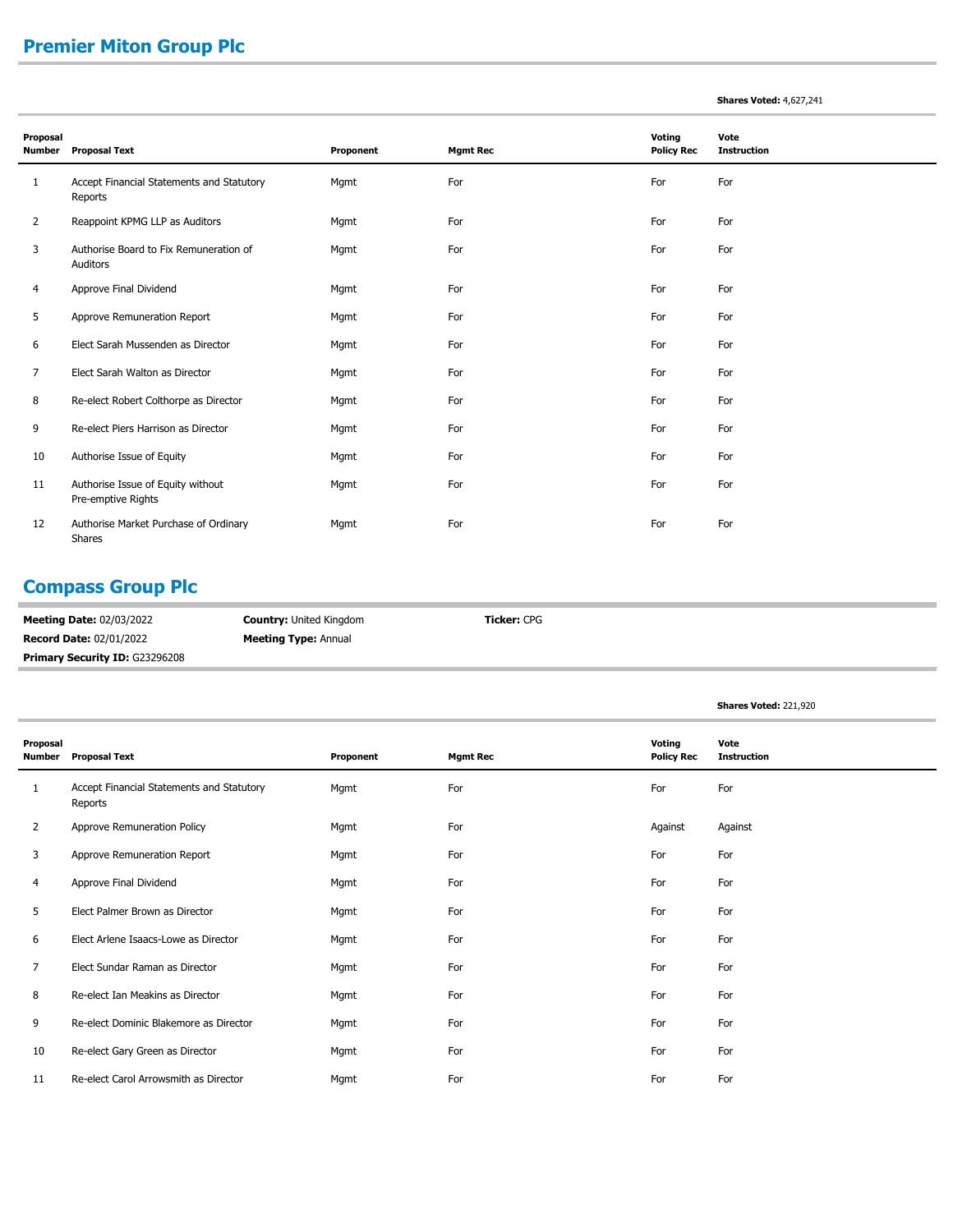# **Premier Miton Group Plc**

#### **Shares Voted:** 4,627,241

| Proposal<br><b>Number</b> | <b>Proposal Text</b>                                    | Proponent | <b>Mgmt Rec</b> | Voting<br><b>Policy Rec</b> | Vote<br><b>Instruction</b> |
|---------------------------|---------------------------------------------------------|-----------|-----------------|-----------------------------|----------------------------|
| 1                         | Accept Financial Statements and Statutory<br>Reports    | Mgmt      | For             | For                         | For                        |
| $\overline{2}$            | Reappoint KPMG LLP as Auditors                          | Mgmt      | For             | For                         | For                        |
| 3                         | Authorise Board to Fix Remuneration of<br>Auditors      | Mgmt      | For             | For                         | For                        |
| 4                         | Approve Final Dividend                                  | Mgmt      | For             | For                         | For                        |
| 5                         | Approve Remuneration Report                             | Mgmt      | For             | For                         | For                        |
| 6                         | Elect Sarah Mussenden as Director                       | Mgmt      | For             | For                         | For                        |
| 7                         | Elect Sarah Walton as Director                          | Mgmt      | For             | For                         | For                        |
| 8                         | Re-elect Robert Colthorpe as Director                   | Mgmt      | For             | For                         | For                        |
| 9                         | Re-elect Piers Harrison as Director                     | Mgmt      | For             | For                         | For                        |
| 10                        | Authorise Issue of Equity                               | Mgmt      | For             | For                         | For                        |
| 11                        | Authorise Issue of Equity without<br>Pre-emptive Rights | Mgmt      | For             | For                         | For                        |
| 12                        | Authorise Market Purchase of Ordinary<br>Shares         | Mgmt      | For             | For                         | For                        |

# **Compass Group Plc**

| <b>Meeting Date: 02/03/2022</b>       | <b>Country: United Kingdom</b> | <b>Ticker: CPG</b> |
|---------------------------------------|--------------------------------|--------------------|
| <b>Record Date: 02/01/2022</b>        | <b>Meeting Type: Annual</b>    |                    |
| <b>Primary Security ID: G23296208</b> |                                |                    |

|                           |                                                      |           |                 |                             | Shares Voted: 221,920      |
|---------------------------|------------------------------------------------------|-----------|-----------------|-----------------------------|----------------------------|
| Proposal<br><b>Number</b> | <b>Proposal Text</b>                                 | Proponent | <b>Mgmt Rec</b> | Voting<br><b>Policy Rec</b> | Vote<br><b>Instruction</b> |
| 1                         | Accept Financial Statements and Statutory<br>Reports | Mgmt      | For             | For                         | For                        |
| 2                         | Approve Remuneration Policy                          | Mgmt      | For             | Against                     | Against                    |
| 3                         | Approve Remuneration Report                          | Mgmt      | For             | For                         | For                        |
| 4                         | Approve Final Dividend                               | Mgmt      | For             | For                         | For                        |
| 5                         | Elect Palmer Brown as Director                       | Mgmt      | For             | For                         | For                        |
| 6                         | Elect Arlene Isaacs-Lowe as Director                 | Mgmt      | For             | For                         | For                        |
| $\overline{7}$            | Elect Sundar Raman as Director                       | Mgmt      | For             | For                         | For                        |
| 8                         | Re-elect Ian Meakins as Director                     | Mgmt      | For             | For                         | For                        |
| 9                         | Re-elect Dominic Blakemore as Director               | Mgmt      | For             | For                         | For                        |
| 10                        | Re-elect Gary Green as Director                      | Mgmt      | For             | For                         | For                        |
| 11                        | Re-elect Carol Arrowsmith as Director                | Mgmt      | For             | For                         | For                        |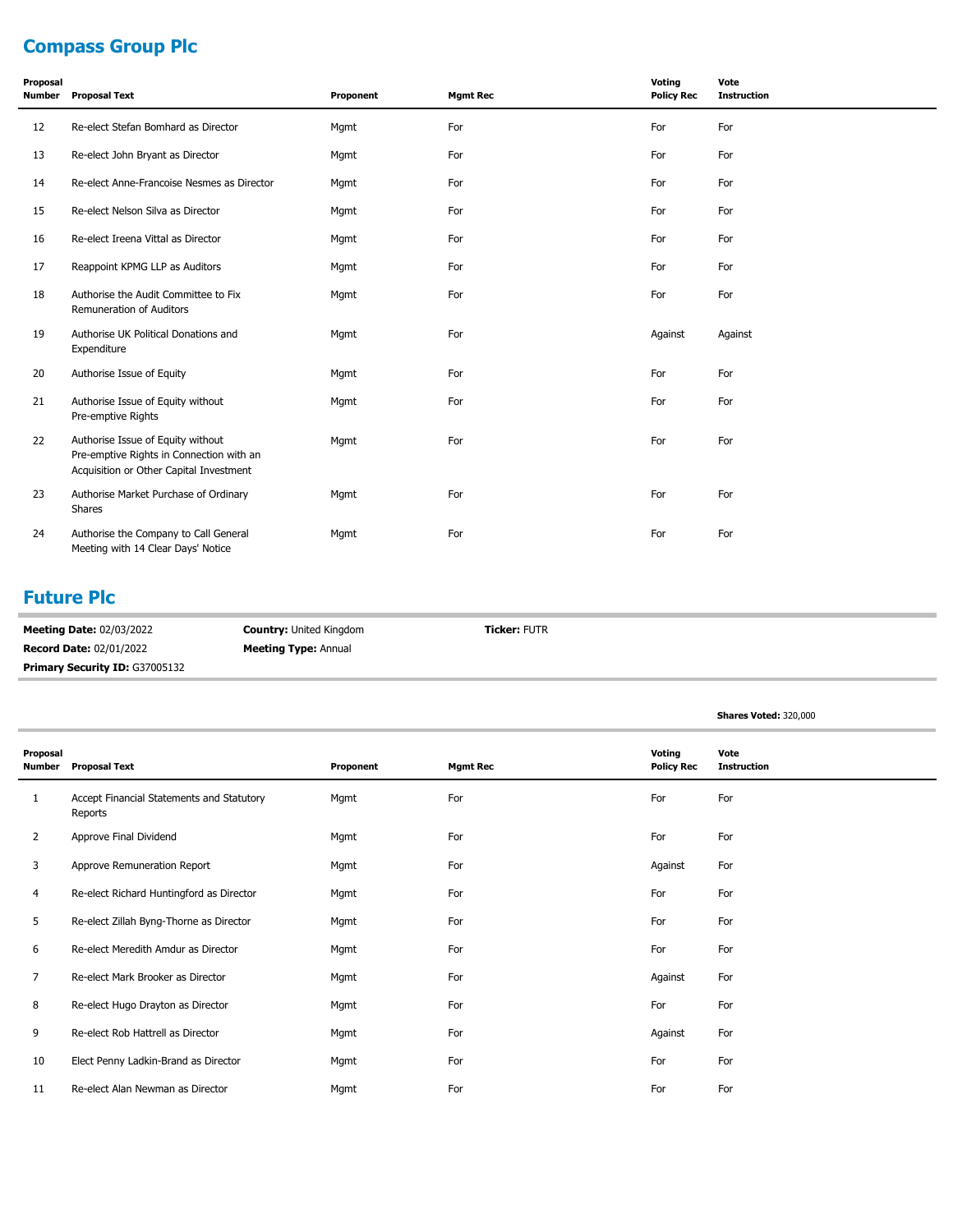# **Compass Group Plc**

| Proposal<br><b>Number</b> | <b>Proposal Text</b>                                                                                                     | Proponent | <b>Mgmt Rec</b> | Voting<br><b>Policy Rec</b> | Vote<br><b>Instruction</b> |
|---------------------------|--------------------------------------------------------------------------------------------------------------------------|-----------|-----------------|-----------------------------|----------------------------|
| 12                        | Re-elect Stefan Bomhard as Director                                                                                      | Mgmt      | For             | For                         | For                        |
| 13                        | Re-elect John Bryant as Director                                                                                         | Mgmt      | For             | For                         | For                        |
| 14                        | Re-elect Anne-Francoise Nesmes as Director                                                                               | Mgmt      | For             | For                         | For                        |
| 15                        | Re-elect Nelson Silva as Director                                                                                        | Mgmt      | For             | For                         | For                        |
| 16                        | Re-elect Ireena Vittal as Director                                                                                       | Mgmt      | For             | For                         | For                        |
| 17                        | Reappoint KPMG LLP as Auditors                                                                                           | Mgmt      | For             | For                         | For                        |
| 18                        | Authorise the Audit Committee to Fix<br>Remuneration of Auditors                                                         | Mgmt      | For             | For                         | For                        |
| 19                        | Authorise UK Political Donations and<br>Expenditure                                                                      | Mgmt      | For             | Against                     | Against                    |
| 20                        | Authorise Issue of Equity                                                                                                | Mgmt      | For             | For                         | For                        |
| 21                        | Authorise Issue of Equity without<br>Pre-emptive Rights                                                                  | Mgmt      | For             | For                         | For                        |
| 22                        | Authorise Issue of Equity without<br>Pre-emptive Rights in Connection with an<br>Acquisition or Other Capital Investment | Mgmt      | For             | For                         | For                        |
| 23                        | Authorise Market Purchase of Ordinary<br>Shares                                                                          | Mgmt      | For             | For                         | For                        |
| 24                        | Authorise the Company to Call General<br>Meeting with 14 Clear Days' Notice                                              | Mgmt      | For             | For                         | For                        |

#### **Future Plc**

| <b>Meeting Date: 02/03/2022</b>       | <b>Country: United Kingdom</b> | <b>Ticker: FUTR</b> |
|---------------------------------------|--------------------------------|---------------------|
| <b>Record Date: 02/01/2022</b>        | <b>Meeting Type: Annual</b>    |                     |
| <b>Primary Security ID: G37005132</b> |                                |                     |

|                           |                                                      |           |                 |                             | Shares Voted: 320,000      |
|---------------------------|------------------------------------------------------|-----------|-----------------|-----------------------------|----------------------------|
| Proposal<br><b>Number</b> | <b>Proposal Text</b>                                 | Proponent | <b>Mgmt Rec</b> | Voting<br><b>Policy Rec</b> | Vote<br><b>Instruction</b> |
| 1                         | Accept Financial Statements and Statutory<br>Reports | Mgmt      | For             | For                         | For                        |
| $\overline{2}$            | Approve Final Dividend                               | Mgmt      | For             | For                         | For                        |
| 3                         | Approve Remuneration Report                          | Mgmt      | For             | Against                     | For                        |
| 4                         | Re-elect Richard Huntingford as Director             | Mgmt      | For             | For                         | For                        |
| 5                         | Re-elect Zillah Byng-Thorne as Director              | Mgmt      | For             | For                         | For                        |
| 6                         | Re-elect Meredith Amdur as Director                  | Mgmt      | For             | For                         | For                        |
| 7                         | Re-elect Mark Brooker as Director                    | Mgmt      | For             | Against                     | For                        |
| 8                         | Re-elect Hugo Drayton as Director                    | Mgmt      | For             | For                         | For                        |
| 9                         | Re-elect Rob Hattrell as Director                    | Mgmt      | For             | Against                     | For                        |
| 10                        | Elect Penny Ladkin-Brand as Director                 | Mgmt      | For             | For                         | For                        |
| 11                        | Re-elect Alan Newman as Director                     | Mgmt      | For             | For                         | For                        |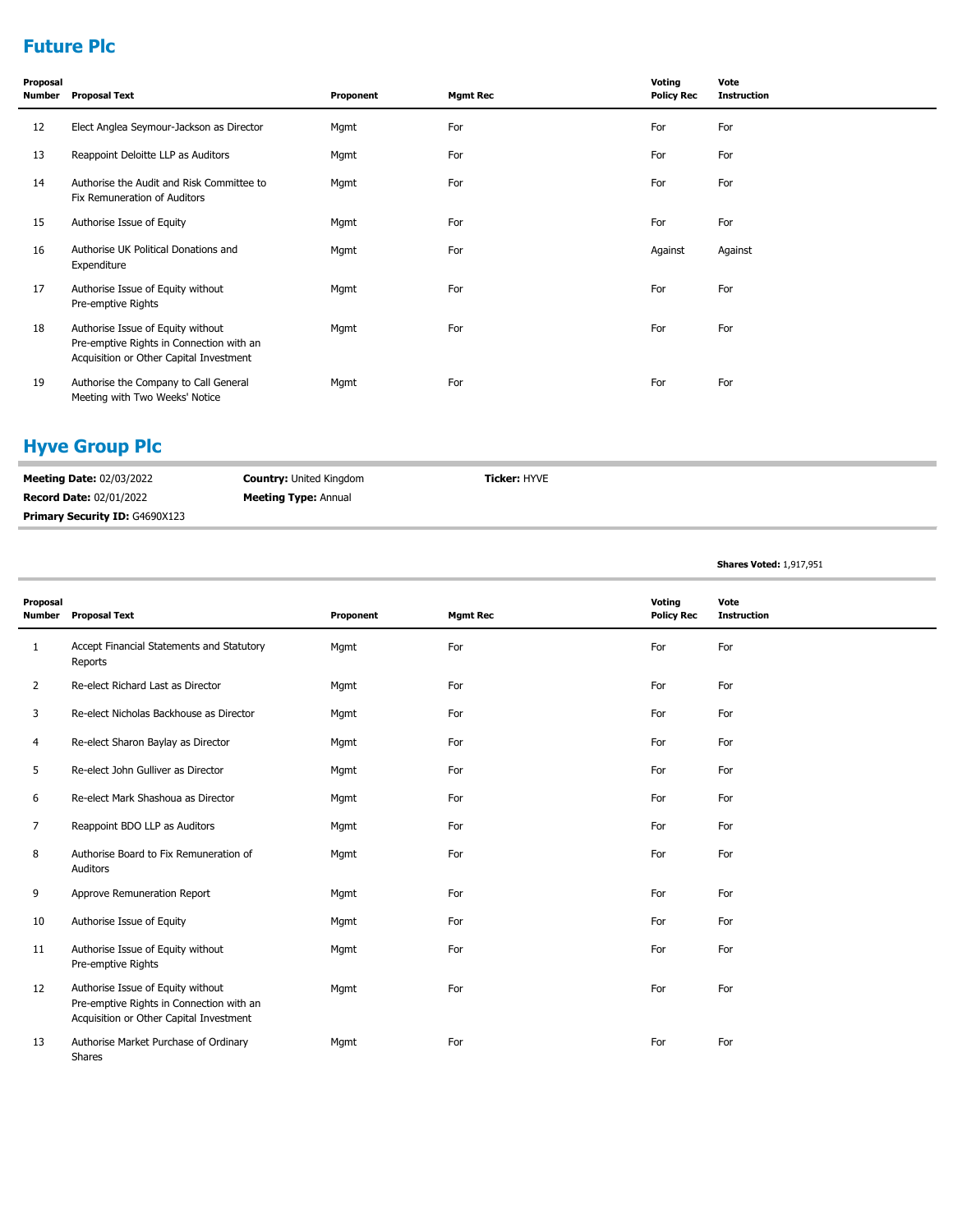## **Future Plc**

| Proposal<br>Number | <b>Proposal Text</b>                                                                                                     | Proponent | <b>Mgmt Rec</b> | Voting<br><b>Policy Rec</b> | Vote<br><b>Instruction</b> |
|--------------------|--------------------------------------------------------------------------------------------------------------------------|-----------|-----------------|-----------------------------|----------------------------|
| 12                 | Elect Anglea Seymour-Jackson as Director                                                                                 | Mgmt      | For             | For                         | For                        |
| 13                 | Reappoint Deloitte LLP as Auditors                                                                                       | Mgmt      | For             | For                         | For                        |
| 14                 | Authorise the Audit and Risk Committee to<br>Fix Remuneration of Auditors                                                | Mgmt      | For             | For                         | For                        |
| 15                 | Authorise Issue of Equity                                                                                                | Mgmt      | For             | For                         | For                        |
| 16                 | Authorise UK Political Donations and<br>Expenditure                                                                      | Mgmt      | For             | Against                     | Against                    |
| 17                 | Authorise Issue of Equity without<br>Pre-emptive Rights                                                                  | Mgmt      | For             | For                         | For                        |
| 18                 | Authorise Issue of Equity without<br>Pre-emptive Rights in Connection with an<br>Acquisition or Other Capital Investment | Mgmt      | For             | For                         | For                        |
| 19                 | Authorise the Company to Call General<br>Meeting with Two Weeks' Notice                                                  | Mgmt      | For             | For                         | For                        |

# **Hyve Group Plc**

| <b>Meeting Date: 02/03/2022</b>       | <b>Country:</b> United Kingdom | <b>Ticker: HYVE</b> |
|---------------------------------------|--------------------------------|---------------------|
| <b>Record Date: 02/01/2022</b>        | <b>Meeting Type: Annual</b>    |                     |
| <b>Primary Security ID: G4690X123</b> |                                |                     |

**Shares Voted:** 1,917,951

| Proposal<br><b>Number</b> | <b>Proposal Text</b>                                                                                                     | Proponent | <b>Mgmt Rec</b> | Voting<br><b>Policy Rec</b> | Vote<br><b>Instruction</b> |
|---------------------------|--------------------------------------------------------------------------------------------------------------------------|-----------|-----------------|-----------------------------|----------------------------|
| $\mathbf{1}$              | Accept Financial Statements and Statutory<br>Reports                                                                     | Mgmt      | For             | For                         | For                        |
| $\overline{2}$            | Re-elect Richard Last as Director                                                                                        | Mgmt      | For             | For                         | For                        |
| 3                         | Re-elect Nicholas Backhouse as Director                                                                                  | Mgmt      | For             | For                         | For                        |
| 4                         | Re-elect Sharon Baylay as Director                                                                                       | Mgmt      | For             | For                         | For                        |
| 5                         | Re-elect John Gulliver as Director                                                                                       | Mgmt      | For             | For                         | For                        |
| 6                         | Re-elect Mark Shashoua as Director                                                                                       | Mgmt      | For             | For                         | For                        |
| $\overline{7}$            | Reappoint BDO LLP as Auditors                                                                                            | Mgmt      | For             | For                         | For                        |
| 8                         | Authorise Board to Fix Remuneration of<br>Auditors                                                                       | Mgmt      | For             | For                         | For                        |
| 9                         | Approve Remuneration Report                                                                                              | Mgmt      | For             | For                         | For                        |
| 10                        | Authorise Issue of Equity                                                                                                | Mgmt      | For             | For                         | For                        |
| 11                        | Authorise Issue of Equity without<br>Pre-emptive Rights                                                                  | Mgmt      | For             | For                         | For                        |
| 12                        | Authorise Issue of Equity without<br>Pre-emptive Rights in Connection with an<br>Acquisition or Other Capital Investment | Mgmt      | For             | For                         | For                        |
| 13                        | Authorise Market Purchase of Ordinary<br>Shares                                                                          | Mgmt      | For             | For                         | For                        |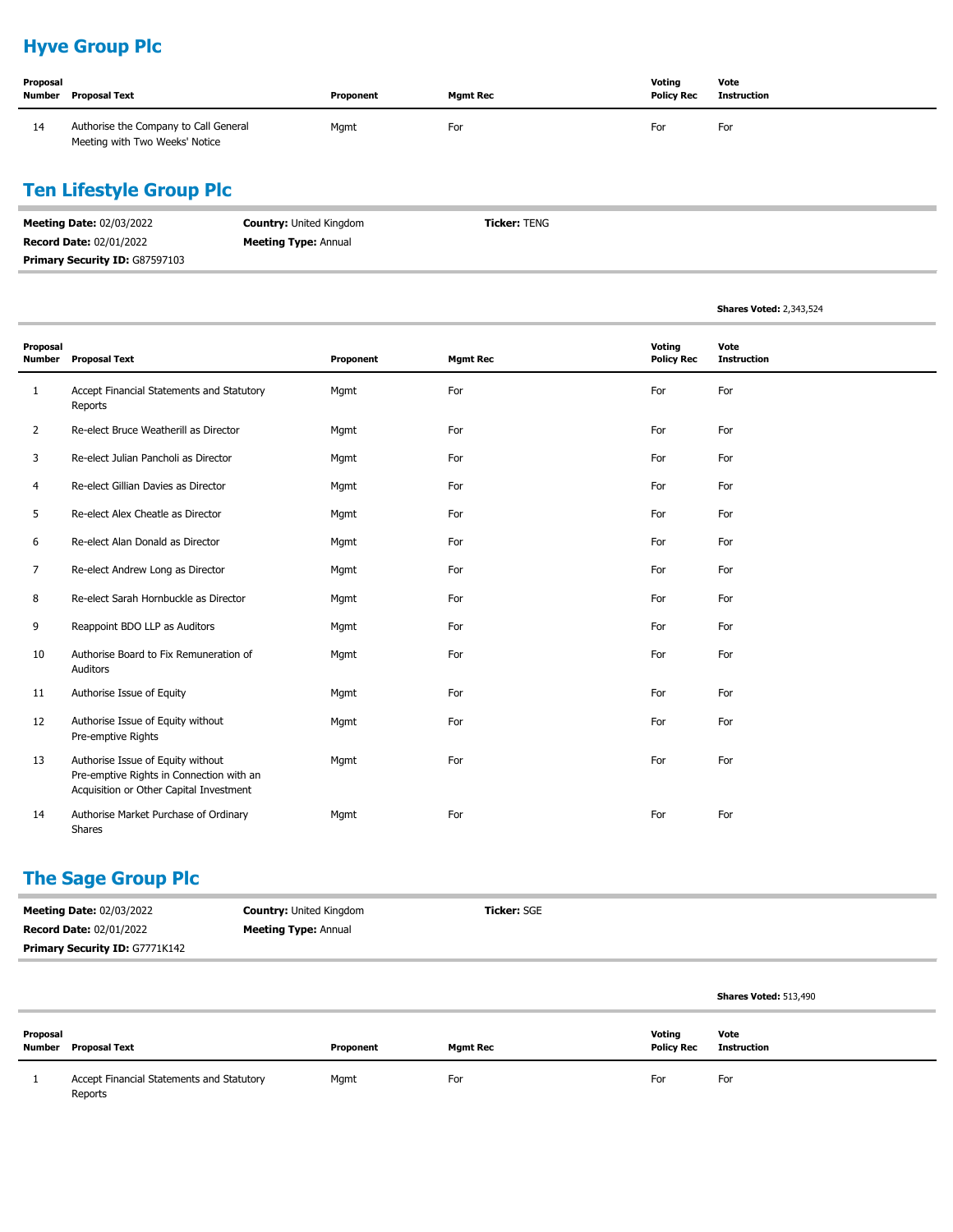# **Hyve Group Plc**

| Proposal<br>Number | Proposal Text                                                           | Proponent | <b>Mamt Rec</b> | Voting<br><b>Policy Rec</b> | Vote<br>Instruction |
|--------------------|-------------------------------------------------------------------------|-----------|-----------------|-----------------------------|---------------------|
| 14                 | Authorise the Company to Call General<br>Meeting with Two Weeks' Notice | Mgmt      | For             | For                         | For                 |

# **Ten Lifestyle Group Plc**

| <b>Meeting Date: 02/03/2022</b>       | <b>Country:</b> United Kingdom | <b>Ticker:</b> TENG |
|---------------------------------------|--------------------------------|---------------------|
| <b>Record Date: 02/01/2022</b>        | <b>Meeting Type: Annual</b>    |                     |
| <b>Primary Security ID: G87597103</b> |                                |                     |

|                           |                                                                                                                          |           |                 |                             | <b>Shares Voted: 2,343,524</b> |
|---------------------------|--------------------------------------------------------------------------------------------------------------------------|-----------|-----------------|-----------------------------|--------------------------------|
| Proposal<br><b>Number</b> | <b>Proposal Text</b>                                                                                                     | Proponent | <b>Mgmt Rec</b> | Voting<br><b>Policy Rec</b> | Vote<br><b>Instruction</b>     |
| $\mathbf{1}$              | Accept Financial Statements and Statutory<br>Reports                                                                     | Mgmt      | For             | For                         | For                            |
| 2                         | Re-elect Bruce Weatherill as Director                                                                                    | Mgmt      | For             | For                         | For                            |
| 3                         | Re-elect Julian Pancholi as Director                                                                                     | Mgmt      | For             | For                         | For                            |
| 4                         | Re-elect Gillian Davies as Director                                                                                      | Mgmt      | For             | For                         | For                            |
| 5                         | Re-elect Alex Cheatle as Director                                                                                        | Mgmt      | For             | For                         | For                            |
| 6                         | Re-elect Alan Donald as Director                                                                                         | Mgmt      | For             | For                         | For                            |
| 7                         | Re-elect Andrew Long as Director                                                                                         | Mgmt      | For             | For                         | For                            |
| 8                         | Re-elect Sarah Hornbuckle as Director                                                                                    | Mgmt      | For             | For                         | For                            |
| 9                         | Reappoint BDO LLP as Auditors                                                                                            | Mgmt      | For             | For                         | For                            |
| 10                        | Authorise Board to Fix Remuneration of<br>Auditors                                                                       | Mgmt      | For             | For                         | For                            |
| 11                        | Authorise Issue of Equity                                                                                                | Mgmt      | For             | For                         | For                            |
| 12                        | Authorise Issue of Equity without<br>Pre-emptive Rights                                                                  | Mgmt      | For             | For                         | For                            |
| 13                        | Authorise Issue of Equity without<br>Pre-emptive Rights in Connection with an<br>Acquisition or Other Capital Investment | Mgmt      | For             | For                         | For                            |
| 14                        | Authorise Market Purchase of Ordinary<br>Shares                                                                          | Mgmt      | For             | For                         | For                            |

# **The Sage Group Plc**

| <b>Meeting Date: 02/03/2022</b>       | <b>Country: United Kingdom</b> | <b>Ticker: SGE</b> |
|---------------------------------------|--------------------------------|--------------------|
| <b>Record Date: 02/01/2022</b>        | <b>Meeting Type: Annual</b>    |                    |
| <b>Primary Security ID: G7771K142</b> |                                |                    |

|          |                                                      |           |          |                             | <b>Shares Voted: 513,490</b> |
|----------|------------------------------------------------------|-----------|----------|-----------------------------|------------------------------|
| Proposal | <b>Number</b> Proposal Text                          | Proponent | Mgmt Rec | Voting<br><b>Policy Rec</b> | Vote<br><b>Instruction</b>   |
|          | Accept Financial Statements and Statutory<br>Reports | Mgmt      | For      | For                         | For                          |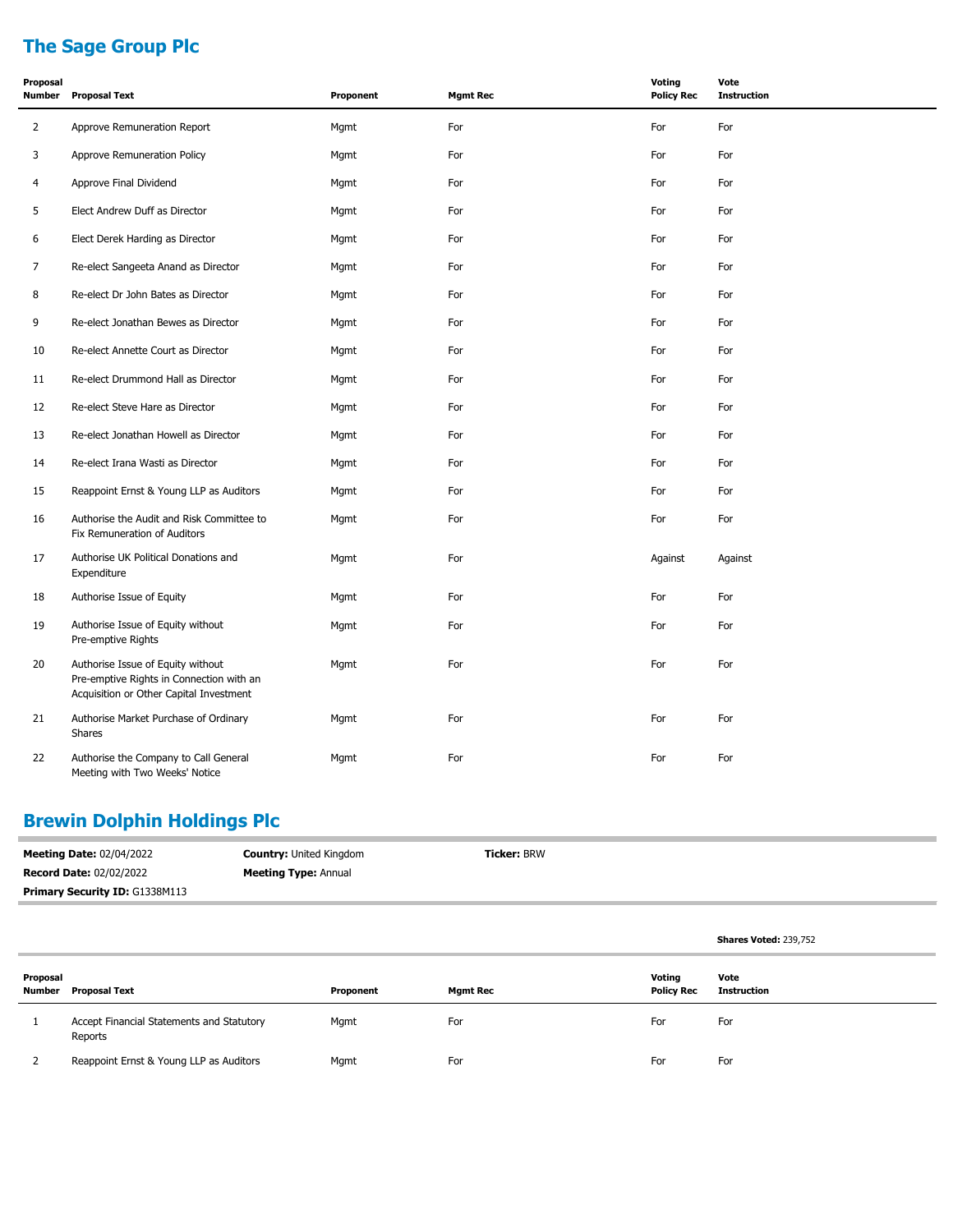# **The Sage Group Plc**

| Proposal<br><b>Number</b> | <b>Proposal Text</b>                                                                                                     | Proponent | <b>Mgmt Rec</b> | <b>Voting</b><br><b>Policy Rec</b> | Vote<br><b>Instruction</b> |
|---------------------------|--------------------------------------------------------------------------------------------------------------------------|-----------|-----------------|------------------------------------|----------------------------|
| $\overline{2}$            | Approve Remuneration Report                                                                                              | Mgmt      | For             | For                                | For                        |
| 3                         | Approve Remuneration Policy                                                                                              | Mgmt      | For             | For                                | For                        |
| 4                         | Approve Final Dividend                                                                                                   | Mgmt      | For             | For                                | For                        |
| 5                         | Elect Andrew Duff as Director                                                                                            | Mgmt      | For             | For                                | For                        |
| 6                         | Elect Derek Harding as Director                                                                                          | Mgmt      | For             | For                                | For                        |
| 7                         | Re-elect Sangeeta Anand as Director                                                                                      | Mgmt      | For             | For                                | For                        |
| 8                         | Re-elect Dr John Bates as Director                                                                                       | Mgmt      | For             | For                                | For                        |
| 9                         | Re-elect Jonathan Bewes as Director                                                                                      | Mgmt      | For             | For                                | For                        |
| 10                        | Re-elect Annette Court as Director                                                                                       | Mgmt      | For             | For                                | For                        |
| 11                        | Re-elect Drummond Hall as Director                                                                                       | Mgmt      | For             | For                                | For                        |
| 12                        | Re-elect Steve Hare as Director                                                                                          | Mgmt      | For             | For                                | For                        |
| 13                        | Re-elect Jonathan Howell as Director                                                                                     | Mgmt      | For             | For                                | For                        |
| 14                        | Re-elect Irana Wasti as Director                                                                                         | Mgmt      | For             | For                                | For                        |
| 15                        | Reappoint Ernst & Young LLP as Auditors                                                                                  | Mgmt      | For             | For                                | For                        |
| 16                        | Authorise the Audit and Risk Committee to<br>Fix Remuneration of Auditors                                                | Mgmt      | For             | For                                | For                        |
| 17                        | Authorise UK Political Donations and<br>Expenditure                                                                      | Mgmt      | For             | Against                            | Against                    |
| 18                        | Authorise Issue of Equity                                                                                                | Mgmt      | For             | For                                | For                        |
| 19                        | Authorise Issue of Equity without<br>Pre-emptive Rights                                                                  | Mgmt      | For             | For                                | For                        |
| 20                        | Authorise Issue of Equity without<br>Pre-emptive Rights in Connection with an<br>Acquisition or Other Capital Investment | Mgmt      | For             | For                                | For                        |
| 21                        | Authorise Market Purchase of Ordinary<br><b>Shares</b>                                                                   | Mgmt      | For             | For                                | For                        |
| 22                        | Authorise the Company to Call General<br>Meeting with Two Weeks' Notice                                                  | Mgmt      | For             | For                                | For                        |

# **Brewin Dolphin Holdings Plc**

| <b>Meeting Date: 02/04/2022</b>       | <b>Country: United Kingdom</b> | <b>Ticker: BRW</b> |
|---------------------------------------|--------------------------------|--------------------|
| <b>Record Date: 02/02/2022</b>        | <b>Meeting Type: Annual</b>    |                    |
| <b>Primary Security ID: G1338M113</b> |                                |                    |

|                    |                                                      |           |                 |                             | <b>Shares Voted: 239,752</b> |
|--------------------|------------------------------------------------------|-----------|-----------------|-----------------------------|------------------------------|
| Proposal<br>Number | <b>Proposal Text</b>                                 | Proponent | <b>Mgmt Rec</b> | Votina<br><b>Policy Rec</b> | Vote<br><b>Instruction</b>   |
|                    | Accept Financial Statements and Statutory<br>Reports | Mgmt      | For             | For                         | For                          |
|                    | Reappoint Ernst & Young LLP as Auditors              | Mgmt      | For             | For                         | For                          |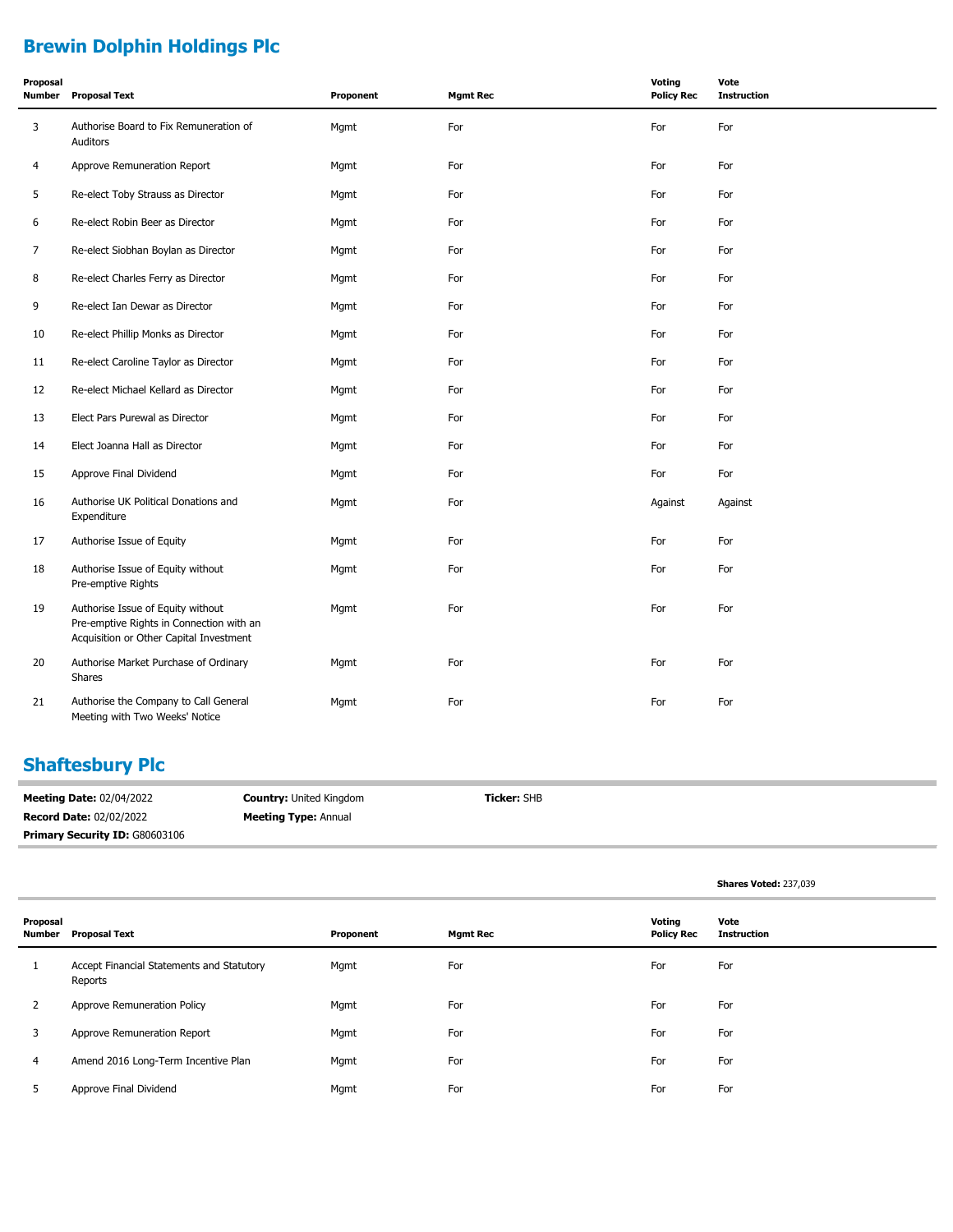# **Brewin Dolphin Holdings Plc**

| Proposal<br><b>Number</b> | <b>Proposal Text</b>                                                                                                     | Proponent | <b>Mgmt Rec</b> | Voting<br><b>Policy Rec</b> | Vote<br><b>Instruction</b> |
|---------------------------|--------------------------------------------------------------------------------------------------------------------------|-----------|-----------------|-----------------------------|----------------------------|
| 3                         | Authorise Board to Fix Remuneration of<br>Auditors                                                                       | Mgmt      | For             | For                         | For                        |
| 4                         | Approve Remuneration Report                                                                                              | Mgmt      | For             | For                         | For                        |
| 5                         | Re-elect Toby Strauss as Director                                                                                        | Mgmt      | For             | For                         | For                        |
| 6                         | Re-elect Robin Beer as Director                                                                                          | Mgmt      | For             | For                         | For                        |
| 7                         | Re-elect Siobhan Boylan as Director                                                                                      | Mgmt      | For             | For                         | For                        |
| 8                         | Re-elect Charles Ferry as Director                                                                                       | Mgmt      | For             | For                         | For                        |
| 9                         | Re-elect Ian Dewar as Director                                                                                           | Mgmt      | For             | For                         | For                        |
| 10                        | Re-elect Phillip Monks as Director                                                                                       | Mgmt      | For             | For                         | For                        |
| 11                        | Re-elect Caroline Taylor as Director                                                                                     | Mgmt      | For             | For                         | For                        |
| 12                        | Re-elect Michael Kellard as Director                                                                                     | Mgmt      | For             | For                         | For                        |
| 13                        | Elect Pars Purewal as Director                                                                                           | Mgmt      | For             | For                         | For                        |
| 14                        | Elect Joanna Hall as Director                                                                                            | Mgmt      | For             | For                         | For                        |
| 15                        | Approve Final Dividend                                                                                                   | Mgmt      | For             | For                         | For                        |
| 16                        | Authorise UK Political Donations and<br>Expenditure                                                                      | Mgmt      | For             | Against                     | Against                    |
| 17                        | Authorise Issue of Equity                                                                                                | Mgmt      | For             | For                         | For                        |
| 18                        | Authorise Issue of Equity without<br>Pre-emptive Rights                                                                  | Mgmt      | For             | For                         | For                        |
| 19                        | Authorise Issue of Equity without<br>Pre-emptive Rights in Connection with an<br>Acquisition or Other Capital Investment | Mgmt      | For             | For                         | For                        |
| 20                        | Authorise Market Purchase of Ordinary<br>Shares                                                                          | Mgmt      | For             | For                         | For                        |
| 21                        | Authorise the Company to Call General<br>Meeting with Two Weeks' Notice                                                  | Mgmt      | For             | For                         | For                        |

# **Shaftesbury Plc**

| <b>Meeting Date: 02/04/2022</b>       | <b>Country: United Kingdom</b> | <b>Ticker: SHB</b> |
|---------------------------------------|--------------------------------|--------------------|
| <b>Record Date: 02/02/2022</b>        | <b>Meeting Type: Annual</b>    |                    |
| <b>Primary Security ID: G80603106</b> |                                |                    |

| Proposal | Number Proposal Text                                 | Proponent | Mgmt Rec | Voting<br><b>Policy Rec</b> | Vote<br>Instruction |
|----------|------------------------------------------------------|-----------|----------|-----------------------------|---------------------|
| 1        | Accept Financial Statements and Statutory<br>Reports | Mgmt      | For      | For                         | For                 |

**Shares Voted:** 237,039

| 1 | Accept Financial Statements and Statutory<br>Reports | Mgmt | For | For | For |
|---|------------------------------------------------------|------|-----|-----|-----|
| 2 | Approve Remuneration Policy                          | Mgmt | For | For | For |
| 3 | Approve Remuneration Report                          | Mgmt | For | For | For |
| 4 | Amend 2016 Long-Term Incentive Plan                  | Mgmt | For | For | For |
|   | Approve Final Dividend                               | Mgmt | For | For | For |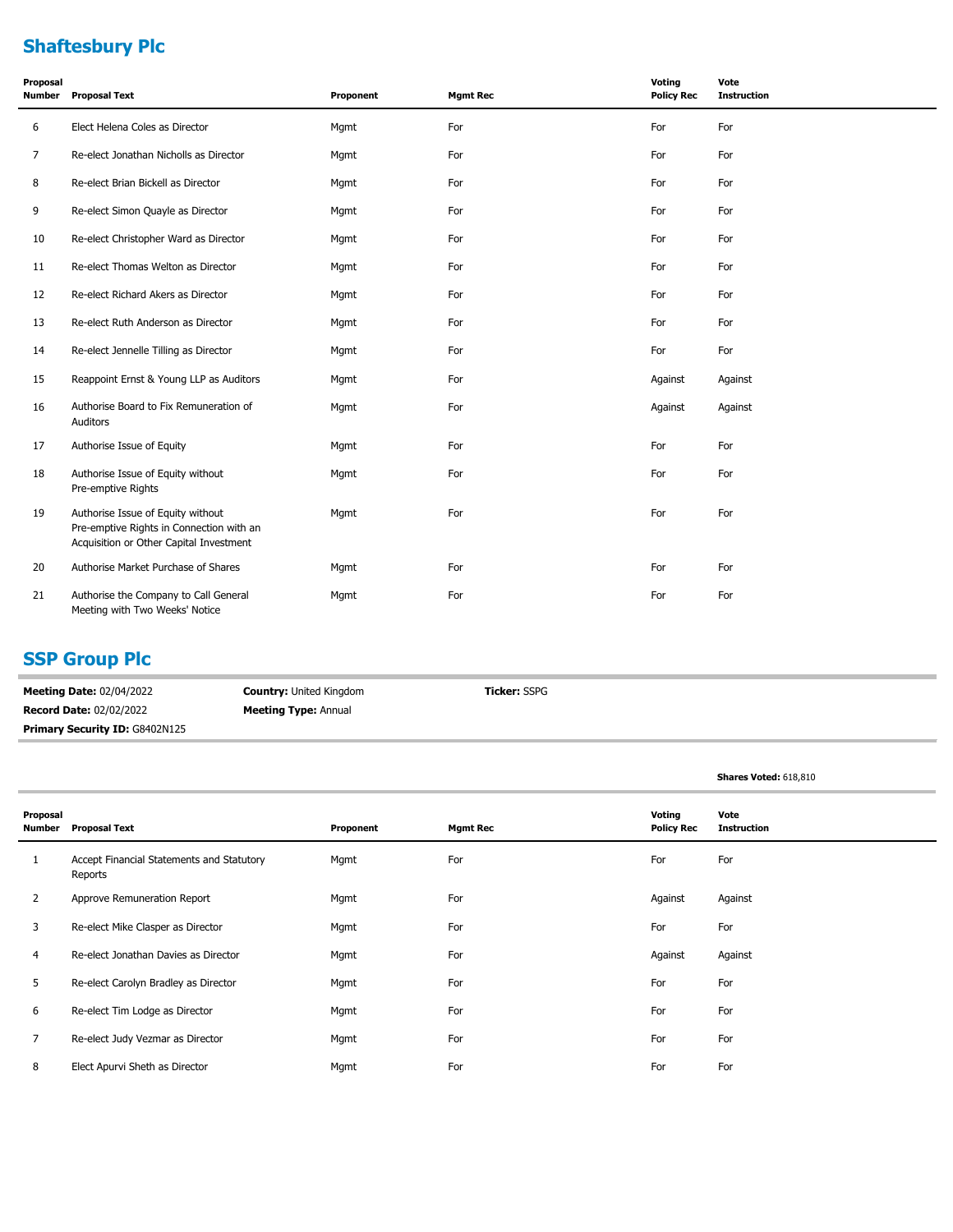# **Shaftesbury Plc**

| Proposal<br><b>Number</b> | <b>Proposal Text</b>                                                                                                     | Proponent | <b>Mgmt Rec</b> | Voting<br><b>Policy Rec</b> | Vote<br><b>Instruction</b> |
|---------------------------|--------------------------------------------------------------------------------------------------------------------------|-----------|-----------------|-----------------------------|----------------------------|
| 6                         | Elect Helena Coles as Director                                                                                           | Mgmt      | For             | For                         | For                        |
| 7                         | Re-elect Jonathan Nicholls as Director                                                                                   | Mgmt      | For             | For                         | For                        |
| 8                         | Re-elect Brian Bickell as Director                                                                                       | Mgmt      | For             | For                         | For                        |
| 9                         | Re-elect Simon Quayle as Director                                                                                        | Mgmt      | For             | For                         | For                        |
| 10                        | Re-elect Christopher Ward as Director                                                                                    | Mgmt      | For             | For                         | For                        |
| 11                        | Re-elect Thomas Welton as Director                                                                                       | Mgmt      | For             | For                         | For                        |
| 12                        | Re-elect Richard Akers as Director                                                                                       | Mgmt      | For             | For                         | For                        |
| 13                        | Re-elect Ruth Anderson as Director                                                                                       | Mgmt      | For             | For                         | For                        |
| 14                        | Re-elect Jennelle Tilling as Director                                                                                    | Mgmt      | For             | For                         | For                        |
| 15                        | Reappoint Ernst & Young LLP as Auditors                                                                                  | Mgmt      | For             | Against                     | Against                    |
| 16                        | Authorise Board to Fix Remuneration of<br>Auditors                                                                       | Mgmt      | For             | Against                     | Against                    |
| 17                        | Authorise Issue of Equity                                                                                                | Mgmt      | For             | For                         | For                        |
| 18                        | Authorise Issue of Equity without<br>Pre-emptive Rights                                                                  | Mgmt      | For             | For                         | For                        |
| 19                        | Authorise Issue of Equity without<br>Pre-emptive Rights in Connection with an<br>Acquisition or Other Capital Investment | Mgmt      | For             | For                         | For                        |
| 20                        | Authorise Market Purchase of Shares                                                                                      | Mgmt      | For             | For                         | For                        |
| 21                        | Authorise the Company to Call General<br>Meeting with Two Weeks' Notice                                                  | Mgmt      | For             | For                         | For                        |

#### **SSP Group Plc**

**Meeting Date:** 02/04/2022 **Record Date:** 02/02/2022 **Country:** United Kingdom **Meeting Type:** Annual **Ticker:** SSPG Primary Security ID: G8402N125

|                    |                                                      |           |                 |                             | Shares Voted: 618,810      |
|--------------------|------------------------------------------------------|-----------|-----------------|-----------------------------|----------------------------|
| Proposal<br>Number | <b>Proposal Text</b>                                 | Proponent | <b>Mgmt Rec</b> | Voting<br><b>Policy Rec</b> | Vote<br><b>Instruction</b> |
| 1                  | Accept Financial Statements and Statutory<br>Reports | Mgmt      | For             | For                         | For                        |
| 2                  | Approve Remuneration Report                          | Mgmt      | For             | Against                     | Against                    |
| 3                  | Re-elect Mike Clasper as Director                    | Mgmt      | For             | For                         | For                        |
| 4                  | Re-elect Jonathan Davies as Director                 | Mgmt      | For             | Against                     | Against                    |
| 5                  | Re-elect Carolyn Bradley as Director                 | Mgmt      | For             | For                         | For                        |
| 6                  | Re-elect Tim Lodge as Director                       | Mgmt      | For             | For                         | For                        |
| 7                  | Re-elect Judy Vezmar as Director                     | Mgmt      | For             | For                         | For                        |
| 8                  | Elect Apurvi Sheth as Director                       | Mgmt      | For             | For                         | For                        |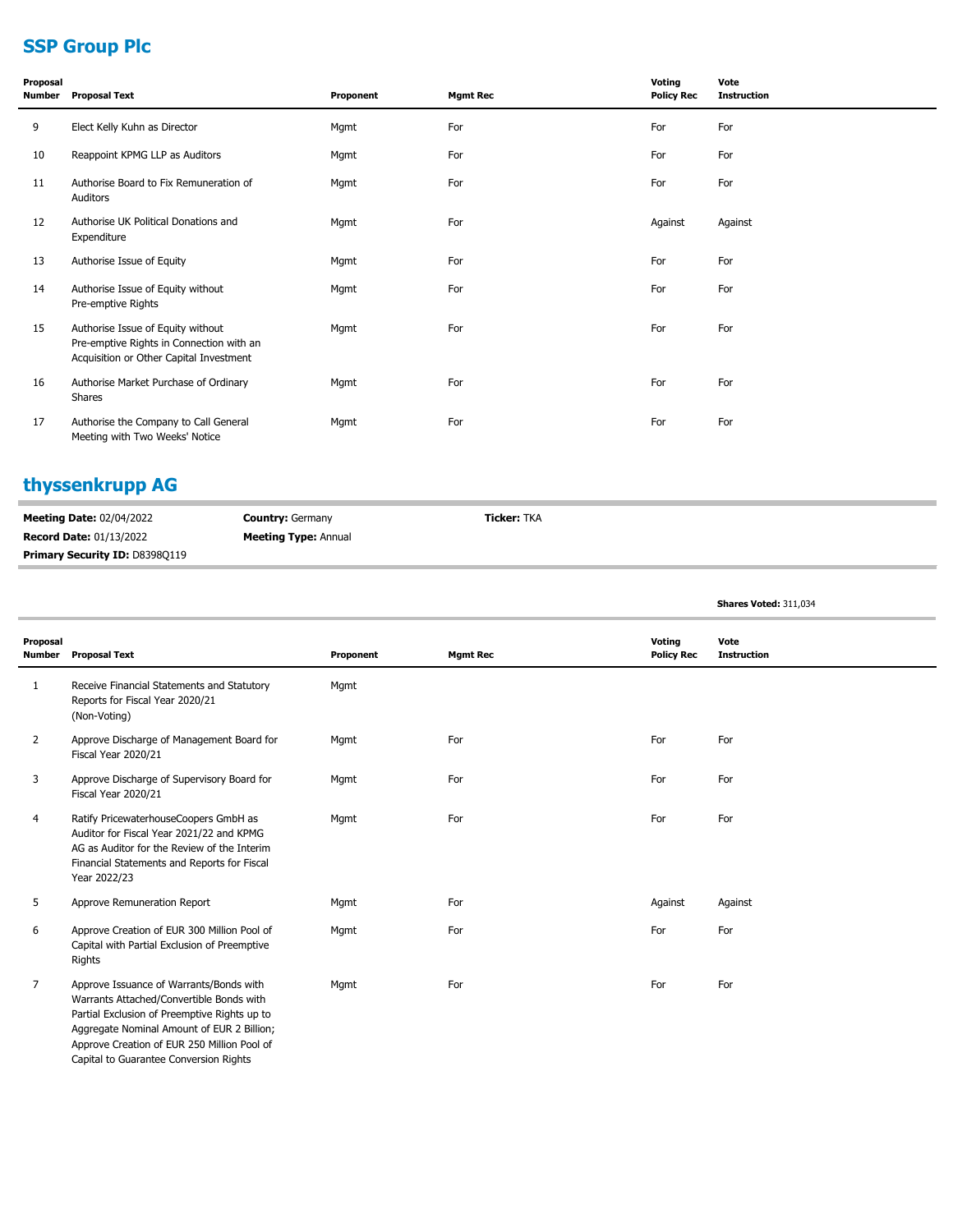# **SSP Group Plc**

| Proposal<br>Number | <b>Proposal Text</b>                                                                                                     | Proponent | <b>Mgmt Rec</b> | Voting<br><b>Policy Rec</b> | Vote<br><b>Instruction</b> |
|--------------------|--------------------------------------------------------------------------------------------------------------------------|-----------|-----------------|-----------------------------|----------------------------|
| 9                  | Elect Kelly Kuhn as Director                                                                                             | Mgmt      | For             | For                         | For                        |
| 10                 | Reappoint KPMG LLP as Auditors                                                                                           | Mgmt      | For             | For                         | For                        |
| 11                 | Authorise Board to Fix Remuneration of<br>Auditors                                                                       | Mgmt      | For             | For                         | For                        |
| 12                 | Authorise UK Political Donations and<br>Expenditure                                                                      | Mgmt      | For             | Against                     | Against                    |
| 13                 | Authorise Issue of Equity                                                                                                | Mgmt      | For             | For                         | For                        |
| 14                 | Authorise Issue of Equity without<br>Pre-emptive Rights                                                                  | Mgmt      | For             | For                         | For                        |
| 15                 | Authorise Issue of Equity without<br>Pre-emptive Rights in Connection with an<br>Acquisition or Other Capital Investment | Mgmt      | For             | For                         | For                        |
| 16                 | Authorise Market Purchase of Ordinary<br>Shares                                                                          | Mgmt      | For             | For                         | For                        |
| 17                 | Authorise the Company to Call General<br>Meeting with Two Weeks' Notice                                                  | Mgmt      | For             | For                         | For                        |

# **thyssenkrupp AG**

| <b>Meeting Date: 02/04/2022</b>       | <b>Country: Germany</b>     | Ticker: TKA |  |
|---------------------------------------|-----------------------------|-------------|--|
| <b>Record Date: 01/13/2022</b>        | <b>Meeting Type: Annual</b> |             |  |
| <b>Primary Security ID: D8398Q119</b> |                             |             |  |

|                           |                                                                                                                                                                                                                                                                            |           |                 |                             | Shares Voted: 311,034      |
|---------------------------|----------------------------------------------------------------------------------------------------------------------------------------------------------------------------------------------------------------------------------------------------------------------------|-----------|-----------------|-----------------------------|----------------------------|
| Proposal<br><b>Number</b> | <b>Proposal Text</b>                                                                                                                                                                                                                                                       | Proponent | <b>Mgmt Rec</b> | Voting<br><b>Policy Rec</b> | Vote<br><b>Instruction</b> |
| 1                         | Receive Financial Statements and Statutory<br>Reports for Fiscal Year 2020/21<br>(Non-Voting)                                                                                                                                                                              | Mgmt      |                 |                             |                            |
| $\overline{2}$            | Approve Discharge of Management Board for<br>Fiscal Year 2020/21                                                                                                                                                                                                           | Mgmt      | For             | For                         | For                        |
| 3                         | Approve Discharge of Supervisory Board for<br>Fiscal Year 2020/21                                                                                                                                                                                                          | Mgmt      | For             | For                         | For                        |
| 4                         | Ratify PricewaterhouseCoopers GmbH as<br>Auditor for Fiscal Year 2021/22 and KPMG<br>AG as Auditor for the Review of the Interim<br>Financial Statements and Reports for Fiscal<br>Year 2022/23                                                                            | Mgmt      | For             | For                         | For                        |
| 5                         | Approve Remuneration Report                                                                                                                                                                                                                                                | Mgmt      | For             | Against                     | Against                    |
| 6                         | Approve Creation of EUR 300 Million Pool of<br>Capital with Partial Exclusion of Preemptive<br>Rights                                                                                                                                                                      | Mgmt      | For             | For                         | For                        |
| $\overline{7}$            | Approve Issuance of Warrants/Bonds with<br>Warrants Attached/Convertible Bonds with<br>Partial Exclusion of Preemptive Rights up to<br>Aggregate Nominal Amount of EUR 2 Billion;<br>Approve Creation of EUR 250 Million Pool of<br>Capital to Guarantee Conversion Rights | Mgmt      | For             | For                         | For                        |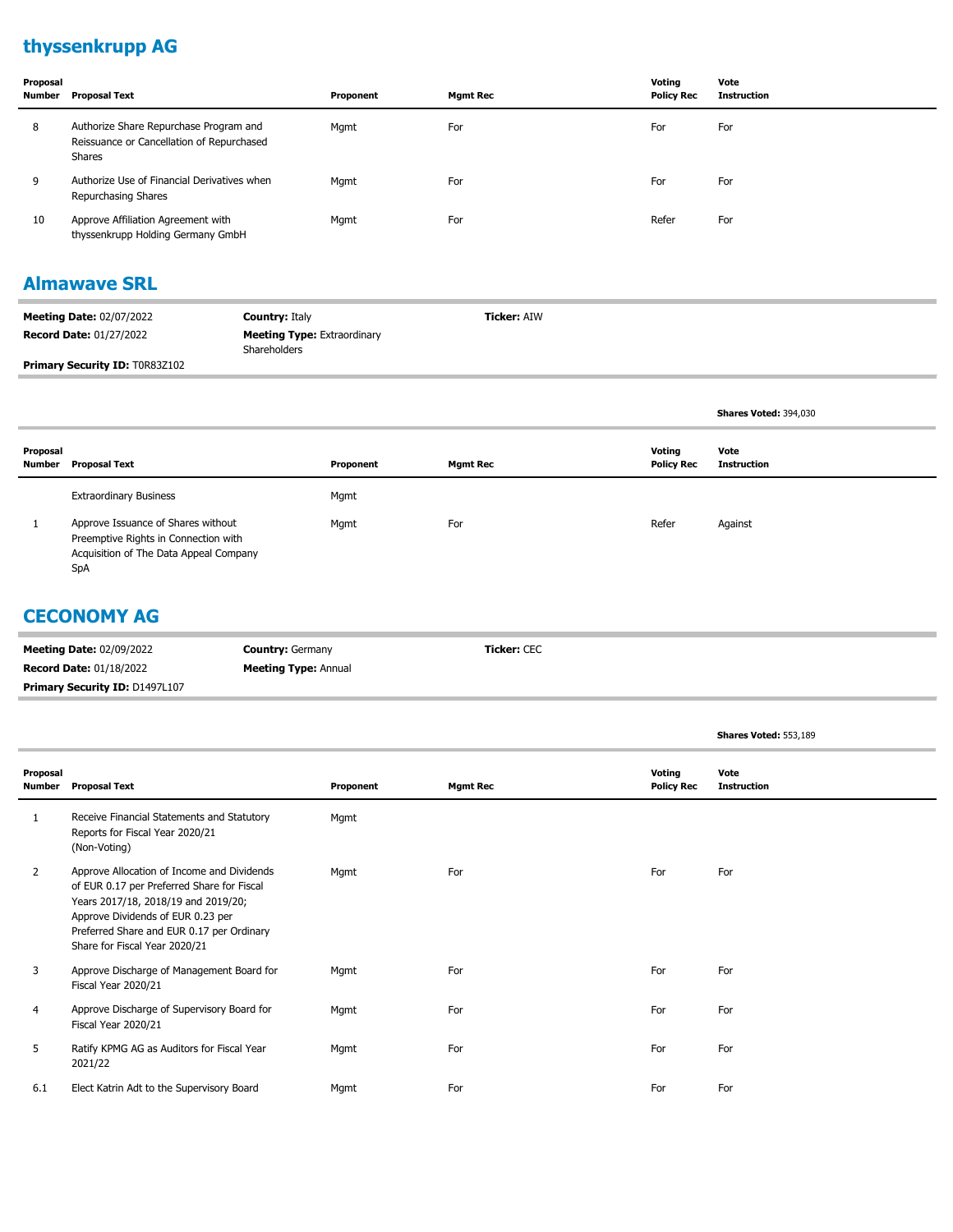# **thyssenkrupp AG**

| Proposal<br>Number | <b>Proposal Text</b>                                                                          | Proponent | <b>Mamt Rec</b> | Votina<br><b>Policy Rec</b> | Vote<br><b>Instruction</b> |
|--------------------|-----------------------------------------------------------------------------------------------|-----------|-----------------|-----------------------------|----------------------------|
| 8                  | Authorize Share Repurchase Program and<br>Reissuance or Cancellation of Repurchased<br>Shares | Mgmt      | For             | For                         | For                        |
| 9                  | Authorize Use of Financial Derivatives when<br>Repurchasing Shares                            | Mgmt      | For             | For                         | For                        |
| 10                 | Approve Affiliation Agreement with<br>thyssenkrupp Holding Germany GmbH                       | Mgmt      | For             | Refer                       | For                        |

#### **Almawave SRL**

| <b>Meeting Date: 02/07/2022</b>       | <b>Country: Italy</b>                              | <b>Ticker: AIW</b> |
|---------------------------------------|----------------------------------------------------|--------------------|
| <b>Record Date: 01/27/2022</b>        | <b>Meeting Type: Extraordinary</b><br>Shareholders |                    |
| <b>Primary Security ID: TOR83Z102</b> |                                                    |                    |

|                    |                                                                                                                             |           |                 |                             | <b>Shares Voted: 394,030</b> |
|--------------------|-----------------------------------------------------------------------------------------------------------------------------|-----------|-----------------|-----------------------------|------------------------------|
| Proposal<br>Number | <b>Proposal Text</b>                                                                                                        | Proponent | <b>Mgmt Rec</b> | Voting<br><b>Policy Rec</b> | Vote<br><b>Instruction</b>   |
|                    | <b>Extraordinary Business</b>                                                                                               | Mgmt      |                 |                             |                              |
|                    | Approve Issuance of Shares without<br>Preemptive Rights in Connection with<br>Acquisition of The Data Appeal Company<br>SpA | Mgmt      | For             | Refer                       | Against                      |

#### **CECONOMY AG**

| <b>Meeting Date: 02/09/2022</b>       | <b>Country: Germany</b>     | <b>Ticker: CEC</b> |
|---------------------------------------|-----------------------------|--------------------|
| <b>Record Date: 01/18/2022</b>        | <b>Meeting Type: Annual</b> |                    |
| <b>Primary Security ID: D1497L107</b> |                             |                    |

|                    |                                                                                                                                                                                                                                                    |           |                 |                             | Shares Voted: 553,189      |
|--------------------|----------------------------------------------------------------------------------------------------------------------------------------------------------------------------------------------------------------------------------------------------|-----------|-----------------|-----------------------------|----------------------------|
| Proposal<br>Number | <b>Proposal Text</b>                                                                                                                                                                                                                               | Proponent | <b>Mgmt Rec</b> | Voting<br><b>Policy Rec</b> | Vote<br><b>Instruction</b> |
| 1                  | Receive Financial Statements and Statutory<br>Reports for Fiscal Year 2020/21<br>(Non-Voting)                                                                                                                                                      | Mgmt      |                 |                             |                            |
| 2                  | Approve Allocation of Income and Dividends<br>of EUR 0.17 per Preferred Share for Fiscal<br>Years 2017/18, 2018/19 and 2019/20;<br>Approve Dividends of EUR 0.23 per<br>Preferred Share and EUR 0.17 per Ordinary<br>Share for Fiscal Year 2020/21 | Mgmt      | For             | For                         | For                        |
| 3                  | Approve Discharge of Management Board for<br>Fiscal Year 2020/21                                                                                                                                                                                   | Mgmt      | For             | For                         | For                        |
| 4                  | Approve Discharge of Supervisory Board for<br>Fiscal Year 2020/21                                                                                                                                                                                  | Mgmt      | For             | For                         | For                        |
| 5                  | Ratify KPMG AG as Auditors for Fiscal Year<br>2021/22                                                                                                                                                                                              | Mgmt      | For             | For                         | For                        |
| 6.1                | Elect Katrin Adt to the Supervisory Board                                                                                                                                                                                                          | Mgmt      | For             | For                         | For                        |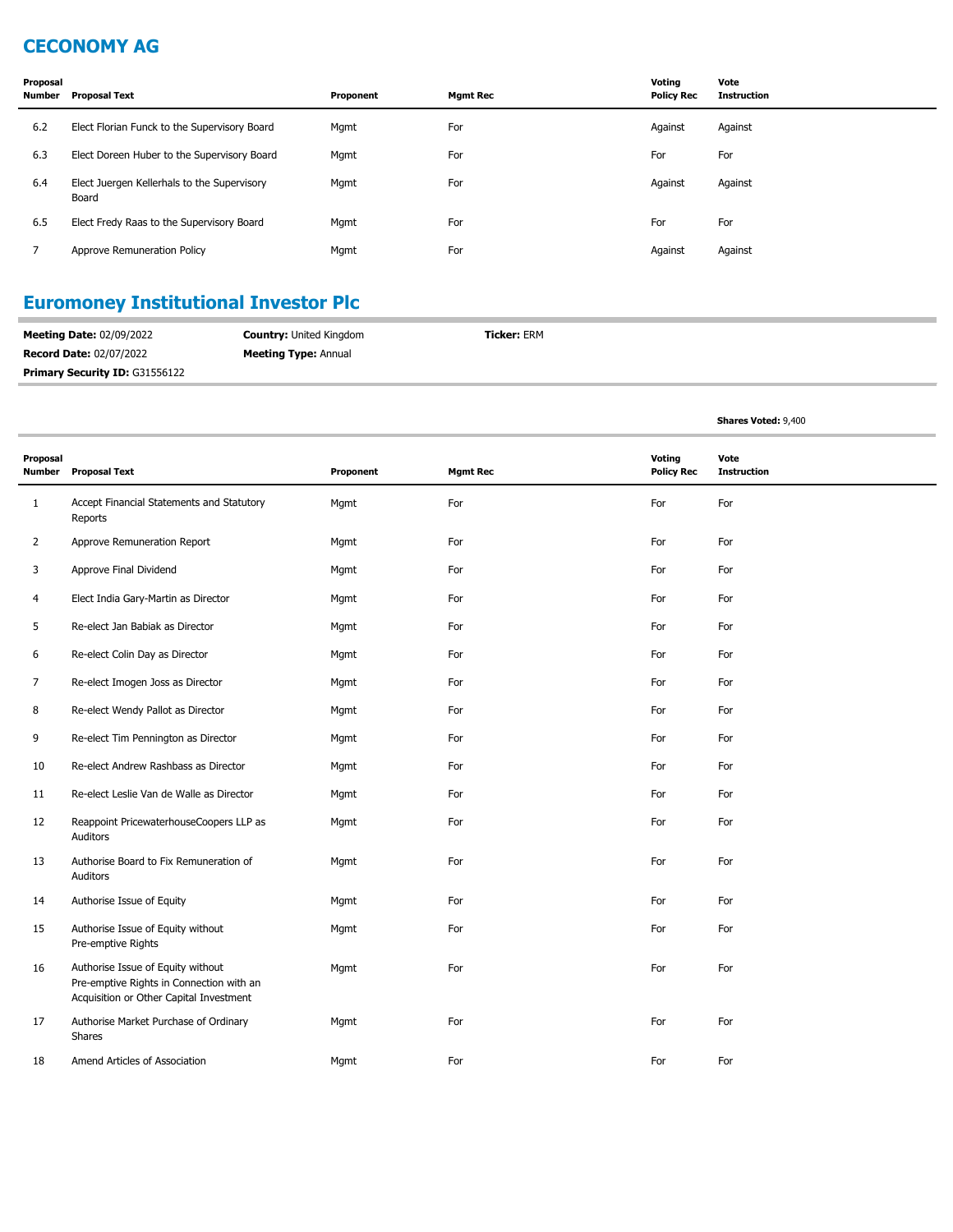## **CECONOMY AG**

| Proposal<br>Number | <b>Proposal Text</b>                                 | Proponent | <b>Mgmt Rec</b> | Voting<br><b>Policy Rec</b> | Vote<br><b>Instruction</b> |
|--------------------|------------------------------------------------------|-----------|-----------------|-----------------------------|----------------------------|
| 6.2                | Elect Florian Funck to the Supervisory Board         | Mgmt      | For             | Against                     | Against                    |
| 6.3                | Elect Doreen Huber to the Supervisory Board          | Mgmt      | For             | For                         | For                        |
| 6.4                | Elect Juergen Kellerhals to the Supervisory<br>Board | Mgmt      | For             | Against                     | Against                    |
| 6.5                | Elect Fredy Raas to the Supervisory Board            | Mgmt      | For             | For                         | For                        |
| 7                  | Approve Remuneration Policy                          | Mgmt      | For             | Against                     | Against                    |

# **Euromoney Institutional Investor Plc**

| <b>Meeting Date: 02/09/2022</b>       | <b>Country: United Kingdom</b> | <b>Ticker: ERM</b> |  |
|---------------------------------------|--------------------------------|--------------------|--|
| <b>Record Date: 02/07/2022</b>        | <b>Meeting Type: Annual</b>    |                    |  |
| <b>Primary Security ID: G31556122</b> |                                |                    |  |

|                    |                                                                                                                          |           |                 |                             | <b>Shares Voted: 9,400</b> |
|--------------------|--------------------------------------------------------------------------------------------------------------------------|-----------|-----------------|-----------------------------|----------------------------|
| Proposal<br>Number | <b>Proposal Text</b>                                                                                                     | Proponent | <b>Mgmt Rec</b> | Voting<br><b>Policy Rec</b> | Vote<br><b>Instruction</b> |
| $\mathbf{1}$       | Accept Financial Statements and Statutory<br>Reports                                                                     | Mgmt      | For             | For                         | For                        |
| 2                  | Approve Remuneration Report                                                                                              | Mgmt      | For             | For                         | For                        |
| 3                  | Approve Final Dividend                                                                                                   | Mgmt      | For             | For                         | For                        |
| 4                  | Elect India Gary-Martin as Director                                                                                      | Mgmt      | For             | For                         | For                        |
| 5                  | Re-elect Jan Babiak as Director                                                                                          | Mgmt      | For             | For                         | For                        |
| 6                  | Re-elect Colin Day as Director                                                                                           | Mgmt      | For             | For                         | For                        |
| 7                  | Re-elect Imogen Joss as Director                                                                                         | Mgmt      | For             | For                         | For                        |
| 8                  | Re-elect Wendy Pallot as Director                                                                                        | Mgmt      | For             | For                         | For                        |
| 9                  | Re-elect Tim Pennington as Director                                                                                      | Mgmt      | For             | For                         | For                        |
| 10                 | Re-elect Andrew Rashbass as Director                                                                                     | Mgmt      | For             | For                         | For                        |
| 11                 | Re-elect Leslie Van de Walle as Director                                                                                 | Mgmt      | For             | For                         | For                        |
| 12                 | Reappoint PricewaterhouseCoopers LLP as<br>Auditors                                                                      | Mgmt      | For             | For                         | For                        |
| 13                 | Authorise Board to Fix Remuneration of<br>Auditors                                                                       | Mgmt      | For             | For                         | For                        |
| 14                 | Authorise Issue of Equity                                                                                                | Mgmt      | For             | For                         | For                        |
| 15                 | Authorise Issue of Equity without<br>Pre-emptive Rights                                                                  | Mgmt      | For             | For                         | For                        |
| 16                 | Authorise Issue of Equity without<br>Pre-emptive Rights in Connection with an<br>Acquisition or Other Capital Investment | Mgmt      | For             | For                         | For                        |
| 17                 | Authorise Market Purchase of Ordinary<br>Shares                                                                          | Mgmt      | For             | For                         | For                        |
| 18                 | Amend Articles of Association                                                                                            | Mgmt      | For             | For                         | For                        |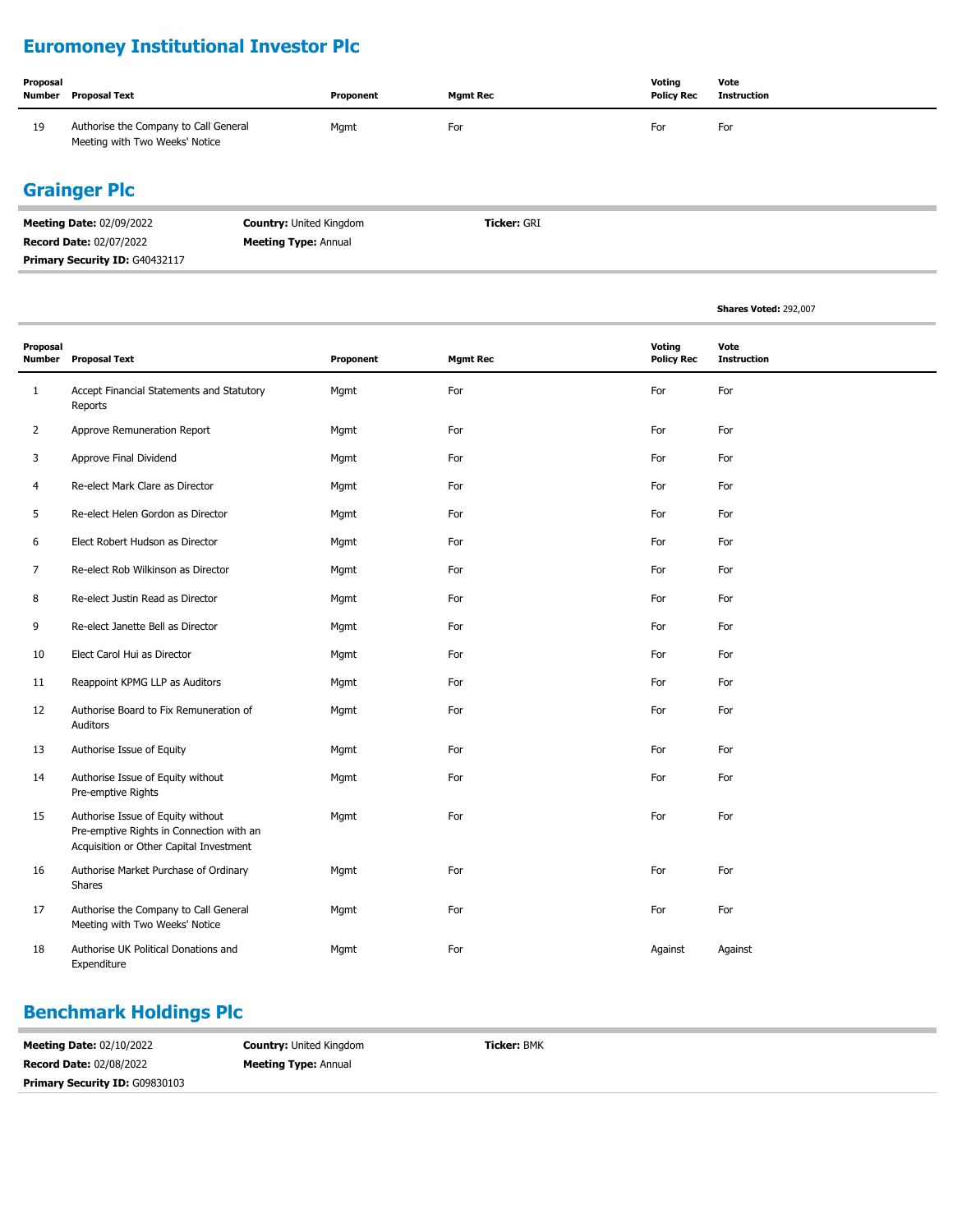# **Euromoney Institutional Investor Plc**

| Proposal<br>Number | Proposal Text                                                           | Proponent | <b>Mgmt Rec</b> | Votina<br><b>Policy Rec</b> | Vote<br>Instruction |
|--------------------|-------------------------------------------------------------------------|-----------|-----------------|-----------------------------|---------------------|
| 19                 | Authorise the Company to Call General<br>Meeting with Two Weeks' Notice | Mgmt      | For             | For                         | For                 |

### **Grainger Plc**

| <b>Meeting Date: 02/09/2022</b> | <b>Country: United Kingdom</b> | <b>Ticker: GRI</b> |
|---------------------------------|--------------------------------|--------------------|
| <b>Record Date: 02/07/2022</b>  | <b>Meeting Type: Annual</b>    |                    |
| Primary Security ID: G40432117  |                                |                    |

|                           |                                                                                                                          |           |                 |                             | Shares Voted: 292,007      |
|---------------------------|--------------------------------------------------------------------------------------------------------------------------|-----------|-----------------|-----------------------------|----------------------------|
| Proposal<br><b>Number</b> | <b>Proposal Text</b>                                                                                                     | Proponent | <b>Mgmt Rec</b> | Voting<br><b>Policy Rec</b> | Vote<br><b>Instruction</b> |
| $\mathbf{1}$              | Accept Financial Statements and Statutory<br>Reports                                                                     | Mgmt      | For             | For                         | For                        |
| $\overline{2}$            | Approve Remuneration Report                                                                                              | Mgmt      | For             | For                         | For                        |
| 3                         | Approve Final Dividend                                                                                                   | Mgmt      | For             | For                         | For                        |
| 4                         | Re-elect Mark Clare as Director                                                                                          | Mgmt      | For             | For                         | For                        |
| 5                         | Re-elect Helen Gordon as Director                                                                                        | Mgmt      | For             | For                         | For                        |
| 6                         | Elect Robert Hudson as Director                                                                                          | Mgmt      | For             | For                         | For                        |
| 7                         | Re-elect Rob Wilkinson as Director                                                                                       | Mgmt      | For             | For                         | For                        |
| 8                         | Re-elect Justin Read as Director                                                                                         | Mgmt      | For             | For                         | For                        |
| 9                         | Re-elect Janette Bell as Director                                                                                        | Mgmt      | For             | For                         | For                        |
| 10                        | Elect Carol Hui as Director                                                                                              | Mgmt      | For             | For                         | For                        |
| 11                        | Reappoint KPMG LLP as Auditors                                                                                           | Mgmt      | For             | For                         | For                        |
| 12                        | Authorise Board to Fix Remuneration of<br>Auditors                                                                       | Mgmt      | For             | For                         | For                        |
| 13                        | Authorise Issue of Equity                                                                                                | Mgmt      | For             | For                         | For                        |
| 14                        | Authorise Issue of Equity without<br>Pre-emptive Rights                                                                  | Mgmt      | For             | For                         | For                        |
| 15                        | Authorise Issue of Equity without<br>Pre-emptive Rights in Connection with an<br>Acquisition or Other Capital Investment | Mgmt      | For             | For                         | For                        |
| 16                        | Authorise Market Purchase of Ordinary<br>Shares                                                                          | Mgmt      | For             | For                         | For                        |
| 17                        | Authorise the Company to Call General<br>Meeting with Two Weeks' Notice                                                  | Mgmt      | For             | For                         | For                        |
| 18                        | Authorise UK Political Donations and<br>Expenditure                                                                      | Mgmt      | For             | Against                     | Against                    |

### **Benchmark Holdings Plc**

| <b>Meeting Date: 02/10/2022</b>       | <b>Country: United Kingdom</b> | <b>Ticker: BMK</b> |
|---------------------------------------|--------------------------------|--------------------|
| <b>Record Date: 02/08/2022</b>        | <b>Meeting Type: Annual</b>    |                    |
| <b>Primary Security ID: G09830103</b> |                                |                    |
|                                       |                                |                    |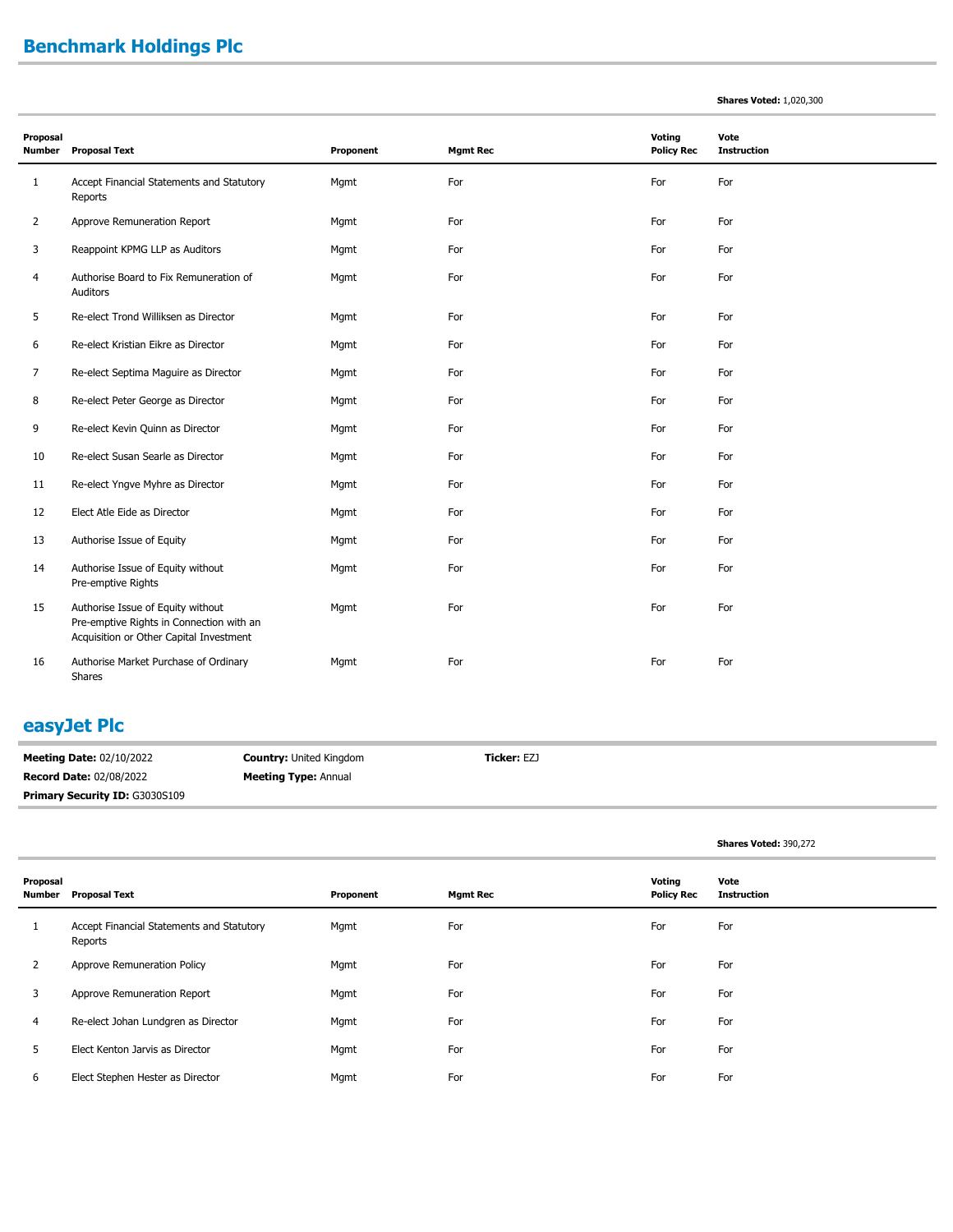# **Benchmark Holdings Plc**

|  |  | <b>Shares Voted: 1,020,300</b> |
|--|--|--------------------------------|
|--|--|--------------------------------|

| Proposal<br><b>Number</b> | <b>Proposal Text</b>                                                                                                     | Proponent | <b>Mgmt Rec</b> | Voting<br><b>Policy Rec</b> | Vote<br><b>Instruction</b> |
|---------------------------|--------------------------------------------------------------------------------------------------------------------------|-----------|-----------------|-----------------------------|----------------------------|
| $\mathbf{1}$              | Accept Financial Statements and Statutory<br>Reports                                                                     | Mgmt      | For             | For                         | For                        |
| 2                         | Approve Remuneration Report                                                                                              | Mgmt      | For             | For                         | For                        |
| 3                         | Reappoint KPMG LLP as Auditors                                                                                           | Mgmt      | For             | For                         | For                        |
| 4                         | Authorise Board to Fix Remuneration of<br>Auditors                                                                       | Mgmt      | For             | For                         | For                        |
| 5                         | Re-elect Trond Williksen as Director                                                                                     | Mgmt      | For             | For                         | For                        |
| 6                         | Re-elect Kristian Eikre as Director                                                                                      | Mgmt      | For             | For                         | For                        |
| 7                         | Re-elect Septima Maguire as Director                                                                                     | Mgmt      | For             | For                         | For                        |
| 8                         | Re-elect Peter George as Director                                                                                        | Mgmt      | For             | For                         | For                        |
| 9                         | Re-elect Kevin Quinn as Director                                                                                         | Mgmt      | For             | For                         | For                        |
| 10                        | Re-elect Susan Searle as Director                                                                                        | Mgmt      | For             | For                         | For                        |
| 11                        | Re-elect Yngve Myhre as Director                                                                                         | Mgmt      | For             | For                         | For                        |
| 12                        | Elect Atle Eide as Director                                                                                              | Mgmt      | For             | For                         | For                        |
| 13                        | Authorise Issue of Equity                                                                                                | Mgmt      | For             | For                         | For                        |
| 14                        | Authorise Issue of Equity without<br>Pre-emptive Rights                                                                  | Mgmt      | For             | For                         | For                        |
| 15                        | Authorise Issue of Equity without<br>Pre-emptive Rights in Connection with an<br>Acquisition or Other Capital Investment | Mgmt      | For             | For                         | For                        |
| 16                        | Authorise Market Purchase of Ordinary<br>Shares                                                                          | Mgmt      | For             | For                         | For                        |

#### **easyJet Plc**

**Meeting Date:** 02/10/2022 **Record Date:** 02/08/2022 **Country:** United Kingdom **Meeting Type:** Annual **Ticker:** EZJ Primary Security ID: G3030S109

**Shares Voted:** 390,272

| Proposal<br>Number | <b>Proposal Text</b>                                 | Proponent | <b>Mgmt Rec</b> | Voting<br><b>Policy Rec</b> | Vote<br><b>Instruction</b> |
|--------------------|------------------------------------------------------|-----------|-----------------|-----------------------------|----------------------------|
| 1                  | Accept Financial Statements and Statutory<br>Reports | Mgmt      | For             | For                         | For                        |
| $\overline{2}$     | Approve Remuneration Policy                          | Mgmt      | For             | For                         | For                        |
| 3                  | Approve Remuneration Report                          | Mgmt      | For             | For                         | For                        |
| 4                  | Re-elect Johan Lundgren as Director                  | Mgmt      | For             | For                         | For                        |
| 5                  | Elect Kenton Jarvis as Director                      | Mgmt      | For             | For                         | For                        |
| 6                  | Elect Stephen Hester as Director                     | Mgmt      | For             | For                         | For                        |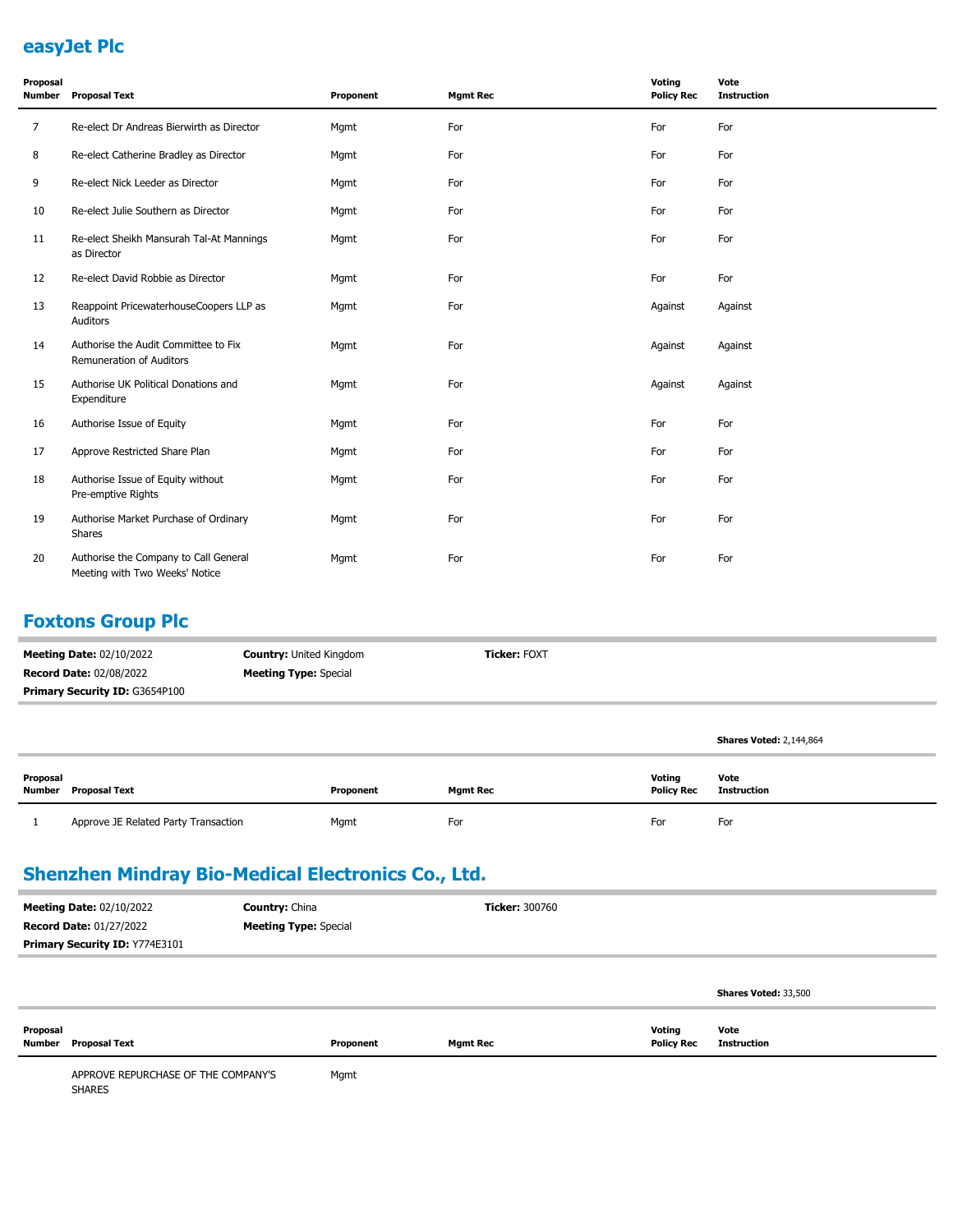#### **easyJet Plc**

| Proposal<br><b>Number</b> | <b>Proposal Text</b>                                                    | Proponent | <b>Mgmt Rec</b> | Voting<br><b>Policy Rec</b> | Vote<br><b>Instruction</b> |
|---------------------------|-------------------------------------------------------------------------|-----------|-----------------|-----------------------------|----------------------------|
| 7                         | Re-elect Dr Andreas Bierwirth as Director                               | Mgmt      | For             | For                         | For                        |
| 8                         | Re-elect Catherine Bradley as Director                                  | Mgmt      | For             | For                         | For                        |
| 9                         | Re-elect Nick Leeder as Director                                        | Mgmt      | For             | For                         | For                        |
| 10                        | Re-elect Julie Southern as Director                                     | Mgmt      | For             | For                         | For                        |
| 11                        | Re-elect Sheikh Mansurah Tal-At Mannings<br>as Director                 | Mgmt      | For             | For                         | For                        |
| 12                        | Re-elect David Robbie as Director                                       | Mgmt      | For             | For                         | For                        |
| 13                        | Reappoint PricewaterhouseCoopers LLP as<br>Auditors                     | Mgmt      | For             | Against                     | Against                    |
| 14                        | Authorise the Audit Committee to Fix<br>Remuneration of Auditors        | Mgmt      | For             | Against                     | Against                    |
| 15                        | Authorise UK Political Donations and<br>Expenditure                     | Mgmt      | For             | Against                     | Against                    |
| 16                        | Authorise Issue of Equity                                               | Mgmt      | For             | For                         | For                        |
| 17                        | Approve Restricted Share Plan                                           | Mgmt      | For             | For                         | For                        |
| 18                        | Authorise Issue of Equity without<br>Pre-emptive Rights                 | Mgmt      | For             | For                         | For                        |
| 19                        | Authorise Market Purchase of Ordinary<br>Shares                         | Mgmt      | For             | For                         | For                        |
| 20                        | Authorise the Company to Call General<br>Meeting with Two Weeks' Notice | Mgmt      | For             | For                         | For                        |

# **Foxtons Group Plc**

| <b>Meeting Date: 02/10/2022</b>       | <b>Country: United Kingdom</b> | <b>Ticker: FOXT</b> |  |  |  |
|---------------------------------------|--------------------------------|---------------------|--|--|--|
| <b>Record Date: 02/08/2022</b>        | <b>Meeting Type: Special</b>   |                     |  |  |  |
| <b>Primary Security ID: G3654P100</b> |                                |                     |  |  |  |
|                                       |                                |                     |  |  |  |

| Proposal | Number Proposal Text                 | Proponent | <b>Mgmt Rec</b> | <b>Voting</b><br><b>Policy Rec</b> | Vote<br>Instruction |
|----------|--------------------------------------|-----------|-----------------|------------------------------------|---------------------|
|          | Approve JE Related Party Transaction | Mgmt      | For             | For                                | For                 |

**Shares Voted:** 2,144,864

### **Shenzhen Mindray Bio-Medical Electronics Co., Ltd.**

| <b>Meeting Date: 02/10/2022</b>     | <b>Country: China</b>        | <b>Ticker: 300760</b> |                             |                      |
|-------------------------------------|------------------------------|-----------------------|-----------------------------|----------------------|
| <b>Record Date: 01/27/2022</b>      | <b>Meeting Type: Special</b> |                       |                             |                      |
| Primary Security ID: Y774E3101      |                              |                       |                             |                      |
|                                     |                              |                       |                             |                      |
|                                     |                              |                       |                             | Shares Voted: 33,500 |
| Proposal<br>Number<br>Proposal Text | Proponent                    | Mgmt Rec              | Voting<br><b>Policy Rec</b> | Vote<br>Instruction  |
|                                     |                              |                       |                             |                      |

APPROVE REPURCHASE OF THE COMPANY'S SHARES Mgmt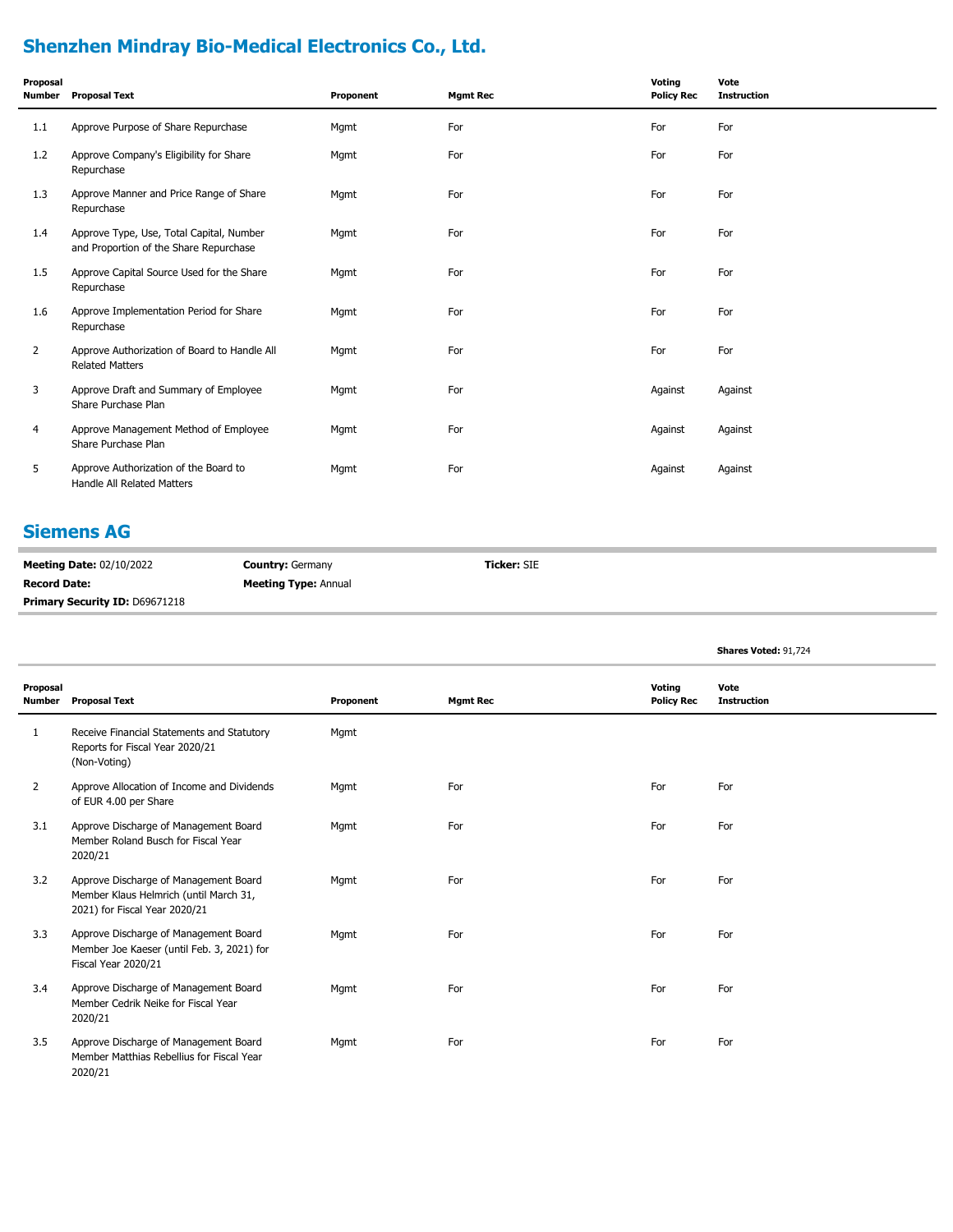# **Shenzhen Mindray Bio-Medical Electronics Co., Ltd.**

| Proposal<br>Number | <b>Proposal Text</b>                                                               | Proponent | <b>Mgmt Rec</b> | Voting<br><b>Policy Rec</b> | Vote<br><b>Instruction</b> |
|--------------------|------------------------------------------------------------------------------------|-----------|-----------------|-----------------------------|----------------------------|
| 1.1                | Approve Purpose of Share Repurchase                                                | Mgmt      | For             | For                         | For                        |
| 1.2                | Approve Company's Eligibility for Share<br>Repurchase                              | Mgmt      | For             | For                         | For                        |
| 1.3                | Approve Manner and Price Range of Share<br>Repurchase                              | Mgmt      | For             | For                         | For                        |
| 1.4                | Approve Type, Use, Total Capital, Number<br>and Proportion of the Share Repurchase | Mqmt      | For             | For                         | For                        |
| 1.5                | Approve Capital Source Used for the Share<br>Repurchase                            | Mgmt      | For             | For                         | For                        |
| 1.6                | Approve Implementation Period for Share<br>Repurchase                              | Mgmt      | For             | For                         | For                        |
| $\overline{2}$     | Approve Authorization of Board to Handle All<br><b>Related Matters</b>             | Mgmt      | For             | For                         | For                        |
| 3                  | Approve Draft and Summary of Employee<br>Share Purchase Plan                       | Mgmt      | For             | Against                     | Against                    |
| 4                  | Approve Management Method of Employee<br>Share Purchase Plan                       | Mgmt      | For             | Against                     | Against                    |
| 5                  | Approve Authorization of the Board to<br>Handle All Related Matters                | Mgmt      | For             | Against                     | Against                    |

## **Siemens AG**

| <b>Meeting Date: 02/10/2022</b> | <b>Country: Germany</b>     | <b>Ticker: SIE</b> |
|---------------------------------|-----------------------------|--------------------|
| <b>Record Date:</b>             | <b>Meeting Type: Annual</b> |                    |
| Primary Security ID: D69671218  |                             |                    |

|                           |                                                                                                                  |           |                 |                             | Shares Voted: 91,724       |  |
|---------------------------|------------------------------------------------------------------------------------------------------------------|-----------|-----------------|-----------------------------|----------------------------|--|
| Proposal<br><b>Number</b> | <b>Proposal Text</b>                                                                                             | Proponent | <b>Mgmt Rec</b> | Voting<br><b>Policy Rec</b> | Vote<br><b>Instruction</b> |  |
| 1                         | Receive Financial Statements and Statutory<br>Reports for Fiscal Year 2020/21<br>(Non-Voting)                    | Mgmt      |                 |                             |                            |  |
| $\overline{2}$            | Approve Allocation of Income and Dividends<br>of EUR 4.00 per Share                                              | Mgmt      | For             | For                         | For                        |  |
| 3.1                       | Approve Discharge of Management Board<br>Member Roland Busch for Fiscal Year<br>2020/21                          | Mgmt      | For             | For                         | For                        |  |
| 3.2                       | Approve Discharge of Management Board<br>Member Klaus Helmrich (until March 31,<br>2021) for Fiscal Year 2020/21 | Mgmt      | For             | For                         | For                        |  |
| 3.3                       | Approve Discharge of Management Board<br>Member Joe Kaeser (until Feb. 3, 2021) for<br>Fiscal Year 2020/21       | Mgmt      | For             | For                         | For                        |  |
| 3.4                       | Approve Discharge of Management Board<br>Member Cedrik Neike for Fiscal Year<br>2020/21                          | Mgmt      | For             | For                         | For                        |  |
| 3.5                       | Approve Discharge of Management Board<br>Member Matthias Rebellius for Fiscal Year<br>2020/21                    | Mgmt      | For             | For                         | For                        |  |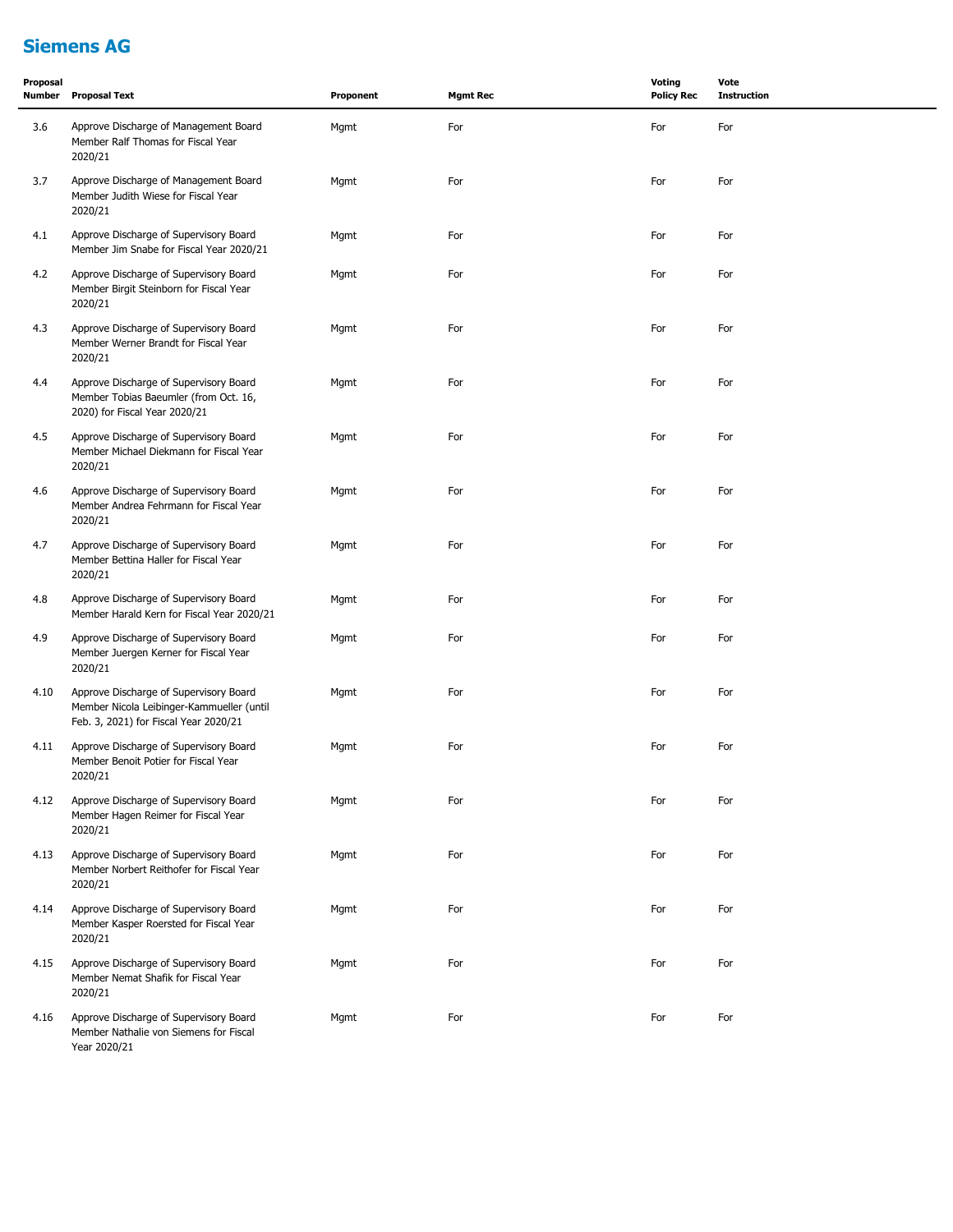## **Siemens AG**

| Proposal<br>Number | <b>Proposal Text</b>                                                                                                         | Proponent | <b>Mgmt Rec</b> | <b>Voting</b><br><b>Policy Rec</b> | Vote<br><b>Instruction</b> |
|--------------------|------------------------------------------------------------------------------------------------------------------------------|-----------|-----------------|------------------------------------|----------------------------|
| 3.6                | Approve Discharge of Management Board<br>Member Ralf Thomas for Fiscal Year<br>2020/21                                       | Mgmt      | For             | For                                | For                        |
| 3.7                | Approve Discharge of Management Board<br>Member Judith Wiese for Fiscal Year<br>2020/21                                      | Mgmt      | For             | For                                | For                        |
| 4.1                | Approve Discharge of Supervisory Board<br>Member Jim Snabe for Fiscal Year 2020/21                                           | Mgmt      | For             | For                                | For                        |
| 4.2                | Approve Discharge of Supervisory Board<br>Member Birgit Steinborn for Fiscal Year<br>2020/21                                 | Mgmt      | For             | For                                | For                        |
| 4.3                | Approve Discharge of Supervisory Board<br>Member Werner Brandt for Fiscal Year<br>2020/21                                    | Mgmt      | For             | For                                | For                        |
| 4.4                | Approve Discharge of Supervisory Board<br>Member Tobias Baeumler (from Oct. 16,<br>2020) for Fiscal Year 2020/21             | Mgmt      | For             | For                                | For                        |
| 4.5                | Approve Discharge of Supervisory Board<br>Member Michael Diekmann for Fiscal Year<br>2020/21                                 | Mgmt      | For             | For                                | For                        |
| 4.6                | Approve Discharge of Supervisory Board<br>Member Andrea Fehrmann for Fiscal Year<br>2020/21                                  | Mgmt      | For             | For                                | For                        |
| 4.7                | Approve Discharge of Supervisory Board<br>Member Bettina Haller for Fiscal Year<br>2020/21                                   | Mgmt      | For             | For                                | For                        |
| 4.8                | Approve Discharge of Supervisory Board<br>Member Harald Kern for Fiscal Year 2020/21                                         | Mgmt      | For             | For                                | For                        |
| 4.9                | Approve Discharge of Supervisory Board<br>Member Juergen Kerner for Fiscal Year<br>2020/21                                   | Mgmt      | For             | For                                | For                        |
| 4.10               | Approve Discharge of Supervisory Board<br>Member Nicola Leibinger-Kammueller (until<br>Feb. 3, 2021) for Fiscal Year 2020/21 | Mgmt      | For             | For                                | For                        |
| 4.11               | Approve Discharge of Supervisory Board<br>Member Benoit Potier for Fiscal Year<br>2020/21                                    | Mgmt      | For             | For                                | For                        |
| 4.12               | Approve Discharge of Supervisory Board<br>Member Hagen Reimer for Fiscal Year<br>2020/21                                     | Mgmt      | For             | For                                | For                        |
| 4.13               | Approve Discharge of Supervisory Board<br>Member Norbert Reithofer for Fiscal Year<br>2020/21                                | Mgmt      | For             | For                                | For                        |
| 4.14               | Approve Discharge of Supervisory Board<br>Member Kasper Roersted for Fiscal Year<br>2020/21                                  | Mgmt      | For             | For                                | For                        |
| 4.15               | Approve Discharge of Supervisory Board<br>Member Nemat Shafik for Fiscal Year<br>2020/21                                     | Mgmt      | For             | For                                | For                        |
| 4.16               | Approve Discharge of Supervisory Board<br>Member Nathalie von Siemens for Fiscal<br>Year 2020/21                             | Mgmt      | For             | For                                | For                        |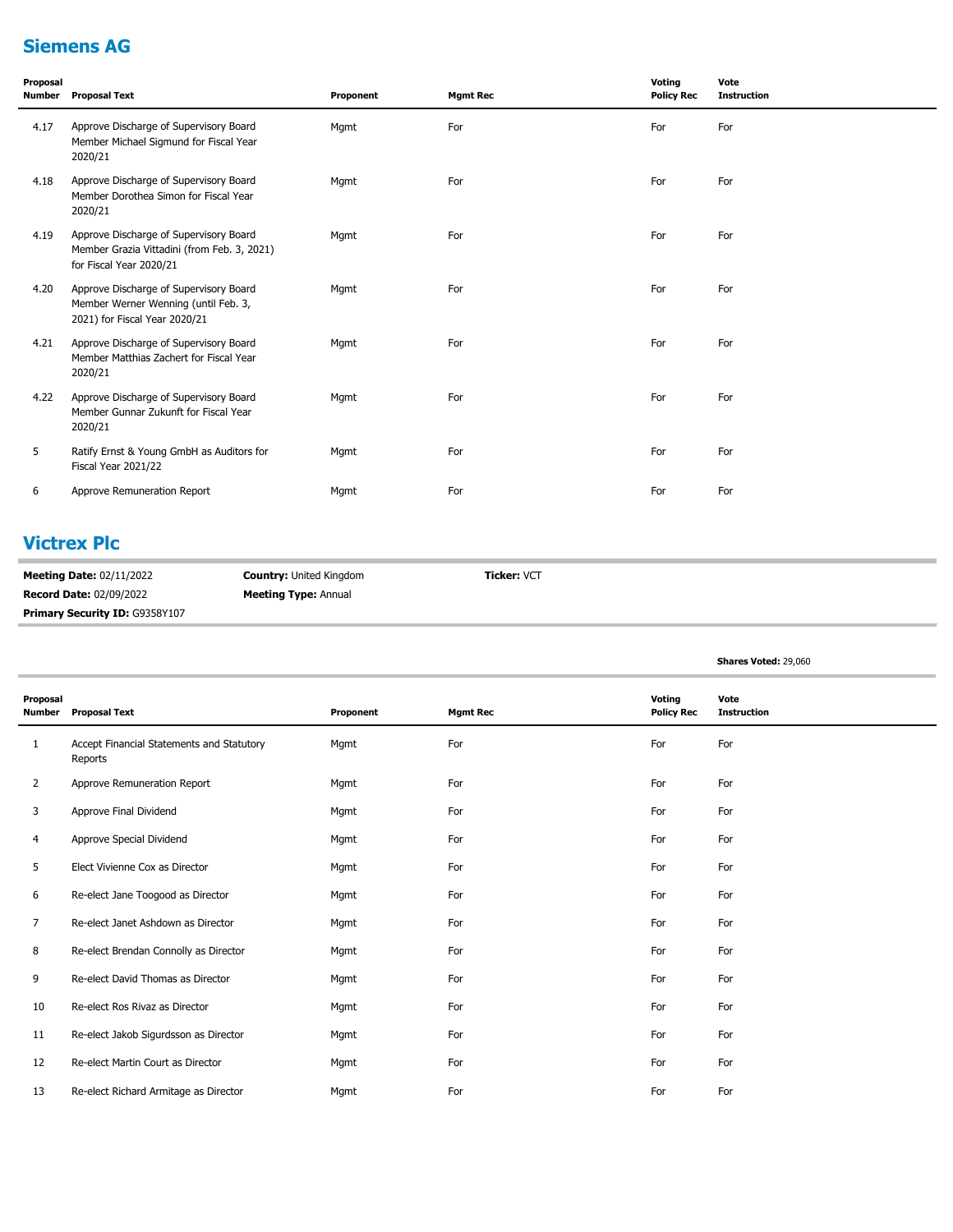## **Siemens AG**

| Proposal<br>Number | <b>Proposal Text</b>                                                                                             | Proponent | <b>Mgmt Rec</b> | Voting<br><b>Policy Rec</b> | Vote<br><b>Instruction</b> |
|--------------------|------------------------------------------------------------------------------------------------------------------|-----------|-----------------|-----------------------------|----------------------------|
| 4.17               | Approve Discharge of Supervisory Board<br>Member Michael Sigmund for Fiscal Year<br>2020/21                      | Mgmt      | For             | For                         | For                        |
| 4.18               | Approve Discharge of Supervisory Board<br>Member Dorothea Simon for Fiscal Year<br>2020/21                       | Mgmt      | For             | For                         | For                        |
| 4.19               | Approve Discharge of Supervisory Board<br>Member Grazia Vittadini (from Feb. 3, 2021)<br>for Fiscal Year 2020/21 | Mgmt      | For             | For                         | For                        |
| 4.20               | Approve Discharge of Supervisory Board<br>Member Werner Wenning (until Feb. 3,<br>2021) for Fiscal Year 2020/21  | Mgmt      | For             | For                         | For                        |
| 4.21               | Approve Discharge of Supervisory Board<br>Member Matthias Zachert for Fiscal Year<br>2020/21                     | Mgmt      | For             | For                         | For                        |
| 4.22               | Approve Discharge of Supervisory Board<br>Member Gunnar Zukunft for Fiscal Year<br>2020/21                       | Mgmt      | For             | For                         | For                        |
| 5                  | Ratify Ernst & Young GmbH as Auditors for<br>Fiscal Year 2021/22                                                 | Mgmt      | For             | For                         | For                        |
| 6                  | Approve Remuneration Report                                                                                      | Mgmt      | For             | For                         | For                        |

## **Victrex Plc**

| <b>Meeting Date: 02/11/2022</b>       | <b>Country:</b> United Kingdom | <b>Ticker: VCT</b> |
|---------------------------------------|--------------------------------|--------------------|
| <b>Record Date: 02/09/2022</b>        | <b>Meeting Type: Annual</b>    |                    |
| <b>Primary Security ID: G9358Y107</b> |                                |                    |

|                           |                                                      |           |                 |                             | Shares Voted: 29,060       |
|---------------------------|------------------------------------------------------|-----------|-----------------|-----------------------------|----------------------------|
| Proposal<br><b>Number</b> | <b>Proposal Text</b>                                 | Proponent | <b>Mgmt Rec</b> | Voting<br><b>Policy Rec</b> | Vote<br><b>Instruction</b> |
| 1                         | Accept Financial Statements and Statutory<br>Reports | Mgmt      | For             | For                         | For                        |
| $\overline{2}$            | Approve Remuneration Report                          | Mgmt      | For             | For                         | For                        |
| 3                         | Approve Final Dividend                               | Mgmt      | For             | For                         | For                        |
| 4                         | Approve Special Dividend                             | Mgmt      | For             | For                         | For                        |
| 5                         | Elect Vivienne Cox as Director                       | Mgmt      | For             | For                         | For                        |
| 6                         | Re-elect Jane Toogood as Director                    | Mgmt      | For             | For                         | For                        |
| $\overline{7}$            | Re-elect Janet Ashdown as Director                   | Mgmt      | For             | For                         | For                        |
| 8                         | Re-elect Brendan Connolly as Director                | Mgmt      | For             | For                         | For                        |
| 9                         | Re-elect David Thomas as Director                    | Mgmt      | For             | For                         | For                        |
| 10                        | Re-elect Ros Rivaz as Director                       | Mgmt      | For             | For                         | For                        |
| 11                        | Re-elect Jakob Sigurdsson as Director                | Mgmt      | For             | For                         | For                        |
| 12                        | Re-elect Martin Court as Director                    | Mgmt      | For             | For                         | For                        |
| 13                        | Re-elect Richard Armitage as Director                | Mgmt      | For             | For                         | For                        |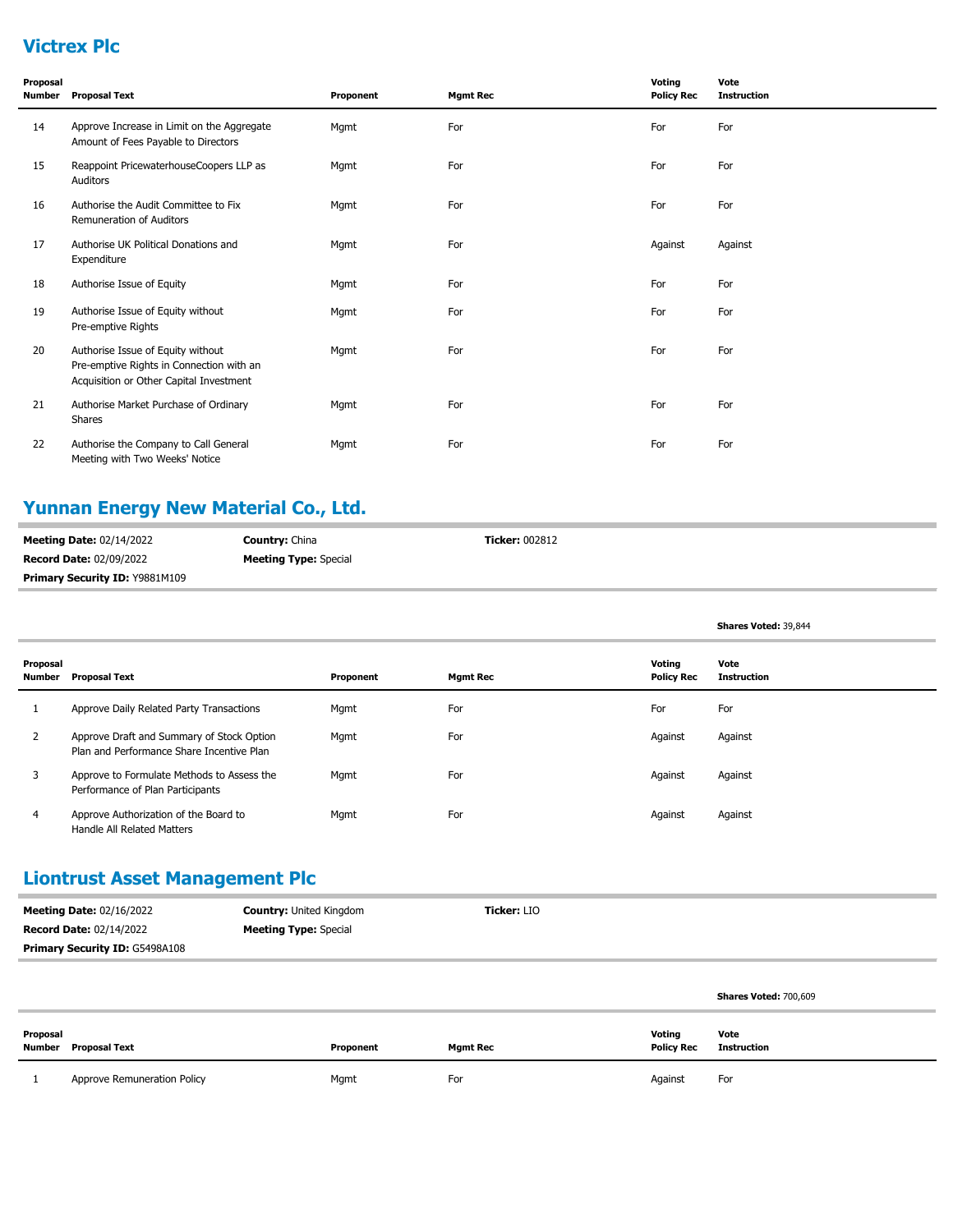## **Victrex Plc**

| Proposal<br>Number | <b>Proposal Text</b>                                                                                                     | Proponent | <b>Mgmt Rec</b> | Voting<br><b>Policy Rec</b> | Vote<br><b>Instruction</b> |
|--------------------|--------------------------------------------------------------------------------------------------------------------------|-----------|-----------------|-----------------------------|----------------------------|
| 14                 | Approve Increase in Limit on the Aggregate<br>Amount of Fees Payable to Directors                                        | Mgmt      | For             | For                         | For                        |
| 15                 | Reappoint PricewaterhouseCoopers LLP as<br>Auditors                                                                      | Mgmt      | For             | For                         | For                        |
| 16                 | Authorise the Audit Committee to Fix<br><b>Remuneration of Auditors</b>                                                  | Mgmt      | For             | For                         | For                        |
| 17                 | Authorise UK Political Donations and<br>Expenditure                                                                      | Mgmt      | For             | Against                     | Against                    |
| 18                 | Authorise Issue of Equity                                                                                                | Mgmt      | For             | For                         | For                        |
| 19                 | Authorise Issue of Equity without<br>Pre-emptive Rights                                                                  | Mgmt      | For             | For                         | For                        |
| 20                 | Authorise Issue of Equity without<br>Pre-emptive Rights in Connection with an<br>Acquisition or Other Capital Investment | Mgmt      | For             | For                         | For                        |
| 21                 | Authorise Market Purchase of Ordinary<br>Shares                                                                          | Mgmt      | For             | For                         | For                        |
| 22                 | Authorise the Company to Call General<br>Meeting with Two Weeks' Notice                                                  | Mgmt      | For             | For                         | For                        |

# **Yunnan Energy New Material Co., Ltd.**

| <b>Meeting Date: 02/14/2022</b> | <b>Country: China</b>        | <b>Ticker: 002812</b> |
|---------------------------------|------------------------------|-----------------------|
| <b>Record Date: 02/09/2022</b>  | <b>Meeting Type:</b> Special |                       |
| Primary Security ID: Y9881M109  |                              |                       |

|                    |                                                                                        |           |                 |                             | Shares Voted: 39,844       |
|--------------------|----------------------------------------------------------------------------------------|-----------|-----------------|-----------------------------|----------------------------|
| Proposal<br>Number | <b>Proposal Text</b>                                                                   | Proponent | <b>Mgmt Rec</b> | Voting<br><b>Policy Rec</b> | Vote<br><b>Instruction</b> |
|                    | Approve Daily Related Party Transactions                                               | Mgmt      | For             | For                         | For                        |
| $\overline{2}$     | Approve Draft and Summary of Stock Option<br>Plan and Performance Share Incentive Plan | Mgmt      | For             | Against                     | Against                    |
| 3                  | Approve to Formulate Methods to Assess the<br>Performance of Plan Participants         | Mgmt      | For             | Against                     | Against                    |
| 4                  | Approve Authorization of the Board to<br>Handle All Related Matters                    | Mgmt      | For             | Against                     | Against                    |

### **Liontrust Asset Management Plc**

| <b>Meeting Date: 02/16/2022</b>       | <b>Country: United Kingdom</b> | <b>Ticker: LIO</b> |
|---------------------------------------|--------------------------------|--------------------|
| <b>Record Date: 02/14/2022</b>        | <b>Meeting Type:</b> Special   |                    |
| <b>Primary Security ID: G5498A108</b> |                                |                    |

|          |                             |           |                 |                             | Shares Voted: 700,609      |
|----------|-----------------------------|-----------|-----------------|-----------------------------|----------------------------|
| Proposal | <b>Number</b> Proposal Text | Proponent | <b>Mgmt Rec</b> | Voting<br><b>Policy Rec</b> | Vote<br><b>Instruction</b> |
|          | Approve Remuneration Policy | Mgmt      | For             | Against                     | For                        |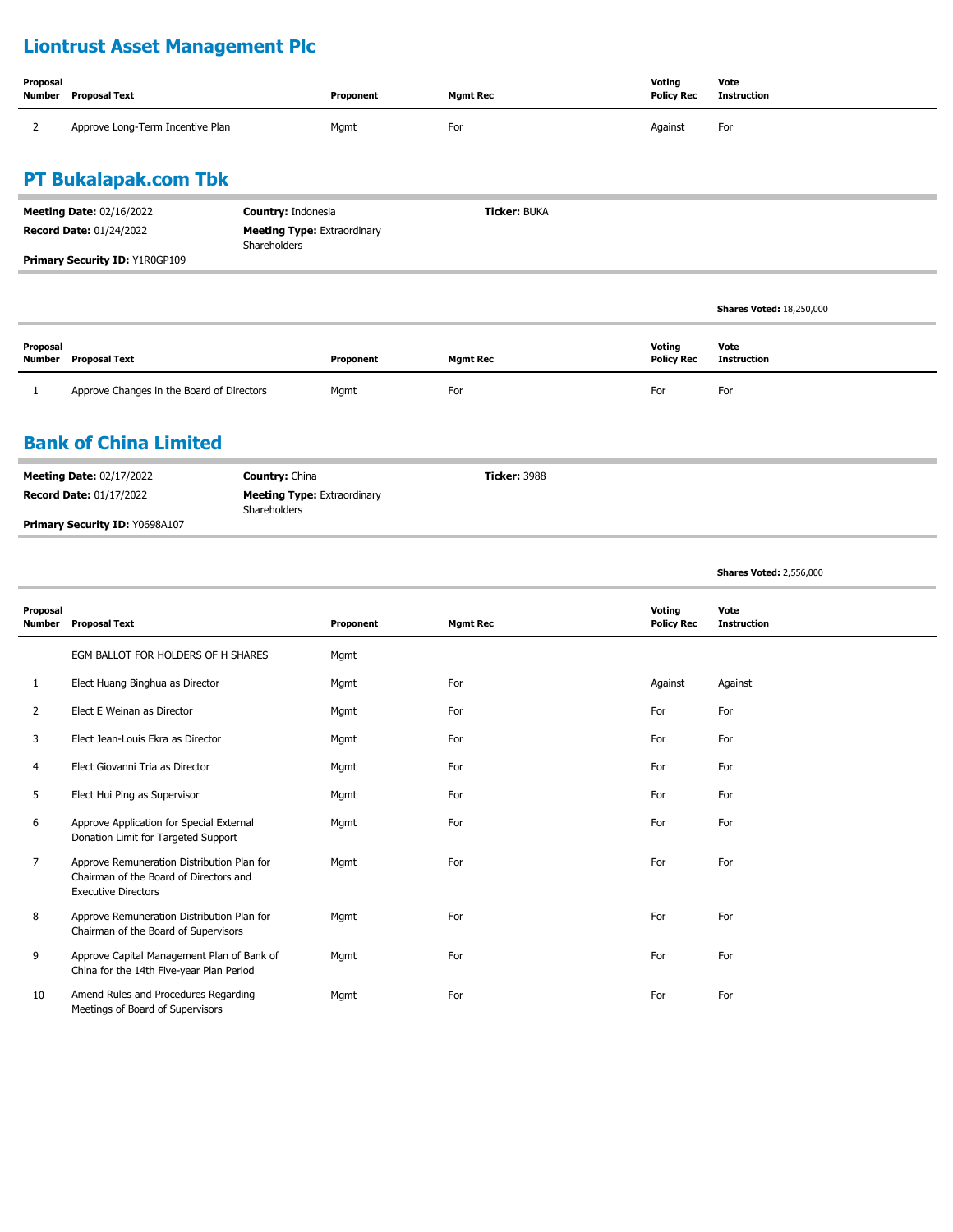# **Liontrust Asset Management Plc**

| Proposal<br>Number | Proposal Text                    | Proponent | Mgmt Rec | Voting<br><b>Policy Rec</b> | Vote<br>Instruction |
|--------------------|----------------------------------|-----------|----------|-----------------------------|---------------------|
|                    | Approve Long-Term Incentive Plan | Mgmt      | For      | Against                     | For                 |

## **PT Bukalapak.com Tbk**

| <b>Meeting Date: 02/16/2022</b><br><b>Record Date: 01/24/2022</b> | <b>Country: Indonesia</b><br><b>Meeting Type: Extraordinary</b><br>Shareholders | <b>Ticker: BUKA</b> |                                 |
|-------------------------------------------------------------------|---------------------------------------------------------------------------------|---------------------|---------------------------------|
| Primary Security ID: Y1R0GP109                                    |                                                                                 |                     |                                 |
|                                                                   |                                                                                 |                     |                                 |
|                                                                   |                                                                                 |                     | <b>Shares Voted: 18,250,000</b> |
|                                                                   |                                                                                 |                     |                                 |

| Proposal<br>Number | Proposal Text                             | Proponent | Mgmt Rec | Voting<br><b>Policy Rec</b> | Vote<br>Instruction |
|--------------------|-------------------------------------------|-----------|----------|-----------------------------|---------------------|
|                    | Approve Changes in the Board of Directors | Mgmt      | For      | For                         | For                 |

#### **Bank of China Limited**

| <b>Meeting Date: 02/17/2022</b>       | <b>Country: China</b>                              | <b>Ticker: 3988</b> |
|---------------------------------------|----------------------------------------------------|---------------------|
| <b>Record Date: 01/17/2022</b>        | <b>Meeting Type: Extraordinary</b><br>Shareholders |                     |
| <b>Primary Security ID: Y0698A107</b> |                                                    |                     |

**Shares Voted:** 2,556,000

| Proposal<br><b>Number</b> | <b>Proposal Text</b>                                                                                               | Proponent | <b>Mgmt Rec</b> | Voting<br><b>Policy Rec</b> | Vote<br><b>Instruction</b> |
|---------------------------|--------------------------------------------------------------------------------------------------------------------|-----------|-----------------|-----------------------------|----------------------------|
|                           | EGM BALLOT FOR HOLDERS OF H SHARES                                                                                 | Mgmt      |                 |                             |                            |
| 1                         | Elect Huang Binghua as Director                                                                                    | Mgmt      | For             | Against                     | Against                    |
| 2                         | Elect E Weinan as Director                                                                                         | Mgmt      | For             | For                         | For                        |
| 3                         | Elect Jean-Louis Ekra as Director                                                                                  | Mgmt      | For             | For                         | For                        |
| 4                         | Elect Giovanni Tria as Director                                                                                    | Mgmt      | For             | For                         | For                        |
| 5                         | Elect Hui Ping as Supervisor                                                                                       | Mgmt      | For             | For                         | For                        |
| 6                         | Approve Application for Special External<br>Donation Limit for Targeted Support                                    | Mgmt      | For             | For                         | For                        |
| 7                         | Approve Remuneration Distribution Plan for<br>Chairman of the Board of Directors and<br><b>Executive Directors</b> | Mgmt      | For             | For                         | For                        |
| 8                         | Approve Remuneration Distribution Plan for<br>Chairman of the Board of Supervisors                                 | Mgmt      | For             | For                         | For                        |
| 9                         | Approve Capital Management Plan of Bank of<br>China for the 14th Five-year Plan Period                             | Mgmt      | For             | For                         | For                        |
| 10                        | Amend Rules and Procedures Regarding<br>Meetings of Board of Supervisors                                           | Mgmt      | For             | For                         | For                        |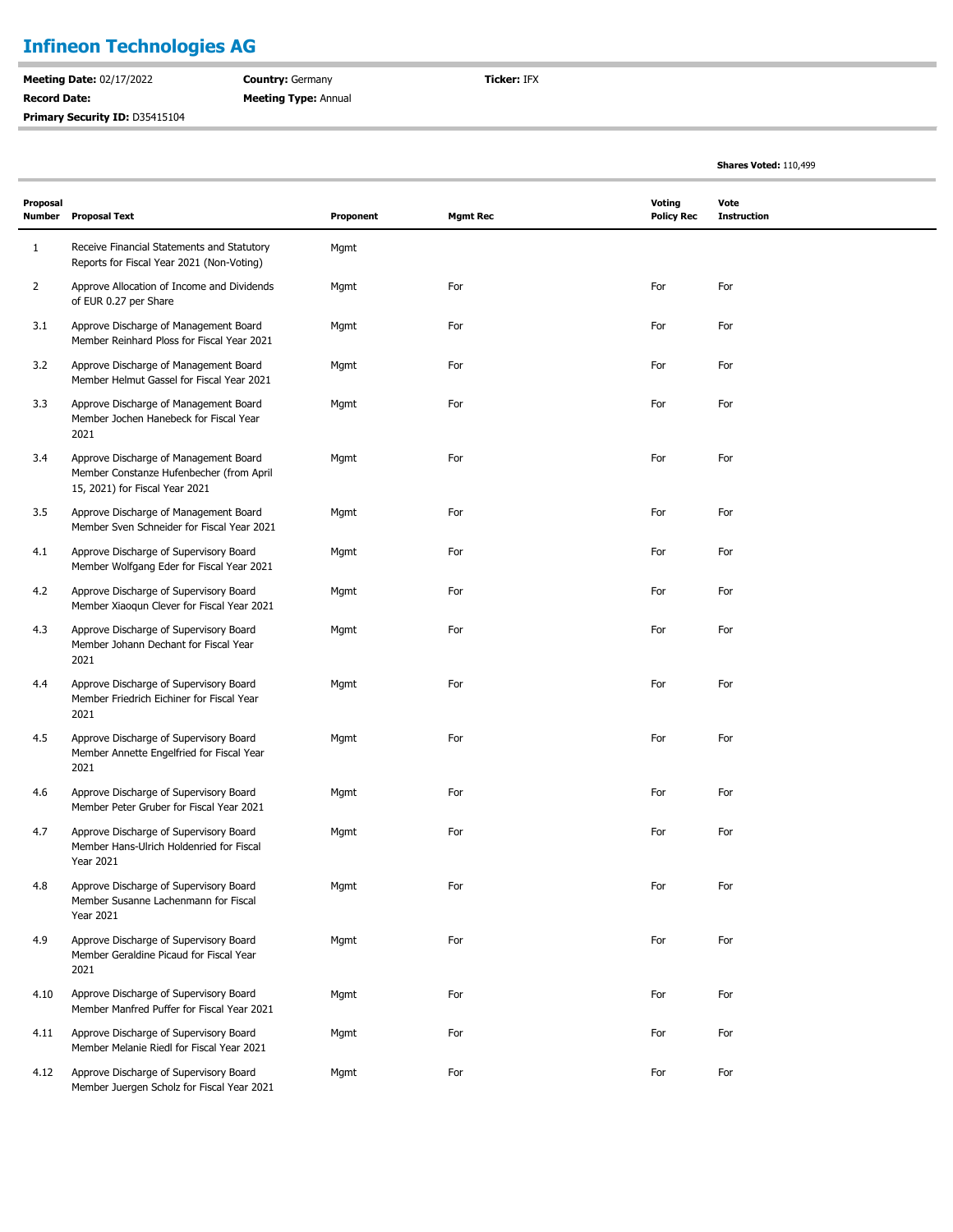# **Infineon Technologies AG**

**Meeting Date:** 02/17/2022 **Record Date:**  Primary Security ID: D35415104 **Country:** Germany **Meeting Type:** Annual **Ticker:** IFX

**Shares Voted:** 110,499

| Proposal<br><b>Number</b> | <b>Proposal Text</b>                                                                                                | Proponent | <b>Mgmt Rec</b> | <b>Voting</b><br><b>Policy Rec</b> | Vote<br><b>Instruction</b> |  |
|---------------------------|---------------------------------------------------------------------------------------------------------------------|-----------|-----------------|------------------------------------|----------------------------|--|
| $\mathbf{1}$              | Receive Financial Statements and Statutory<br>Reports for Fiscal Year 2021 (Non-Voting)                             | Mgmt      |                 |                                    |                            |  |
| 2                         | Approve Allocation of Income and Dividends<br>of EUR 0.27 per Share                                                 | Mgmt      | For             | For                                | For                        |  |
| 3.1                       | Approve Discharge of Management Board<br>Member Reinhard Ploss for Fiscal Year 2021                                 | Mgmt      | For             | For                                | For                        |  |
| 3.2                       | Approve Discharge of Management Board<br>Member Helmut Gassel for Fiscal Year 2021                                  | Mgmt      | For             | For                                | For                        |  |
| 3.3                       | Approve Discharge of Management Board<br>Member Jochen Hanebeck for Fiscal Year<br>2021                             | Mgmt      | For             | For                                | For                        |  |
| 3.4                       | Approve Discharge of Management Board<br>Member Constanze Hufenbecher (from April<br>15, 2021) for Fiscal Year 2021 | Mgmt      | For             | For                                | For                        |  |
| 3.5                       | Approve Discharge of Management Board<br>Member Sven Schneider for Fiscal Year 2021                                 | Mgmt      | For             | For                                | For                        |  |
| 4.1                       | Approve Discharge of Supervisory Board<br>Member Wolfgang Eder for Fiscal Year 2021                                 | Mgmt      | For             | For                                | For                        |  |
| 4.2                       | Approve Discharge of Supervisory Board<br>Member Xiaoqun Clever for Fiscal Year 2021                                | Mgmt      | For             | For                                | For                        |  |
| 4.3                       | Approve Discharge of Supervisory Board<br>Member Johann Dechant for Fiscal Year<br>2021                             | Mgmt      | For             | For                                | For                        |  |
| 4.4                       | Approve Discharge of Supervisory Board<br>Member Friedrich Eichiner for Fiscal Year<br>2021                         | Mgmt      | For             | For                                | For                        |  |
| 4.5                       | Approve Discharge of Supervisory Board<br>Member Annette Engelfried for Fiscal Year<br>2021                         | Mgmt      | For             | For                                | For                        |  |
| 4.6                       | Approve Discharge of Supervisory Board<br>Member Peter Gruber for Fiscal Year 2021                                  | Mgmt      | For             | For                                | For                        |  |
| 4.7                       | Approve Discharge of Supervisory Board<br>Member Hans-Ulrich Holdenried for Fiscal<br><b>Year 2021</b>              | Mgmt      | For             | For                                | For                        |  |
| 4.8                       | Approve Discharge of Supervisory Board<br>Member Susanne Lachenmann for Fiscal<br><b>Year 2021</b>                  | Mgmt      | For             | For                                | For                        |  |
| 4.9                       | Approve Discharge of Supervisory Board<br>Member Geraldine Picaud for Fiscal Year<br>2021                           | Mgmt      | For             | For                                | For                        |  |
| 4.10                      | Approve Discharge of Supervisory Board<br>Member Manfred Puffer for Fiscal Year 2021                                | Mgmt      | For             | For                                | For                        |  |
| 4.11                      | Approve Discharge of Supervisory Board<br>Member Melanie Riedl for Fiscal Year 2021                                 | Mgmt      | For             | For                                | For                        |  |
| 4.12                      | Approve Discharge of Supervisory Board<br>Member Juergen Scholz for Fiscal Year 2021                                | Mgmt      | For             | For                                | For                        |  |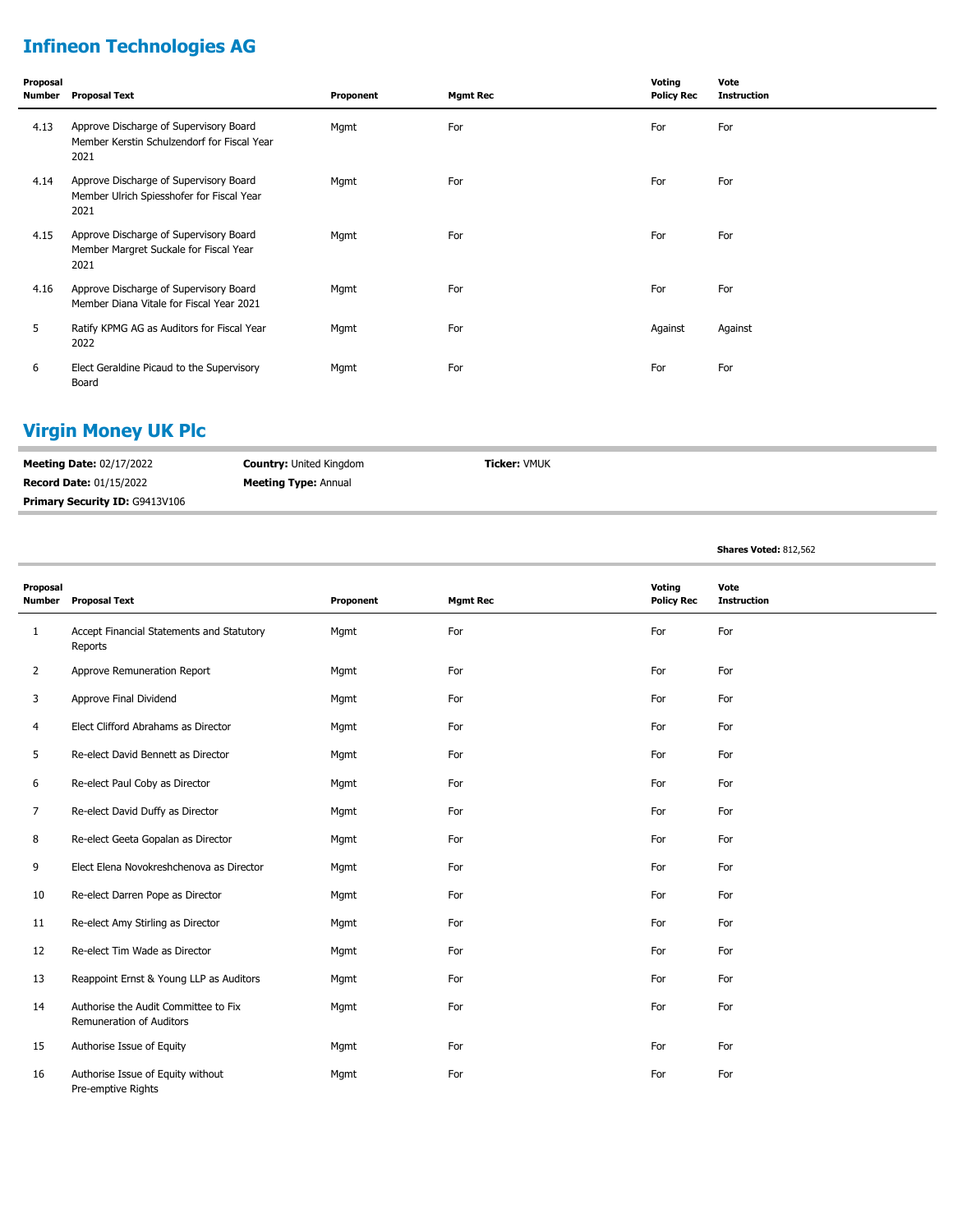# **Infineon Technologies AG**

| Proposal | Number Proposal Text                                                                          | Proponent | <b>Mgmt Rec</b> | Voting<br><b>Policy Rec</b> | Vote<br><b>Instruction</b> |
|----------|-----------------------------------------------------------------------------------------------|-----------|-----------------|-----------------------------|----------------------------|
| 4.13     | Approve Discharge of Supervisory Board<br>Member Kerstin Schulzendorf for Fiscal Year<br>2021 | Mgmt      | For             | For                         | For                        |
| 4.14     | Approve Discharge of Supervisory Board<br>Member Ulrich Spiesshofer for Fiscal Year<br>2021   | Mgmt      | For             | For                         | For                        |
| 4.15     | Approve Discharge of Supervisory Board<br>Member Margret Suckale for Fiscal Year<br>2021      | Mgmt      | For             | For                         | For                        |
| 4.16     | Approve Discharge of Supervisory Board<br>Member Diana Vitale for Fiscal Year 2021            | Mgmt      | For             | For                         | For                        |
| 5        | Ratify KPMG AG as Auditors for Fiscal Year<br>2022                                            | Mgmt      | For             | Against                     | Against                    |
| 6        | Elect Geraldine Picaud to the Supervisory<br>Board                                            | Mgmt      | For             | For                         | For                        |

# **Virgin Money UK Plc**

| <b>Meeting Date: 02/17/2022</b>       | <b>Country: United Kingdom</b> | <b>Ticker:</b> VMUK |
|---------------------------------------|--------------------------------|---------------------|
| <b>Record Date: 01/15/2022</b>        | <b>Meeting Type: Annual</b>    |                     |
| <b>Primary Security ID: G9413V106</b> |                                |                     |

**Shares Voted:** 812,562

| Proposal       | Voting<br>Vote                                                   |           |                 |                   |                    |
|----------------|------------------------------------------------------------------|-----------|-----------------|-------------------|--------------------|
| Number         | <b>Proposal Text</b>                                             | Proponent | <b>Mgmt Rec</b> | <b>Policy Rec</b> | <b>Instruction</b> |
| $\mathbf{1}$   | Accept Financial Statements and Statutory<br>Reports             | Mgmt      | For             | For               | For                |
| $\overline{2}$ | Approve Remuneration Report                                      | Mgmt      | For             | For               | For                |
| 3              | Approve Final Dividend                                           | Mgmt      | For             | For               | For                |
| 4              | Elect Clifford Abrahams as Director                              | Mgmt      | For             | For               | For                |
| 5              | Re-elect David Bennett as Director                               | Mgmt      | For             | For               | For                |
| 6              | Re-elect Paul Coby as Director                                   | Mgmt      | For             | For               | For                |
| 7              | Re-elect David Duffy as Director                                 | Mgmt      | For             | For               | For                |
| 8              | Re-elect Geeta Gopalan as Director                               | Mgmt      | For             | For               | For                |
| 9              | Elect Elena Novokreshchenova as Director                         | Mgmt      | For             | For               | For                |
| 10             | Re-elect Darren Pope as Director                                 | Mgmt      | For             | For               | For                |
| 11             | Re-elect Amy Stirling as Director                                | Mgmt      | For             | For               | For                |
| 12             | Re-elect Tim Wade as Director                                    | Mgmt      | For             | For               | For                |
| 13             | Reappoint Ernst & Young LLP as Auditors                          | Mgmt      | For             | For               | For                |
| 14             | Authorise the Audit Committee to Fix<br>Remuneration of Auditors | Mgmt      | For             | For               | For                |
| 15             | Authorise Issue of Equity                                        | Mgmt      | For             | For               | For                |
| 16             | Authorise Issue of Equity without<br>Pre-emptive Rights          | Mqmt      | For             | For               | For                |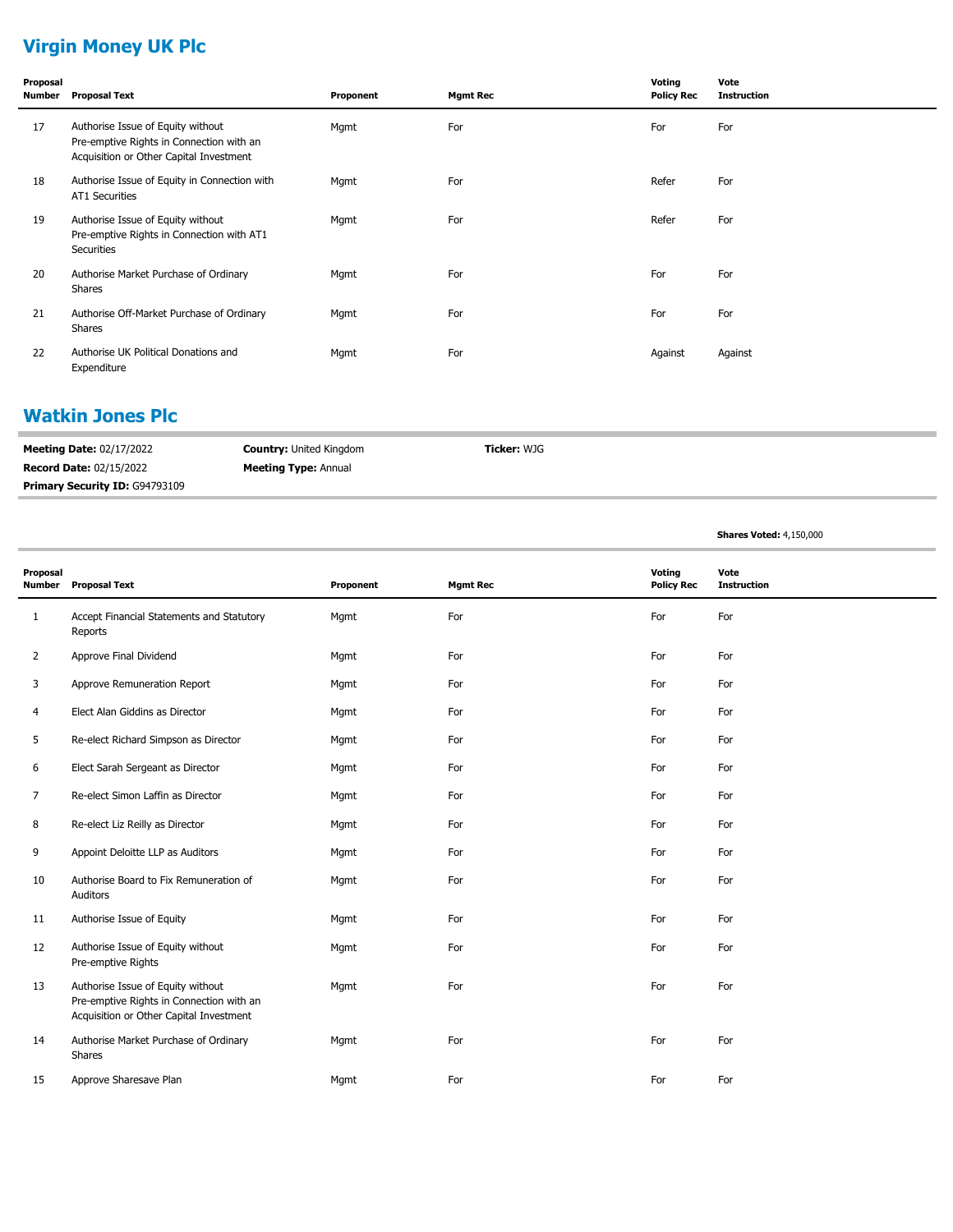# **Virgin Money UK Plc**

| Proposal<br>Number | <b>Proposal Text</b>                                                                                                     | Proponent | <b>Mgmt Rec</b> | Voting<br><b>Policy Rec</b> | Vote<br><b>Instruction</b> |
|--------------------|--------------------------------------------------------------------------------------------------------------------------|-----------|-----------------|-----------------------------|----------------------------|
| 17                 | Authorise Issue of Equity without<br>Pre-emptive Rights in Connection with an<br>Acquisition or Other Capital Investment | Mgmt      | For             | For                         | For                        |
| 18                 | Authorise Issue of Equity in Connection with<br><b>AT1 Securities</b>                                                    | Mgmt      | For             | Refer                       | For                        |
| 19                 | Authorise Issue of Equity without<br>Pre-emptive Rights in Connection with AT1<br>Securities                             | Mgmt      | For             | Refer                       | For                        |
| 20                 | Authorise Market Purchase of Ordinary<br>Shares                                                                          | Mgmt      | For             | For                         | For                        |
| 21                 | Authorise Off-Market Purchase of Ordinary<br>Shares                                                                      | Mgmt      | For             | For                         | For                        |
| 22                 | Authorise UK Political Donations and<br>Expenditure                                                                      | Mgmt      | For             | Against                     | Against                    |

#### **Watkin Jones Plc**

| <b>Meeting Date: 02/17/2022</b>       | <b>Country: United Kingdom</b> | <b>Ticker:</b> WJG |
|---------------------------------------|--------------------------------|--------------------|
| <b>Record Date: 02/15/2022</b>        | <b>Meeting Type: Annual</b>    |                    |
| <b>Primary Security ID: G94793109</b> |                                |                    |

**Shares Voted:** 4,150,000

| Proposal<br><b>Number</b> | <b>Proposal Text</b>                                                                                                     | Proponent | <b>Mgmt Rec</b> | Voting<br><b>Policy Rec</b> | Vote<br><b>Instruction</b> |
|---------------------------|--------------------------------------------------------------------------------------------------------------------------|-----------|-----------------|-----------------------------|----------------------------|
| $\mathbf{1}$              | Accept Financial Statements and Statutory<br>Reports                                                                     | Mgmt      | For             | For                         | For                        |
| $\overline{2}$            | Approve Final Dividend                                                                                                   | Mgmt      | For             | For                         | For                        |
| 3                         | Approve Remuneration Report                                                                                              | Mgmt      | For             | For                         | For                        |
| 4                         | Elect Alan Giddins as Director                                                                                           | Mgmt      | For             | For                         | For                        |
| 5                         | Re-elect Richard Simpson as Director                                                                                     | Mgmt      | For             | For                         | For                        |
| 6                         | Elect Sarah Sergeant as Director                                                                                         | Mgmt      | For             | For                         | For                        |
| 7                         | Re-elect Simon Laffin as Director                                                                                        | Mgmt      | For             | For                         | For                        |
| 8                         | Re-elect Liz Reilly as Director                                                                                          | Mgmt      | For             | For                         | For                        |
| 9                         | Appoint Deloitte LLP as Auditors                                                                                         | Mgmt      | For             | For                         | For                        |
| 10                        | Authorise Board to Fix Remuneration of<br>Auditors                                                                       | Mgmt      | For             | For                         | For                        |
| 11                        | Authorise Issue of Equity                                                                                                | Mgmt      | For             | For                         | For                        |
| 12                        | Authorise Issue of Equity without<br>Pre-emptive Rights                                                                  | Mgmt      | For             | For                         | For                        |
| 13                        | Authorise Issue of Equity without<br>Pre-emptive Rights in Connection with an<br>Acquisition or Other Capital Investment | Mgmt      | For             | For                         | For                        |
| 14                        | Authorise Market Purchase of Ordinary<br>Shares                                                                          | Mgmt      | For             | For                         | For                        |
| 15                        | Approve Sharesave Plan                                                                                                   | Mgmt      | For             | For                         | For                        |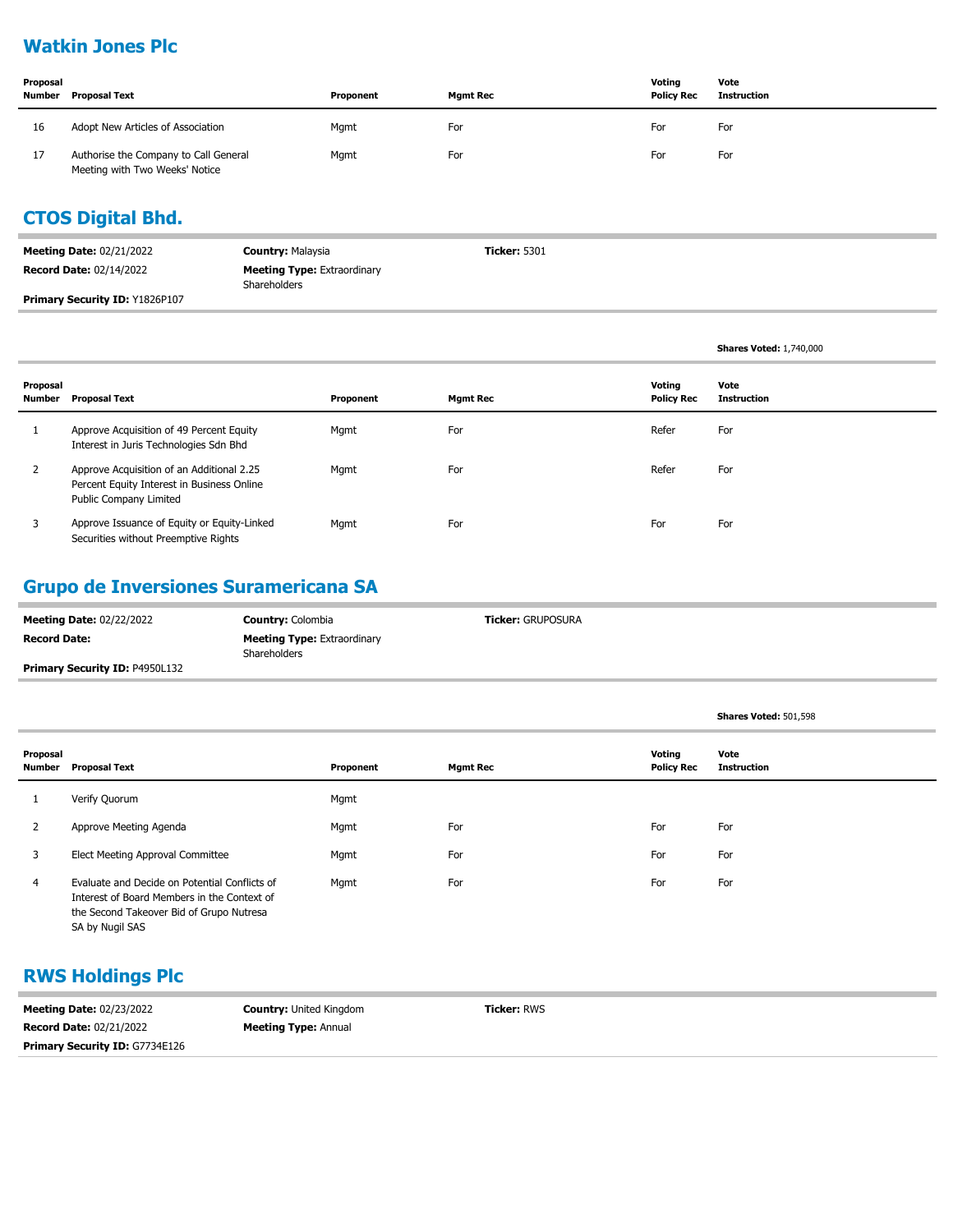## **Watkin Jones Plc**

| Proposal<br>Number | <b>Proposal Text</b>                                                    | Proponent | <b>Mgmt Rec</b> | Voting<br><b>Policy Rec</b> | Vote<br>Instruction |
|--------------------|-------------------------------------------------------------------------|-----------|-----------------|-----------------------------|---------------------|
| 16                 | Adopt New Articles of Association                                       | Mgmt      | For             | For                         | For                 |
| 17                 | Authorise the Company to Call General<br>Meeting with Two Weeks' Notice | Mgmt      | For             | For                         | For                 |

# **CTOS Digital Bhd.**

| <b>Meeting Date: 02/21/2022</b>       | <b>Country: Malaysia</b>                           | <b>Ticker: 5301</b> |
|---------------------------------------|----------------------------------------------------|---------------------|
| <b>Record Date: 02/14/2022</b>        | <b>Meeting Type: Extraordinary</b><br>Shareholders |                     |
| <b>Primary Security ID: Y1826P107</b> |                                                    |                     |

|                    |                                                                                                                          |           |                 |                             | <b>Shares Voted: 1,740,000</b> |
|--------------------|--------------------------------------------------------------------------------------------------------------------------|-----------|-----------------|-----------------------------|--------------------------------|
| Proposal<br>Number | Proposal Text                                                                                                            | Proponent | <b>Mgmt Rec</b> | Voting<br><b>Policy Rec</b> | Vote<br>Instruction            |
|                    | Approve Acquisition of 49 Percent Equity<br>Interest in Juris Technologies Sdn Bhd                                       | Mgmt      | For             | Refer                       | For                            |
| $\overline{2}$     | Approve Acquisition of an Additional 2.25<br>Percent Equity Interest in Business Online<br><b>Public Company Limited</b> | Mgmt      | For             | Refer                       | For                            |
| 3                  | Approve Issuance of Equity or Equity-Linked<br>Securities without Preemptive Rights                                      | Mgmt      | For             | For                         | For                            |

# **Grupo de Inversiones Suramericana SA**

| <b>Meeting Date: 02/22/2022</b>       | <b>Country: Colombia</b>                           | <b>Ticker: GRUPOSURA</b> |
|---------------------------------------|----------------------------------------------------|--------------------------|
| <b>Record Date:</b>                   | <b>Meeting Type: Extraordinary</b><br>Shareholders |                          |
| <b>Primary Security ID: P4950L132</b> |                                                    |                          |

**Shares Voted:** 501,598

| Proposal<br>Number | <b>Proposal Text</b>                                                                                                                                        | Proponent | <b>Mgmt Rec</b> | Voting<br><b>Policy Rec</b> | Vote<br><b>Instruction</b> |
|--------------------|-------------------------------------------------------------------------------------------------------------------------------------------------------------|-----------|-----------------|-----------------------------|----------------------------|
|                    | Verify Quorum                                                                                                                                               | Mgmt      |                 |                             |                            |
| 2                  | Approve Meeting Agenda                                                                                                                                      | Mgmt      | For             | For                         | For                        |
| 3                  | Elect Meeting Approval Committee                                                                                                                            | Mgmt      | For             | For                         | For                        |
| 4                  | Evaluate and Decide on Potential Conflicts of<br>Interest of Board Members in the Context of<br>the Second Takeover Bid of Grupo Nutresa<br>SA by Nugil SAS | Mgmt      | For             | For                         | For                        |

#### **RWS Holdings Plc**

| <b>Meeting Date: 02/23/2022</b>       | <b>Country: United Kingdom</b> | <b>Ticker:</b> RWS |
|---------------------------------------|--------------------------------|--------------------|
| <b>Record Date: 02/21/2022</b>        | <b>Meeting Type: Annual</b>    |                    |
| <b>Primary Security ID: G7734E126</b> |                                |                    |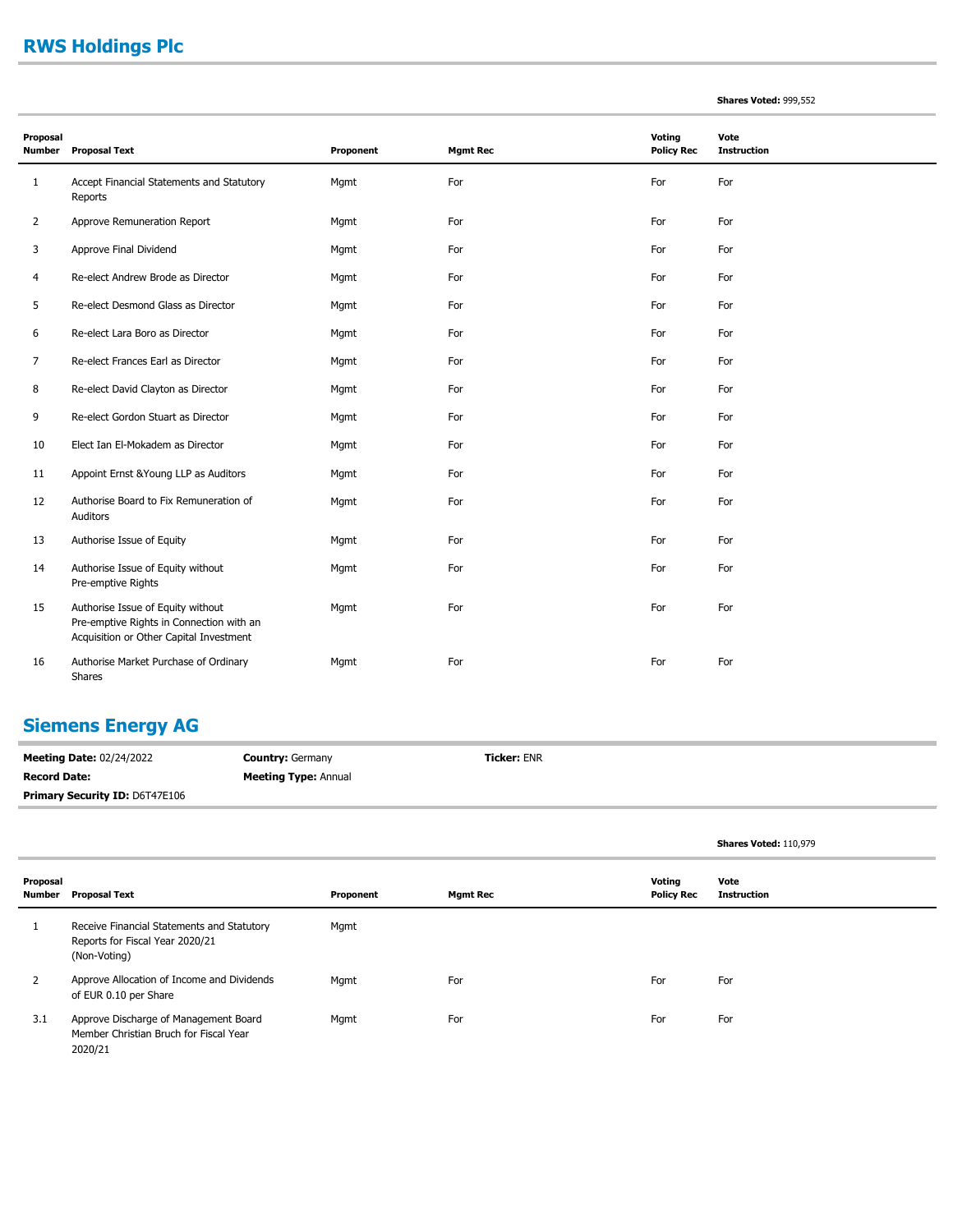# **RWS Holdings Plc**

|  |  | Shares Voted: 999,552 |
|--|--|-----------------------|
|--|--|-----------------------|

| Proposal<br><b>Number</b> | <b>Proposal Text</b>                                                                                                     | Proponent | <b>Mgmt Rec</b> | Voting<br><b>Policy Rec</b> | Vote<br><b>Instruction</b> |
|---------------------------|--------------------------------------------------------------------------------------------------------------------------|-----------|-----------------|-----------------------------|----------------------------|
| 1                         | Accept Financial Statements and Statutory<br>Reports                                                                     | Mgmt      | For             | For                         | For                        |
| 2                         | Approve Remuneration Report                                                                                              | Mgmt      | For             | For                         | For                        |
| 3                         | Approve Final Dividend                                                                                                   | Mgmt      | For             | For                         | For                        |
| 4                         | Re-elect Andrew Brode as Director                                                                                        | Mgmt      | For             | For                         | For                        |
| 5                         | Re-elect Desmond Glass as Director                                                                                       | Mgmt      | For             | For                         | For                        |
| 6                         | Re-elect Lara Boro as Director                                                                                           | Mgmt      | For             | For                         | For                        |
| 7                         | Re-elect Frances Earl as Director                                                                                        | Mgmt      | For             | For                         | For                        |
| 8                         | Re-elect David Clayton as Director                                                                                       | Mgmt      | For             | For                         | For                        |
| 9                         | Re-elect Gordon Stuart as Director                                                                                       | Mgmt      | For             | For                         | For                        |
| 10                        | Elect Ian El-Mokadem as Director                                                                                         | Mgmt      | For             | For                         | For                        |
| 11                        | Appoint Ernst & Young LLP as Auditors                                                                                    | Mgmt      | For             | For                         | For                        |
| 12                        | Authorise Board to Fix Remuneration of<br>Auditors                                                                       | Mgmt      | For             | For                         | For                        |
| 13                        | Authorise Issue of Equity                                                                                                | Mgmt      | For             | For                         | For                        |
| 14                        | Authorise Issue of Equity without<br>Pre-emptive Rights                                                                  | Mgmt      | For             | For                         | For                        |
| 15                        | Authorise Issue of Equity without<br>Pre-emptive Rights in Connection with an<br>Acquisition or Other Capital Investment | Mgmt      | For             | For                         | For                        |
| 16                        | Authorise Market Purchase of Ordinary<br>Shares                                                                          | Mgmt      | For             | For                         | For                        |

#### **Siemens Energy AG**

**Meeting Date:** 02/24/2022 **Record Date: Country:** Germany **Meeting Type:** Annual **Ticker:** ENR **Primary Security ID: D6T47E106** 

|                    |                                                                                               |           |                 |                             | <b>Shares Voted: 110,979</b> |
|--------------------|-----------------------------------------------------------------------------------------------|-----------|-----------------|-----------------------------|------------------------------|
| Proposal<br>Number | <b>Proposal Text</b>                                                                          | Proponent | <b>Mgmt Rec</b> | Voting<br><b>Policy Rec</b> | Vote<br><b>Instruction</b>   |
|                    | Receive Financial Statements and Statutory<br>Reports for Fiscal Year 2020/21<br>(Non-Voting) | Mgmt      |                 |                             |                              |
| 2                  | Approve Allocation of Income and Dividends<br>of EUR 0.10 per Share                           | Mgmt      | For             | For                         | For                          |
| 3.1                | Approve Discharge of Management Board<br>Member Christian Bruch for Fiscal Year<br>2020/21    | Mgmt      | For             | For                         | For                          |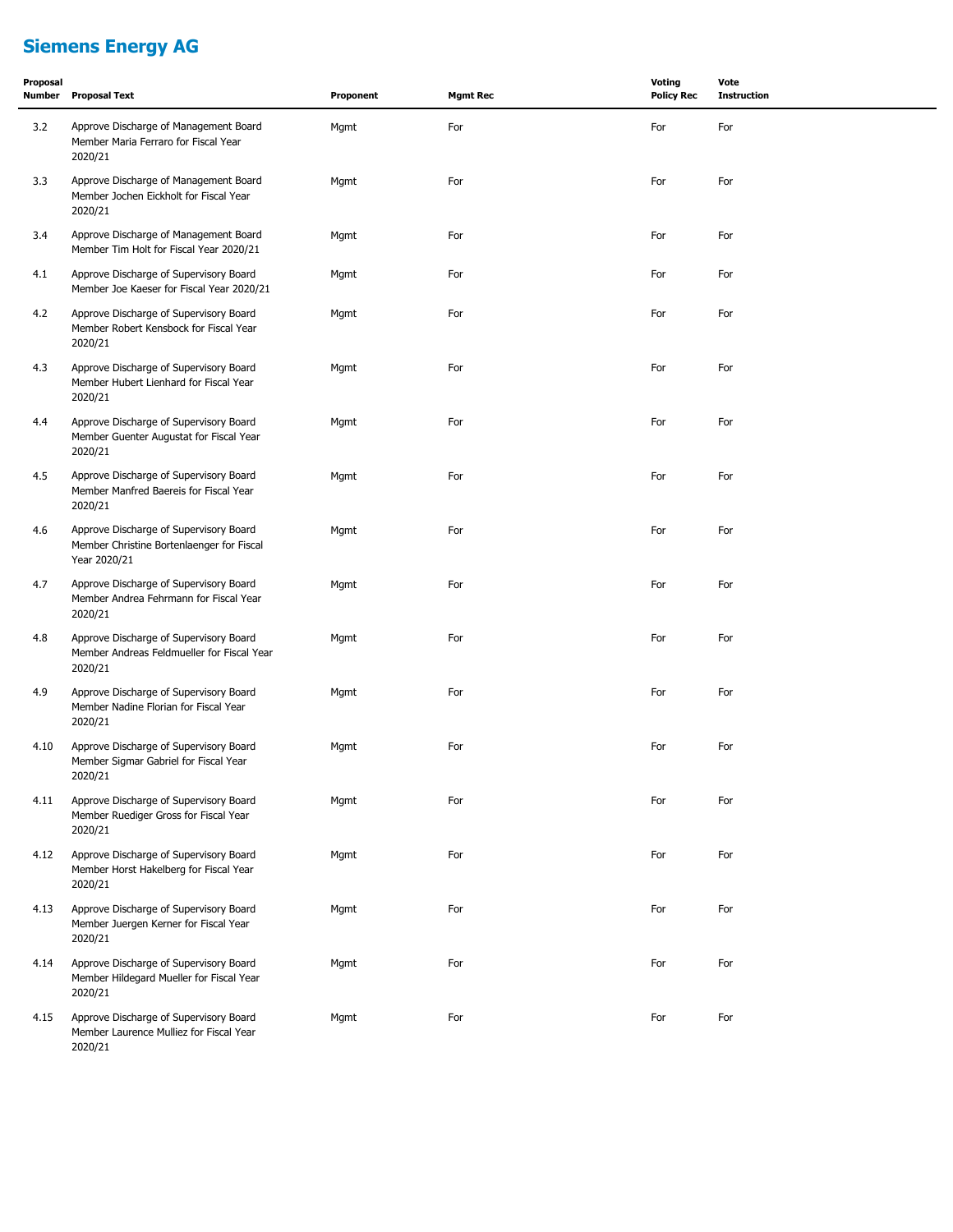# **Siemens Energy AG**

| Proposal<br><b>Number</b> | <b>Proposal Text</b>                                                                                | Proponent | <b>Mgmt Rec</b> | Voting<br><b>Policy Rec</b> | Vote<br><b>Instruction</b> |
|---------------------------|-----------------------------------------------------------------------------------------------------|-----------|-----------------|-----------------------------|----------------------------|
| 3.2                       | Approve Discharge of Management Board<br>Member Maria Ferraro for Fiscal Year<br>2020/21            | Mgmt      | For             | For                         | For                        |
| 3.3                       | Approve Discharge of Management Board<br>Member Jochen Eickholt for Fiscal Year<br>2020/21          | Mgmt      | For             | For                         | For                        |
| 3.4                       | Approve Discharge of Management Board<br>Member Tim Holt for Fiscal Year 2020/21                    | Mgmt      | For             | For                         | For                        |
| 4.1                       | Approve Discharge of Supervisory Board<br>Member Joe Kaeser for Fiscal Year 2020/21                 | Mgmt      | For             | For                         | For                        |
| 4.2                       | Approve Discharge of Supervisory Board<br>Member Robert Kensbock for Fiscal Year<br>2020/21         | Mgmt      | For             | For                         | For                        |
| 4.3                       | Approve Discharge of Supervisory Board<br>Member Hubert Lienhard for Fiscal Year<br>2020/21         | Mgmt      | For             | For                         | For                        |
| 4.4                       | Approve Discharge of Supervisory Board<br>Member Guenter Augustat for Fiscal Year<br>2020/21        | Mgmt      | For             | For                         | For                        |
| 4.5                       | Approve Discharge of Supervisory Board<br>Member Manfred Baereis for Fiscal Year<br>2020/21         | Mgmt      | For             | For                         | For                        |
| 4.6                       | Approve Discharge of Supervisory Board<br>Member Christine Bortenlaenger for Fiscal<br>Year 2020/21 | Mgmt      | For             | For                         | For                        |
| 4.7                       | Approve Discharge of Supervisory Board<br>Member Andrea Fehrmann for Fiscal Year<br>2020/21         | Mgmt      | For             | For                         | For                        |
| 4.8                       | Approve Discharge of Supervisory Board<br>Member Andreas Feldmueller for Fiscal Year<br>2020/21     | Mgmt      | For             | For                         | For                        |
| 4.9                       | Approve Discharge of Supervisory Board<br>Member Nadine Florian for Fiscal Year<br>2020/21          | Mgmt      | For             | For                         | For                        |
| 4.10                      | Approve Discharge of Supervisory Board<br>Member Sigmar Gabriel for Fiscal Year<br>2020/21          | Mgmt      | For             | For                         | For                        |
| 4.11                      | Approve Discharge of Supervisory Board<br>Member Ruediger Gross for Fiscal Year<br>2020/21          | Mgmt      | For             | For                         | For                        |
| 4.12                      | Approve Discharge of Supervisory Board<br>Member Horst Hakelberg for Fiscal Year<br>2020/21         | Mgmt      | For             | For                         | For                        |
| 4.13                      | Approve Discharge of Supervisory Board<br>Member Juergen Kerner for Fiscal Year<br>2020/21          | Mgmt      | For             | For                         | For                        |
| 4.14                      | Approve Discharge of Supervisory Board<br>Member Hildegard Mueller for Fiscal Year<br>2020/21       | Mgmt      | For             | For                         | For                        |
| 4.15                      | Approve Discharge of Supervisory Board<br>Member Laurence Mulliez for Fiscal Year<br>2020/21        | Mgmt      | For             | For                         | For                        |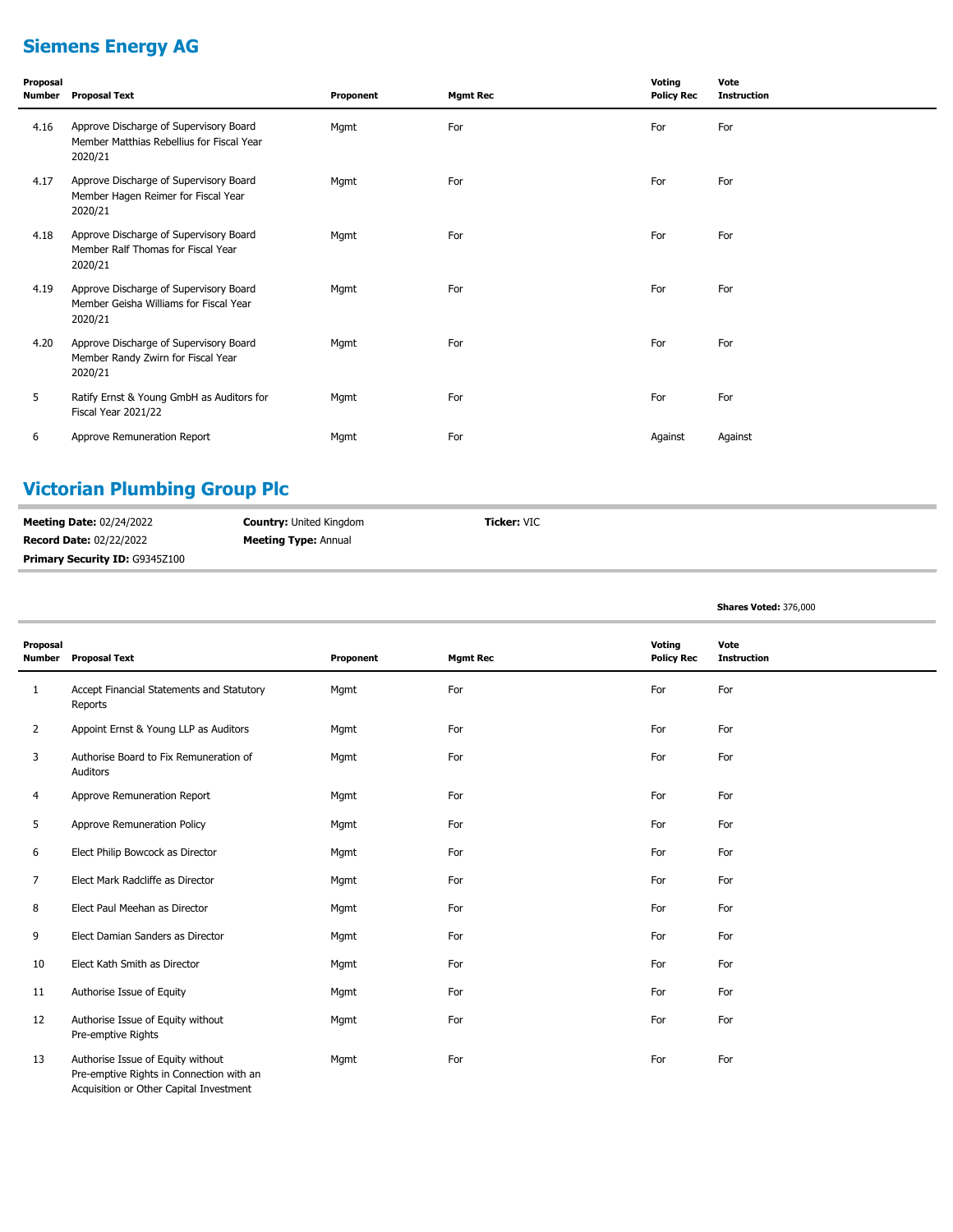# **Siemens Energy AG**

| Proposal<br>Number | <b>Proposal Text</b>                                                                           | Proponent | <b>Mgmt Rec</b> | Voting<br><b>Policy Rec</b> | Vote<br><b>Instruction</b> |
|--------------------|------------------------------------------------------------------------------------------------|-----------|-----------------|-----------------------------|----------------------------|
| 4.16               | Approve Discharge of Supervisory Board<br>Member Matthias Rebellius for Fiscal Year<br>2020/21 | Mgmt      | For             | For                         | For                        |
| 4.17               | Approve Discharge of Supervisory Board<br>Member Hagen Reimer for Fiscal Year<br>2020/21       | Mgmt      | For             | For                         | For                        |
| 4.18               | Approve Discharge of Supervisory Board<br>Member Ralf Thomas for Fiscal Year<br>2020/21        | Mgmt      | For             | For                         | For                        |
| 4.19               | Approve Discharge of Supervisory Board<br>Member Geisha Williams for Fiscal Year<br>2020/21    | Mgmt      | For             | For                         | For                        |
| 4.20               | Approve Discharge of Supervisory Board<br>Member Randy Zwirn for Fiscal Year<br>2020/21        | Mgmt      | For             | For                         | For                        |
| 5                  | Ratify Ernst & Young GmbH as Auditors for<br>Fiscal Year 2021/22                               | Mgmt      | For             | For                         | For                        |
| 6                  | Approve Remuneration Report                                                                    | Mgmt      | For             | Against                     | Against                    |

# **Victorian Plumbing Group Plc**

| <b>Meeting Date: 02/24/2022</b> | <b>Country: United Kingdom</b> | <b>Ticker: VIC</b> |
|---------------------------------|--------------------------------|--------------------|
| <b>Record Date: 02/22/2022</b>  | <b>Meeting Type: Annual</b>    |                    |
| Primary Security ID: G9345Z100  |                                |                    |

#### **Shares Voted:** 376,000

| Proposal<br><b>Number</b> | <b>Proposal Text</b>                                                                                                     | Proponent | <b>Mgmt Rec</b> | Voting<br><b>Policy Rec</b> | Vote<br><b>Instruction</b> |
|---------------------------|--------------------------------------------------------------------------------------------------------------------------|-----------|-----------------|-----------------------------|----------------------------|
| $\mathbf{1}$              | Accept Financial Statements and Statutory<br>Reports                                                                     | Mgmt      | For             | For                         | For                        |
| $\overline{2}$            | Appoint Ernst & Young LLP as Auditors                                                                                    | Mgmt      | For             | For                         | For                        |
| 3                         | Authorise Board to Fix Remuneration of<br>Auditors                                                                       | Mgmt      | For             | For                         | For                        |
| 4                         | Approve Remuneration Report                                                                                              | Mgmt      | For             | For                         | For                        |
| 5                         | Approve Remuneration Policy                                                                                              | Mgmt      | For             | For                         | For                        |
| 6                         | Elect Philip Bowcock as Director                                                                                         | Mgmt      | For             | For                         | For                        |
| 7                         | Elect Mark Radcliffe as Director                                                                                         | Mgmt      | For             | For                         | For                        |
| 8                         | Elect Paul Meehan as Director                                                                                            | Mgmt      | For             | For                         | For                        |
| 9                         | Elect Damian Sanders as Director                                                                                         | Mgmt      | For             | For                         | For                        |
| 10                        | Elect Kath Smith as Director                                                                                             | Mgmt      | For             | For                         | For                        |
| 11                        | Authorise Issue of Equity                                                                                                | Mgmt      | For             | For                         | For                        |
| 12                        | Authorise Issue of Equity without<br>Pre-emptive Rights                                                                  | Mgmt      | For             | For                         | For                        |
| 13                        | Authorise Issue of Equity without<br>Pre-emptive Rights in Connection with an<br>Acquisition or Other Capital Investment | Mgmt      | For             | For                         | For                        |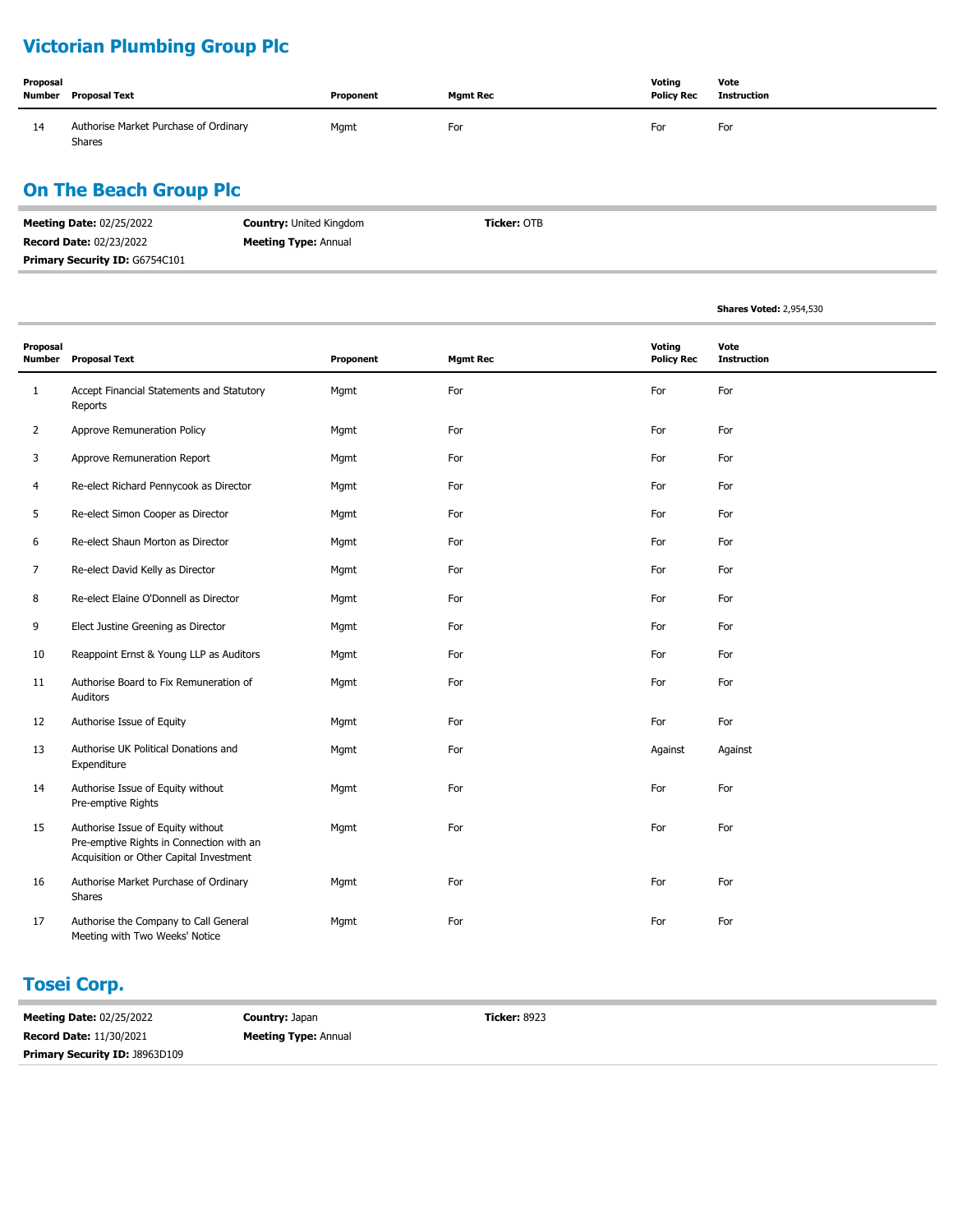# **Victorian Plumbing Group Plc**

| Proposal<br>Number | Proposal Text                                          | Proponent | <b>Mgmt Rec</b> | Votina<br><b>Policy Rec</b> | Vote<br><b>Instruction</b> |
|--------------------|--------------------------------------------------------|-----------|-----------------|-----------------------------|----------------------------|
| 14                 | Authorise Market Purchase of Ordinary<br><b>Shares</b> | Mgmt      | For             | For                         | For                        |

# **On The Beach Group Plc**

| <b>Meeting Date: 02/25/2022</b> | <b>Country: United Kingdom</b> | <b>Ticker: OTB</b> |
|---------------------------------|--------------------------------|--------------------|
| <b>Record Date: 02/23/2022</b>  | <b>Meeting Type:</b> Annual    |                    |
| Primary Security ID: G6754C101  |                                |                    |

|                           |                                                                                                                          |           |                 |                             | <b>Shares Voted: 2,954,530</b> |
|---------------------------|--------------------------------------------------------------------------------------------------------------------------|-----------|-----------------|-----------------------------|--------------------------------|
| Proposal<br><b>Number</b> | <b>Proposal Text</b>                                                                                                     | Proponent | <b>Mgmt Rec</b> | Voting<br><b>Policy Rec</b> | Vote<br><b>Instruction</b>     |
| $\mathbf{1}$              | Accept Financial Statements and Statutory<br>Reports                                                                     | Mgmt      | For             | For                         | For                            |
| 2                         | Approve Remuneration Policy                                                                                              | Mgmt      | For             | For                         | For                            |
| 3                         | Approve Remuneration Report                                                                                              | Mgmt      | For             | For                         | For                            |
| 4                         | Re-elect Richard Pennycook as Director                                                                                   | Mgmt      | For             | For                         | For                            |
| 5                         | Re-elect Simon Cooper as Director                                                                                        | Mgmt      | For             | For                         | For                            |
| 6                         | Re-elect Shaun Morton as Director                                                                                        | Mgmt      | For             | For                         | For                            |
| 7                         | Re-elect David Kelly as Director                                                                                         | Mgmt      | For             | For                         | For                            |
| 8                         | Re-elect Elaine O'Donnell as Director                                                                                    | Mgmt      | For             | For                         | For                            |
| 9                         | Elect Justine Greening as Director                                                                                       | Mgmt      | For             | For                         | For                            |
| 10                        | Reappoint Ernst & Young LLP as Auditors                                                                                  | Mgmt      | For             | For                         | For                            |
| 11                        | Authorise Board to Fix Remuneration of<br>Auditors                                                                       | Mgmt      | For             | For                         | For                            |
| 12                        | Authorise Issue of Equity                                                                                                | Mgmt      | For             | For                         | For                            |
| 13                        | Authorise UK Political Donations and<br>Expenditure                                                                      | Mgmt      | For             | Against                     | Against                        |
| 14                        | Authorise Issue of Equity without<br>Pre-emptive Rights                                                                  | Mgmt      | For             | For                         | For                            |
| 15                        | Authorise Issue of Equity without<br>Pre-emptive Rights in Connection with an<br>Acquisition or Other Capital Investment | Mgmt      | For             | For                         | For                            |
| 16                        | Authorise Market Purchase of Ordinary<br>Shares                                                                          | Mgmt      | For             | For                         | For                            |
| 17                        | Authorise the Company to Call General<br>Meeting with Two Weeks' Notice                                                  | Mgmt      | For             | For                         | For                            |

## **Tosei Corp.**

| <b>Meeting Date: 02/25/2022</b>       | <b>Country: Japan</b>       | <b>Ticker: 8923</b> |
|---------------------------------------|-----------------------------|---------------------|
| <b>Record Date: 11/30/2021</b>        | <b>Meeting Type: Annual</b> |                     |
| <b>Primary Security ID: J8963D109</b> |                             |                     |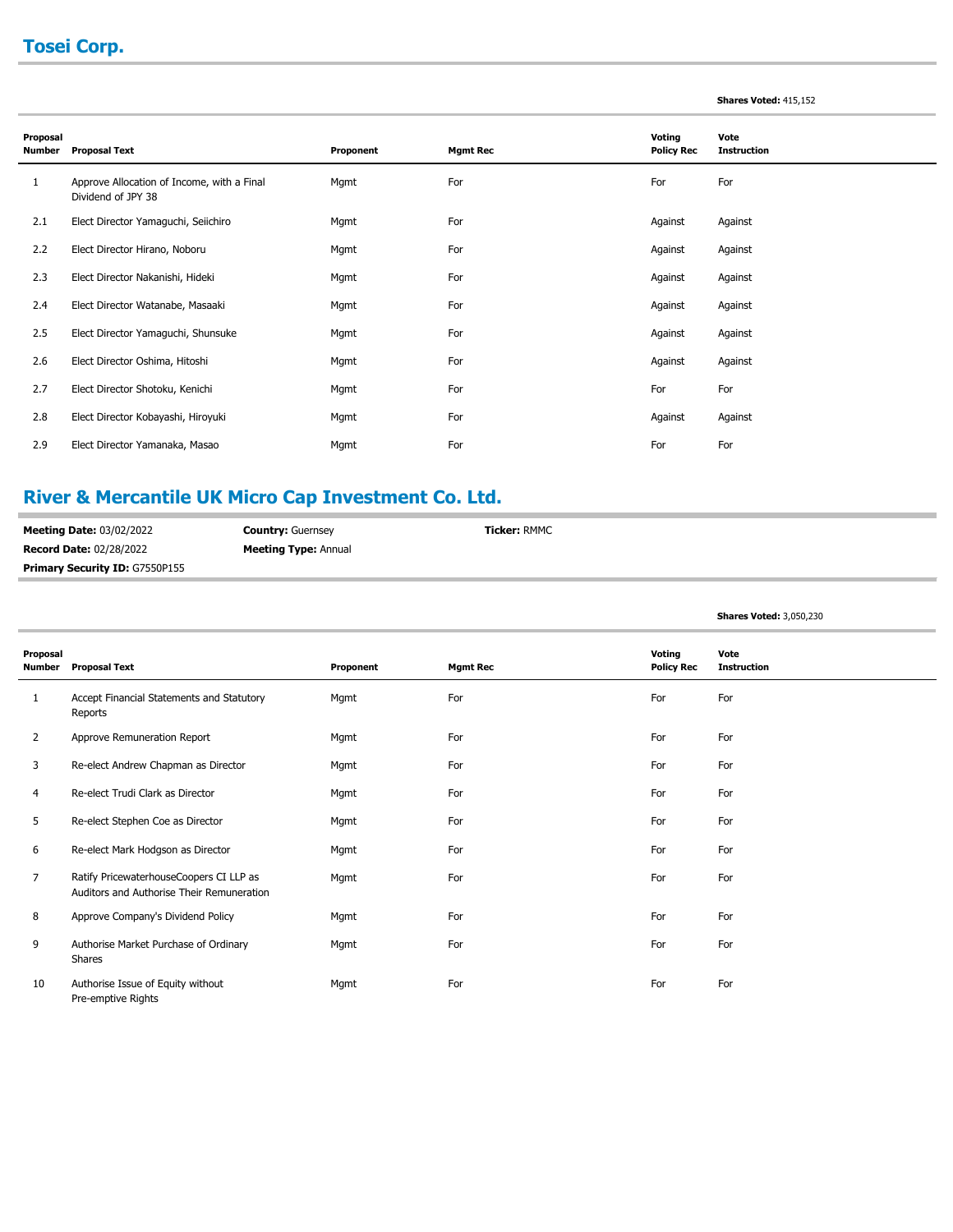# **Tosei Corp.**

#### **Shares Voted:** 415,152

**Shares Voted:** 3,050,230

| Proposal<br><b>Number</b> | <b>Proposal Text</b>                                             | Proponent | <b>Mgmt Rec</b> | Voting<br><b>Policy Rec</b> | Vote<br><b>Instruction</b> |
|---------------------------|------------------------------------------------------------------|-----------|-----------------|-----------------------------|----------------------------|
| 1                         | Approve Allocation of Income, with a Final<br>Dividend of JPY 38 | Mgmt      | For             | For                         | For                        |
| 2.1                       | Elect Director Yamaguchi, Seiichiro                              | Mgmt      | For             | Against                     | Against                    |
| 2.2                       | Elect Director Hirano, Noboru                                    | Mgmt      | For             | Against                     | Against                    |
| 2.3                       | Elect Director Nakanishi, Hideki                                 | Mgmt      | For             | Against                     | Against                    |
| 2.4                       | Elect Director Watanabe, Masaaki                                 | Mgmt      | For             | Against                     | Against                    |
| 2.5                       | Elect Director Yamaguchi, Shunsuke                               | Mgmt      | For             | Against                     | Against                    |
| 2.6                       | Elect Director Oshima, Hitoshi                                   | Mgmt      | For             | Against                     | Against                    |
| 2.7                       | Elect Director Shotoku, Kenichi                                  | Mgmt      | For             | For                         | For                        |
| 2.8                       | Elect Director Kobayashi, Hiroyuki                               | Mgmt      | For             | Against                     | Against                    |
| 2.9                       | Elect Director Yamanaka, Masao                                   | Mgmt      | For             | For                         | For                        |

# **River & Mercantile UK Micro Cap Investment Co. Ltd.**

| <b>Meeting Date: 03/02/2022</b>       | <b>Country: Guernsey</b>    | <b>Ticker: RMMC</b> |
|---------------------------------------|-----------------------------|---------------------|
| <b>Record Date: 02/28/2022</b>        | <b>Meeting Type:</b> Annual |                     |
| <b>Primary Security ID: G7550P155</b> |                             |                     |

| Proposal<br>Number | <b>Proposal Text</b>                                                                 | Proponent | <b>Mgmt Rec</b> | Voting<br><b>Policy Rec</b> | Vote<br><b>Instruction</b> |
|--------------------|--------------------------------------------------------------------------------------|-----------|-----------------|-----------------------------|----------------------------|
| 1                  | Accept Financial Statements and Statutory<br>Reports                                 | Mgmt      | For             | For                         | For                        |
| 2                  | Approve Remuneration Report                                                          | Mgmt      | For             | For                         | For                        |
| 3                  | Re-elect Andrew Chapman as Director                                                  | Mgmt      | For             | For                         | For                        |
| 4                  | Re-elect Trudi Clark as Director                                                     | Mgmt      | For             | For                         | For                        |
| 5                  | Re-elect Stephen Coe as Director                                                     | Mgmt      | For             | For                         | For                        |
| 6                  | Re-elect Mark Hodgson as Director                                                    | Mgmt      | For             | For                         | For                        |
| 7                  | Ratify PricewaterhouseCoopers CI LLP as<br>Auditors and Authorise Their Remuneration | Mgmt      | For             | For                         | For                        |
| 8                  | Approve Company's Dividend Policy                                                    | Mgmt      | For             | For                         | For                        |
| 9                  | Authorise Market Purchase of Ordinary<br>Shares                                      | Mgmt      | For             | For                         | For                        |
| 10                 | Authorise Issue of Equity without<br>Pre-emptive Rights                              | Mgmt      | For             | For                         | For                        |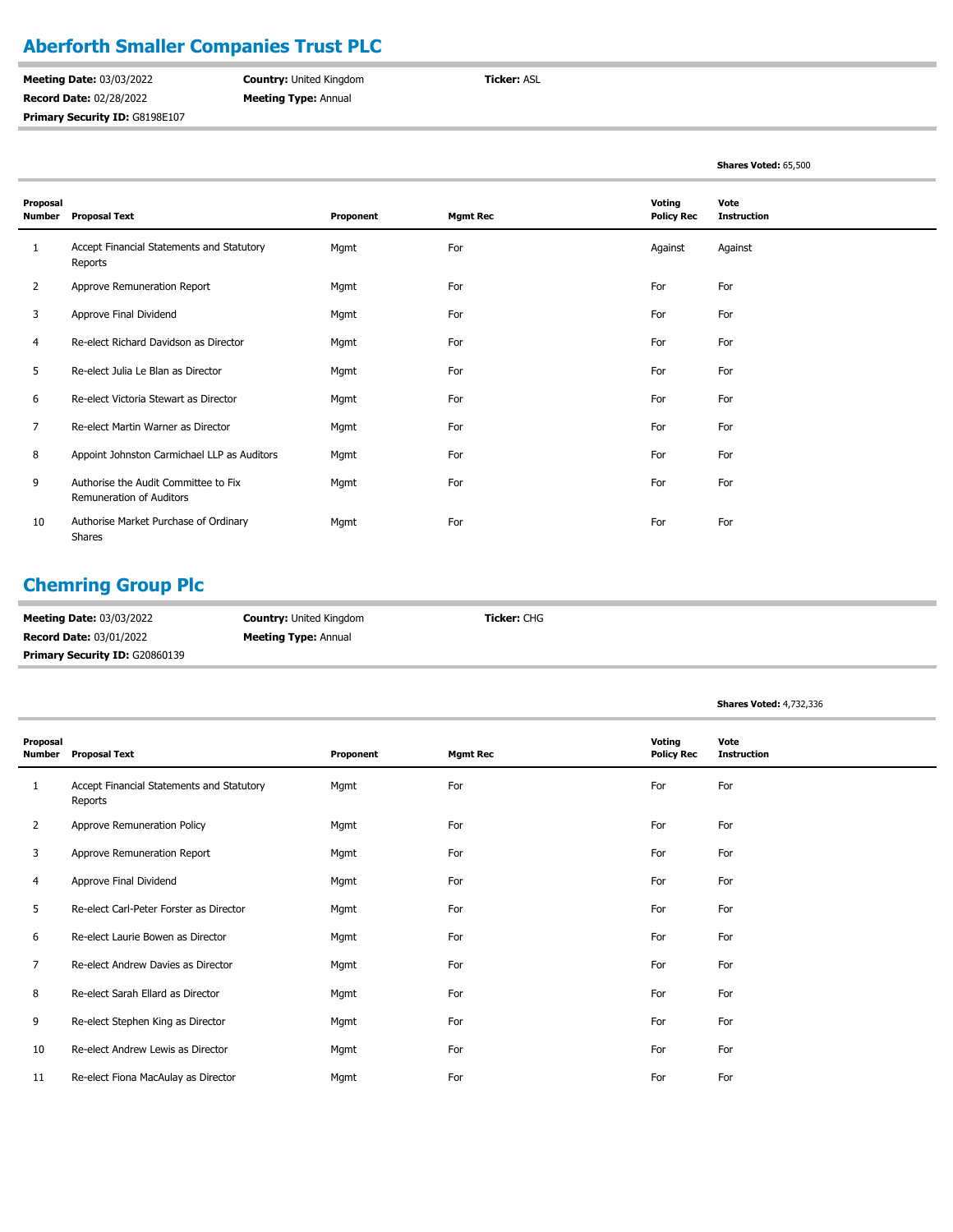## **Aberforth Smaller Companies Trust PLC**

**Meeting Date:** 03/03/2022 **Record Date:** 02/28/2022 Primary Security ID: G8198E107 **Country:** United Kingdom **Meeting Type:** Annual

**Ticker:** ASL

|                           |                                                                         |           |                 |                             | Shares Voted: 65,500       |
|---------------------------|-------------------------------------------------------------------------|-----------|-----------------|-----------------------------|----------------------------|
| Proposal<br><b>Number</b> | <b>Proposal Text</b>                                                    | Proponent | <b>Mgmt Rec</b> | Voting<br><b>Policy Rec</b> | Vote<br><b>Instruction</b> |
| 1                         | Accept Financial Statements and Statutory<br>Reports                    | Mgmt      | For             | Against                     | Against                    |
| 2                         | Approve Remuneration Report                                             | Mgmt      | For             | For                         | For                        |
| 3                         | Approve Final Dividend                                                  | Mgmt      | For             | For                         | For                        |
| 4                         | Re-elect Richard Davidson as Director                                   | Mgmt      | For             | For                         | For                        |
| 5                         | Re-elect Julia Le Blan as Director                                      | Mgmt      | For             | For                         | For                        |
| 6                         | Re-elect Victoria Stewart as Director                                   | Mgmt      | For             | For                         | For                        |
| 7                         | Re-elect Martin Warner as Director                                      | Mgmt      | For             | For                         | For                        |
| 8                         | Appoint Johnston Carmichael LLP as Auditors                             | Mgmt      | For             | For                         | For                        |
| 9                         | Authorise the Audit Committee to Fix<br><b>Remuneration of Auditors</b> | Mgmt      | For             | For                         | For                        |
| 10                        | Authorise Market Purchase of Ordinary<br><b>Shares</b>                  | Mgmt      | For             | For                         | For                        |

## **Chemring Group Plc**

| <b>Meeting Date: 03/03/2022</b>       | <b>Country: United Kingdom</b> | <b>Ticker:</b> CHG |
|---------------------------------------|--------------------------------|--------------------|
| <b>Record Date: 03/01/2022</b>        | <b>Meeting Type: Annual</b>    |                    |
| <b>Primary Security ID: G20860139</b> |                                |                    |

|                           |                                                      |           |                 |                             | <b>Shares Voted: 4,732,336</b> |
|---------------------------|------------------------------------------------------|-----------|-----------------|-----------------------------|--------------------------------|
| Proposal<br><b>Number</b> | <b>Proposal Text</b>                                 | Proponent | <b>Mgmt Rec</b> | Voting<br><b>Policy Rec</b> | Vote<br><b>Instruction</b>     |
| 1                         | Accept Financial Statements and Statutory<br>Reports | Mgmt      | For             | For                         | For                            |
| $\overline{2}$            | Approve Remuneration Policy                          | Mgmt      | For             | For                         | For                            |
| 3                         | Approve Remuneration Report                          | Mgmt      | For             | For                         | For                            |
| 4                         | Approve Final Dividend                               | Mgmt      | For             | For                         | For                            |
| 5                         | Re-elect Carl-Peter Forster as Director              | Mgmt      | For             | For                         | For                            |
| 6                         | Re-elect Laurie Bowen as Director                    | Mgmt      | For             | For                         | For                            |
| $\overline{7}$            | Re-elect Andrew Davies as Director                   | Mgmt      | For             | For                         | For                            |
| 8                         | Re-elect Sarah Ellard as Director                    | Mgmt      | For             | For                         | For                            |
| 9                         | Re-elect Stephen King as Director                    | Mgmt      | For             | For                         | For                            |
| 10                        | Re-elect Andrew Lewis as Director                    | Mgmt      | For             | For                         | For                            |
| 11                        | Re-elect Fiona MacAulay as Director                  | Mgmt      | For             | For                         | For                            |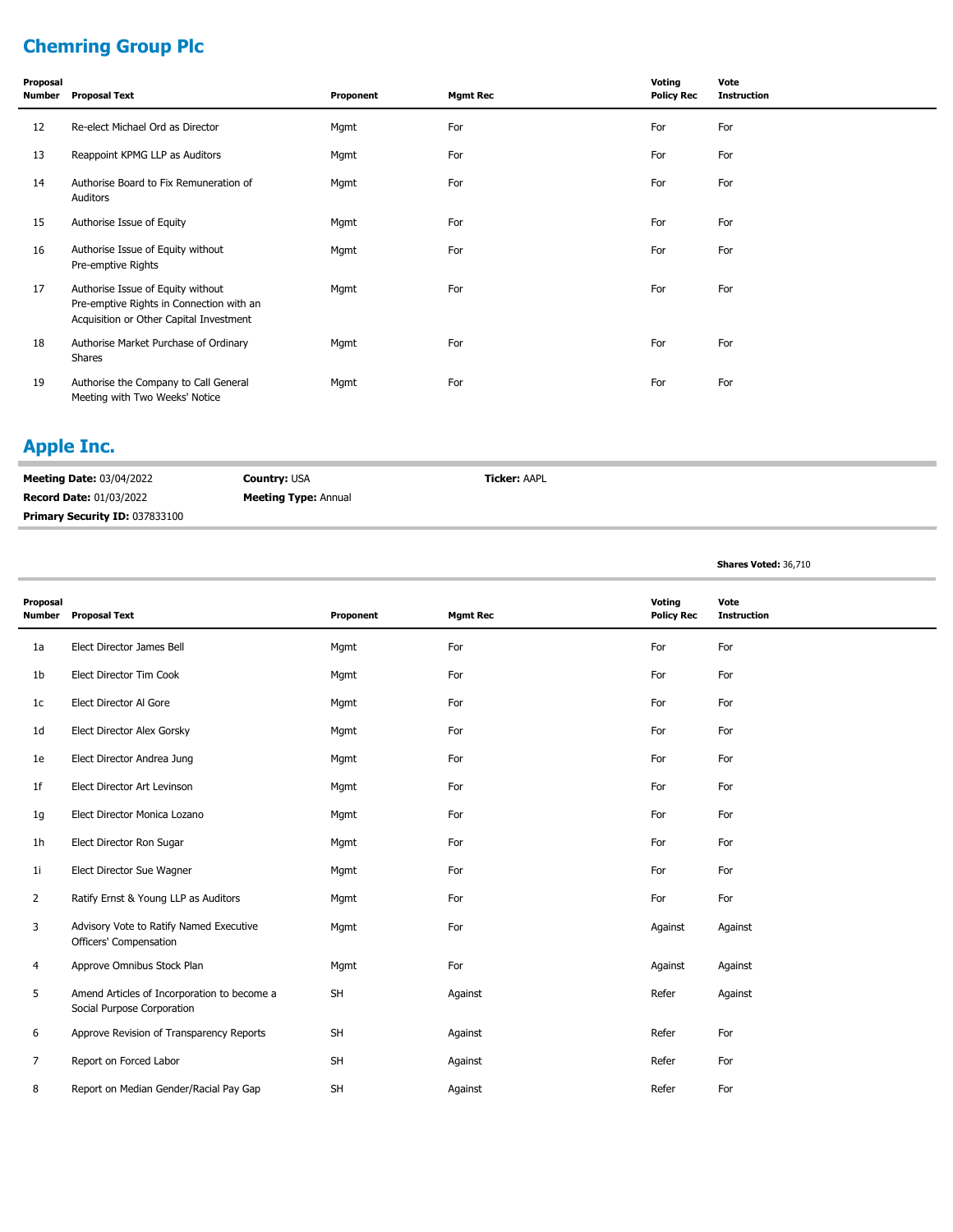# **Chemring Group Plc**

| Proposal<br>Number | <b>Proposal Text</b>                                                                                                     | Proponent | <b>Mgmt Rec</b> | Voting<br><b>Policy Rec</b> | Vote<br><b>Instruction</b> |
|--------------------|--------------------------------------------------------------------------------------------------------------------------|-----------|-----------------|-----------------------------|----------------------------|
| 12                 | Re-elect Michael Ord as Director                                                                                         | Mgmt      | For             | For                         | For                        |
| 13                 | Reappoint KPMG LLP as Auditors                                                                                           | Mgmt      | For             | For                         | For                        |
| 14                 | Authorise Board to Fix Remuneration of<br>Auditors                                                                       | Mgmt      | For             | For                         | For                        |
| 15                 | Authorise Issue of Equity                                                                                                | Mgmt      | For             | For                         | For                        |
| 16                 | Authorise Issue of Equity without<br>Pre-emptive Rights                                                                  | Mgmt      | For             | For                         | For                        |
| 17                 | Authorise Issue of Equity without<br>Pre-emptive Rights in Connection with an<br>Acquisition or Other Capital Investment | Mgmt      | For             | For                         | For                        |
| 18                 | Authorise Market Purchase of Ordinary<br>Shares                                                                          | Mgmt      | For             | For                         | For                        |
| 19                 | Authorise the Company to Call General<br>Meeting with Two Weeks' Notice                                                  | Mgmt      | For             | For                         | For                        |

#### **Apple Inc.**

**Meeting Date:** 03/04/2022 **Record Date:** 01/03/2022 **Country:** USA **Meeting Type:** Annual **Ticker:** AAPL **Primary Security ID:** 037833100

**Shares Voted:** 36,710

| Proposal<br><b>Number</b> | <b>Proposal Text</b>                                                      | Proponent | <b>Mgmt Rec</b> | Voting<br><b>Policy Rec</b> | Vote<br><b>Instruction</b> |
|---------------------------|---------------------------------------------------------------------------|-----------|-----------------|-----------------------------|----------------------------|
| 1a                        | Elect Director James Bell                                                 | Mgmt      | For             | For                         | For                        |
| 1 <sub>b</sub>            | Elect Director Tim Cook                                                   | Mgmt      | For             | For                         | For                        |
| 1 <sub>c</sub>            | Elect Director Al Gore                                                    | Mgmt      | For             | For                         | For                        |
| 1 <sub>d</sub>            | Elect Director Alex Gorsky                                                | Mgmt      | For             | For                         | For                        |
| 1e                        | Elect Director Andrea Jung                                                | Mgmt      | For             | For                         | For                        |
| 1f                        | Elect Director Art Levinson                                               | Mgmt      | For             | For                         | For                        |
| 1g                        | Elect Director Monica Lozano                                              | Mgmt      | For             | For                         | For                        |
| 1 <sub>h</sub>            | Elect Director Ron Sugar                                                  | Mgmt      | For             | For                         | For                        |
| 1 <sub>i</sub>            | Elect Director Sue Wagner                                                 | Mgmt      | For             | For                         | For                        |
| $\overline{2}$            | Ratify Ernst & Young LLP as Auditors                                      | Mgmt      | For             | For                         | For                        |
| 3                         | Advisory Vote to Ratify Named Executive<br>Officers' Compensation         | Mgmt      | For             | Against                     | Against                    |
| 4                         | Approve Omnibus Stock Plan                                                | Mgmt      | For             | Against                     | Against                    |
| 5                         | Amend Articles of Incorporation to become a<br>Social Purpose Corporation | <b>SH</b> | Against         | Refer                       | Against                    |
| 6                         | Approve Revision of Transparency Reports                                  | <b>SH</b> | Against         | Refer                       | For                        |
| $\overline{7}$            | Report on Forced Labor                                                    | <b>SH</b> | Against         | Refer                       | For                        |
| 8                         | Report on Median Gender/Racial Pay Gap                                    | SH        | Against         | Refer                       | For                        |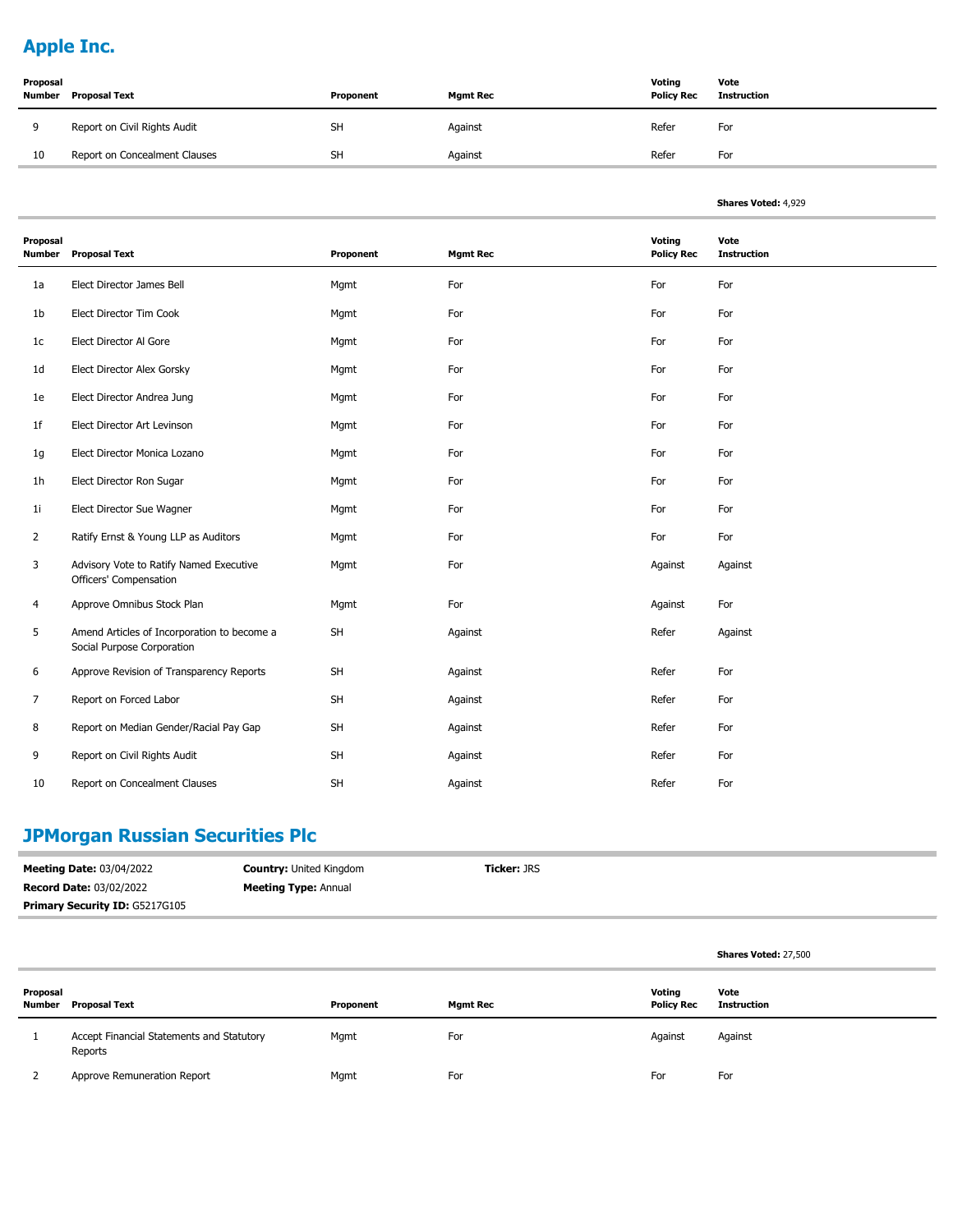# **Apple Inc.**

| Proposal<br><b>Number</b> | Proposal Text                 | Proponent | <b>Mgmt Rec</b> | Voting<br><b>Policy Rec</b> | Vote<br>Instruction |
|---------------------------|-------------------------------|-----------|-----------------|-----------------------------|---------------------|
| Q                         | Report on Civil Rights Audit  | <b>SH</b> | Against         | Refer                       | For                 |
| 10                        | Report on Concealment Clauses | <b>SH</b> | Against         | Refer                       | For                 |

| <b>Shares Voted: 4,929</b> |  |
|----------------------------|--|
|                            |  |

**Shares Voted:** 27,500

| Proposal<br><b>Number</b> | <b>Proposal Text</b>                                                      | Proponent | <b>Mgmt Rec</b> | Voting<br><b>Policy Rec</b> | Vote<br><b>Instruction</b> |
|---------------------------|---------------------------------------------------------------------------|-----------|-----------------|-----------------------------|----------------------------|
| 1a                        | Elect Director James Bell                                                 | Mgmt      | For             | For                         | For                        |
| 1b                        | Elect Director Tim Cook                                                   | Mgmt      | For             | For                         | For                        |
| 1 <sup>c</sup>            | Elect Director Al Gore                                                    | Mgmt      | For             | For                         | For                        |
| 1 <sub>d</sub>            | Elect Director Alex Gorsky                                                | Mgmt      | For             | For                         | For                        |
| 1e                        | Elect Director Andrea Jung                                                | Mgmt      | For             | For                         | For                        |
| 1f                        | Elect Director Art Levinson                                               | Mgmt      | For             | For                         | For                        |
| 1g                        | Elect Director Monica Lozano                                              | Mgmt      | For             | For                         | For                        |
| 1h                        | Elect Director Ron Sugar                                                  | Mgmt      | For             | For                         | For                        |
| 1 <sub>i</sub>            | Elect Director Sue Wagner                                                 | Mgmt      | For             | For                         | For                        |
| $\overline{2}$            | Ratify Ernst & Young LLP as Auditors                                      | Mgmt      | For             | For                         | For                        |
| 3                         | Advisory Vote to Ratify Named Executive<br>Officers' Compensation         | Mgmt      | For             | Against                     | Against                    |
| 4                         | Approve Omnibus Stock Plan                                                | Mgmt      | For             | Against                     | For                        |
| 5                         | Amend Articles of Incorporation to become a<br>Social Purpose Corporation | SH        | Against         | Refer                       | Against                    |
| 6                         | Approve Revision of Transparency Reports                                  | <b>SH</b> | Against         | Refer                       | For                        |
| 7                         | Report on Forced Labor                                                    | SH        | Against         | Refer                       | For                        |
| 8                         | Report on Median Gender/Racial Pay Gap                                    | SH        | Against         | Refer                       | For                        |
| 9                         | Report on Civil Rights Audit                                              | SH        | Against         | Refer                       | For                        |
| 10                        | Report on Concealment Clauses                                             | SH        | Against         | Refer                       | For                        |

# **JPMorgan Russian Securities Plc**

| <b>Meeting Date: 03/04/2022</b>       | <b>Country: United Kingdom</b> | <b>Ticker:</b> JRS |
|---------------------------------------|--------------------------------|--------------------|
| <b>Record Date: 03/02/2022</b>        | <b>Meeting Type: Annual</b>    |                    |
| <b>Primary Security ID: G5217G105</b> |                                |                    |

| Proposal<br>Number | <b>Proposal Text</b>                                 | Proponent | <b>Mgmt Rec</b> | Voting<br><b>Policy Rec</b> | Vote<br><b>Instruction</b> |
|--------------------|------------------------------------------------------|-----------|-----------------|-----------------------------|----------------------------|
|                    | Accept Financial Statements and Statutory<br>Reports | Mgmt      | For             | Against                     | Against                    |
|                    | Approve Remuneration Report                          | Mgmt      | For             | For                         | For                        |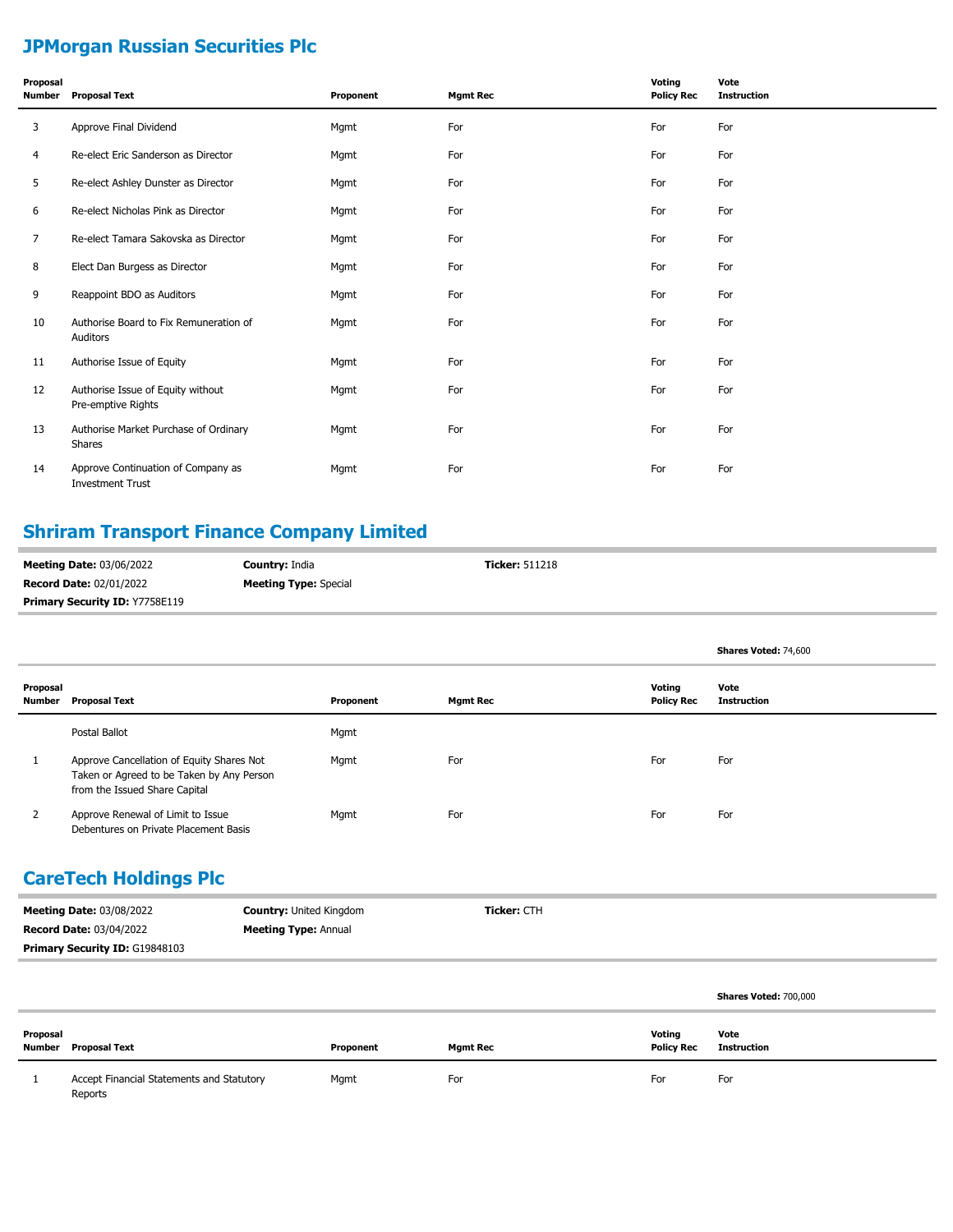# **JPMorgan Russian Securities Plc**

| Proposal<br>Number | <b>Proposal Text</b>                                          | Proponent | <b>Mgmt Rec</b> | Voting<br><b>Policy Rec</b> | Vote<br><b>Instruction</b> |
|--------------------|---------------------------------------------------------------|-----------|-----------------|-----------------------------|----------------------------|
| 3                  | Approve Final Dividend                                        | Mgmt      | For             | For                         | For                        |
| 4                  | Re-elect Eric Sanderson as Director                           | Mgmt      | For             | For                         | For                        |
| 5                  | Re-elect Ashley Dunster as Director                           | Mgmt      | For             | For                         | For                        |
| 6                  | Re-elect Nicholas Pink as Director                            | Mgmt      | For             | For                         | For                        |
| 7                  | Re-elect Tamara Sakovska as Director                          | Mgmt      | For             | For                         | For                        |
| 8                  | Elect Dan Burgess as Director                                 | Mgmt      | For             | For                         | For                        |
| 9                  | Reappoint BDO as Auditors                                     | Mgmt      | For             | For                         | For                        |
| 10                 | Authorise Board to Fix Remuneration of<br>Auditors            | Mgmt      | For             | For                         | For                        |
| 11                 | Authorise Issue of Equity                                     | Mgmt      | For             | For                         | For                        |
| 12                 | Authorise Issue of Equity without<br>Pre-emptive Rights       | Mgmt      | For             | For                         | For                        |
| 13                 | Authorise Market Purchase of Ordinary<br>Shares               | Mgmt      | For             | For                         | For                        |
| 14                 | Approve Continuation of Company as<br><b>Investment Trust</b> | Mgmt      | For             | For                         | For                        |

## **Shriram Transport Finance Company Limited**

| <b>Meeting Date: 03/06/2022</b>       | <b>Country: India</b>        | <b>Ticker: 511218</b> |
|---------------------------------------|------------------------------|-----------------------|
| <b>Record Date: 02/01/2022</b>        | <b>Meeting Type:</b> Special |                       |
| <b>Primary Security ID: Y7758E119</b> |                              |                       |

|                    |                                                                                                                         |           |                 |                             | Shares Voted: 74,600       |
|--------------------|-------------------------------------------------------------------------------------------------------------------------|-----------|-----------------|-----------------------------|----------------------------|
| Proposal<br>Number | <b>Proposal Text</b>                                                                                                    | Proponent | <b>Mgmt Rec</b> | Voting<br><b>Policy Rec</b> | Vote<br><b>Instruction</b> |
|                    | Postal Ballot                                                                                                           | Mgmt      |                 |                             |                            |
|                    | Approve Cancellation of Equity Shares Not<br>Taken or Agreed to be Taken by Any Person<br>from the Issued Share Capital | Mgmt      | For             | For                         | For                        |
|                    | Approve Renewal of Limit to Issue<br>Debentures on Private Placement Basis                                              | Mgmt      | For             | For                         | For                        |

# **CareTech Holdings Plc**

| <b>Meeting Date: 03/08/2022</b>       | <b>Country: United Kingdom</b> | <b>Ticker: CTH</b> |
|---------------------------------------|--------------------------------|--------------------|
| <b>Record Date: 03/04/2022</b>        | <b>Meeting Type: Annual</b>    |                    |
| <b>Primary Security ID: G19848103</b> |                                |                    |

|          |                                                      |           |                 |                             | Shares Voted: 700,000 |
|----------|------------------------------------------------------|-----------|-----------------|-----------------------------|-----------------------|
| Proposal | <b>Number</b> Proposal Text                          | Proponent | <b>Mgmt Rec</b> | Voting<br><b>Policy Rec</b> | Vote<br>Instruction   |
|          | Accept Financial Statements and Statutory<br>Reports | Mgmt      | For             | For                         | For                   |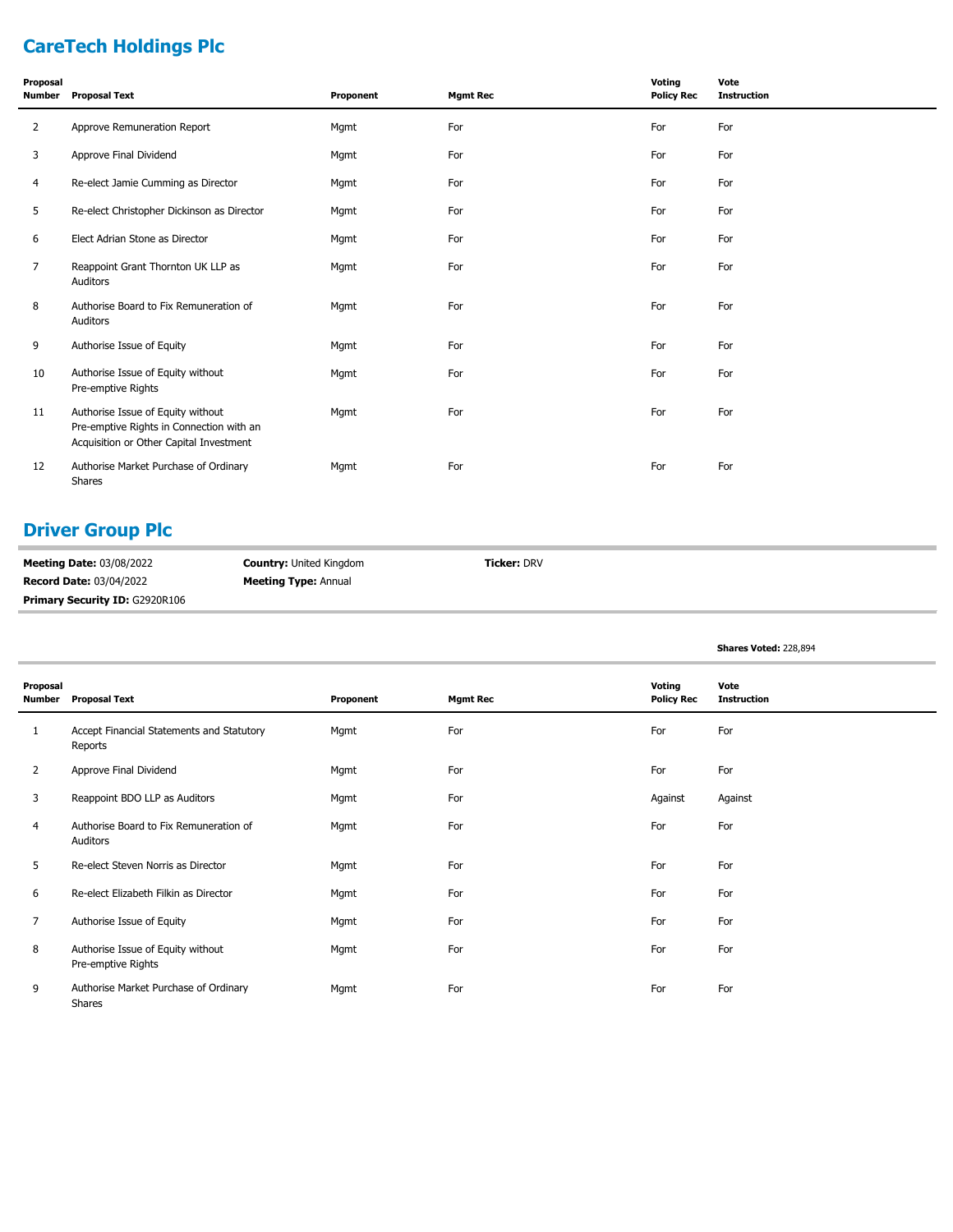# **CareTech Holdings Plc**

| Proposal<br>Number | <b>Proposal Text</b>                                                                                                     | Proponent | <b>Mgmt Rec</b> | Voting<br><b>Policy Rec</b> | Vote<br><b>Instruction</b> |
|--------------------|--------------------------------------------------------------------------------------------------------------------------|-----------|-----------------|-----------------------------|----------------------------|
| $\overline{2}$     | Approve Remuneration Report                                                                                              | Mgmt      | For             | For                         | For                        |
| 3                  | Approve Final Dividend                                                                                                   | Mgmt      | For             | For                         | For                        |
| 4                  | Re-elect Jamie Cumming as Director                                                                                       | Mgmt      | For             | For                         | For                        |
| 5                  | Re-elect Christopher Dickinson as Director                                                                               | Mgmt      | For             | For                         | For                        |
| 6                  | Elect Adrian Stone as Director                                                                                           | Mgmt      | For             | For                         | For                        |
| 7                  | Reappoint Grant Thornton UK LLP as<br>Auditors                                                                           | Mgmt      | For             | For                         | For                        |
| 8                  | Authorise Board to Fix Remuneration of<br>Auditors                                                                       | Mgmt      | For             | For                         | For                        |
| 9                  | Authorise Issue of Equity                                                                                                | Mgmt      | For             | For                         | For                        |
| 10                 | Authorise Issue of Equity without<br>Pre-emptive Rights                                                                  | Mgmt      | For             | For                         | For                        |
| 11                 | Authorise Issue of Equity without<br>Pre-emptive Rights in Connection with an<br>Acquisition or Other Capital Investment | Mgmt      | For             | For                         | For                        |
| 12                 | Authorise Market Purchase of Ordinary<br><b>Shares</b>                                                                   | Mgmt      | For             | For                         | For                        |

## **Driver Group Plc**

| <b>Meeting Date: 03/08/2022</b>       | <b>Country:</b> United Kingdom | <b>Ticker: DRV</b> |
|---------------------------------------|--------------------------------|--------------------|
| <b>Record Date: 03/04/2022</b>        | <b>Meeting Type: Annual</b>    |                    |
| <b>Primary Security ID: G2920R106</b> |                                |                    |

|                    |                                                         |           |                 |                             | Shares Voted: 228,894      |
|--------------------|---------------------------------------------------------|-----------|-----------------|-----------------------------|----------------------------|
| Proposal<br>Number | <b>Proposal Text</b>                                    | Proponent | <b>Mgmt Rec</b> | Voting<br><b>Policy Rec</b> | Vote<br><b>Instruction</b> |
| 1                  | Accept Financial Statements and Statutory<br>Reports    | Mgmt      | For             | For                         | For                        |
| 2                  | Approve Final Dividend                                  | Mgmt      | For             | For                         | For                        |
| 3                  | Reappoint BDO LLP as Auditors                           | Mgmt      | For             | Against                     | Against                    |
| 4                  | Authorise Board to Fix Remuneration of<br>Auditors      | Mgmt      | For             | For                         | For                        |
| 5                  | Re-elect Steven Norris as Director                      | Mgmt      | For             | For                         | For                        |
| 6                  | Re-elect Elizabeth Filkin as Director                   | Mgmt      | For             | For                         | For                        |
| 7                  | Authorise Issue of Equity                               | Mgmt      | For             | For                         | For                        |
| 8                  | Authorise Issue of Equity without<br>Pre-emptive Rights | Mgmt      | For             | For                         | For                        |
| 9                  | Authorise Market Purchase of Ordinary<br>Shares         | Mgmt      | For             | For                         | For                        |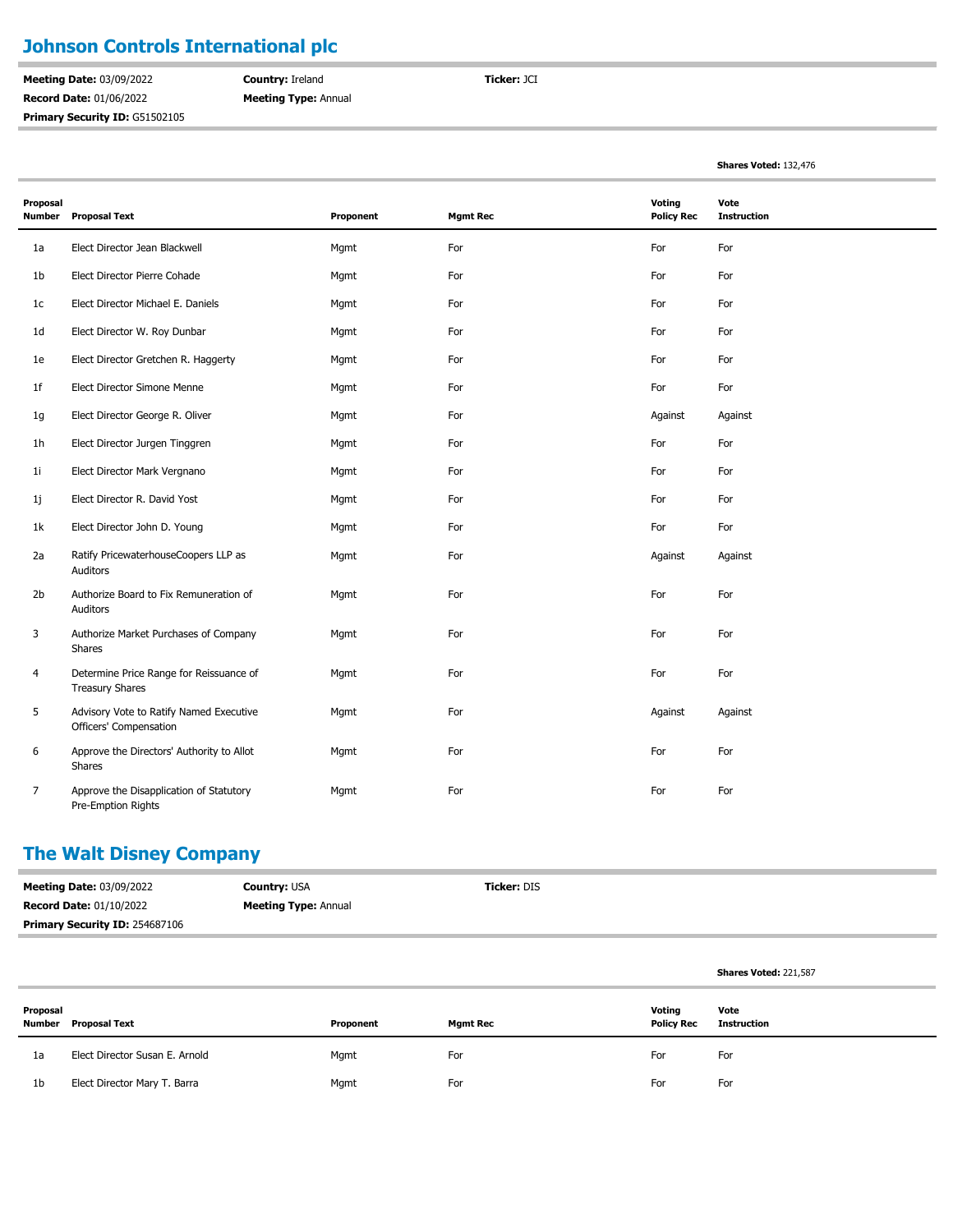## **Johnson Controls International plc**

**Meeting Date:** 03/09/2022 **Record Date:** 01/06/2022 Primary Security ID: G51502105 **Country:** Ireland **Meeting Type:** Annual **Ticker:** JCI

**Shares Voted:** 132,476

| Proposal<br>Number | <b>Proposal Text</b>                                              | Proponent | <b>Mgmt Rec</b> | Voting<br><b>Policy Rec</b> | Vote<br><b>Instruction</b> |
|--------------------|-------------------------------------------------------------------|-----------|-----------------|-----------------------------|----------------------------|
| 1a                 | Elect Director Jean Blackwell                                     | Mgmt      | For             | For                         | For                        |
| 1b                 | Elect Director Pierre Cohade                                      | Mgmt      | For             | For                         | For                        |
| 1c                 | Elect Director Michael E. Daniels                                 | Mgmt      | For             | For                         | For                        |
| 1 <sub>d</sub>     | Elect Director W. Roy Dunbar                                      | Mgmt      | For             | For                         | For                        |
| 1e                 | Elect Director Gretchen R. Haggerty                               | Mgmt      | For             | For                         | For                        |
| 1f                 | Elect Director Simone Menne                                       | Mgmt      | For             | For                         | For                        |
| 1g                 | Elect Director George R. Oliver                                   | Mgmt      | For             | Against                     | Against                    |
| 1h                 | Elect Director Jurgen Tinggren                                    | Mgmt      | For             | For                         | For                        |
| 1i                 | Elect Director Mark Vergnano                                      | Mgmt      | For             | For                         | For                        |
| 1j                 | Elect Director R. David Yost                                      | Mgmt      | For             | For                         | For                        |
| 1k                 | Elect Director John D. Young                                      | Mgmt      | For             | For                         | For                        |
| 2a                 | Ratify PricewaterhouseCoopers LLP as<br>Auditors                  | Mgmt      | For             | Against                     | Against                    |
| 2 <sub>b</sub>     | Authorize Board to Fix Remuneration of<br>Auditors                | Mgmt      | For             | For                         | For                        |
| 3                  | Authorize Market Purchases of Company<br>Shares                   | Mgmt      | For             | For                         | For                        |
| 4                  | Determine Price Range for Reissuance of<br><b>Treasury Shares</b> | Mgmt      | For             | For                         | For                        |
| 5                  | Advisory Vote to Ratify Named Executive<br>Officers' Compensation | Mgmt      | For             | Against                     | Against                    |
| 6                  | Approve the Directors' Authority to Allot<br>Shares               | Mgmt      | For             | For                         | For                        |
| 7                  | Approve the Disapplication of Statutory<br>Pre-Emption Rights     | Mgmt      | For             | For                         | For                        |

#### **The Walt Disney Company**

| <b>Meeting Date: 03/09/2022</b> | <b>Country: USA</b>         | <b>Ticker: DIS</b> |
|---------------------------------|-----------------------------|--------------------|
| <b>Record Date: 01/10/2022</b>  | <b>Meeting Type: Annual</b> |                    |
| Primary Security ID: 254687106  |                             |                    |

|                    |                                |           |                 |                             | <b>Shares Voted: 221,587</b> |
|--------------------|--------------------------------|-----------|-----------------|-----------------------------|------------------------------|
| Proposal<br>Number | Proposal Text                  | Proponent | <b>Mgmt Rec</b> | Voting<br><b>Policy Rec</b> | Vote<br><b>Instruction</b>   |
| 1a                 | Elect Director Susan E. Arnold | Mgmt      | For             | For                         | For                          |
| 1b                 | Elect Director Mary T. Barra   | Mgmt      | For             | For                         | For                          |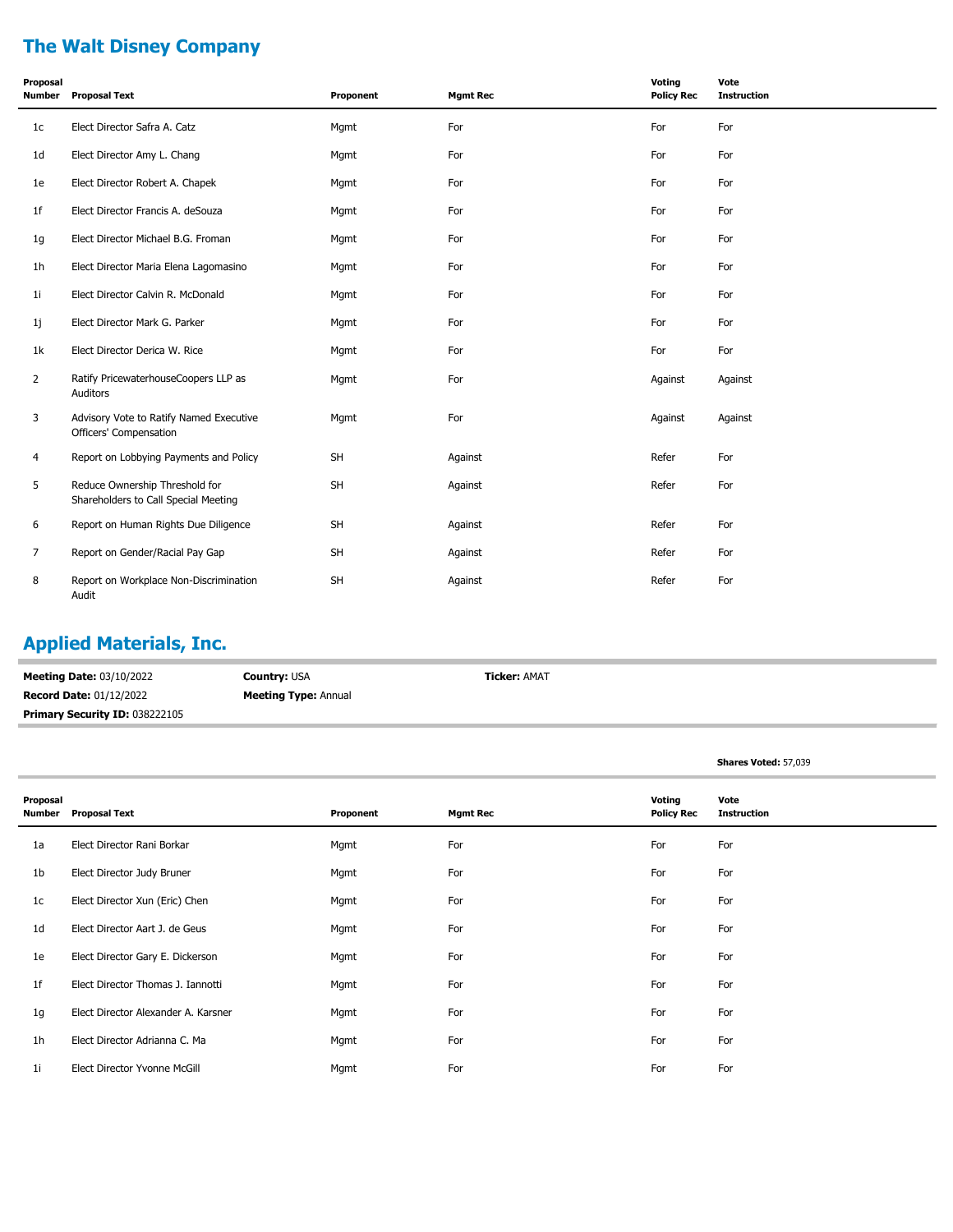# **The Walt Disney Company**

| Proposal<br>Number | <b>Proposal Text</b>                                                   | Proponent | <b>Mgmt Rec</b> | Voting<br><b>Policy Rec</b> | Vote<br><b>Instruction</b> |
|--------------------|------------------------------------------------------------------------|-----------|-----------------|-----------------------------|----------------------------|
| 1c                 | Elect Director Safra A. Catz                                           | Mgmt      | For             | For                         | For                        |
| 1d                 | Elect Director Amy L. Chang                                            | Mgmt      | For             | For                         | For                        |
| 1e                 | Elect Director Robert A. Chapek                                        | Mgmt      | For             | For                         | For                        |
| 1f                 | Elect Director Francis A. deSouza                                      | Mgmt      | For             | For                         | For                        |
| 1g                 | Elect Director Michael B.G. Froman                                     | Mgmt      | For             | For                         | For                        |
| 1h                 | Elect Director Maria Elena Lagomasino                                  | Mgmt      | For             | For                         | For                        |
| 1i                 | Elect Director Calvin R. McDonald                                      | Mgmt      | For             | For                         | For                        |
| 1j                 | Elect Director Mark G. Parker                                          | Mgmt      | For             | For                         | For                        |
| 1k                 | Elect Director Derica W. Rice                                          | Mgmt      | For             | For                         | For                        |
| $\overline{2}$     | Ratify PricewaterhouseCoopers LLP as<br>Auditors                       | Mgmt      | For             | Against                     | Against                    |
| 3                  | Advisory Vote to Ratify Named Executive<br>Officers' Compensation      | Mgmt      | For             | Against                     | Against                    |
| 4                  | Report on Lobbying Payments and Policy                                 | <b>SH</b> | Against         | Refer                       | For                        |
| 5                  | Reduce Ownership Threshold for<br>Shareholders to Call Special Meeting | <b>SH</b> | Against         | Refer                       | For                        |
| 6                  | Report on Human Rights Due Diligence                                   | <b>SH</b> | Against         | Refer                       | For                        |
| 7                  | Report on Gender/Racial Pay Gap                                        | <b>SH</b> | Against         | Refer                       | For                        |
| 8                  | Report on Workplace Non-Discrimination<br>Audit                        | <b>SH</b> | Against         | Refer                       | For                        |

# **Applied Materials, Inc.**

| <b>Meeting Date: 03/10/2022</b>       | <b>Country: USA</b>         | <b>Ticker: AMAT</b> |
|---------------------------------------|-----------------------------|---------------------|
| <b>Record Date: 01/12/2022</b>        | <b>Meeting Type: Annual</b> |                     |
| <b>Primary Security ID: 038222105</b> |                             |                     |

|                    |                                     |           |                 |                             | Shares Voted: 57,039       |
|--------------------|-------------------------------------|-----------|-----------------|-----------------------------|----------------------------|
| Proposal<br>Number | <b>Proposal Text</b>                | Proponent | <b>Mgmt Rec</b> | Voting<br><b>Policy Rec</b> | Vote<br><b>Instruction</b> |
| 1a                 | Elect Director Rani Borkar          | Mgmt      | For             | For                         | For                        |
| 1 <sub>b</sub>     | Elect Director Judy Bruner          | Mgmt      | For             | For                         | For                        |
| 1c                 | Elect Director Xun (Eric) Chen      | Mgmt      | For             | For                         | For                        |
| 1 <sub>d</sub>     | Elect Director Aart J. de Geus      | Mgmt      | For             | For                         | For                        |
| 1e                 | Elect Director Gary E. Dickerson    | Mgmt      | For             | For                         | For                        |
| 1 <sub>f</sub>     | Elect Director Thomas J. Iannotti   | Mgmt      | For             | For                         | For                        |
| 1g                 | Elect Director Alexander A. Karsner | Mgmt      | For             | For                         | For                        |
| 1 <sub>h</sub>     | Elect Director Adrianna C. Ma       | Mgmt      | For             | For                         | For                        |
| 11                 | Elect Director Yvonne McGill        | Mgmt      | For             | For                         | For                        |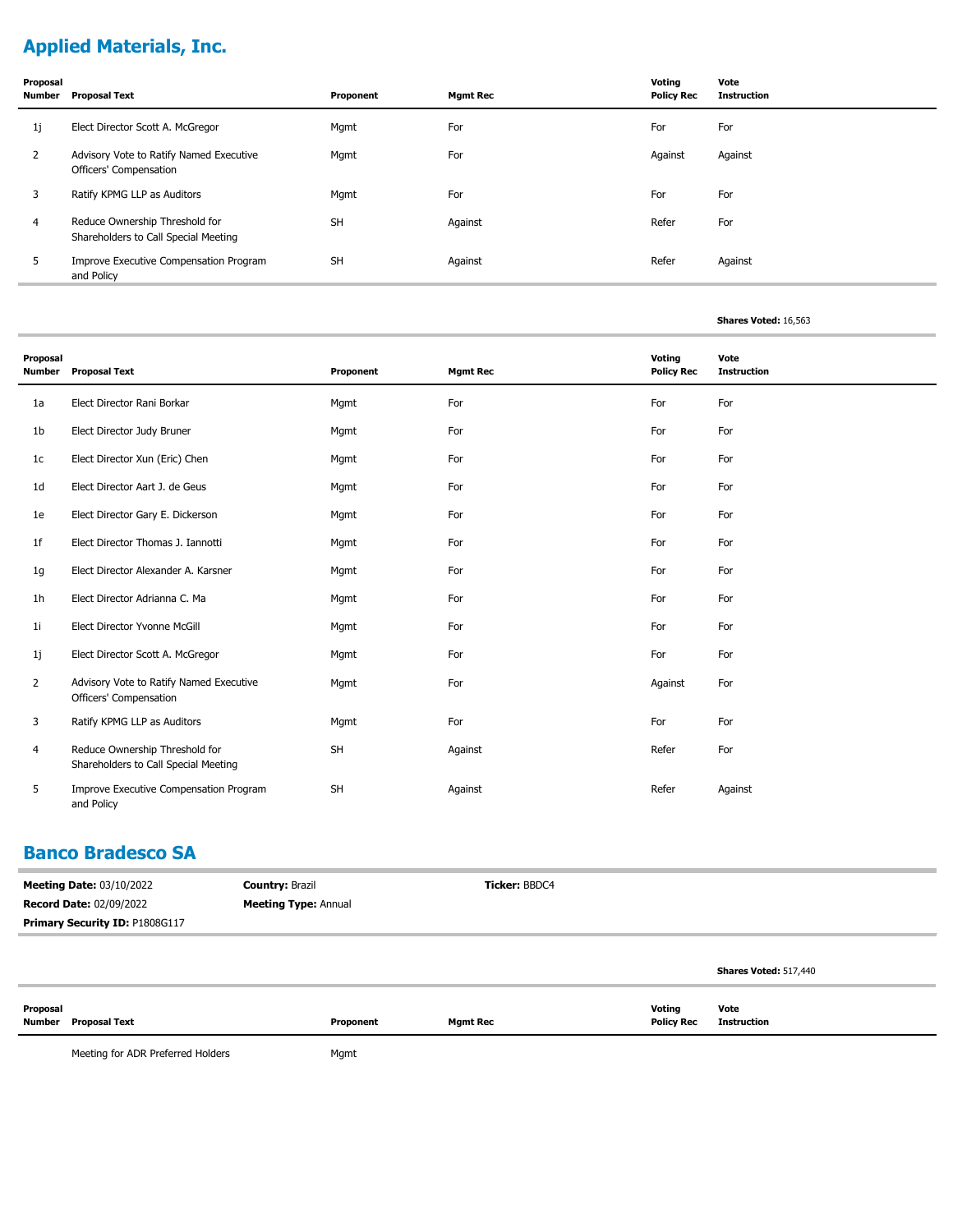# **Applied Materials, Inc.**

| Proposal<br>Number | <b>Proposal Text</b>                                                   | Proponent | <b>Mgmt Rec</b> | Voting<br><b>Policy Rec</b> | Vote<br><b>Instruction</b> |
|--------------------|------------------------------------------------------------------------|-----------|-----------------|-----------------------------|----------------------------|
| 1j                 | Elect Director Scott A. McGregor                                       | Mgmt      | For             | For                         | For                        |
| $\overline{2}$     | Advisory Vote to Ratify Named Executive<br>Officers' Compensation      | Mgmt      | For             | Against                     | Against                    |
| 3                  | Ratify KPMG LLP as Auditors                                            | Mgmt      | For             | For                         | For                        |
| 4                  | Reduce Ownership Threshold for<br>Shareholders to Call Special Meeting | <b>SH</b> | Against         | Refer                       | For                        |
| 5                  | Improve Executive Compensation Program<br>and Policy                   | <b>SH</b> | Against         | Refer                       | Against                    |

#### **Shares Voted:** 16,563

| Proposal<br>Number | <b>Proposal Text</b>                                                   | Proponent | <b>Mgmt Rec</b> | Voting<br><b>Policy Rec</b> | Vote<br><b>Instruction</b> |
|--------------------|------------------------------------------------------------------------|-----------|-----------------|-----------------------------|----------------------------|
| 1a                 | Elect Director Rani Borkar                                             | Mgmt      | For             | For                         | For                        |
| 1b                 | Elect Director Judy Bruner                                             | Mgmt      | For             | For                         | For                        |
| 1c                 | Elect Director Xun (Eric) Chen                                         | Mgmt      | For             | For                         | For                        |
| 1 <sub>d</sub>     | Elect Director Aart J. de Geus                                         | Mgmt      | For             | For                         | For                        |
| 1e                 | Elect Director Gary E. Dickerson                                       | Mgmt      | For             | For                         | For                        |
| 1f                 | Elect Director Thomas J. Iannotti                                      | Mgmt      | For             | For                         | For                        |
| 1g                 | Elect Director Alexander A. Karsner                                    | Mgmt      | For             | For                         | For                        |
| 1h                 | Elect Director Adrianna C. Ma                                          | Mgmt      | For             | For                         | For                        |
| 1i                 | Elect Director Yvonne McGill                                           | Mgmt      | For             | For                         | For                        |
| 1j                 | Elect Director Scott A. McGregor                                       | Mgmt      | For             | For                         | For                        |
| $\overline{2}$     | Advisory Vote to Ratify Named Executive<br>Officers' Compensation      | Mgmt      | For             | Against                     | For                        |
| 3                  | Ratify KPMG LLP as Auditors                                            | Mgmt      | For             | For                         | For                        |
| 4                  | Reduce Ownership Threshold for<br>Shareholders to Call Special Meeting | SH        | Against         | Refer                       | For                        |
| 5                  | Improve Executive Compensation Program<br>and Policy                   | <b>SH</b> | Against         | Refer                       | Against                    |

#### **Banco Bradesco SA**

| <b>Meeting Date: 03/10/2022</b> | <b>Country: Brazil</b>      | <b>Ticker: BBDC4</b> |                              |
|---------------------------------|-----------------------------|----------------------|------------------------------|
| <b>Record Date: 02/09/2022</b>  | <b>Meeting Type: Annual</b> |                      |                              |
| Primary Security ID: P1808G117  |                             |                      |                              |
|                                 |                             |                      |                              |
|                                 |                             |                      | <b>Shares Voted: 517,440</b> |

| Proposal |                      |           |                 | Voting            | Vote        |
|----------|----------------------|-----------|-----------------|-------------------|-------------|
|          | Number Proposal Text | Proponent | <b>Mgmt Rec</b> | <b>Policy Rec</b> | Instruction |

Meeting for ADR Preferred Holders Mgmt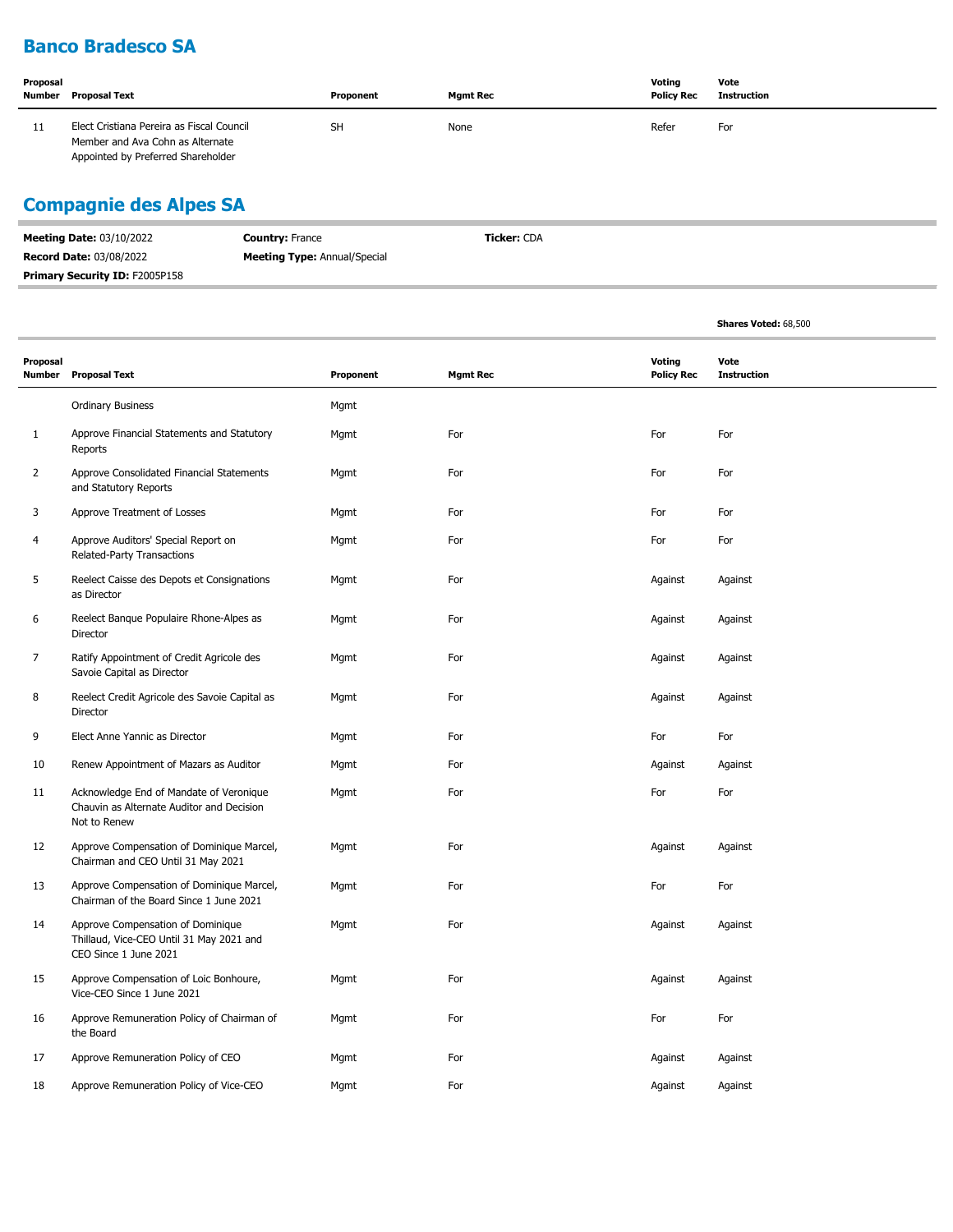## **Banco Bradesco SA**

| Proposal<br>Number | Proposal Text                                                                                                       | Proponent | <b>Mgmt Rec</b> | Voting<br><b>Policy Rec</b> | Vote<br><b>Instruction</b> |
|--------------------|---------------------------------------------------------------------------------------------------------------------|-----------|-----------------|-----------------------------|----------------------------|
| 11                 | Elect Cristiana Pereira as Fiscal Council<br>Member and Ava Cohn as Alternate<br>Appointed by Preferred Shareholder | <b>SH</b> | None            | Refer                       | For                        |

## **Compagnie des Alpes SA**

| <b>Meeting Date: 03/10/2022</b>       | <b>Country: France</b>              | <b>Ticker: CDA</b> |  |
|---------------------------------------|-------------------------------------|--------------------|--|
| <b>Record Date: 03/08/2022</b>        | <b>Meeting Type:</b> Annual/Special |                    |  |
| <b>Primary Security ID: F2005P158</b> |                                     |                    |  |

|                           |                                                                                                        |           |                 |                             | Shares Voted: 68,500       |
|---------------------------|--------------------------------------------------------------------------------------------------------|-----------|-----------------|-----------------------------|----------------------------|
| Proposal<br><b>Number</b> | <b>Proposal Text</b>                                                                                   | Proponent | <b>Mgmt Rec</b> | Voting<br><b>Policy Rec</b> | Vote<br><b>Instruction</b> |
|                           | <b>Ordinary Business</b>                                                                               | Mgmt      |                 |                             |                            |
| $\mathbf{1}$              | Approve Financial Statements and Statutory<br>Reports                                                  | Mgmt      | For             | For                         | For                        |
| 2                         | Approve Consolidated Financial Statements<br>and Statutory Reports                                     | Mgmt      | For             | For                         | For                        |
| 3                         | Approve Treatment of Losses                                                                            | Mgmt      | For             | For                         | For                        |
| 4                         | Approve Auditors' Special Report on<br>Related-Party Transactions                                      | Mgmt      | For             | For                         | For                        |
| 5                         | Reelect Caisse des Depots et Consignations<br>as Director                                              | Mgmt      | For             | Against                     | Against                    |
| 6                         | Reelect Banque Populaire Rhone-Alpes as<br>Director                                                    | Mgmt      | For             | Against                     | Against                    |
| 7                         | Ratify Appointment of Credit Agricole des<br>Savoie Capital as Director                                | Mgmt      | For             | Against                     | Against                    |
| 8                         | Reelect Credit Agricole des Savoie Capital as<br>Director                                              | Mgmt      | For             | Against                     | Against                    |
| 9                         | Elect Anne Yannic as Director                                                                          | Mgmt      | For             | For                         | For                        |
| 10                        | Renew Appointment of Mazars as Auditor                                                                 | Mgmt      | For             | Against                     | Against                    |
| 11                        | Acknowledge End of Mandate of Veronique<br>Chauvin as Alternate Auditor and Decision<br>Not to Renew   | Mgmt      | For             | For                         | For                        |
| 12                        | Approve Compensation of Dominique Marcel,<br>Chairman and CEO Until 31 May 2021                        | Mgmt      | For             | Against                     | Against                    |
| 13                        | Approve Compensation of Dominique Marcel,<br>Chairman of the Board Since 1 June 2021                   | Mgmt      | For             | For                         | For                        |
| 14                        | Approve Compensation of Dominique<br>Thillaud, Vice-CEO Until 31 May 2021 and<br>CEO Since 1 June 2021 | Mgmt      | For             | Against                     | Against                    |
| 15                        | Approve Compensation of Loic Bonhoure,<br>Vice-CEO Since 1 June 2021                                   | Mgmt      | For             | Against                     | Against                    |
| 16                        | Approve Remuneration Policy of Chairman of<br>the Board                                                | Mgmt      | For             | For                         | For                        |
| 17                        | Approve Remuneration Policy of CEO                                                                     | Mgmt      | For             | Against                     | Against                    |
| 18                        | Approve Remuneration Policy of Vice-CEO                                                                | Mgmt      | For             | Against                     | Against                    |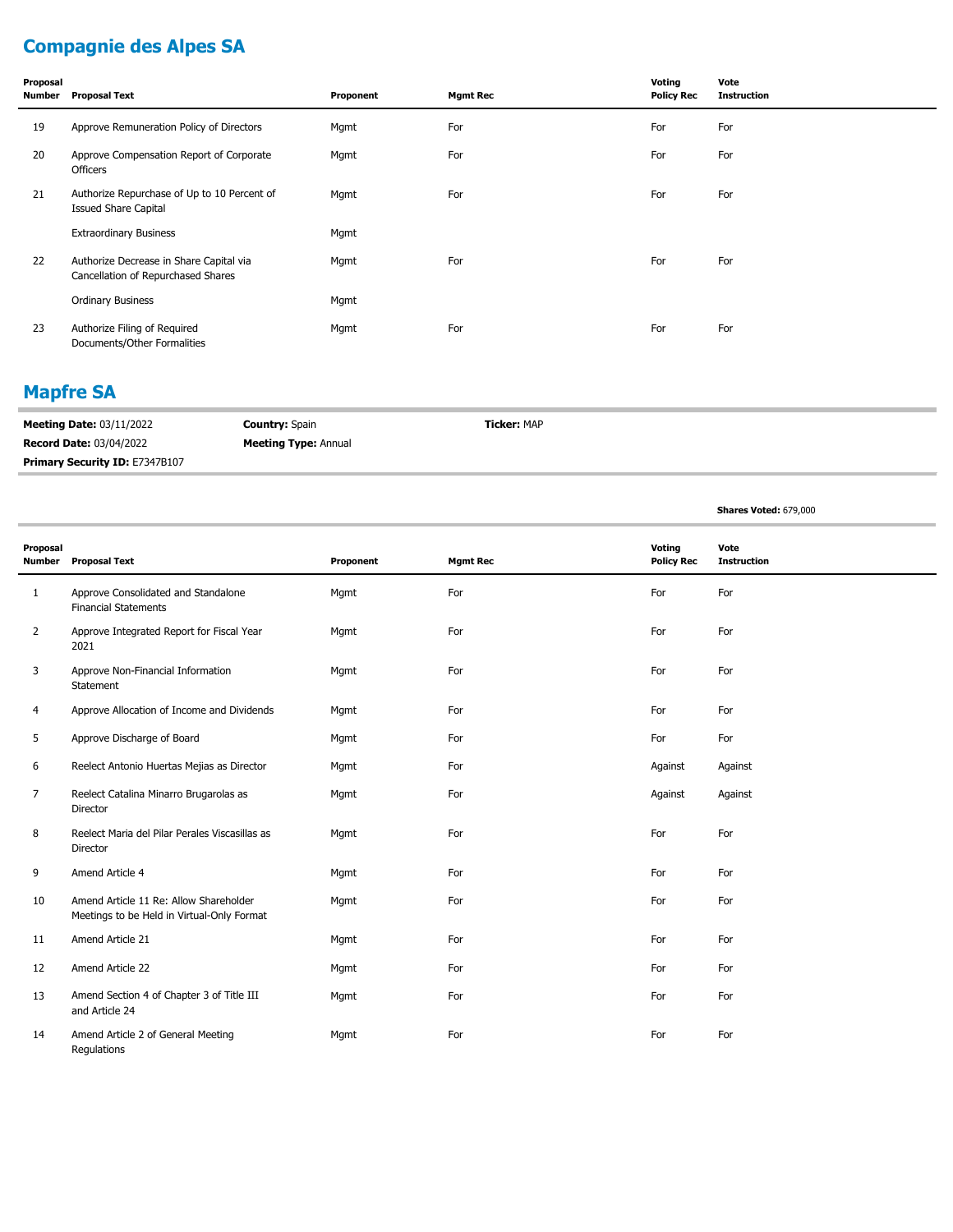# **Compagnie des Alpes SA**

| Proposal<br>Number | <b>Proposal Text</b>                                                          | Proponent | <b>Mgmt Rec</b> | Voting<br><b>Policy Rec</b> | Vote<br><b>Instruction</b> |
|--------------------|-------------------------------------------------------------------------------|-----------|-----------------|-----------------------------|----------------------------|
| 19                 | Approve Remuneration Policy of Directors                                      | Mgmt      | For             | For                         | For                        |
| 20                 | Approve Compensation Report of Corporate<br>Officers                          | Mgmt      | For             | For                         | For                        |
| 21                 | Authorize Repurchase of Up to 10 Percent of<br><b>Issued Share Capital</b>    | Mgmt      | For             | For                         | For                        |
|                    | <b>Extraordinary Business</b>                                                 | Mgmt      |                 |                             |                            |
| 22                 | Authorize Decrease in Share Capital via<br>Cancellation of Repurchased Shares | Mgmt      | For             | For                         | For                        |
|                    | <b>Ordinary Business</b>                                                      | Mgmt      |                 |                             |                            |
| 23                 | Authorize Filing of Required<br>Documents/Other Formalities                   | Mgmt      | For             | For                         | For                        |

#### **Mapfre SA**

| <b>Meeting Date: 03/11/2022</b> | <b>Country: Spain</b>       | <b>Ticker: MAP</b> |
|---------------------------------|-----------------------------|--------------------|
| <b>Record Date: 03/04/2022</b>  | <b>Meeting Type: Annual</b> |                    |
| Primary Security ID: E7347B107  |                             |                    |

**Shares Voted:** 679,000

| Proposal       |                                                                                      |           |                 | Voting            | Vote               |
|----------------|--------------------------------------------------------------------------------------|-----------|-----------------|-------------------|--------------------|
| <b>Number</b>  | <b>Proposal Text</b>                                                                 | Proponent | <b>Mgmt Rec</b> | <b>Policy Rec</b> | <b>Instruction</b> |
| 1              | Approve Consolidated and Standalone<br><b>Financial Statements</b>                   | Mgmt      | For             | For               | For                |
| $\overline{2}$ | Approve Integrated Report for Fiscal Year<br>2021                                    | Mgmt      | For             | For               | For                |
| 3              | Approve Non-Financial Information<br>Statement                                       | Mgmt      | For             | For               | For                |
| 4              | Approve Allocation of Income and Dividends                                           | Mgmt      | For             | For               | For                |
| 5              | Approve Discharge of Board                                                           | Mgmt      | For             | For               | For                |
| 6              | Reelect Antonio Huertas Mejias as Director                                           | Mgmt      | For             | Against           | Against            |
| 7              | Reelect Catalina Minarro Brugarolas as<br>Director                                   | Mgmt      | For             | Against           | Against            |
| 8              | Reelect Maria del Pilar Perales Viscasillas as<br>Director                           | Mgmt      | For             | For               | For                |
| 9              | Amend Article 4                                                                      | Mgmt      | For             | For               | For                |
| 10             | Amend Article 11 Re: Allow Shareholder<br>Meetings to be Held in Virtual-Only Format | Mgmt      | For             | For               | For                |
| 11             | Amend Article 21                                                                     | Mgmt      | For             | For               | For                |
| 12             | Amend Article 22                                                                     | Mgmt      | For             | For               | For                |
| 13             | Amend Section 4 of Chapter 3 of Title III<br>and Article 24                          | Mgmt      | For             | For               | For                |
| 14             | Amend Article 2 of General Meeting<br>Regulations                                    | Mgmt      | For             | For               | For                |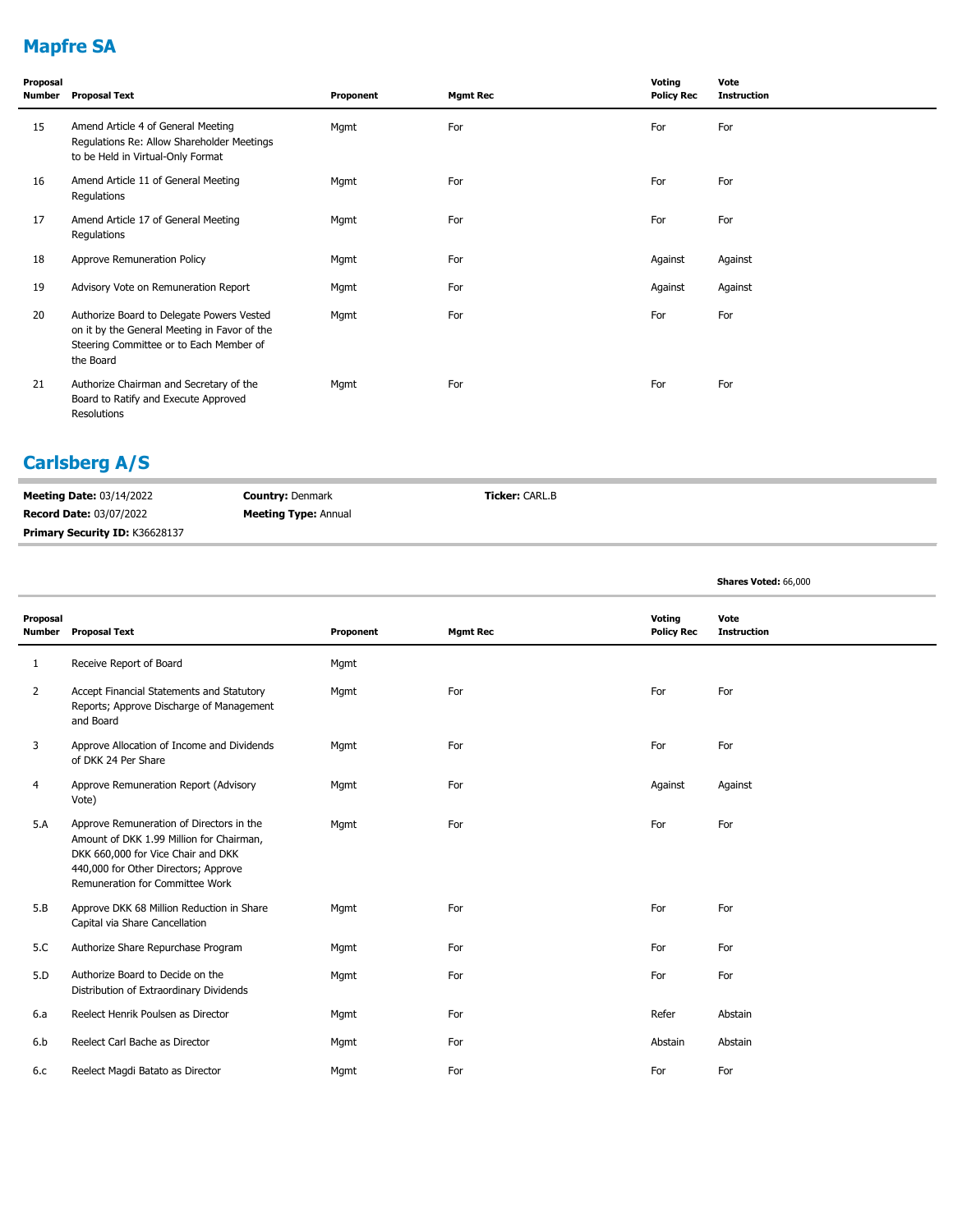## **Mapfre SA**

| Proposal<br><b>Number</b> | <b>Proposal Text</b>                                                                                                                              | Proponent | <b>Mgmt Rec</b> | Voting<br><b>Policy Rec</b> | Vote<br><b>Instruction</b> |
|---------------------------|---------------------------------------------------------------------------------------------------------------------------------------------------|-----------|-----------------|-----------------------------|----------------------------|
| 15                        | Amend Article 4 of General Meeting<br>Regulations Re: Allow Shareholder Meetings<br>to be Held in Virtual-Only Format                             | Mgmt      | For             | For                         | For                        |
| 16                        | Amend Article 11 of General Meeting<br>Regulations                                                                                                | Mgmt      | For             | For                         | For                        |
| 17                        | Amend Article 17 of General Meeting<br>Regulations                                                                                                | Mgmt      | For             | For                         | For                        |
| 18                        | Approve Remuneration Policy                                                                                                                       | Mgmt      | For             | Against                     | Against                    |
| 19                        | Advisory Vote on Remuneration Report                                                                                                              | Mgmt      | For             | Against                     | Against                    |
| 20                        | Authorize Board to Delegate Powers Vested<br>on it by the General Meeting in Favor of the<br>Steering Committee or to Each Member of<br>the Board | Mgmt      | For             | For                         | For                        |
| 21                        | Authorize Chairman and Secretary of the<br>Board to Ratify and Execute Approved<br>Resolutions                                                    | Mgmt      | For             | For                         | For                        |

#### **Carlsberg A/S**

| <b>Meeting Date: 03/14/2022</b>       | <b>Country: Denmark</b>     | <b>Ticker: CARL.B</b> |  |
|---------------------------------------|-----------------------------|-----------------------|--|
| <b>Record Date: 03/07/2022</b>        | <b>Meeting Type: Annual</b> |                       |  |
| <b>Primary Security ID: K36628137</b> |                             |                       |  |

**Shares Voted:** 66,000

| Proposal<br>Number | <b>Proposal Text</b>                                                                                                                                                                                  | Proponent | <b>Mgmt Rec</b> | Voting<br><b>Policy Rec</b> | Vote<br><b>Instruction</b> |
|--------------------|-------------------------------------------------------------------------------------------------------------------------------------------------------------------------------------------------------|-----------|-----------------|-----------------------------|----------------------------|
| $\mathbf{1}$       | Receive Report of Board                                                                                                                                                                               | Mgmt      |                 |                             |                            |
| $\overline{2}$     | Accept Financial Statements and Statutory<br>Reports; Approve Discharge of Management<br>and Board                                                                                                    | Mgmt      | For             | For                         | For                        |
| 3                  | Approve Allocation of Income and Dividends<br>of DKK 24 Per Share                                                                                                                                     | Mgmt      | For             | For                         | For                        |
| 4                  | Approve Remuneration Report (Advisory<br>Vote)                                                                                                                                                        | Mgmt      | For             | Against                     | Against                    |
| 5.A                | Approve Remuneration of Directors in the<br>Amount of DKK 1.99 Million for Chairman,<br>DKK 660,000 for Vice Chair and DKK<br>440,000 for Other Directors; Approve<br>Remuneration for Committee Work | Mgmt      | For             | For                         | For                        |
| 5.B                | Approve DKK 68 Million Reduction in Share<br>Capital via Share Cancellation                                                                                                                           | Mqmt      | For             | For                         | For                        |
| 5.C                | Authorize Share Repurchase Program                                                                                                                                                                    | Mgmt      | For             | For                         | For                        |
| 5.D                | Authorize Board to Decide on the<br>Distribution of Extraordinary Dividends                                                                                                                           | Mqmt      | For             | For                         | For                        |
| 6.a                | Reelect Henrik Poulsen as Director                                                                                                                                                                    | Mgmt      | For             | Refer                       | Abstain                    |
| 6.b                | Reelect Carl Bache as Director                                                                                                                                                                        | Mgmt      | For             | Abstain                     | Abstain                    |
| 6.c                | Reelect Magdi Batato as Director                                                                                                                                                                      | Mgmt      | For             | For                         | For                        |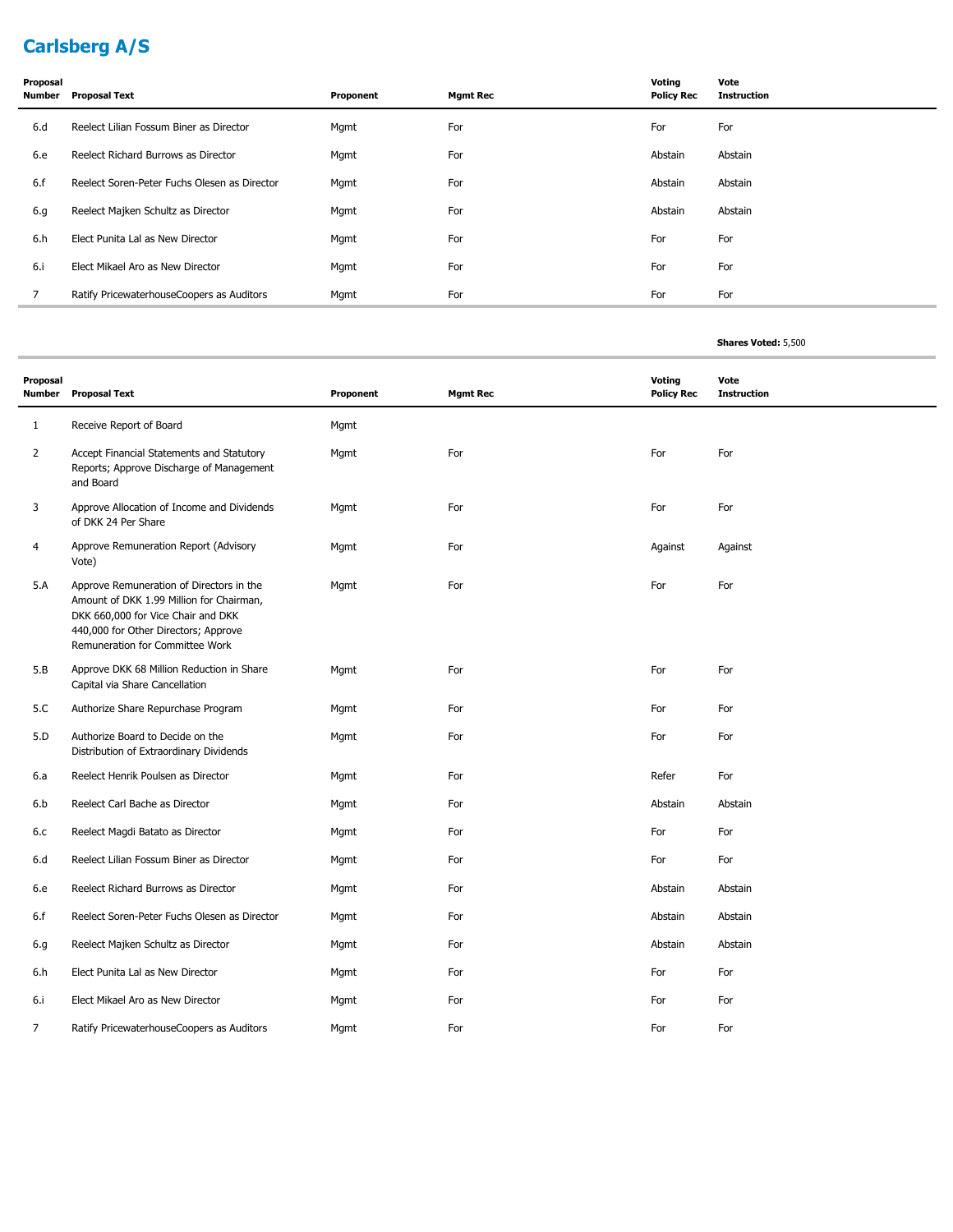## **Carlsberg A/S**

| Proposal<br>Number | <b>Proposal Text</b>                         | Proponent | <b>Mgmt Rec</b> | Voting<br><b>Policy Rec</b> | Vote<br><b>Instruction</b> |
|--------------------|----------------------------------------------|-----------|-----------------|-----------------------------|----------------------------|
| 6.d                | Reelect Lilian Fossum Biner as Director      | Mgmt      | For             | For                         | For                        |
| 6.e                | Reelect Richard Burrows as Director          | Mgmt      | For             | Abstain                     | Abstain                    |
| 6.f                | Reelect Soren-Peter Fuchs Olesen as Director | Mgmt      | For             | Abstain                     | Abstain                    |
| 6.g                | Reelect Majken Schultz as Director           | Mgmt      | For             | Abstain                     | Abstain                    |
| 6.h                | Elect Punita Lal as New Director             | Mgmt      | For             | For                         | For                        |
| 6.1                | Elect Mikael Aro as New Director             | Mgmt      | For             | For                         | For                        |
| 7                  | Ratify PricewaterhouseCoopers as Auditors    | Mgmt      | For             | For                         | For                        |

| Proposal<br>Number | <b>Proposal Text</b>                                                                                                                                                                                  | Proponent | <b>Mgmt Rec</b> | <b>Voting</b><br><b>Policy Rec</b> | Vote<br><b>Instruction</b> |
|--------------------|-------------------------------------------------------------------------------------------------------------------------------------------------------------------------------------------------------|-----------|-----------------|------------------------------------|----------------------------|
| $\mathbf{1}$       | Receive Report of Board                                                                                                                                                                               | Mgmt      |                 |                                    |                            |
| $\overline{2}$     | Accept Financial Statements and Statutory<br>Reports; Approve Discharge of Management<br>and Board                                                                                                    | Mgmt      | For             | For                                | For                        |
| 3                  | Approve Allocation of Income and Dividends<br>of DKK 24 Per Share                                                                                                                                     | Mgmt      | For             | For                                | For                        |
| 4                  | Approve Remuneration Report (Advisory<br>Vote)                                                                                                                                                        | Mgmt      | For             | Against                            | Against                    |
| 5.A                | Approve Remuneration of Directors in the<br>Amount of DKK 1.99 Million for Chairman,<br>DKK 660,000 for Vice Chair and DKK<br>440,000 for Other Directors; Approve<br>Remuneration for Committee Work | Mgmt      | For             | For                                | For                        |
| 5.B                | Approve DKK 68 Million Reduction in Share<br>Capital via Share Cancellation                                                                                                                           | Mgmt      | For             | For                                | For                        |
| 5.C                | Authorize Share Repurchase Program                                                                                                                                                                    | Mgmt      | For             | For                                | For                        |
| 5.D                | Authorize Board to Decide on the<br>Distribution of Extraordinary Dividends                                                                                                                           | Mgmt      | For             | For                                | For                        |
| 6.a                | Reelect Henrik Poulsen as Director                                                                                                                                                                    | Mgmt      | For             | Refer                              | For                        |
| 6.b                | Reelect Carl Bache as Director                                                                                                                                                                        | Mgmt      | For             | Abstain                            | Abstain                    |
| 6.c                | Reelect Magdi Batato as Director                                                                                                                                                                      | Mgmt      | For             | For                                | For                        |
| 6.d                | Reelect Lilian Fossum Biner as Director                                                                                                                                                               | Mgmt      | For             | For                                | For                        |
| 6.e                | Reelect Richard Burrows as Director                                                                                                                                                                   | Mgmt      | For             | Abstain                            | Abstain                    |
| 6.f                | Reelect Soren-Peter Fuchs Olesen as Director                                                                                                                                                          | Mgmt      | For             | Abstain                            | Abstain                    |
| 6.g                | Reelect Majken Schultz as Director                                                                                                                                                                    | Mgmt      | For             | Abstain                            | Abstain                    |
| 6.h                | Elect Punita Lal as New Director                                                                                                                                                                      | Mgmt      | For             | For                                | For                        |
| 6.i                | Elect Mikael Aro as New Director                                                                                                                                                                      | Mgmt      | For             | For                                | For                        |
| 7                  | Ratify PricewaterhouseCoopers as Auditors                                                                                                                                                             | Mgmt      | For             | For                                | For                        |

**Shares Voted:** 5,500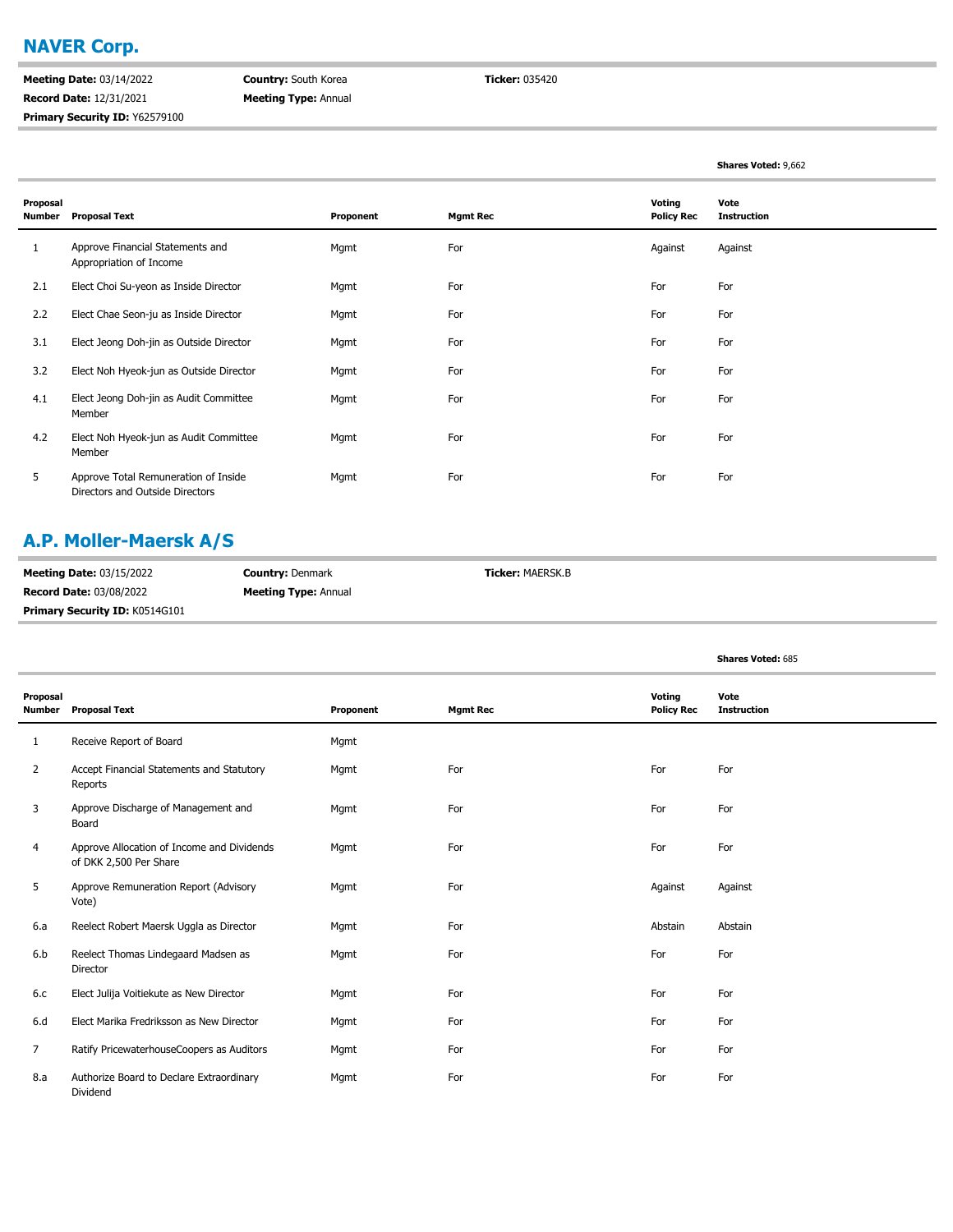#### **NAVER Corp.**

**Meeting Date:** 03/14/2022 **Record Date:** 12/31/2021 **Primary Security ID:** Y62579100 **Country:** South Korea **Meeting Type:** Annual **Ticker:** 035420

|                           |                                                                         |           |                 |                             | Shares Voted: 9,662        |
|---------------------------|-------------------------------------------------------------------------|-----------|-----------------|-----------------------------|----------------------------|
| Proposal<br><b>Number</b> | <b>Proposal Text</b>                                                    | Proponent | <b>Mgmt Rec</b> | Voting<br><b>Policy Rec</b> | Vote<br><b>Instruction</b> |
| 1                         | Approve Financial Statements and<br>Appropriation of Income             | Mgmt      | For             | Against                     | Against                    |
| 2.1                       | Elect Choi Su-yeon as Inside Director                                   | Mgmt      | For             | For                         | For                        |
| 2.2                       | Elect Chae Seon-ju as Inside Director                                   | Mgmt      | For             | For                         | For                        |
| 3.1                       | Elect Jeong Doh-jin as Outside Director                                 | Mgmt      | For             | For                         | For                        |
| 3.2                       | Elect Noh Hyeok-jun as Outside Director                                 | Mgmt      | For             | For                         | For                        |
| 4.1                       | Elect Jeong Doh-jin as Audit Committee<br>Member                        | Mgmt      | For             | For                         | For                        |
| 4.2                       | Elect Noh Hyeok-jun as Audit Committee<br>Member                        | Mgmt      | For             | For                         | For                        |
| 5                         | Approve Total Remuneration of Inside<br>Directors and Outside Directors | Mgmt      | For             | For                         | For                        |

#### **A.P. Moller-Maersk A/S**

| <b>Meeting Date: 03/15/2022</b>       | <b>Country: Denmark</b>     | <b>Ticker: MAERSK.B</b> |
|---------------------------------------|-----------------------------|-------------------------|
| <b>Record Date: 03/08/2022</b>        | <b>Meeting Type: Annual</b> |                         |
| <b>Primary Security ID: K0514G101</b> |                             |                         |

|                           |                                                                      |           |                 |                             | <b>Shares Voted: 685</b>   |
|---------------------------|----------------------------------------------------------------------|-----------|-----------------|-----------------------------|----------------------------|
| Proposal<br><b>Number</b> | <b>Proposal Text</b>                                                 | Proponent | <b>Mgmt Rec</b> | Voting<br><b>Policy Rec</b> | Vote<br><b>Instruction</b> |
| 1                         | Receive Report of Board                                              | Mgmt      |                 |                             |                            |
| 2                         | Accept Financial Statements and Statutory<br>Reports                 | Mgmt      | For             | For                         | For                        |
| 3                         | Approve Discharge of Management and<br>Board                         | Mgmt      | For             | For                         | For                        |
| 4                         | Approve Allocation of Income and Dividends<br>of DKK 2,500 Per Share | Mgmt      | For             | For                         | For                        |
| 5                         | Approve Remuneration Report (Advisory<br>Vote)                       | Mgmt      | For             | Against                     | Against                    |
| 6.a                       | Reelect Robert Maersk Uggla as Director                              | Mgmt      | For             | Abstain                     | Abstain                    |
| 6.b                       | Reelect Thomas Lindegaard Madsen as<br>Director                      | Mgmt      | For             | For                         | For                        |
| 6.c                       | Elect Julija Voitiekute as New Director                              | Mgmt      | For             | For                         | For                        |
| 6.d                       | Elect Marika Fredriksson as New Director                             | Mgmt      | For             | For                         | For                        |
| $\overline{7}$            | Ratify PricewaterhouseCoopers as Auditors                            | Mgmt      | For             | For                         | For                        |
| 8.a                       | Authorize Board to Declare Extraordinary<br>Dividend                 | Mgmt      | For             | For                         | For                        |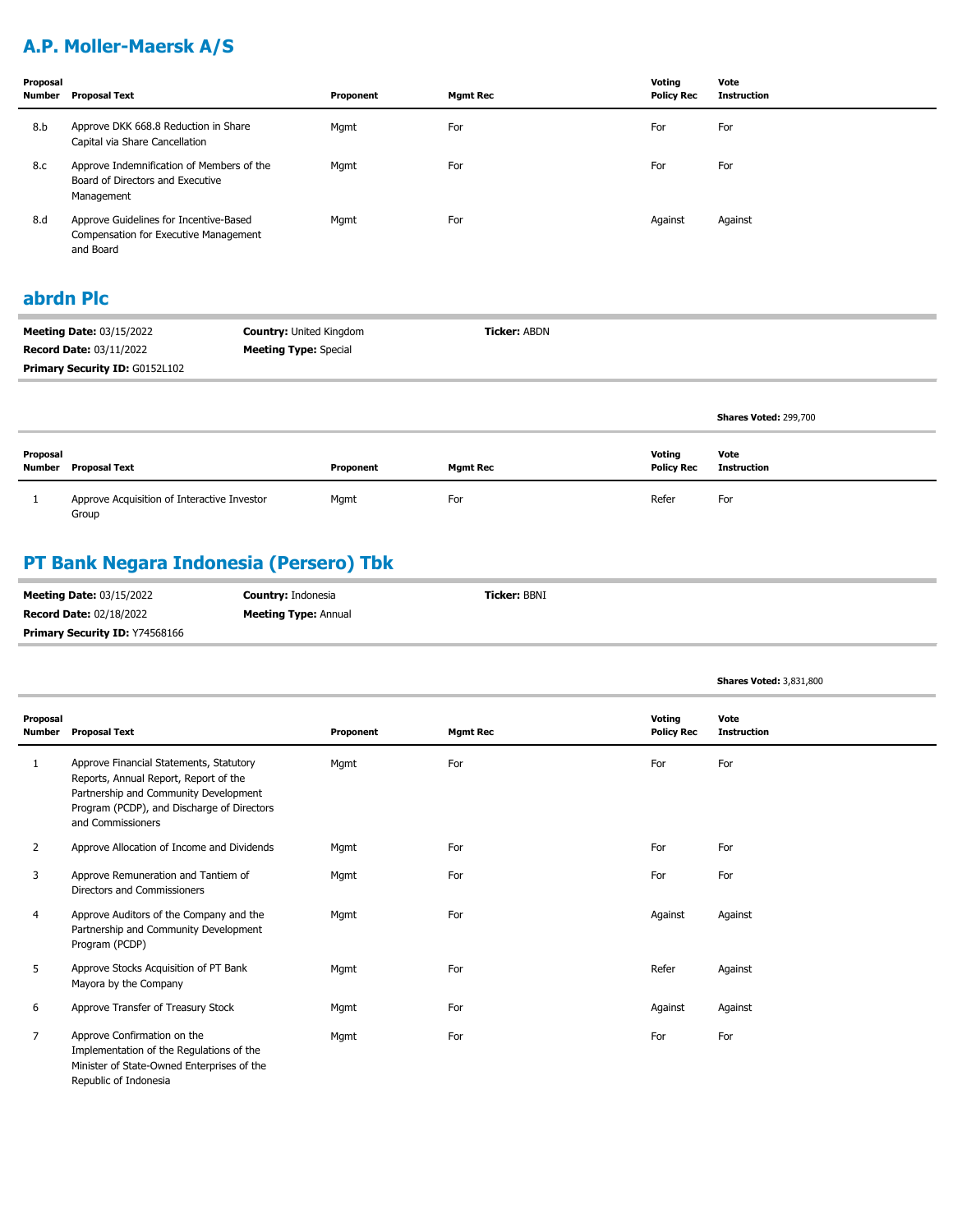# **A.P. Moller-Maersk A/S**

| Proposal<br>Number | <b>Proposal Text</b>                                                                                | Proponent | <b>Mamt Rec</b> | Voting<br><b>Policy Rec</b> | Vote<br><b>Instruction</b> |
|--------------------|-----------------------------------------------------------------------------------------------------|-----------|-----------------|-----------------------------|----------------------------|
| 8.b                | Approve DKK 668.8 Reduction in Share<br>Capital via Share Cancellation                              | Mgmt      | For             | For                         | For                        |
| 8.c                | Approve Indemnification of Members of the<br>Board of Directors and Executive<br>Management         | Mgmt      | For             | For                         | For                        |
| 8.d                | Approve Guidelines for Incentive-Based<br><b>Compensation for Executive Management</b><br>and Board | Mgmt      | For             | Against                     | Against                    |

#### **abrdn Plc**

| <b>Meeting Date: 03/15/2022</b>       | <b>Country: United Kingdom</b> | <b>Ticker: ABDN</b> |
|---------------------------------------|--------------------------------|---------------------|
| <b>Record Date: 03/11/2022</b>        | <b>Meeting Type:</b> Special   |                     |
| <b>Primary Security ID: G0152L102</b> |                                |                     |

|                    |                                                      |           |                 |                             | Shares Voted: 299,700 |
|--------------------|------------------------------------------------------|-----------|-----------------|-----------------------------|-----------------------|
| Proposal<br>Number | <b>Proposal Text</b>                                 | Proponent | <b>Mgmt Rec</b> | Voting<br><b>Policy Rec</b> | Vote<br>Instruction   |
|                    | Approve Acquisition of Interactive Investor<br>Group | Mgmt      | For             | Refer                       | For                   |

# **PT Bank Negara Indonesia (Persero) Tbk**

| <b>Meeting Date: 03/15/2022</b>       | <b>Country: Indonesia</b>   | <b>Ticker: BBNI</b> |  |
|---------------------------------------|-----------------------------|---------------------|--|
| <b>Record Date: 02/18/2022</b>        | <b>Meeting Type: Annual</b> |                     |  |
| <b>Primary Security ID: Y74568166</b> |                             |                     |  |

|                           |                                                                                                                                                                                              |           |                 |                             | <b>Shares Voted: 3,831,800</b> |
|---------------------------|----------------------------------------------------------------------------------------------------------------------------------------------------------------------------------------------|-----------|-----------------|-----------------------------|--------------------------------|
| Proposal<br><b>Number</b> | <b>Proposal Text</b>                                                                                                                                                                         | Proponent | <b>Mgmt Rec</b> | Voting<br><b>Policy Rec</b> | Vote<br><b>Instruction</b>     |
| 1                         | Approve Financial Statements, Statutory<br>Reports, Annual Report, Report of the<br>Partnership and Community Development<br>Program (PCDP), and Discharge of Directors<br>and Commissioners | Mqmt      | For             | For                         | For                            |
| $\overline{2}$            | Approve Allocation of Income and Dividends                                                                                                                                                   | Mgmt      | For             | For                         | For                            |
| 3                         | Approve Remuneration and Tantiem of<br>Directors and Commissioners                                                                                                                           | Mgmt      | For             | For                         | For                            |
| 4                         | Approve Auditors of the Company and the<br>Partnership and Community Development<br>Program (PCDP)                                                                                           | Mqmt      | For             | Against                     | Against                        |
| 5                         | Approve Stocks Acquisition of PT Bank<br>Mayora by the Company                                                                                                                               | Mgmt      | For             | Refer                       | Against                        |
| 6                         | Approve Transfer of Treasury Stock                                                                                                                                                           | Mgmt      | For             | Against                     | Against                        |
| $\overline{7}$            | Approve Confirmation on the<br>Implementation of the Regulations of the<br>Minister of State-Owned Enterprises of the<br>Republic of Indonesia                                               | Mgmt      | For             | For                         | For                            |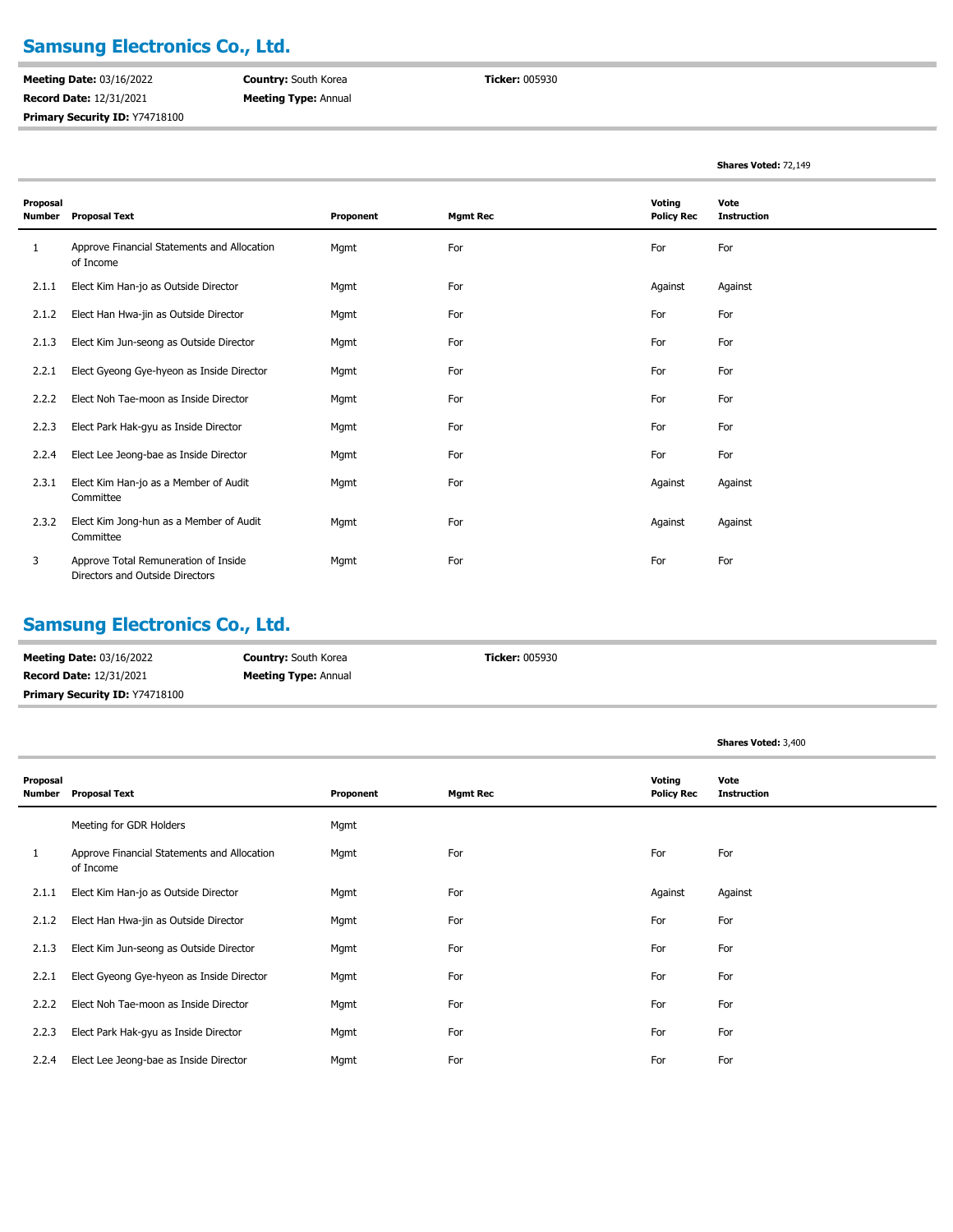## **Samsung Electronics Co., Ltd.**

**Meeting Date:** 03/16/2022 **Record Date:** 12/31/2021 **Primary Security ID:** Y74718100 **Country:** South Korea **Meeting Type:** Annual **Ticker:** 005930

**Shares Voted:** 72,149

| Proposal<br><b>Number</b> | <b>Proposal Text</b>                                                    | Proponent | <b>Mgmt Rec</b> | Voting<br><b>Policy Rec</b> | Vote<br><b>Instruction</b> |
|---------------------------|-------------------------------------------------------------------------|-----------|-----------------|-----------------------------|----------------------------|
| 1                         | Approve Financial Statements and Allocation<br>of Income                | Mgmt      | For             | For                         | For                        |
| 2.1.1                     | Elect Kim Han-jo as Outside Director                                    | Mgmt      | For             | Against                     | Against                    |
| 2.1.2                     | Elect Han Hwa-jin as Outside Director                                   | Mgmt      | For             | For                         | For                        |
| 2.1.3                     | Elect Kim Jun-seong as Outside Director                                 | Mgmt      | For             | For                         | For                        |
| 2.2.1                     | Elect Gyeong Gye-hyeon as Inside Director                               | Mgmt      | For             | For                         | For                        |
| 2.2.2                     | Elect Noh Tae-moon as Inside Director                                   | Mgmt      | For             | For                         | For                        |
| 2.2.3                     | Elect Park Hak-gyu as Inside Director                                   | Mgmt      | For             | For                         | For                        |
| 2.2.4                     | Elect Lee Jeong-bae as Inside Director                                  | Mgmt      | For             | For                         | For                        |
| 2.3.1                     | Elect Kim Han-jo as a Member of Audit<br>Committee                      | Mgmt      | For             | Against                     | Against                    |
| 2.3.2                     | Elect Kim Jong-hun as a Member of Audit<br>Committee                    | Mgmt      | For             | Against                     | Against                    |
| 3                         | Approve Total Remuneration of Inside<br>Directors and Outside Directors | Mgmt      | For             | For                         | For                        |

#### **Samsung Electronics Co., Ltd.**

| <b>Meeting Date: 03/16/2022</b> | <b>Country: South Korea</b> | <b>Ticker: 005930</b> |
|---------------------------------|-----------------------------|-----------------------|
| <b>Record Date: 12/31/2021</b>  | <b>Meeting Type: Annual</b> |                       |
| Primary Security ID: Y74718100  |                             |                       |

|                           |                                                          |           |                 |                             | <b>Shares Voted: 3,400</b> |
|---------------------------|----------------------------------------------------------|-----------|-----------------|-----------------------------|----------------------------|
| Proposal<br><b>Number</b> | <b>Proposal Text</b>                                     | Proponent | <b>Mgmt Rec</b> | Voting<br><b>Policy Rec</b> | Vote<br><b>Instruction</b> |
|                           | Meeting for GDR Holders                                  | Mgmt      |                 |                             |                            |
| 1                         | Approve Financial Statements and Allocation<br>of Income | Mgmt      | For             | For                         | For                        |
| 2.1.1                     | Elect Kim Han-jo as Outside Director                     | Mgmt      | For             | Against                     | Against                    |
| 2.1.2                     | Elect Han Hwa-jin as Outside Director                    | Mgmt      | For             | For                         | For                        |
| 2.1.3                     | Elect Kim Jun-seong as Outside Director                  | Mgmt      | For             | For                         | For                        |
| 2.2.1                     | Elect Gyeong Gye-hyeon as Inside Director                | Mgmt      | For             | For                         | For                        |
| 2.2.2                     | Elect Noh Tae-moon as Inside Director                    | Mgmt      | For             | For                         | For                        |
| 2.2.3                     | Elect Park Hak-gyu as Inside Director                    | Mgmt      | For             | For                         | For                        |
| 2.2.4                     | Elect Lee Jeong-bae as Inside Director                   | Mgmt      | For             | For                         | For                        |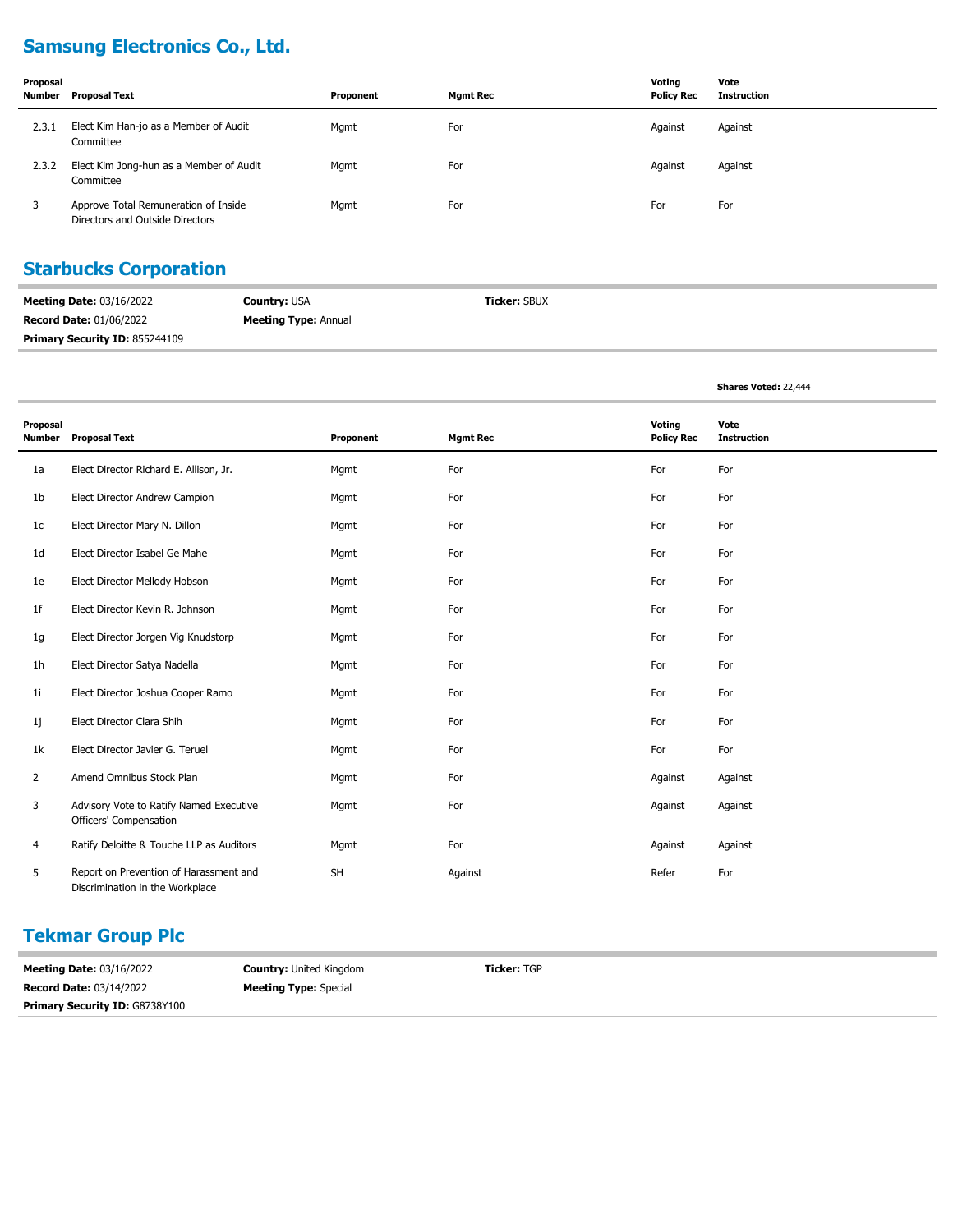# **Samsung Electronics Co., Ltd.**

| Proposal<br>Number | Proposal Text                                                           | Proponent | <b>Mgmt Rec</b> | Voting<br><b>Policy Rec</b> | Vote<br>Instruction |
|--------------------|-------------------------------------------------------------------------|-----------|-----------------|-----------------------------|---------------------|
| 2.3.1              | Elect Kim Han-jo as a Member of Audit<br>Committee                      | Mgmt      | For             | Against                     | Against             |
| 2.3.2              | Elect Kim Jong-hun as a Member of Audit<br>Committee                    | Mgmt      | For             | Against                     | Against             |
|                    | Approve Total Remuneration of Inside<br>Directors and Outside Directors | Mgmt      | For             | For                         | For                 |

## **Starbucks Corporation**

| <b>Meeting Date: 03/16/2022</b>       | <b>Country: USA</b>         | <b>Ticker: SBUX</b> |
|---------------------------------------|-----------------------------|---------------------|
| <b>Record Date: 01/06/2022</b>        | <b>Meeting Type: Annual</b> |                     |
| <b>Primary Security ID: 855244109</b> |                             |                     |

**Shares Voted:** 22,444

| Proposal<br><b>Number</b> | <b>Proposal Text</b>                                                      | Proponent | <b>Mgmt Rec</b> | Voting<br><b>Policy Rec</b> | Vote<br><b>Instruction</b> |
|---------------------------|---------------------------------------------------------------------------|-----------|-----------------|-----------------------------|----------------------------|
| 1a                        | Elect Director Richard E. Allison, Jr.                                    | Mqmt      | For             | For                         | For                        |
| 1b                        | Elect Director Andrew Campion                                             | Mgmt      | For             | For                         | For                        |
| 1 <sub>c</sub>            | Elect Director Mary N. Dillon                                             | Mgmt      | For             | For                         | For                        |
| 1d                        | Elect Director Isabel Ge Mahe                                             | Mgmt      | For             | For                         | For                        |
| 1e                        | Elect Director Mellody Hobson                                             | Mgmt      | For             | For                         | For                        |
| 1f                        | Elect Director Kevin R. Johnson                                           | Mgmt      | For             | For                         | For                        |
| 1g                        | Elect Director Jorgen Vig Knudstorp                                       | Mqmt      | For             | For                         | For                        |
| 1h                        | Elect Director Satya Nadella                                              | Mgmt      | For             | For                         | For                        |
| 11                        | Elect Director Joshua Cooper Ramo                                         | Mgmt      | For             | For                         | For                        |
| 1j                        | Elect Director Clara Shih                                                 | Mgmt      | For             | For                         | For                        |
| 1k                        | Elect Director Javier G. Teruel                                           | Mgmt      | For             | For                         | For                        |
| $\overline{2}$            | Amend Omnibus Stock Plan                                                  | Mgmt      | For             | Against                     | Against                    |
| 3                         | Advisory Vote to Ratify Named Executive<br>Officers' Compensation         | Mqmt      | For             | Against                     | Against                    |
| 4                         | Ratify Deloitte & Touche LLP as Auditors                                  | Mgmt      | For             | Against                     | Against                    |
| 5                         | Report on Prevention of Harassment and<br>Discrimination in the Workplace | <b>SH</b> | Against         | Refer                       | For                        |

#### **Tekmar Group Plc**

**Meeting Date:** 03/16/2022 **Record Date:** 03/14/2022 **Primary Security ID: G8738Y100** 

**Country:** United Kingdom **Meeting Type:** Special

**Ticker:** TGP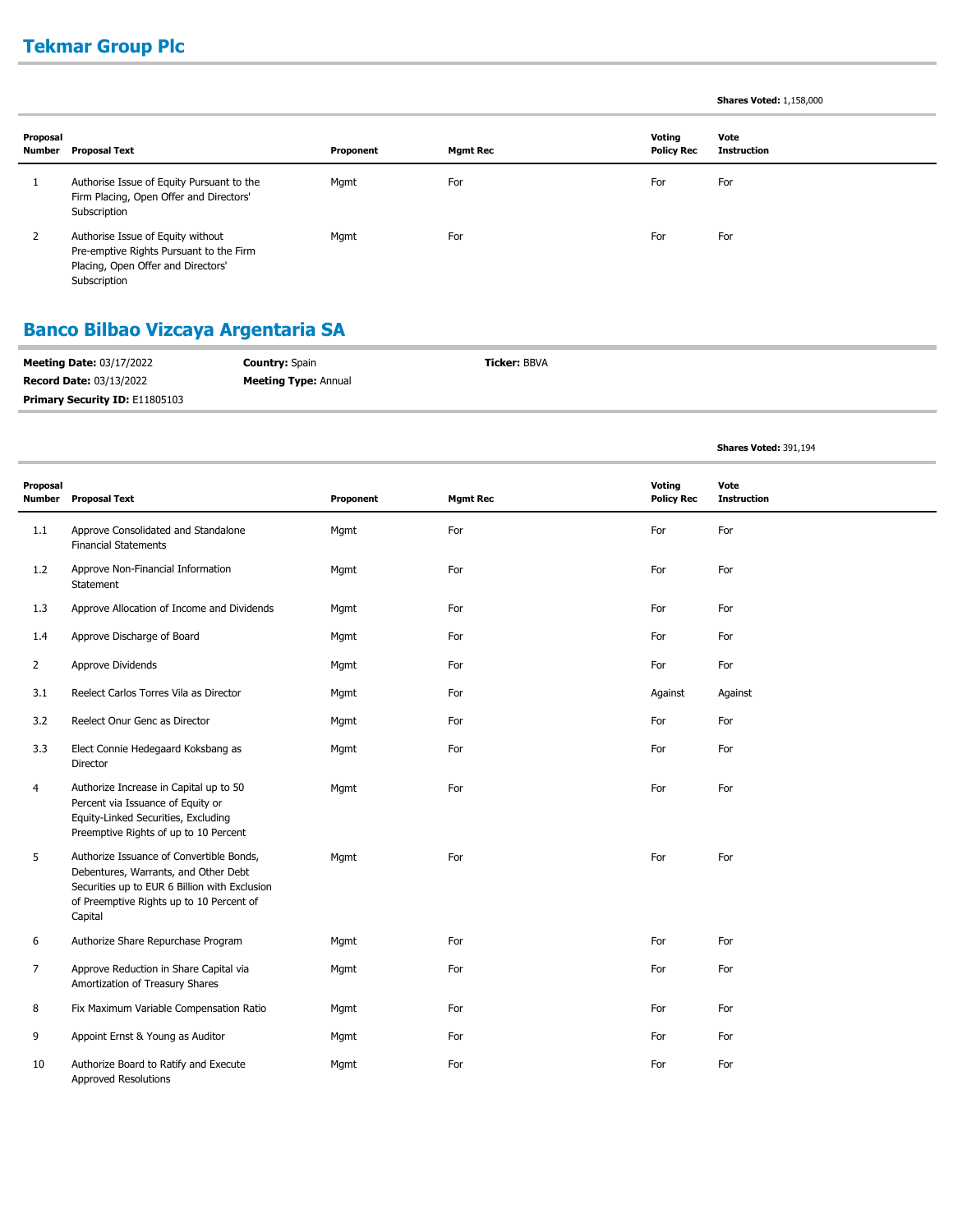# **Tekmar Group Plc**

#### **Shares Voted:** 1,158,000

**Shares Voted:** 391,194

| Proposal<br>Number | Proposal Text                                                                                                                      | Proponent | <b>Mgmt Rec</b> | Voting<br><b>Policy Rec</b> | Vote<br><b>Instruction</b> |
|--------------------|------------------------------------------------------------------------------------------------------------------------------------|-----------|-----------------|-----------------------------|----------------------------|
|                    | Authorise Issue of Equity Pursuant to the<br>Firm Placing, Open Offer and Directors'<br>Subscription                               | Mgmt      | For             | For                         | For                        |
|                    | Authorise Issue of Equity without<br>Pre-emptive Rights Pursuant to the Firm<br>Placing, Open Offer and Directors'<br>Subscription | Mgmt      | For             | For                         | For                        |

# **Banco Bilbao Vizcaya Argentaria SA**

| <b>Meeting Date: 03/17/2022</b>       | <b>Country: Spain</b>       | <b>Ticker: BBVA</b> |
|---------------------------------------|-----------------------------|---------------------|
| <b>Record Date: 03/13/2022</b>        | <b>Meeting Type: Annual</b> |                     |
| <b>Primary Security ID: E11805103</b> |                             |                     |

| Proposal       | <b>Number</b> Proposal Text                                                                                                                                                              | Proponent | <b>Mgmt Rec</b> | Voting<br><b>Policy Rec</b> | Vote<br><b>Instruction</b> |
|----------------|------------------------------------------------------------------------------------------------------------------------------------------------------------------------------------------|-----------|-----------------|-----------------------------|----------------------------|
| 1.1            | Approve Consolidated and Standalone<br><b>Financial Statements</b>                                                                                                                       | Mgmt      | For             | For                         | For                        |
| 1.2            | Approve Non-Financial Information<br>Statement                                                                                                                                           | Mgmt      | For             | For                         | For                        |
| 1.3            | Approve Allocation of Income and Dividends                                                                                                                                               | Mgmt      | For             | For                         | For                        |
| 1.4            | Approve Discharge of Board                                                                                                                                                               | Mgmt      | For             | For                         | For                        |
| $\overline{2}$ | Approve Dividends                                                                                                                                                                        | Mgmt      | For             | For                         | For                        |
| 3.1            | Reelect Carlos Torres Vila as Director                                                                                                                                                   | Mgmt      | For             | Against                     | Against                    |
| 3.2            | Reelect Onur Genc as Director                                                                                                                                                            | Mgmt      | For             | For                         | For                        |
| 3.3            | Elect Connie Hedegaard Koksbang as<br>Director                                                                                                                                           | Mgmt      | For             | For                         | For                        |
| 4              | Authorize Increase in Capital up to 50<br>Percent via Issuance of Equity or<br>Equity-Linked Securities, Excluding<br>Preemptive Rights of up to 10 Percent                              | Mgmt      | For             | For                         | For                        |
| 5              | Authorize Issuance of Convertible Bonds,<br>Debentures, Warrants, and Other Debt<br>Securities up to EUR 6 Billion with Exclusion<br>of Preemptive Rights up to 10 Percent of<br>Capital | Mgmt      | For             | For                         | For                        |
| 6              | Authorize Share Repurchase Program                                                                                                                                                       | Mgmt      | For             | For                         | For                        |
| 7              | Approve Reduction in Share Capital via<br>Amortization of Treasury Shares                                                                                                                | Mgmt      | For             | For                         | For                        |
| 8              | Fix Maximum Variable Compensation Ratio                                                                                                                                                  | Mgmt      | For             | For                         | For                        |
| 9              | Appoint Ernst & Young as Auditor                                                                                                                                                         | Mgmt      | For             | For                         | For                        |
| 10             | Authorize Board to Ratify and Execute<br><b>Approved Resolutions</b>                                                                                                                     | Mgmt      | For             | For                         | For                        |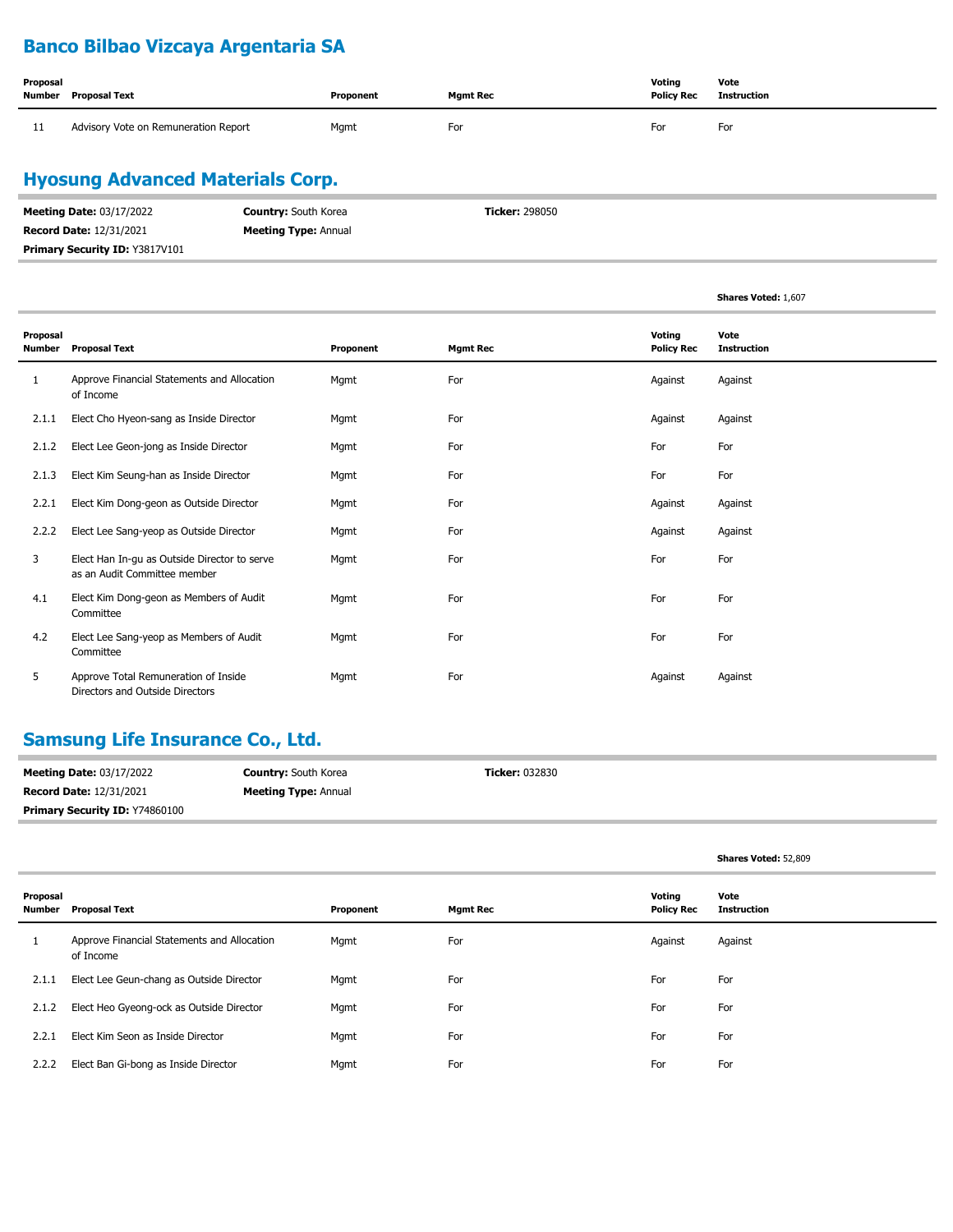# **Banco Bilbao Vizcaya Argentaria SA**

| Proposal | Number Proposal Text                 | Proponent | <b>Mgmt Rec</b> | Voting<br><b>Policy Rec</b> | Vote<br>Instruction |
|----------|--------------------------------------|-----------|-----------------|-----------------------------|---------------------|
| 11       | Advisory Vote on Remuneration Report | Mgmt      | For             | For                         | For                 |

## **Hyosung Advanced Materials Corp.**

| <b>Meeting Date: 03/17/2022</b> | <b>Country:</b> South Korea | <b>Ticker: 298050</b> |
|---------------------------------|-----------------------------|-----------------------|
| <b>Record Date: 12/31/2021</b>  | <b>Meeting Type: Annual</b> |                       |
| Primary Security ID: Y3817V101  |                             |                       |

**Shares Voted:** 1,607

| Proposal<br>Number | <b>Proposal Text</b>                                                         | Proponent | <b>Mgmt Rec</b> | Voting<br><b>Policy Rec</b> | Vote<br><b>Instruction</b> |
|--------------------|------------------------------------------------------------------------------|-----------|-----------------|-----------------------------|----------------------------|
| 1                  | Approve Financial Statements and Allocation<br>of Income                     | Mgmt      | For             | Against                     | Against                    |
| 2.1.1              | Elect Cho Hyeon-sang as Inside Director                                      | Mgmt      | For             | Against                     | Against                    |
| 2.1.2              | Elect Lee Geon-jong as Inside Director                                       | Mgmt      | For             | For                         | For                        |
| 2.1.3              | Elect Kim Seung-han as Inside Director                                       | Mgmt      | For             | For                         | For                        |
| 2.2.1              | Elect Kim Dong-geon as Outside Director                                      | Mgmt      | For             | Against                     | Against                    |
| 2.2.2              | Elect Lee Sang-yeop as Outside Director                                      | Mgmt      | For             | Against                     | Against                    |
| 3                  | Elect Han In-gu as Outside Director to serve<br>as an Audit Committee member | Mgmt      | For             | For                         | For                        |
| 4.1                | Elect Kim Dong-geon as Members of Audit<br>Committee                         | Mgmt      | For             | For                         | For                        |
| 4.2                | Elect Lee Sang-yeop as Members of Audit<br>Committee                         | Mgmt      | For             | For                         | For                        |
| 5                  | Approve Total Remuneration of Inside<br>Directors and Outside Directors      | Mgmt      | For             | Against                     | Against                    |

# **Samsung Life Insurance Co., Ltd.**

| <b>Meeting Date: 03/17/2022</b> | <b>Country: South Korea</b> | <b>Ticker: 032830</b> |
|---------------------------------|-----------------------------|-----------------------|
| <b>Record Date: 12/31/2021</b>  | <b>Meeting Type: Annual</b> |                       |
| Primary Security ID: Y74860100  |                             |                       |

|                    |                                                          |           |                 |                             | Shares Voted: 52,809       |
|--------------------|----------------------------------------------------------|-----------|-----------------|-----------------------------|----------------------------|
| Proposal<br>Number | <b>Proposal Text</b>                                     | Proponent | <b>Mgmt Rec</b> | Voting<br><b>Policy Rec</b> | Vote<br><b>Instruction</b> |
| 1                  | Approve Financial Statements and Allocation<br>of Income | Mgmt      | For             | Against                     | Against                    |
| 2.1.1              | Elect Lee Geun-chang as Outside Director                 | Mgmt      | For             | For                         | For                        |
| 2.1.2              | Elect Heo Gyeong-ock as Outside Director                 | Mgmt      | For             | For                         | For                        |
| 2.2.1              | Elect Kim Seon as Inside Director                        | Mgmt      | For             | For                         | For                        |
| 2.2.2              | Elect Ban Gi-bong as Inside Director                     | Mgmt      | For             | For                         | For                        |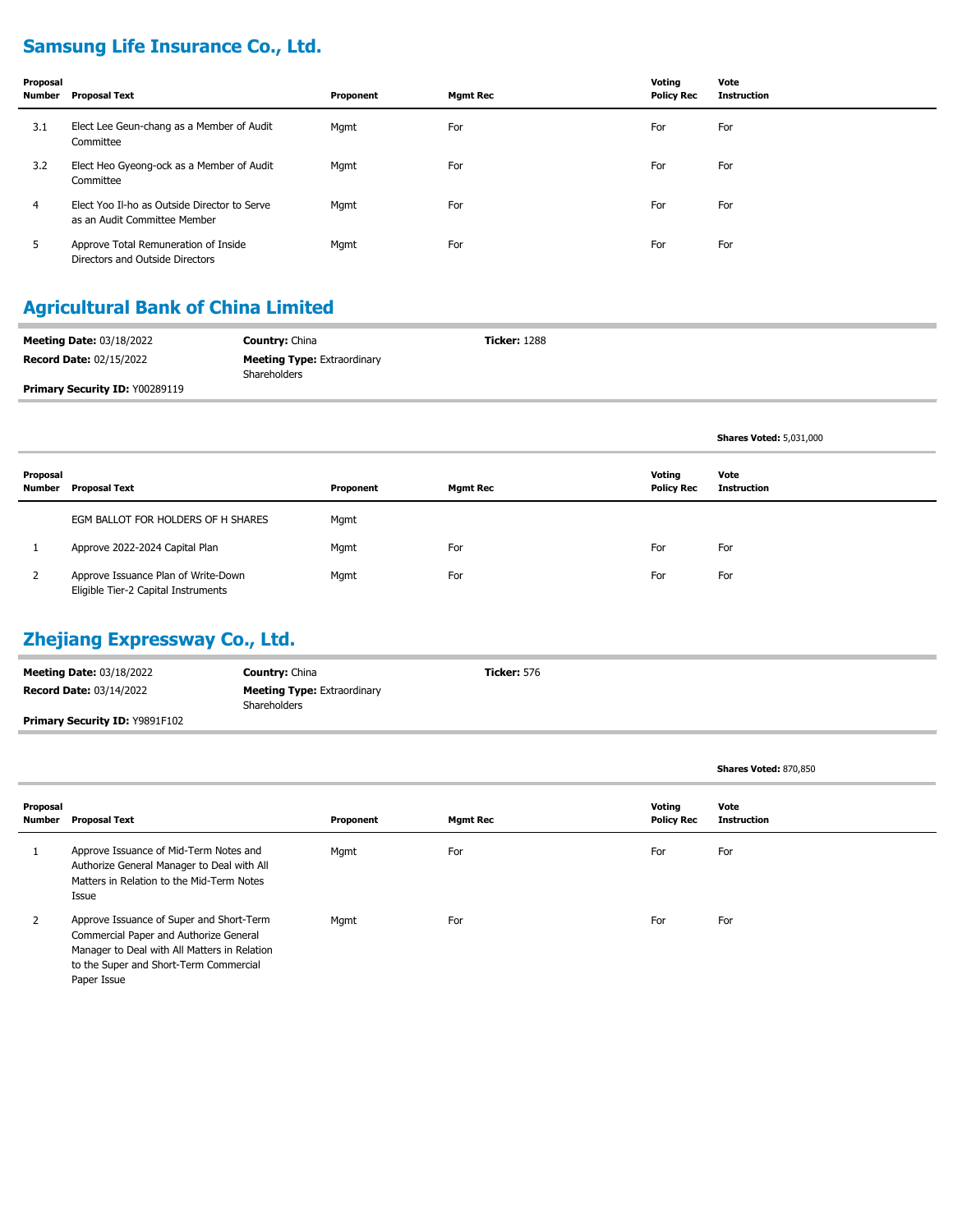# **Samsung Life Insurance Co., Ltd.**

| Proposal<br>Number | Proposal Text                                                                | Proponent | <b>Mgmt Rec</b> | Voting<br><b>Policy Rec</b> | Vote<br><b>Instruction</b> |
|--------------------|------------------------------------------------------------------------------|-----------|-----------------|-----------------------------|----------------------------|
| 3.1                | Elect Lee Geun-chang as a Member of Audit<br>Committee                       | Mgmt      | For             | For                         | For                        |
| 3.2                | Elect Heo Gyeong-ock as a Member of Audit<br>Committee                       | Mgmt      | For             | For                         | For                        |
| 4                  | Elect Yoo Il-ho as Outside Director to Serve<br>as an Audit Committee Member | Mgmt      | For             | For                         | For                        |
| 5                  | Approve Total Remuneration of Inside<br>Directors and Outside Directors      | Mgmt      | For             | For                         | For                        |

## **Agricultural Bank of China Limited**

| <b>Meeting Date: 03/18/2022</b> | <b>Country: China</b>                                     | <b>Ticker: 1288</b> |  |
|---------------------------------|-----------------------------------------------------------|---------------------|--|
| <b>Record Date: 02/15/2022</b>  | <b>Meeting Type: Extraordinary</b><br><b>Shareholders</b> |                     |  |
| Primary Security ID: Y00289119  |                                                           |                     |  |

|                    |                                                                            |           |                 |                             | <b>Shares Voted: 5,031,000</b> |
|--------------------|----------------------------------------------------------------------------|-----------|-----------------|-----------------------------|--------------------------------|
| Proposal<br>Number | <b>Proposal Text</b>                                                       | Proponent | <b>Mgmt Rec</b> | Voting<br><b>Policy Rec</b> | Vote<br><b>Instruction</b>     |
|                    | EGM BALLOT FOR HOLDERS OF H SHARES                                         | Mgmt      |                 |                             |                                |
|                    | Approve 2022-2024 Capital Plan                                             | Mgmt      | For             | For                         | For                            |
| 2                  | Approve Issuance Plan of Write-Down<br>Eligible Tier-2 Capital Instruments | Mgmt      | For             | For                         | For                            |

#### **Zhejiang Expressway Co., Ltd.**

| <b>Meeting Date: 03/18/2022</b>       | <b>Country: China</b>                              | <b>Ticker: 576</b> |
|---------------------------------------|----------------------------------------------------|--------------------|
| <b>Record Date: 03/14/2022</b>        | <b>Meeting Type: Extraordinary</b><br>Shareholders |                    |
| <b>Primary Security ID: Y9891F102</b> |                                                    |                    |

|                    |                                                                                                                                                                                             |           |                 |                             | Shares Voted: 870,850      |
|--------------------|---------------------------------------------------------------------------------------------------------------------------------------------------------------------------------------------|-----------|-----------------|-----------------------------|----------------------------|
| Proposal<br>Number | Proposal Text                                                                                                                                                                               | Proponent | <b>Mgmt Rec</b> | Voting<br><b>Policy Rec</b> | Vote<br><b>Instruction</b> |
|                    | Approve Issuance of Mid-Term Notes and<br>Authorize General Manager to Deal with All<br>Matters in Relation to the Mid-Term Notes<br>Issue                                                  | Mgmt      | For             | For                         | For                        |
|                    | Approve Issuance of Super and Short-Term<br>Commercial Paper and Authorize General<br>Manager to Deal with All Matters in Relation<br>to the Super and Short-Term Commercial<br>Paper Issue | Mgmt      | For             | For                         | For                        |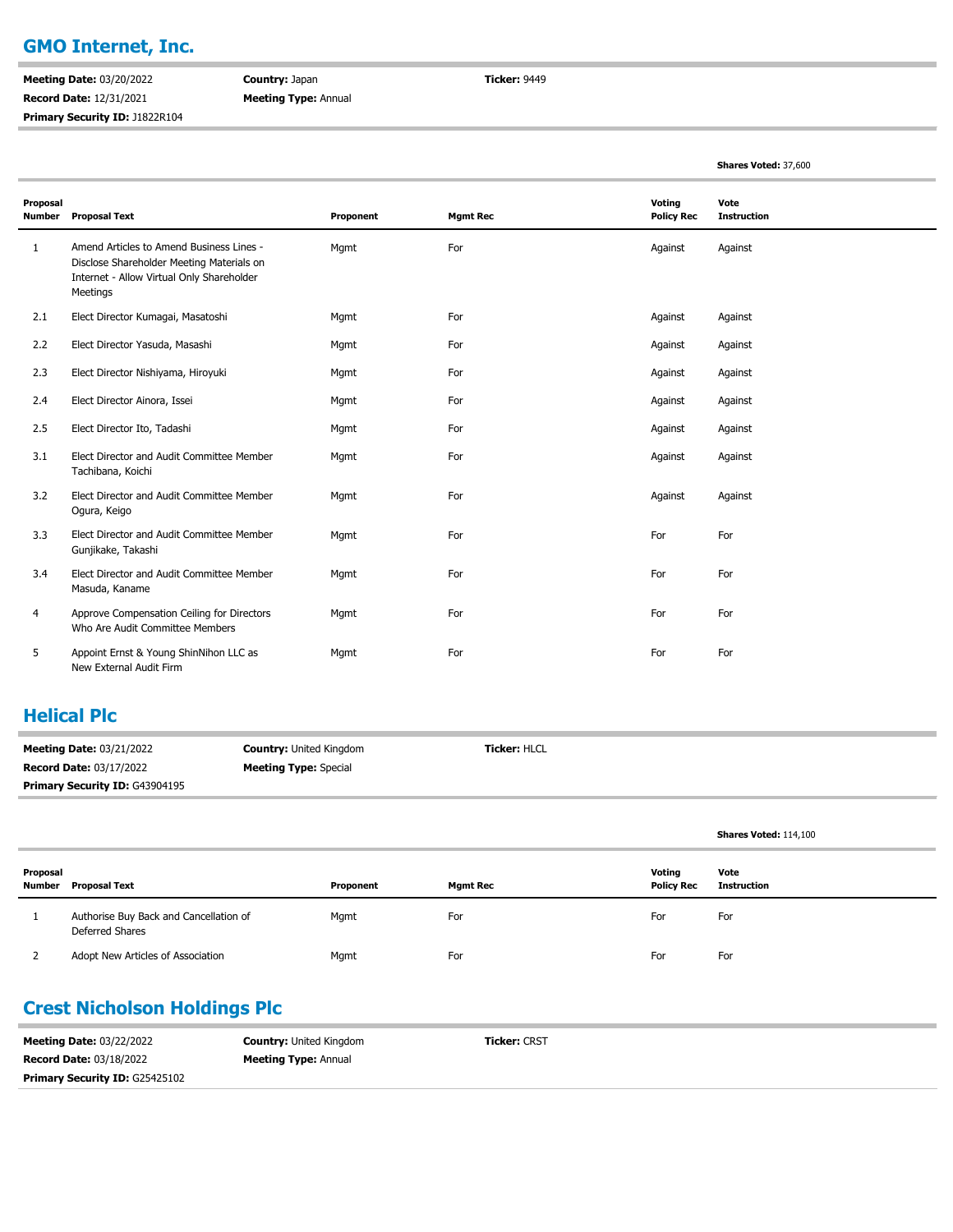#### **GMO Internet, Inc.**

**Meeting Date:** 03/20/2022 **Record Date:** 12/31/2021 **Primary Security ID:** J1822R104

i.

**Country:** Japan **Meeting Type:** Annual **Ticker:** 9449

|                           |                                                                                                                                                |           |                 |                             | Shares Voted: 37,600       |
|---------------------------|------------------------------------------------------------------------------------------------------------------------------------------------|-----------|-----------------|-----------------------------|----------------------------|
| Proposal<br><b>Number</b> | <b>Proposal Text</b>                                                                                                                           | Proponent | <b>Mgmt Rec</b> | Voting<br><b>Policy Rec</b> | Vote<br><b>Instruction</b> |
| $\mathbf{1}$              | Amend Articles to Amend Business Lines -<br>Disclose Shareholder Meeting Materials on<br>Internet - Allow Virtual Only Shareholder<br>Meetings | Mqmt      | For             | Against                     | Against                    |
| 2.1                       | Elect Director Kumagai, Masatoshi                                                                                                              | Mgmt      | For             | Against                     | Against                    |
| 2.2                       | Elect Director Yasuda, Masashi                                                                                                                 | Mgmt      | For             | Against                     | Against                    |
| 2.3                       | Elect Director Nishiyama, Hiroyuki                                                                                                             | Mgmt      | For             | Against                     | Against                    |
| 2.4                       | Elect Director Ainora, Issei                                                                                                                   | Mgmt      | For             | Against                     | Against                    |
| 2.5                       | Elect Director Ito, Tadashi                                                                                                                    | Mgmt      | For             | Against                     | Against                    |
| 3.1                       | Elect Director and Audit Committee Member<br>Tachibana, Koichi                                                                                 | Mgmt      | For             | Against                     | Against                    |
| 3.2                       | Elect Director and Audit Committee Member<br>Ogura, Keigo                                                                                      | Mgmt      | For             | Against                     | Against                    |
| 3.3                       | Elect Director and Audit Committee Member<br>Gunjikake, Takashi                                                                                | Mgmt      | For             | For                         | For                        |
| 3.4                       | Elect Director and Audit Committee Member<br>Masuda, Kaname                                                                                    | Mgmt      | For             | For                         | For                        |
| 4                         | Approve Compensation Ceiling for Directors<br>Who Are Audit Committee Members                                                                  | Mgmt      | For             | For                         | For                        |
| 5                         | Appoint Ernst & Young ShinNihon LLC as<br>New External Audit Firm                                                                              | Mgmt      | For             | For                         | For                        |

#### **Helical Plc**

| <b>Meeting Date: 03/21/2022</b> | <b>Country:</b> United Kingdom | <b>Ticker: HLCL</b> |
|---------------------------------|--------------------------------|---------------------|
| <b>Record Date: 03/17/2022</b>  | <b>Meeting Type:</b> Special   |                     |
| Primary Security ID: G43904195  |                                |                     |

|          |                                                           |           |                 |                             | Shares Voted: 114,100 |
|----------|-----------------------------------------------------------|-----------|-----------------|-----------------------------|-----------------------|
| Proposal | Number Proposal Text                                      | Proponent | <b>Mgmt Rec</b> | Votina<br><b>Policy Rec</b> | Vote<br>Instruction   |
|          | Authorise Buy Back and Cancellation of<br>Deferred Shares | Mgmt      | For             | For                         | For                   |
|          | Adopt New Articles of Association                         | Mgmt      | For             | For                         | For                   |

#### **Crest Nicholson Holdings Plc**

| <b>Meeting Date: 03/22/2022</b>       | <b>Country: United Kingdom</b> | <b>Ticker: CRST</b> |
|---------------------------------------|--------------------------------|---------------------|
| <b>Record Date: 03/18/2022</b>        | <b>Meeting Type: Annual</b>    |                     |
| <b>Primary Security ID: G25425102</b> |                                |                     |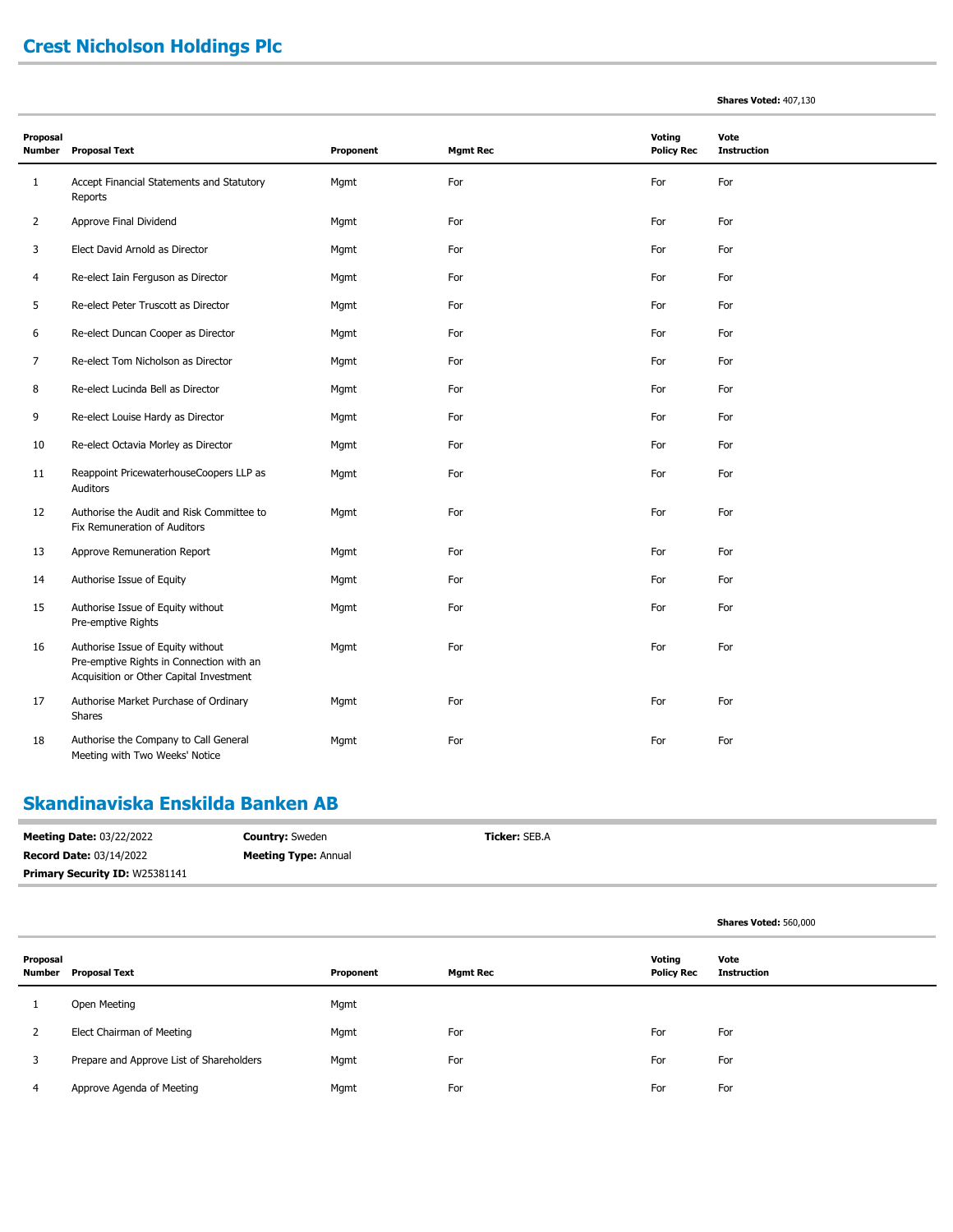# **Crest Nicholson Holdings Plc**

| Proposal<br>Number | <b>Proposal Text</b>                                                                                                     | Proponent | <b>Mgmt Rec</b> | Voting<br><b>Policy Rec</b> | Vote<br><b>Instruction</b> |
|--------------------|--------------------------------------------------------------------------------------------------------------------------|-----------|-----------------|-----------------------------|----------------------------|
| $1\,$              | Accept Financial Statements and Statutory<br>Reports                                                                     | Mqmt      | For             | For                         | For                        |
| $\overline{2}$     | Approve Final Dividend                                                                                                   | Mgmt      | For             | For                         | For                        |
| 3                  | Elect David Arnold as Director                                                                                           | Mgmt      | For             | For                         | For                        |
| 4                  | Re-elect Iain Ferguson as Director                                                                                       | Mgmt      | For             | For                         | For                        |
| 5                  | Re-elect Peter Truscott as Director                                                                                      | Mgmt      | For             | For                         | For                        |
| 6                  | Re-elect Duncan Cooper as Director                                                                                       | Mgmt      | For             | For                         | For                        |
| 7                  | Re-elect Tom Nicholson as Director                                                                                       | Mgmt      | For             | For                         | For                        |
| 8                  | Re-elect Lucinda Bell as Director                                                                                        | Mgmt      | For             | For                         | For                        |
| 9                  | Re-elect Louise Hardy as Director                                                                                        | Mgmt      | For             | For                         | For                        |
| 10                 | Re-elect Octavia Morley as Director                                                                                      | Mgmt      | For             | For                         | For                        |
| 11                 | Reappoint PricewaterhouseCoopers LLP as<br>Auditors                                                                      | Mgmt      | For             | For                         | For                        |
| 12                 | Authorise the Audit and Risk Committee to<br>Fix Remuneration of Auditors                                                | Mgmt      | For             | For                         | For                        |
| 13                 | Approve Remuneration Report                                                                                              | Mgmt      | For             | For                         | For                        |
| 14                 | Authorise Issue of Equity                                                                                                | Mgmt      | For             | For                         | For                        |
| 15                 | Authorise Issue of Equity without<br>Pre-emptive Rights                                                                  | Mgmt      | For             | For                         | For                        |
| 16                 | Authorise Issue of Equity without<br>Pre-emptive Rights in Connection with an<br>Acquisition or Other Capital Investment | Mgmt      | For             | For                         | For                        |
| 17                 | Authorise Market Purchase of Ordinary<br>Shares                                                                          | Mgmt      | For             | For                         | For                        |
| 18                 | Authorise the Company to Call General<br>Meeting with Two Weeks' Notice                                                  | Mgmt      | For             | For                         | For                        |

#### **Skandinaviska Enskilda Banken AB**

| <b>Meeting Date: 03/22/2022</b>       | <b>Country:</b> Sweden      | <b>Ticker: SEB.A</b> |
|---------------------------------------|-----------------------------|----------------------|
| <b>Record Date: 03/14/2022</b>        | <b>Meeting Type: Annual</b> |                      |
| <b>Primary Security ID: W25381141</b> |                             |                      |

|                    |                                          |           |                 |                             | Shares Voted: 560,000      |
|--------------------|------------------------------------------|-----------|-----------------|-----------------------------|----------------------------|
| Proposal<br>Number | <b>Proposal Text</b>                     | Proponent | <b>Mgmt Rec</b> | Voting<br><b>Policy Rec</b> | Vote<br><b>Instruction</b> |
|                    | Open Meeting                             | Mgmt      |                 |                             |                            |
| $\mathcal{L}$      | Elect Chairman of Meeting                | Mgmt      | For             | For                         | For                        |
| 3                  | Prepare and Approve List of Shareholders | Mgmt      | For             | For                         | For                        |
| 4                  | Approve Agenda of Meeting                | Mgmt      | For             | For                         | For                        |

#### **Shares Voted:** 407,130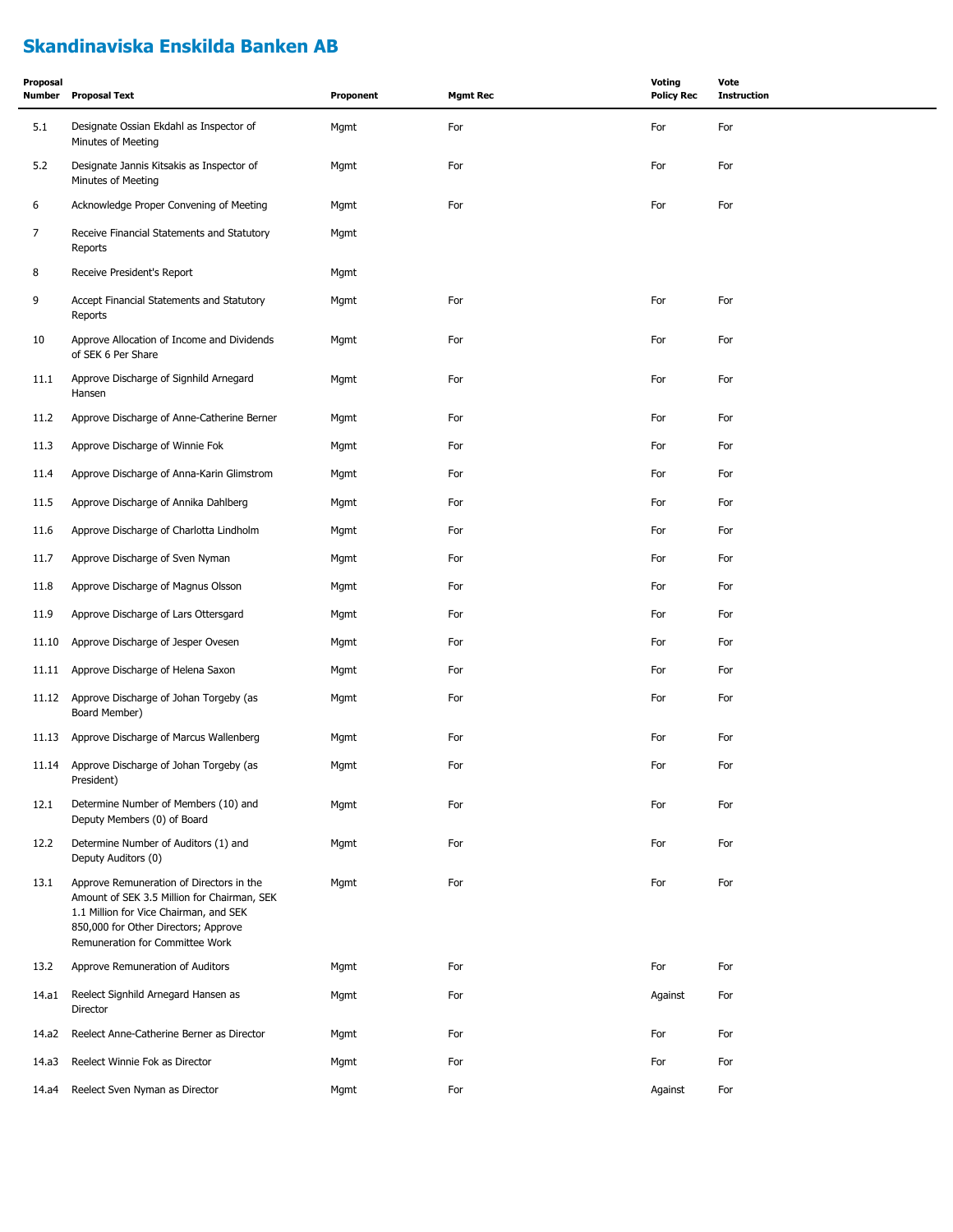## **Skandinaviska Enskilda Banken AB**

| Proposal<br>Number | <b>Proposal Text</b>                                                                                                                                                                                         | Proponent | <b>Mgmt Rec</b> | <b>Voting</b><br><b>Policy Rec</b> | Vote<br><b>Instruction</b> |
|--------------------|--------------------------------------------------------------------------------------------------------------------------------------------------------------------------------------------------------------|-----------|-----------------|------------------------------------|----------------------------|
| 5.1                | Designate Ossian Ekdahl as Inspector of<br>Minutes of Meeting                                                                                                                                                | Mgmt      | For             | For                                | For                        |
| 5.2                | Designate Jannis Kitsakis as Inspector of<br>Minutes of Meeting                                                                                                                                              | Mgmt      | For             | For                                | For                        |
| 6                  | Acknowledge Proper Convening of Meeting                                                                                                                                                                      | Mgmt      | For             | For                                | For                        |
| $\overline{7}$     | Receive Financial Statements and Statutory<br>Reports                                                                                                                                                        | Mgmt      |                 |                                    |                            |
| 8                  | Receive President's Report                                                                                                                                                                                   | Mgmt      |                 |                                    |                            |
| 9                  | Accept Financial Statements and Statutory<br>Reports                                                                                                                                                         | Mgmt      | For             | For                                | For                        |
| 10                 | Approve Allocation of Income and Dividends<br>of SEK 6 Per Share                                                                                                                                             | Mgmt      | For             | For                                | For                        |
| 11.1               | Approve Discharge of Signhild Arnegard<br>Hansen                                                                                                                                                             | Mgmt      | For             | For                                | For                        |
| 11.2               | Approve Discharge of Anne-Catherine Berner                                                                                                                                                                   | Mgmt      | For             | For                                | For                        |
| 11.3               | Approve Discharge of Winnie Fok                                                                                                                                                                              | Mgmt      | For             | For                                | For                        |
| 11.4               | Approve Discharge of Anna-Karin Glimstrom                                                                                                                                                                    | Mgmt      | For             | For                                | For                        |
| 11.5               | Approve Discharge of Annika Dahlberg                                                                                                                                                                         | Mgmt      | For             | For                                | For                        |
| 11.6               | Approve Discharge of Charlotta Lindholm                                                                                                                                                                      | Mgmt      | For             | For                                | For                        |
| 11.7               | Approve Discharge of Sven Nyman                                                                                                                                                                              | Mgmt      | For             | For                                | For                        |
| 11.8               | Approve Discharge of Magnus Olsson                                                                                                                                                                           | Mgmt      | For             | For                                | For                        |
| 11.9               | Approve Discharge of Lars Ottersgard                                                                                                                                                                         | Mgmt      | For             | For                                | For                        |
| 11.10              | Approve Discharge of Jesper Ovesen                                                                                                                                                                           | Mgmt      | For             | For                                | For                        |
| 11.11              | Approve Discharge of Helena Saxon                                                                                                                                                                            | Mgmt      | For             | For                                | For                        |
| 11.12              | Approve Discharge of Johan Torgeby (as<br>Board Member)                                                                                                                                                      | Mgmt      | For             | For                                | For                        |
| 11.13              | Approve Discharge of Marcus Wallenberg                                                                                                                                                                       | Mgmt      | For             | For                                | For                        |
| 11.14              | Approve Discharge of Johan Torgeby (as<br>President)                                                                                                                                                         | Mgmt      | For             | For                                | For                        |
| 12.1               | Determine Number of Members (10) and<br>Deputy Members (0) of Board                                                                                                                                          | Mgmt      | For             | For                                | For                        |
| 12.2               | Determine Number of Auditors (1) and<br>Deputy Auditors (0)                                                                                                                                                  | Mgmt      | For             | For                                | For                        |
| 13.1               | Approve Remuneration of Directors in the<br>Amount of SEK 3.5 Million for Chairman, SEK<br>1.1 Million for Vice Chairman, and SEK<br>850,000 for Other Directors; Approve<br>Remuneration for Committee Work | Mgmt      | For             | For                                | For                        |
| 13.2               | Approve Remuneration of Auditors                                                                                                                                                                             | Mgmt      | For             | For                                | For                        |
| 14.a1              | Reelect Signhild Arnegard Hansen as<br>Director                                                                                                                                                              | Mgmt      | For             | Against                            | For                        |
| 14.a2              | Reelect Anne-Catherine Berner as Director                                                                                                                                                                    | Mgmt      | For             | For                                | For                        |
| 14.a3              | Reelect Winnie Fok as Director                                                                                                                                                                               | Mgmt      | For             | For                                | For                        |
| 14.a4              | Reelect Sven Nyman as Director                                                                                                                                                                               | Mgmt      | For             | Against                            | For                        |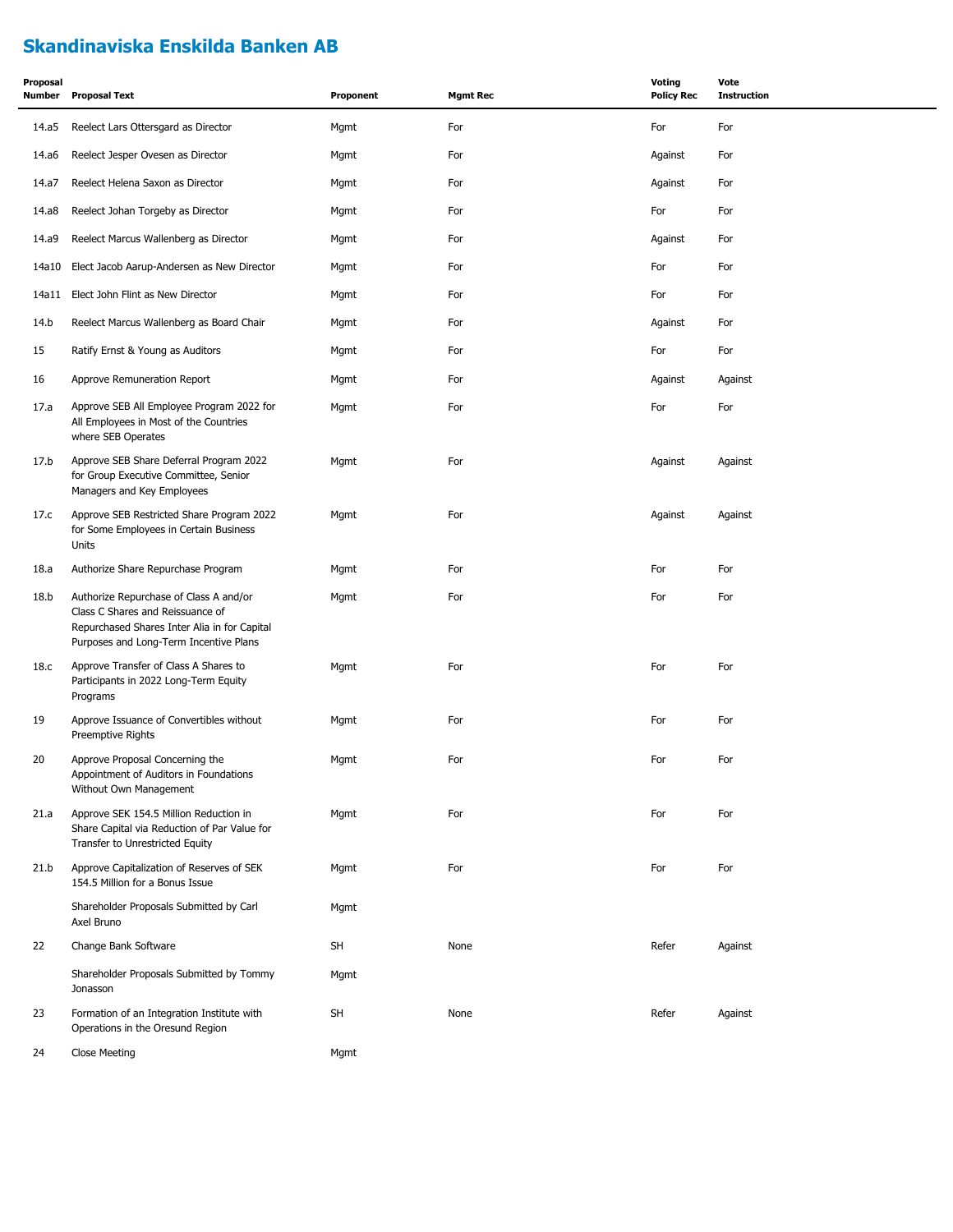#### **Skandinaviska Enskilda Banken AB**

| Proposal<br>Number | <b>Proposal Text</b>                                                                                                                                                 | Proponent | <b>Mgmt Rec</b> | <b>Voting</b><br><b>Policy Rec</b> | Vote<br><b>Instruction</b> |
|--------------------|----------------------------------------------------------------------------------------------------------------------------------------------------------------------|-----------|-----------------|------------------------------------|----------------------------|
| 14.a5              | Reelect Lars Ottersgard as Director                                                                                                                                  | Mgmt      | For             | For                                | For                        |
| 14.a6              | Reelect Jesper Ovesen as Director                                                                                                                                    | Mgmt      | For             | Against                            | For                        |
| 14.a7              | Reelect Helena Saxon as Director                                                                                                                                     | Mgmt      | For             | Against                            | For                        |
| 14.a8              | Reelect Johan Torgeby as Director                                                                                                                                    | Mgmt      | For             | For                                | For                        |
| 14.a9              | Reelect Marcus Wallenberg as Director                                                                                                                                | Mgmt      | For             | Against                            | For                        |
| 14a10              | Elect Jacob Aarup-Andersen as New Director                                                                                                                           | Mgmt      | For             | For                                | For                        |
| 14a11              | Elect John Flint as New Director                                                                                                                                     | Mgmt      | For             | For                                | For                        |
| 14.b               | Reelect Marcus Wallenberg as Board Chair                                                                                                                             | Mgmt      | For             | Against                            | For                        |
| 15                 | Ratify Ernst & Young as Auditors                                                                                                                                     | Mgmt      | For             | For                                | For                        |
| 16                 | Approve Remuneration Report                                                                                                                                          | Mgmt      | For             | Against                            | Against                    |
| 17.a               | Approve SEB All Employee Program 2022 for<br>All Employees in Most of the Countries<br>where SEB Operates                                                            | Mgmt      | For             | For                                | For                        |
| 17.b               | Approve SEB Share Deferral Program 2022<br>for Group Executive Committee, Senior<br>Managers and Key Employees                                                       | Mgmt      | For             | Against                            | Against                    |
| 17.c               | Approve SEB Restricted Share Program 2022<br>for Some Employees in Certain Business<br>Units                                                                         | Mgmt      | For             | Against                            | Against                    |
| 18.a               | Authorize Share Repurchase Program                                                                                                                                   | Mgmt      | For             | For                                | For                        |
| 18.b               | Authorize Repurchase of Class A and/or<br>Class C Shares and Reissuance of<br>Repurchased Shares Inter Alia in for Capital<br>Purposes and Long-Term Incentive Plans | Mgmt      | For             | For                                | For                        |
| 18.c               | Approve Transfer of Class A Shares to<br>Participants in 2022 Long-Term Equity<br>Programs                                                                           | Mgmt      | For             | For                                | For                        |
| 19                 | Approve Issuance of Convertibles without<br>Preemptive Rights                                                                                                        | Mgmt      | For             | For                                | For                        |
| 20                 | Approve Proposal Concerning the<br>Appointment of Auditors in Foundations<br>Without Own Management                                                                  | Mgmt      | For             | For                                | For                        |
| 21.a               | Approve SEK 154.5 Million Reduction in<br>Share Capital via Reduction of Par Value for<br>Transfer to Unrestricted Equity                                            | Mgmt      | For             | For                                | For                        |
| 21.b               | Approve Capitalization of Reserves of SEK<br>154.5 Million for a Bonus Issue                                                                                         | Mgmt      | For             | For                                | For                        |
|                    | Shareholder Proposals Submitted by Carl<br>Axel Bruno                                                                                                                | Mgmt      |                 |                                    |                            |
| 22                 | Change Bank Software                                                                                                                                                 | SH        | None            | Refer                              | Against                    |
|                    | Shareholder Proposals Submitted by Tommy<br>Jonasson                                                                                                                 | Mgmt      |                 |                                    |                            |
| 23                 | Formation of an Integration Institute with<br>Operations in the Oresund Region                                                                                       | SH        | None            | Refer                              | Against                    |
| 24                 | Close Meeting                                                                                                                                                        | Mgmt      |                 |                                    |                            |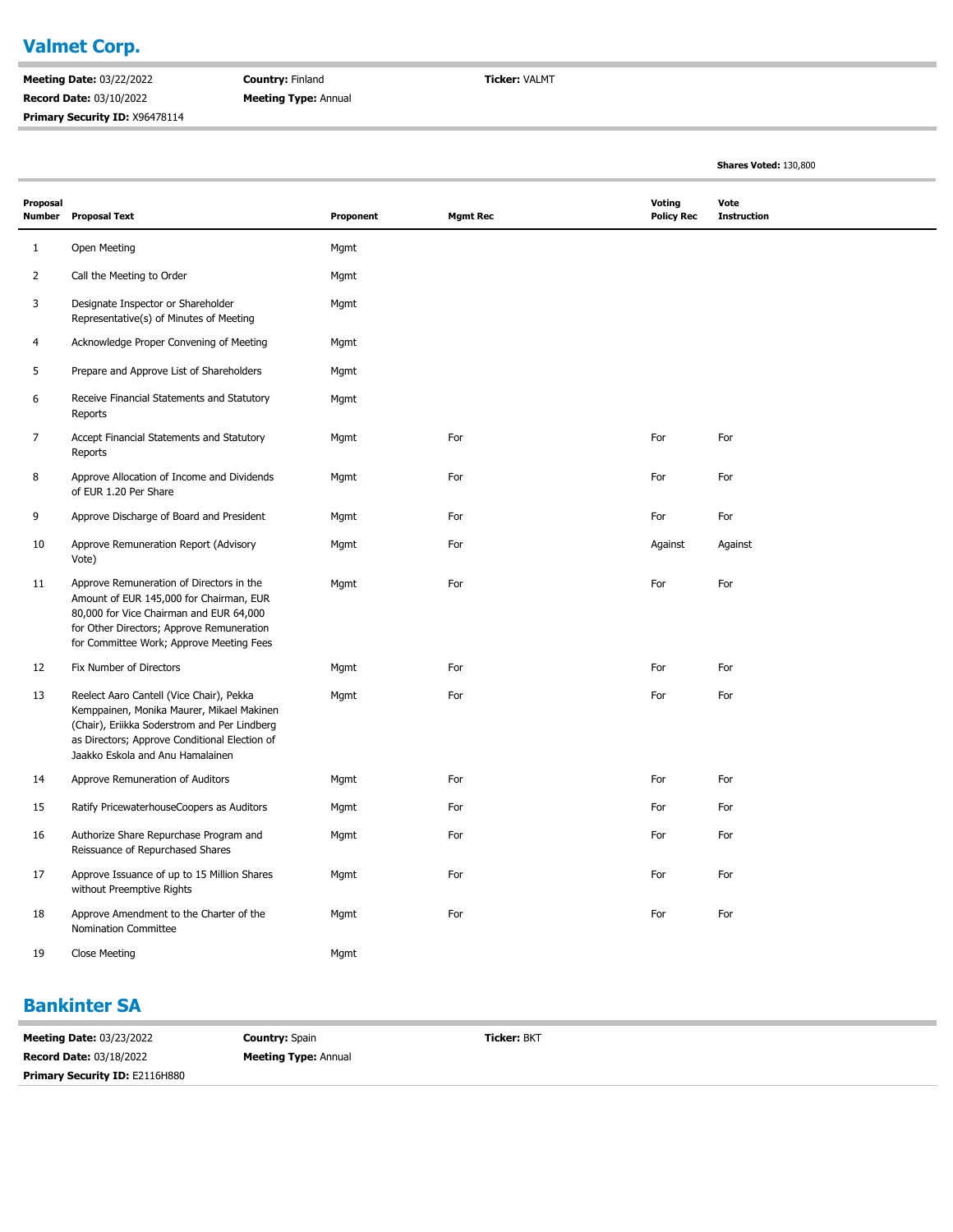#### **Valmet Corp.** Ė

**Meeting Date:** 03/22/2022 **Record Date:** 03/10/2022 **Primary Security ID:** X96478114 **Country:** Finland **Meeting Type:** Annual **Ticker:** VALMT

**Shares Voted:** 130,800

| Proposal<br><b>Number</b> | <b>Proposal Text</b>                                                                                                                                                                                                       | Proponent | <b>Mgmt Rec</b> | Voting<br><b>Policy Rec</b> | Vote<br><b>Instruction</b> |
|---------------------------|----------------------------------------------------------------------------------------------------------------------------------------------------------------------------------------------------------------------------|-----------|-----------------|-----------------------------|----------------------------|
| 1                         | Open Meeting                                                                                                                                                                                                               | Mgmt      |                 |                             |                            |
| $\overline{2}$            | Call the Meeting to Order                                                                                                                                                                                                  | Mgmt      |                 |                             |                            |
| 3                         | Designate Inspector or Shareholder<br>Representative(s) of Minutes of Meeting                                                                                                                                              | Mgmt      |                 |                             |                            |
| 4                         | Acknowledge Proper Convening of Meeting                                                                                                                                                                                    | Mgmt      |                 |                             |                            |
| 5                         | Prepare and Approve List of Shareholders                                                                                                                                                                                   | Mgmt      |                 |                             |                            |
| 6                         | Receive Financial Statements and Statutory<br>Reports                                                                                                                                                                      | Mgmt      |                 |                             |                            |
| 7                         | Accept Financial Statements and Statutory<br>Reports                                                                                                                                                                       | Mgmt      | For             | For                         | For                        |
| 8                         | Approve Allocation of Income and Dividends<br>of EUR 1.20 Per Share                                                                                                                                                        | Mgmt      | For             | For                         | For                        |
| 9                         | Approve Discharge of Board and President                                                                                                                                                                                   | Mgmt      | For             | For                         | For                        |
| 10                        | Approve Remuneration Report (Advisory<br>Vote)                                                                                                                                                                             | Mgmt      | For             | Against                     | Against                    |
| 11                        | Approve Remuneration of Directors in the<br>Amount of EUR 145,000 for Chairman, EUR<br>80,000 for Vice Chairman and EUR 64,000<br>for Other Directors; Approve Remuneration<br>for Committee Work; Approve Meeting Fees    | Mgmt      | For             | For                         | For                        |
| 12                        | Fix Number of Directors                                                                                                                                                                                                    | Mgmt      | For             | For                         | For                        |
| 13                        | Reelect Aaro Cantell (Vice Chair), Pekka<br>Kemppainen, Monika Maurer, Mikael Makinen<br>(Chair), Eriikka Soderstrom and Per Lindberg<br>as Directors; Approve Conditional Election of<br>Jaakko Eskola and Anu Hamalainen | Mgmt      | For             | For                         | For                        |
| 14                        | Approve Remuneration of Auditors                                                                                                                                                                                           | Mgmt      | For             | For                         | For                        |
| 15                        | Ratify PricewaterhouseCoopers as Auditors                                                                                                                                                                                  | Mgmt      | For             | For                         | For                        |
| 16                        | Authorize Share Repurchase Program and<br>Reissuance of Repurchased Shares                                                                                                                                                 | Mgmt      | For             | For                         | For                        |
| 17                        | Approve Issuance of up to 15 Million Shares<br>without Preemptive Rights                                                                                                                                                   | Mgmt      | For             | For                         | For                        |
| 18                        | Approve Amendment to the Charter of the<br>Nomination Committee                                                                                                                                                            | Mgmt      | For             | For                         | For                        |
| 19                        | <b>Close Meeting</b>                                                                                                                                                                                                       | Mgmt      |                 |                             |                            |

#### **Bankinter SA**

| <b>Meeting Date: 03/23/2022</b>       | <b>Country: Spain</b>       | <b>Ticker: BKT</b> |
|---------------------------------------|-----------------------------|--------------------|
| <b>Record Date: 03/18/2022</b>        | <b>Meeting Type: Annual</b> |                    |
| <b>Primary Security ID: E2116H880</b> |                             |                    |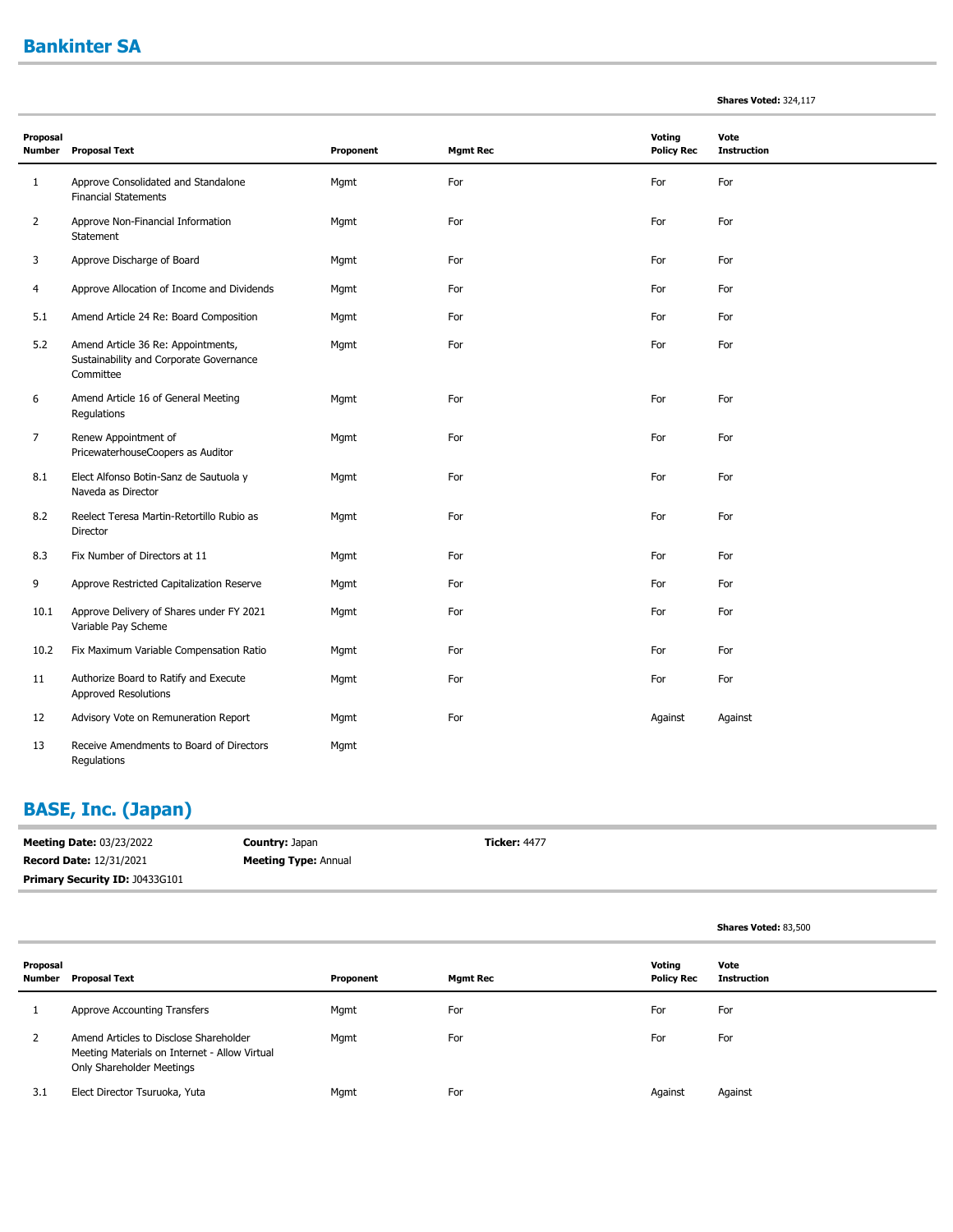#### **Bankinter SA**

×

| <b>Shares Voted: 324,117</b> |  |
|------------------------------|--|
|------------------------------|--|

**Shares Voted:** 83,500

| Proposal       |                                                                                            |           |                 | Voting            | Vote               |
|----------------|--------------------------------------------------------------------------------------------|-----------|-----------------|-------------------|--------------------|
| Number         | <b>Proposal Text</b>                                                                       | Proponent | <b>Mgmt Rec</b> | <b>Policy Rec</b> | <b>Instruction</b> |
| $\mathbf{1}$   | Approve Consolidated and Standalone<br><b>Financial Statements</b>                         | Mgmt      | For             | For               | For                |
| $\overline{2}$ | Approve Non-Financial Information<br>Statement                                             | Mgmt      | For             | For               | For                |
| 3              | Approve Discharge of Board                                                                 | Mgmt      | For             | For               | For                |
| 4              | Approve Allocation of Income and Dividends                                                 | Mgmt      | For             | For               | For                |
| 5.1            | Amend Article 24 Re: Board Composition                                                     | Mgmt      | For             | For               | For                |
| 5.2            | Amend Article 36 Re: Appointments,<br>Sustainability and Corporate Governance<br>Committee | Mgmt      | For             | For               | For                |
| 6              | Amend Article 16 of General Meeting<br>Regulations                                         | Mgmt      | For             | For               | For                |
| 7              | Renew Appointment of<br>PricewaterhouseCoopers as Auditor                                  | Mgmt      | For             | For               | For                |
| 8.1            | Elect Alfonso Botin-Sanz de Sautuola y<br>Naveda as Director                               | Mgmt      | For             | For               | For                |
| 8.2            | Reelect Teresa Martin-Retortillo Rubio as<br>Director                                      | Mgmt      | For             | For               | For                |
| 8.3            | Fix Number of Directors at 11                                                              | Mgmt      | For             | For               | For                |
| 9              | Approve Restricted Capitalization Reserve                                                  | Mgmt      | For             | For               | For                |
| 10.1           | Approve Delivery of Shares under FY 2021<br>Variable Pay Scheme                            | Mgmt      | For             | For               | For                |
| 10.2           | Fix Maximum Variable Compensation Ratio                                                    | Mgmt      | For             | For               | For                |
| 11             | Authorize Board to Ratify and Execute<br>Approved Resolutions                              | Mgmt      | For             | For               | For                |
| 12             | Advisory Vote on Remuneration Report                                                       | Mgmt      | For             | Against           | Against            |
| 13             | Receive Amendments to Board of Directors<br>Regulations                                    | Mgmt      |                 |                   |                    |

# **BASE, Inc. (Japan)**

| <b>Meeting Date: 03/23/2022</b>       | <b>Country: Japan</b>       | <b>Ticker: 4477</b> |
|---------------------------------------|-----------------------------|---------------------|
| <b>Record Date: 12/31/2021</b>        | <b>Meeting Type: Annual</b> |                     |
| <b>Primary Security ID: J0433G101</b> |                             |                     |

| Proposal<br>Number | Proposal Text                                                                                                        | Proponent | Mgmt Rec | Votina<br><b>Policy Rec</b> | Vote<br><b>Instruction</b> |
|--------------------|----------------------------------------------------------------------------------------------------------------------|-----------|----------|-----------------------------|----------------------------|
|                    | Approve Accounting Transfers                                                                                         | Mgmt      | For      | For                         | For                        |
|                    | Amend Articles to Disclose Shareholder<br>Meeting Materials on Internet - Allow Virtual<br>Only Shareholder Meetings | Mgmt      | For      | For                         | For                        |
| 3.1                | Elect Director Tsuruoka, Yuta                                                                                        | Mgmt      | For      | Against                     | Against                    |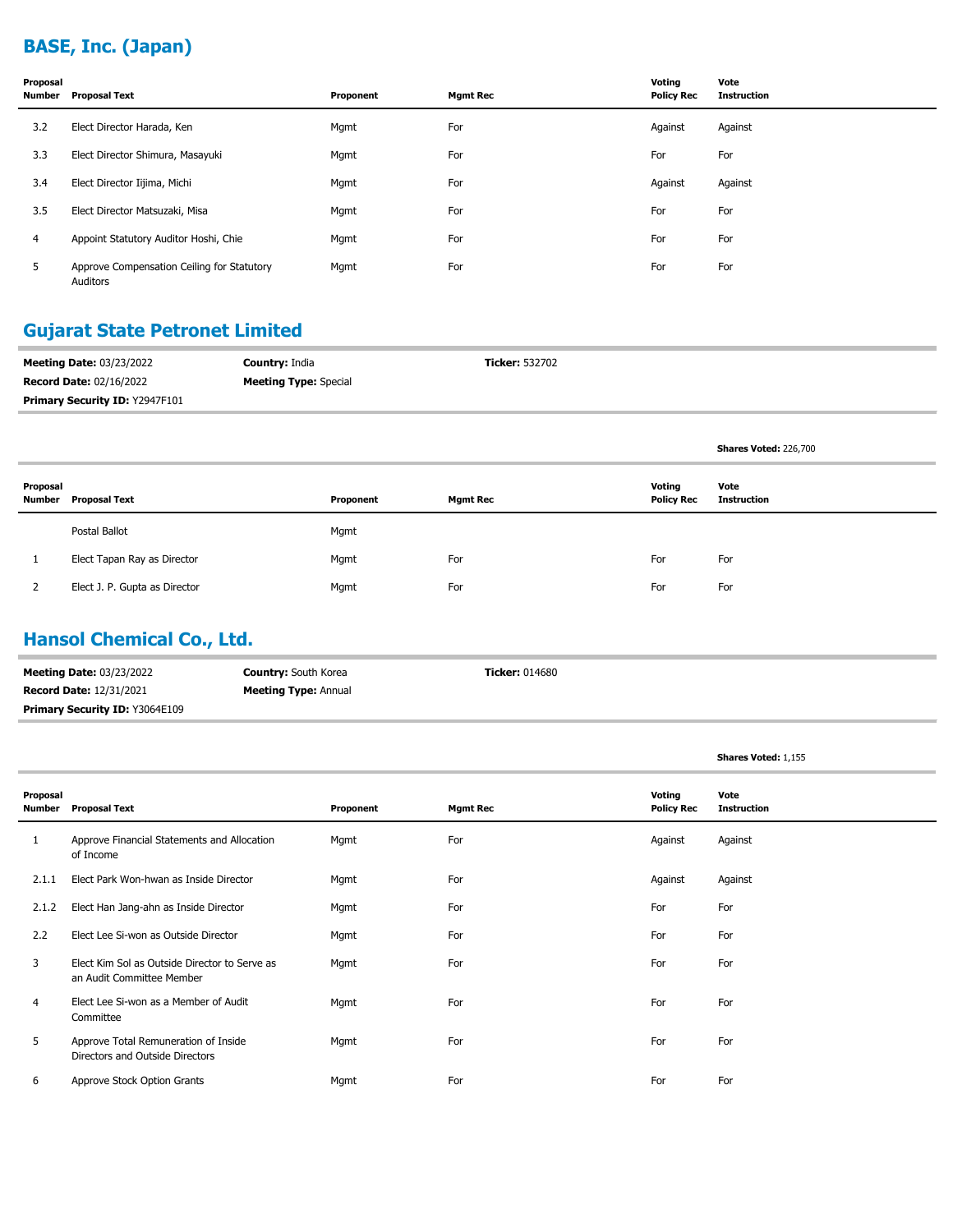# **BASE, Inc. (Japan)**

| Proposal<br>Number | Proposal Text                                          | Proponent | <b>Mgmt Rec</b> | Voting<br><b>Policy Rec</b> | Vote<br><b>Instruction</b> |
|--------------------|--------------------------------------------------------|-----------|-----------------|-----------------------------|----------------------------|
| 3.2                | Elect Director Harada, Ken                             | Mgmt      | For             | Against                     | Against                    |
| 3.3                | Elect Director Shimura, Masayuki                       | Mgmt      | For             | For                         | For                        |
| 3.4                | Elect Director Iijima, Michi                           | Mgmt      | For             | Against                     | Against                    |
| 3.5                | Elect Director Matsuzaki, Misa                         | Mgmt      | For             | For                         | For                        |
| 4                  | Appoint Statutory Auditor Hoshi, Chie                  | Mgmt      | For             | For                         | For                        |
| 5                  | Approve Compensation Ceiling for Statutory<br>Auditors | Mgmt      | For             | For                         | For                        |

## **Gujarat State Petronet Limited**

| <b>Meeting Date: 03/23/2022</b>       | <b>Country: India</b>        | <b>Ticker: 532702</b> |
|---------------------------------------|------------------------------|-----------------------|
| <b>Record Date: 02/16/2022</b>        | <b>Meeting Type:</b> Special |                       |
| <b>Primary Security ID: Y2947F101</b> |                              |                       |

| Proposal<br>Number | <b>Proposal Text</b>          | Proponent | <b>Mgmt Rec</b> | Voting<br><b>Policy Rec</b> | Vote<br>Instruction |
|--------------------|-------------------------------|-----------|-----------------|-----------------------------|---------------------|
|                    | Postal Ballot                 | Mgmt      |                 |                             |                     |
|                    | Elect Tapan Ray as Director   | Mgmt      | For             | For                         | For                 |
|                    | Elect J. P. Gupta as Director | Mgmt      | For             | For                         | For                 |

#### **Hansol Chemical Co., Ltd.**

| <b>Meeting Date: 03/23/2022</b>       | <b>Country:</b> South Korea | <b>Ticker:</b> 014680 |
|---------------------------------------|-----------------------------|-----------------------|
| <b>Record Date: 12/31/2021</b>        | <b>Meeting Type: Annual</b> |                       |
| <b>Primary Security ID: Y3064E109</b> |                             |                       |

| Proposal<br>Number | <b>Proposal Text</b>                                                       | Proponent | <b>Mgmt Rec</b> | Voting<br><b>Policy Rec</b> | Vote<br><b>Instruction</b> |
|--------------------|----------------------------------------------------------------------------|-----------|-----------------|-----------------------------|----------------------------|
| $\mathbf{1}$       | Approve Financial Statements and Allocation<br>of Income                   | Mgmt      | For             | Against                     | Against                    |
| 2.1.1              | Elect Park Won-hwan as Inside Director                                     | Mgmt      | For             | Against                     | Against                    |
| 2.1.2              | Elect Han Jang-ahn as Inside Director                                      | Mgmt      | For             | For                         | For                        |
| 2.2                | Elect Lee Si-won as Outside Director                                       | Mgmt      | For             | For                         | For                        |
| 3                  | Elect Kim Sol as Outside Director to Serve as<br>an Audit Committee Member | Mgmt      | For             | For                         | For                        |
| 4                  | Elect Lee Si-won as a Member of Audit<br>Committee                         | Mgmt      | For             | For                         | For                        |
| 5                  | Approve Total Remuneration of Inside<br>Directors and Outside Directors    | Mgmt      | For             | For                         | For                        |
| 6                  | Approve Stock Option Grants                                                | Mgmt      | For             | For                         | For                        |

**Shares Voted:** 1,155

**Shares Voted:** 226,700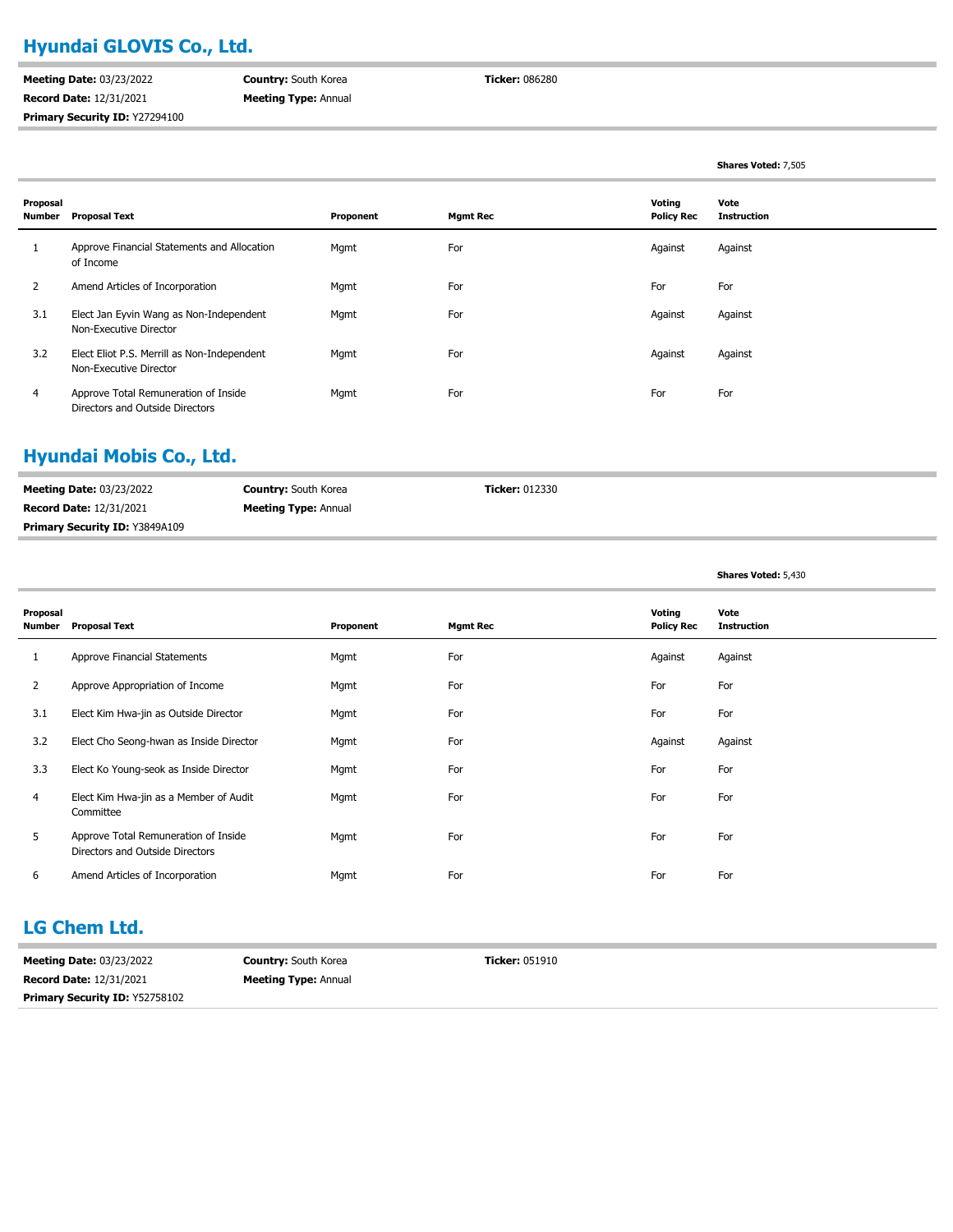#### **Hyundai GLOVIS Co., Ltd.**

**Meeting Date:** 03/23/2022 **Record Date:** 12/31/2021 **Primary Security ID:** Y27294100 **Country:** South Korea **Meeting Type:** Annual **Ticker:** 086280

**Shares Voted:** 7,505

**Shares Voted:** 5,430

| Proposal<br>Number | Proposal Text                                                           | Proponent | <b>Mgmt Rec</b> | Voting<br><b>Policy Rec</b> | Vote<br><b>Instruction</b> |
|--------------------|-------------------------------------------------------------------------|-----------|-----------------|-----------------------------|----------------------------|
|                    | Approve Financial Statements and Allocation<br>of Income                | Mgmt      | For             | Against                     | Against                    |
| 2                  | Amend Articles of Incorporation                                         | Mgmt      | For             | For                         | For                        |
| 3.1                | Elect Jan Eyvin Wang as Non-Independent<br>Non-Executive Director       | Mgmt      | For             | Against                     | Against                    |
| 3.2                | Elect Eliot P.S. Merrill as Non-Independent<br>Non-Executive Director   | Mgmt      | For             | Against                     | Against                    |
| 4                  | Approve Total Remuneration of Inside<br>Directors and Outside Directors | Mgmt      | For             | For                         | For                        |

#### **Hyundai Mobis Co., Ltd.**

| <b>Meeting Date: 03/23/2022</b> | <b>Country: South Korea</b> | <b>Ticker:</b> 012330 |
|---------------------------------|-----------------------------|-----------------------|
| <b>Record Date: 12/31/2021</b>  | <b>Meeting Type: Annual</b> |                       |
| Primary Security ID: Y3849A109  |                             |                       |

#### **Proposal Number Proposal Text Proponent Mgmt Rec Voting Policy Rec Vote Instruction** 1 Approve Financial Statements **Mgmt** For For Against Against Against Against Against Against Against Against Against 2 Approve Appropriation of Income **Mgmt** Mgmt For For For For For For For For For 3.1 Elect Kim Hwa-jin as Outside Director Mgmt For For For 3.2 Elect Cho Seong-hwan as Inside Director Mgmt Mgmt For For For Against Against Against Against 3.3 Elect Ko Young-seok as Inside Director Mgmt For For For Elect Kim Hwa-jin as a Member of Audit Mgmt For For For Committee 4 Approve Total Remuneration of Inside Mgmt Mgmt For For For For For For For For For Directors and Outside Directors 5 6 Amend Articles of Incorporation **For** Mgmt For For For For For For For For

#### **LG Chem Ltd.**

| <b>Meeting Date: 03/23/2022</b>       | <b>Country:</b> South Korea | <b>Ticker:</b> 051910 |
|---------------------------------------|-----------------------------|-----------------------|
| <b>Record Date: 12/31/2021</b>        | <b>Meeting Type: Annual</b> |                       |
| <b>Primary Security ID: Y52758102</b> |                             |                       |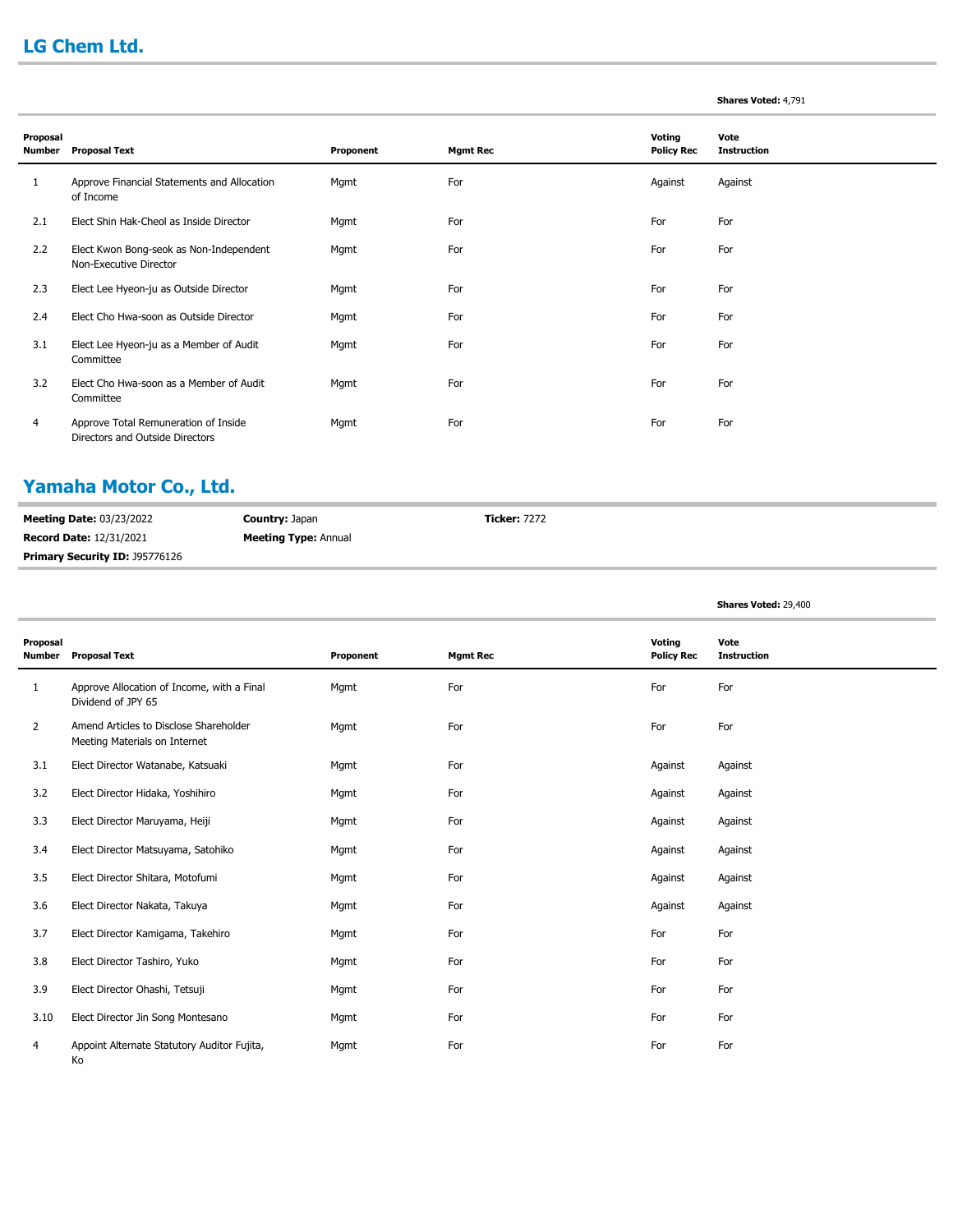## **LG Chem Ltd.**

#### **Shares Voted:** 4,791

| Proposal      |                                                                         |           |                 | Voting            | Vote               |
|---------------|-------------------------------------------------------------------------|-----------|-----------------|-------------------|--------------------|
| <b>Number</b> | <b>Proposal Text</b>                                                    | Proponent | <b>Mgmt Rec</b> | <b>Policy Rec</b> | <b>Instruction</b> |
| 1             | Approve Financial Statements and Allocation<br>of Income                | Mgmt      | For             | Against           | Against            |
| 2.1           | Elect Shin Hak-Cheol as Inside Director                                 | Mgmt      | For             | For               | For                |
| 2.2           | Elect Kwon Bong-seok as Non-Independent<br>Non-Executive Director       | Mgmt      | For             | For               | For                |
| 2.3           | Elect Lee Hyeon-ju as Outside Director                                  | Mgmt      | For             | For               | For                |
| 2.4           | Elect Cho Hwa-soon as Outside Director                                  | Mgmt      | For             | For               | For                |
| 3.1           | Elect Lee Hyeon-ju as a Member of Audit<br>Committee                    | Mgmt      | For             | For               | For                |
| 3.2           | Elect Cho Hwa-soon as a Member of Audit<br>Committee                    | Mgmt      | For             | For               | For                |
| 4             | Approve Total Remuneration of Inside<br>Directors and Outside Directors | Mgmt      | For             | For               | For                |

#### **Yamaha Motor Co., Ltd.**

| <b>Meeting Date: 03/23/2022</b> | <b>Country: Japan</b>       | <b>Ticker: 7272</b> |
|---------------------------------|-----------------------------|---------------------|
| <b>Record Date: 12/31/2021</b>  | <b>Meeting Type: Annual</b> |                     |
| Primary Security ID: J95776126  |                             |                     |

#### **Shares Voted:** 29,400

| Proposal<br><b>Number</b> | <b>Proposal Text</b>                                                    | Proponent | <b>Mgmt Rec</b> | Voting<br><b>Policy Rec</b> | Vote<br><b>Instruction</b> |
|---------------------------|-------------------------------------------------------------------------|-----------|-----------------|-----------------------------|----------------------------|
|                           |                                                                         |           |                 |                             |                            |
| $\mathbf{1}$              | Approve Allocation of Income, with a Final<br>Dividend of JPY 65        | Mgmt      | For             | For                         | For                        |
| 2                         | Amend Articles to Disclose Shareholder<br>Meeting Materials on Internet | Mgmt      | For             | For                         | For                        |
| 3.1                       | Elect Director Watanabe, Katsuaki                                       | Mgmt      | For             | Against                     | Against                    |
| 3.2                       | Elect Director Hidaka, Yoshihiro                                        | Mgmt      | For             | Against                     | Against                    |
| 3.3                       | Elect Director Maruyama, Heiji                                          | Mgmt      | For             | Against                     | Against                    |
| 3.4                       | Elect Director Matsuyama, Satohiko                                      | Mgmt      | For             | Against                     | Against                    |
| 3.5                       | Elect Director Shitara, Motofumi                                        | Mgmt      | For             | Against                     | Against                    |
| 3.6                       | Elect Director Nakata, Takuya                                           | Mgmt      | For             | Against                     | Against                    |
| 3.7                       | Elect Director Kamigama, Takehiro                                       | Mgmt      | For             | For                         | For                        |
| 3.8                       | Elect Director Tashiro, Yuko                                            | Mgmt      | For             | For                         | For                        |
| 3.9                       | Elect Director Ohashi, Tetsuji                                          | Mgmt      | For             | For                         | For                        |
| 3.10                      | Elect Director Jin Song Montesano                                       | Mgmt      | For             | For                         | For                        |
| 4                         | Appoint Alternate Statutory Auditor Fujita,<br>Ko                       | Mgmt      | For             | For                         | For                        |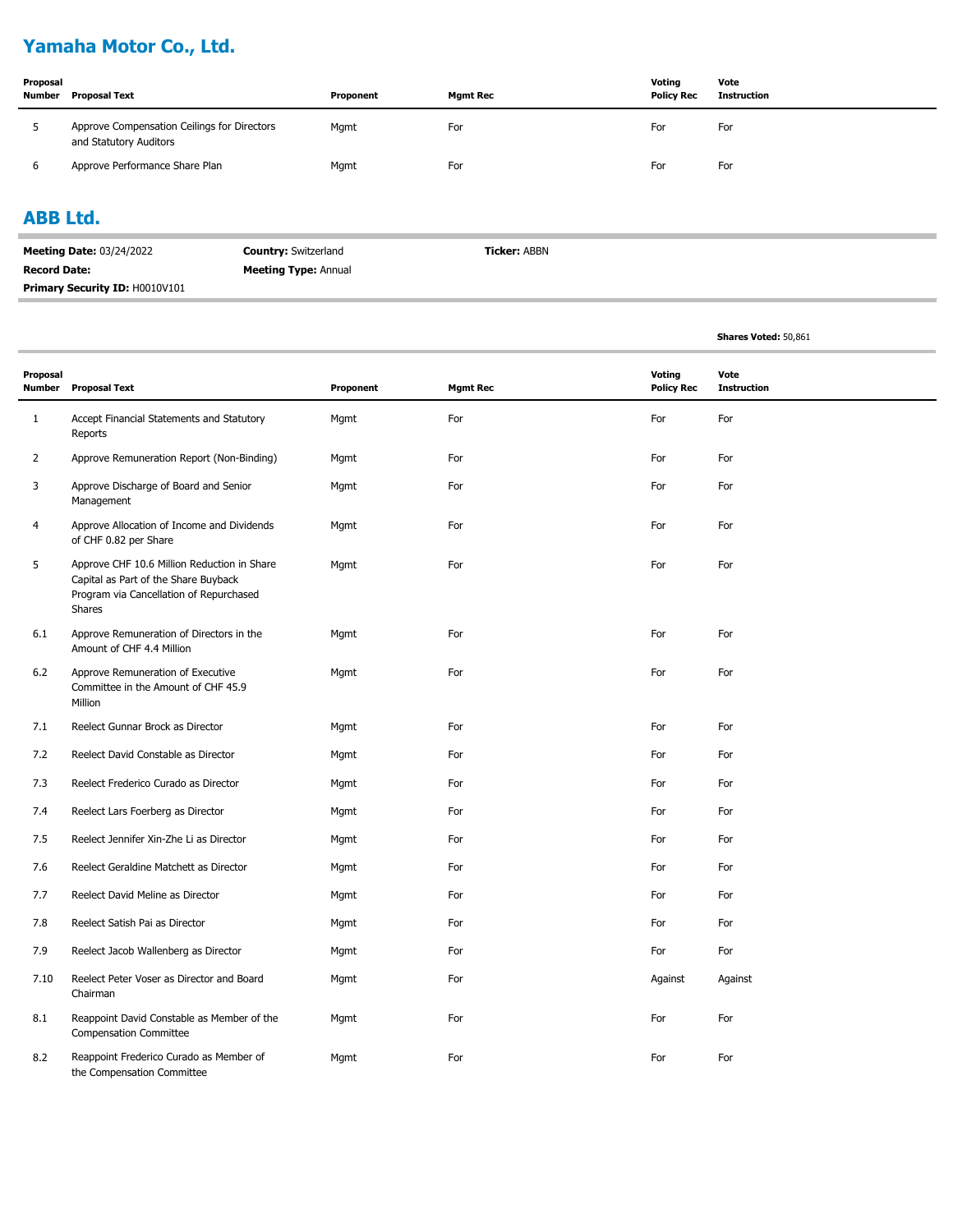# **Yamaha Motor Co., Ltd.**

| Proposal<br>Number | Proposal Text                                                         | Proponent | <b>Mgmt Rec</b> | Voting<br><b>Policy Rec</b> | Vote<br>Instruction |
|--------------------|-----------------------------------------------------------------------|-----------|-----------------|-----------------------------|---------------------|
|                    | Approve Compensation Ceilings for Directors<br>and Statutory Auditors | Mgmt      | For             | For                         | For                 |
|                    | Approve Performance Share Plan                                        | Mgmt      | For             | For                         | For                 |

#### **ABB Ltd.**

| <b>Meeting Date: 03/24/2022</b>       | <b>Country: Switzerland</b> | <b>Ticker: ABBN</b> |
|---------------------------------------|-----------------------------|---------------------|
| <b>Record Date:</b>                   | <b>Meeting Type: Annual</b> |                     |
| <b>Primary Security ID: H0010V101</b> |                             |                     |

**Shares Voted:** 50,861

| Proposal<br>Number | <b>Proposal Text</b>                                                                                                                     | Proponent | <b>Mgmt Rec</b> | Voting<br><b>Policy Rec</b> | Vote<br><b>Instruction</b> |
|--------------------|------------------------------------------------------------------------------------------------------------------------------------------|-----------|-----------------|-----------------------------|----------------------------|
| $\mathbf{1}$       | Accept Financial Statements and Statutory<br>Reports                                                                                     | Mgmt      | For             | For                         | For                        |
| $\overline{2}$     | Approve Remuneration Report (Non-Binding)                                                                                                | Mgmt      | For             | For                         | For                        |
| 3                  | Approve Discharge of Board and Senior<br>Management                                                                                      | Mgmt      | For             | For                         | For                        |
| 4                  | Approve Allocation of Income and Dividends<br>of CHF 0.82 per Share                                                                      | Mgmt      | For             | For                         | For                        |
| 5                  | Approve CHF 10.6 Million Reduction in Share<br>Capital as Part of the Share Buyback<br>Program via Cancellation of Repurchased<br>Shares | Mgmt      | For             | For                         | For                        |
| 6.1                | Approve Remuneration of Directors in the<br>Amount of CHF 4.4 Million                                                                    | Mgmt      | For             | For                         | For                        |
| 6.2                | Approve Remuneration of Executive<br>Committee in the Amount of CHF 45.9<br>Million                                                      | Mgmt      | For             | For                         | For                        |
| 7.1                | Reelect Gunnar Brock as Director                                                                                                         | Mgmt      | For             | For                         | For                        |
| 7.2                | Reelect David Constable as Director                                                                                                      | Mgmt      | For             | For                         | For                        |
| 7.3                | Reelect Frederico Curado as Director                                                                                                     | Mgmt      | For             | For                         | For                        |
| 7.4                | Reelect Lars Foerberg as Director                                                                                                        | Mgmt      | For             | For                         | For                        |
| 7.5                | Reelect Jennifer Xin-Zhe Li as Director                                                                                                  | Mgmt      | For             | For                         | For                        |
| 7.6                | Reelect Geraldine Matchett as Director                                                                                                   | Mgmt      | For             | For                         | For                        |
| 7.7                | Reelect David Meline as Director                                                                                                         | Mgmt      | For             | For                         | For                        |
| 7.8                | Reelect Satish Pai as Director                                                                                                           | Mgmt      | For             | For                         | For                        |
| 7.9                | Reelect Jacob Wallenberg as Director                                                                                                     | Mgmt      | For             | For                         | For                        |
| 7.10               | Reelect Peter Voser as Director and Board<br>Chairman                                                                                    | Mgmt      | For             | Against                     | Against                    |
| 8.1                | Reappoint David Constable as Member of the<br><b>Compensation Committee</b>                                                              | Mgmt      | For             | For                         | For                        |
| 8.2                | Reappoint Frederico Curado as Member of<br>the Compensation Committee                                                                    | Mgmt      | For             | For                         | For                        |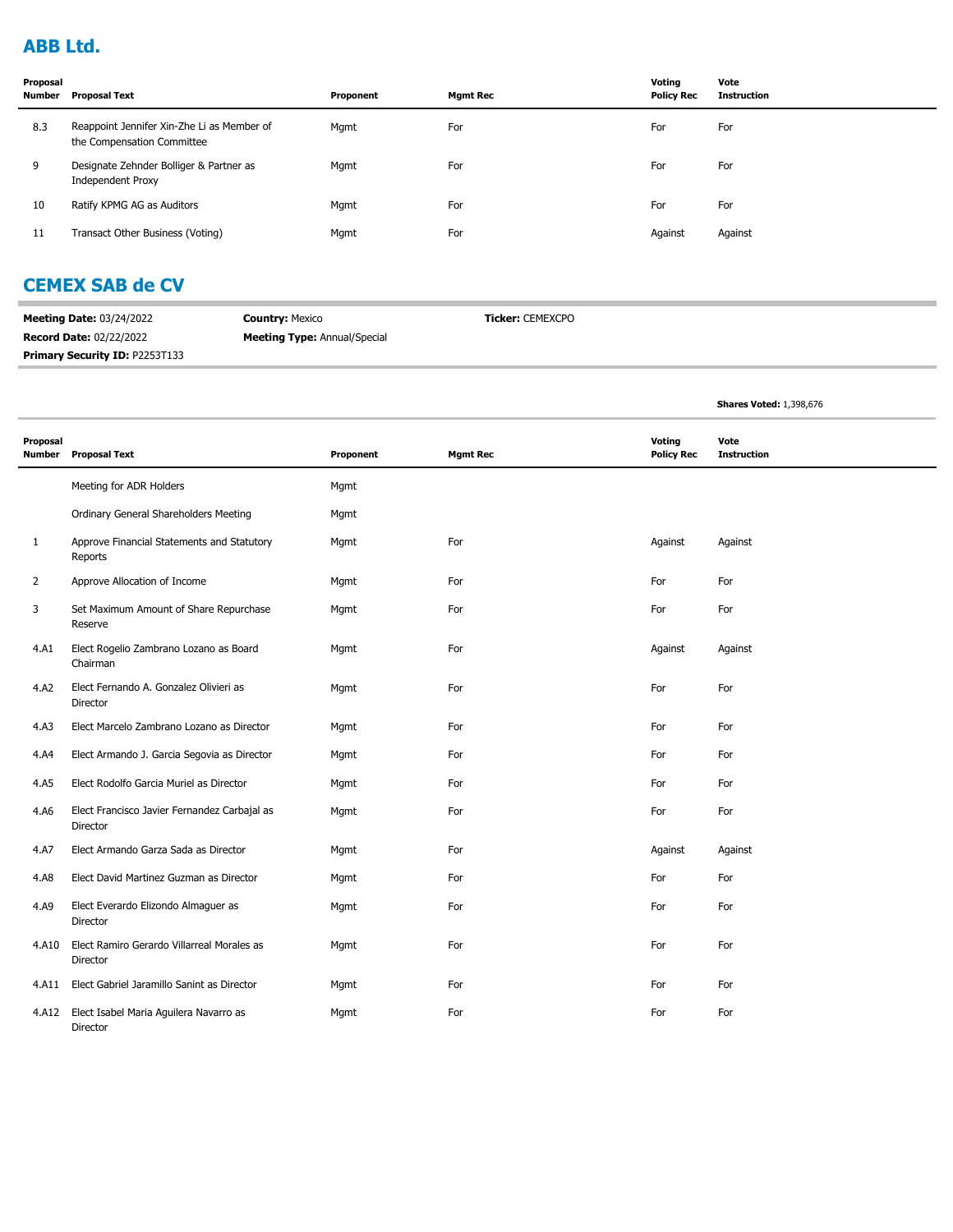## **ABB Ltd.**

| Proposal<br>Number | Proposal Text                                                            | Proponent | <b>Mamt Rec</b> | Votina<br><b>Policy Rec</b> | Vote<br><b>Instruction</b> |
|--------------------|--------------------------------------------------------------------------|-----------|-----------------|-----------------------------|----------------------------|
| 8.3                | Reappoint Jennifer Xin-Zhe Li as Member of<br>the Compensation Committee | Mgmt      | For             | For                         | For                        |
| 9                  | Designate Zehnder Bolliger & Partner as<br><b>Independent Proxy</b>      | Mgmt      | For             | For                         | For                        |
| 10                 | Ratify KPMG AG as Auditors                                               | Mgmt      | For             | For                         | For                        |
| 11                 | Transact Other Business (Voting)                                         | Mgmt      | For             | Against                     | Against                    |

## **CEMEX SAB de CV**

| <b>Meeting Date: 03/24/2022</b>       | <b>Country: Mexico</b>              | Ticker: CEMEXCPO |
|---------------------------------------|-------------------------------------|------------------|
| <b>Record Date: 02/22/2022</b>        | <b>Meeting Type:</b> Annual/Special |                  |
| <b>Primary Security ID: P2253T133</b> |                                     |                  |

**Shares Voted:** 1,398,676

| Proposal<br><b>Number</b> | <b>Proposal Text</b>                                     | Proponent | <b>Mgmt Rec</b> | Voting<br><b>Policy Rec</b> | Vote<br><b>Instruction</b> |
|---------------------------|----------------------------------------------------------|-----------|-----------------|-----------------------------|----------------------------|
|                           | Meeting for ADR Holders                                  | Mgmt      |                 |                             |                            |
|                           | Ordinary General Shareholders Meeting                    | Mgmt      |                 |                             |                            |
| 1                         | Approve Financial Statements and Statutory<br>Reports    | Mgmt      | For             | Against                     | Against                    |
| $\overline{2}$            | Approve Allocation of Income                             | Mgmt      | For             | For                         | For                        |
| 3                         | Set Maximum Amount of Share Repurchase<br>Reserve        | Mgmt      | For             | For                         | For                        |
| 4.A1                      | Elect Rogelio Zambrano Lozano as Board<br>Chairman       | Mgmt      | For             | Against                     | Against                    |
| 4.A2                      | Elect Fernando A. Gonzalez Olivieri as<br>Director       | Mgmt      | For             | For                         | For                        |
| 4.A3                      | Elect Marcelo Zambrano Lozano as Director                | Mgmt      | For             | For                         | For                        |
| 4.A4                      | Elect Armando J. Garcia Segovia as Director              | Mgmt      | For             | For                         | For                        |
| 4.A5                      | Elect Rodolfo Garcia Muriel as Director                  | Mgmt      | For             | For                         | For                        |
| 4.A6                      | Elect Francisco Javier Fernandez Carbajal as<br>Director | Mgmt      | For             | For                         | For                        |
| 4.A7                      | Elect Armando Garza Sada as Director                     | Mgmt      | For             | Against                     | Against                    |
| 4.A8                      | Elect David Martinez Guzman as Director                  | Mgmt      | For             | For                         | For                        |
| 4.A9                      | Elect Everardo Elizondo Almaguer as<br>Director          | Mgmt      | For             | For                         | For                        |
| 4.A10                     | Elect Ramiro Gerardo Villarreal Morales as<br>Director   | Mgmt      | For             | For                         | For                        |
| 4.A11                     | Elect Gabriel Jaramillo Sanint as Director               | Mgmt      | For             | For                         | For                        |
| 4.A12                     | Elect Isabel Maria Aguilera Navarro as<br>Director       | Mgmt      | For             | For                         | For                        |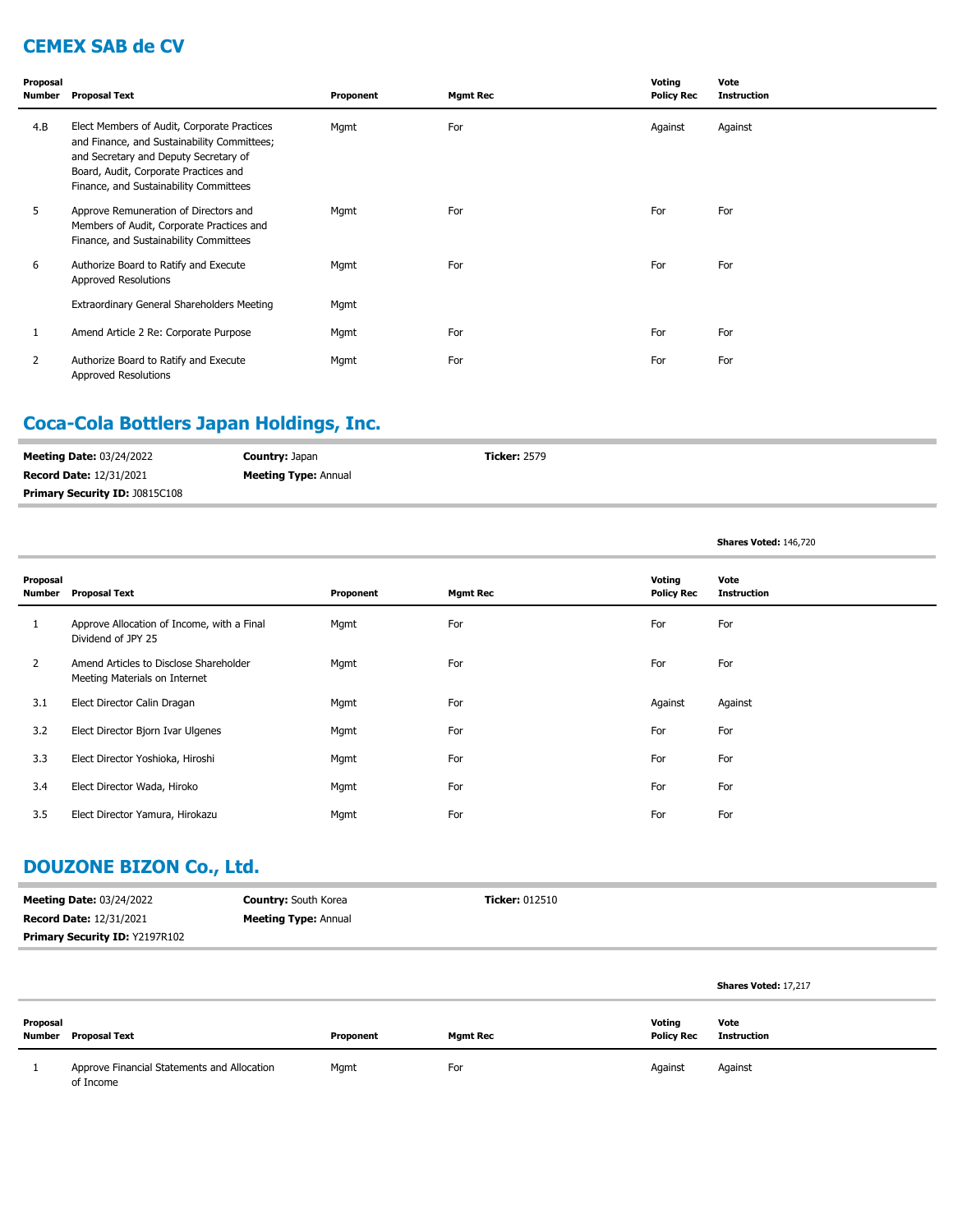## **CEMEX SAB de CV**

| Proposal<br>Number | <b>Proposal Text</b>                                                                                                                                                                                                   | Proponent | <b>Mgmt Rec</b> | Voting<br><b>Policy Rec</b> | Vote<br><b>Instruction</b> |
|--------------------|------------------------------------------------------------------------------------------------------------------------------------------------------------------------------------------------------------------------|-----------|-----------------|-----------------------------|----------------------------|
| 4.B                | Elect Members of Audit, Corporate Practices<br>and Finance, and Sustainability Committees;<br>and Secretary and Deputy Secretary of<br>Board, Audit, Corporate Practices and<br>Finance, and Sustainability Committees | Mgmt      | For             | Against                     | Against                    |
| 5                  | Approve Remuneration of Directors and<br>Members of Audit, Corporate Practices and<br>Finance, and Sustainability Committees                                                                                           | Mgmt      | For             | For                         | For                        |
| 6                  | Authorize Board to Ratify and Execute<br>Approved Resolutions                                                                                                                                                          | Mgmt      | For             | For                         | For                        |
|                    | Extraordinary General Shareholders Meeting                                                                                                                                                                             | Mgmt      |                 |                             |                            |
| 1                  | Amend Article 2 Re: Corporate Purpose                                                                                                                                                                                  | Mgmt      | For             | For                         | For                        |
| 2                  | Authorize Board to Ratify and Execute<br>Approved Resolutions                                                                                                                                                          | Mgmt      | For             | For                         | For                        |

# **Coca-Cola Bottlers Japan Holdings, Inc.**

| <b>Meeting Date: 03/24/2022</b>       | <b>Country: Japan</b>       | <b>Ticker: 2579</b> |
|---------------------------------------|-----------------------------|---------------------|
| <b>Record Date: 12/31/2021</b>        | <b>Meeting Type: Annual</b> |                     |
| <b>Primary Security ID: J0815C108</b> |                             |                     |

**Shares Voted:** 146,720

| Proposal<br>Number | <b>Proposal Text</b>                                                    | Proponent | <b>Mgmt Rec</b> | Voting<br><b>Policy Rec</b> | Vote<br><b>Instruction</b> |
|--------------------|-------------------------------------------------------------------------|-----------|-----------------|-----------------------------|----------------------------|
|                    | Approve Allocation of Income, with a Final<br>Dividend of JPY 25        | Mgmt      | For             | For                         | For                        |
| $\overline{2}$     | Amend Articles to Disclose Shareholder<br>Meeting Materials on Internet | Mgmt      | For             | For                         | For                        |
| 3.1                | Elect Director Calin Dragan                                             | Mgmt      | For             | Against                     | Against                    |
| 3.2                | Elect Director Bjorn Ivar Ulgenes                                       | Mgmt      | For             | For                         | For                        |
| 3.3                | Elect Director Yoshioka, Hiroshi                                        | Mgmt      | For             | For                         | For                        |
| 3.4                | Elect Director Wada, Hiroko                                             | Mgmt      | For             | For                         | For                        |
| 3.5                | Elect Director Yamura, Hirokazu                                         | Mgmt      | For             | For                         | For                        |

## **DOUZONE BIZON Co., Ltd.**

| <b>Meeting Date: 03/24/2022</b>       | <b>Country:</b> South Korea | <b>Ticker: 012510</b> |
|---------------------------------------|-----------------------------|-----------------------|
| <b>Record Date: 12/31/2021</b>        | <b>Meeting Type: Annual</b> |                       |
| <b>Primary Security ID: Y2197R102</b> |                             |                       |

|          |                                                          |           |                 |                             | Shares Voted: 17,217 |
|----------|----------------------------------------------------------|-----------|-----------------|-----------------------------|----------------------|
| Proposal | <b>Number</b> Proposal Text                              | Proponent | <b>Mgmt Rec</b> | Voting<br><b>Policy Rec</b> | Vote<br>Instruction  |
|          | Approve Financial Statements and Allocation<br>of Income | Mgmt      | For             | Against                     | Against              |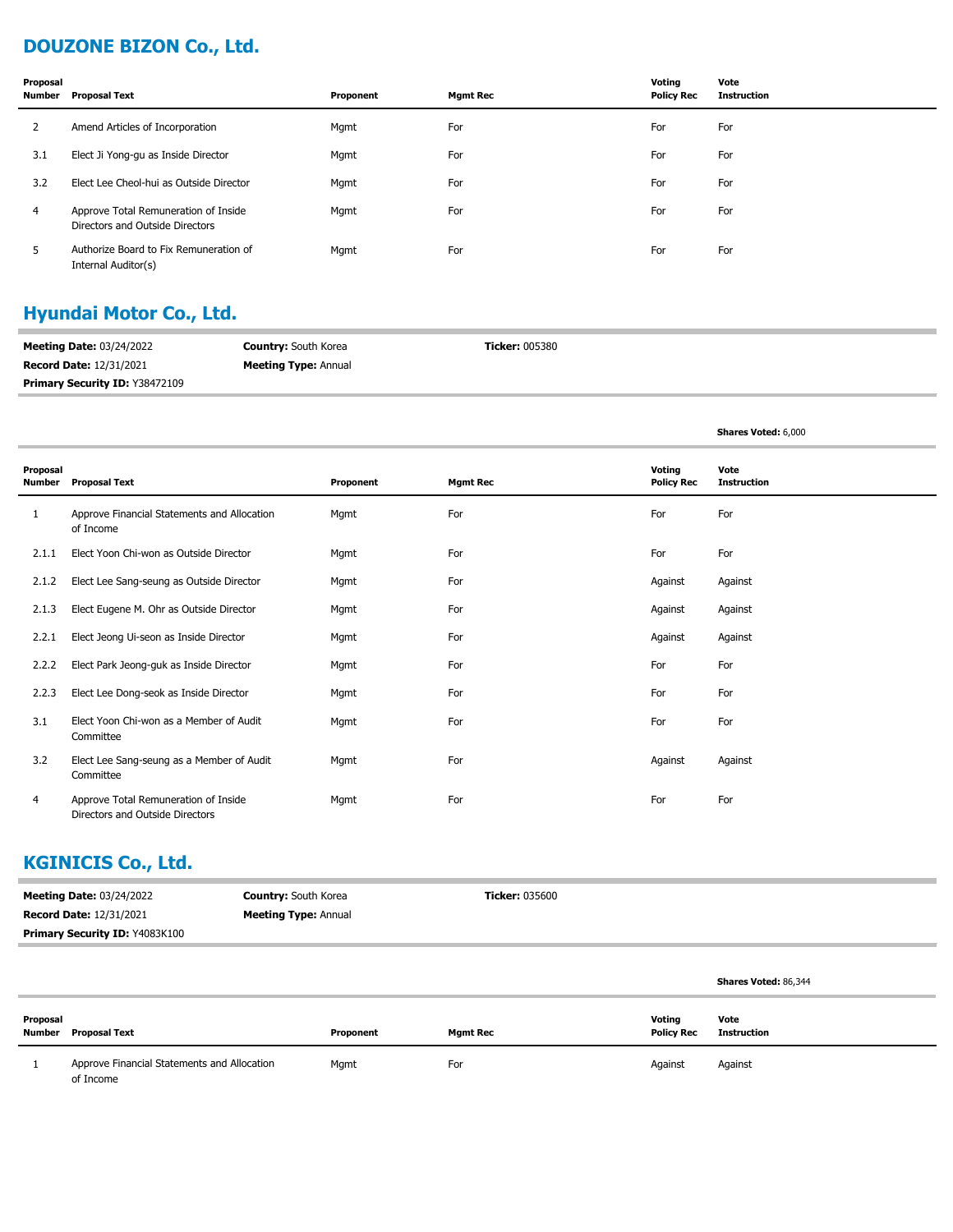# **DOUZONE BIZON Co., Ltd.**

| Proposal       | Number Proposal Text                                                    | Proponent | <b>Mgmt Rec</b> | Voting<br><b>Policy Rec</b> | Vote<br>Instruction |
|----------------|-------------------------------------------------------------------------|-----------|-----------------|-----------------------------|---------------------|
| 2              | Amend Articles of Incorporation                                         | Mgmt      | For             | For                         | For                 |
| 3.1            | Elect Ji Yong-gu as Inside Director                                     | Mgmt      | For             | For                         | For                 |
| 3.2            | Elect Lee Cheol-hui as Outside Director                                 | Mgmt      | For             | For                         | For                 |
| $\overline{4}$ | Approve Total Remuneration of Inside<br>Directors and Outside Directors | Mgmt      | For             | For                         | For                 |
| 5.             | Authorize Board to Fix Remuneration of<br>Internal Auditor(s)           | Mgmt      | For             | For                         | For                 |

# **Hyundai Motor Co., Ltd.**

| <b>Meeting Date: 03/24/2022</b>       | <b>Country:</b> South Korea | <b>Ticker: 005380</b> |
|---------------------------------------|-----------------------------|-----------------------|
| <b>Record Date: 12/31/2021</b>        | <b>Meeting Type: Annual</b> |                       |
| <b>Primary Security ID: Y38472109</b> |                             |                       |

**Shares Voted:** 6,000

| Proposal<br>Number | <b>Proposal Text</b>                                                    | Proponent | <b>Mgmt Rec</b> | Voting<br><b>Policy Rec</b> | Vote<br><b>Instruction</b> |
|--------------------|-------------------------------------------------------------------------|-----------|-----------------|-----------------------------|----------------------------|
| 1                  | Approve Financial Statements and Allocation<br>of Income                | Mgmt      | For             | For                         | For                        |
| 2.1.1              | Elect Yoon Chi-won as Outside Director                                  | Mgmt      | For             | For                         | For                        |
| 2.1.2              | Elect Lee Sang-seung as Outside Director                                | Mgmt      | For             | Against                     | Against                    |
| 2.1.3              | Elect Eugene M. Ohr as Outside Director                                 | Mgmt      | For             | Against                     | Against                    |
| 2.2.1              | Elect Jeong Ui-seon as Inside Director                                  | Mgmt      | For             | Against                     | Against                    |
| 2.2.2              | Elect Park Jeong-guk as Inside Director                                 | Mgmt      | For             | For                         | For                        |
| 2.2.3              | Elect Lee Dong-seok as Inside Director                                  | Mgmt      | For             | For                         | For                        |
| 3.1                | Elect Yoon Chi-won as a Member of Audit<br>Committee                    | Mgmt      | For             | For                         | For                        |
| 3.2                | Elect Lee Sang-seung as a Member of Audit<br>Committee                  | Mgmt      | For             | Against                     | Against                    |
| 4                  | Approve Total Remuneration of Inside<br>Directors and Outside Directors | Mgmt      | For             | For                         | For                        |

### **KGINICIS Co., Ltd.**

| <b>Meeting Date: 03/24/2022</b> | <b>Country:</b> South Korea | <b>Ticker: 035600</b> |
|---------------------------------|-----------------------------|-----------------------|
| <b>Record Date: 12/31/2021</b>  | <b>Meeting Type: Annual</b> |                       |
| Primary Security ID: Y4083K100  |                             |                       |
|                                 |                             |                       |
|                                 |                             |                       |

|                    |                                                          |           |          |                             | Shares Voted: 86,344 |
|--------------------|----------------------------------------------------------|-----------|----------|-----------------------------|----------------------|
| Proposal<br>Number | <b>Proposal Text</b>                                     | Proponent | Mgmt Rec | Voting<br><b>Policy Rec</b> | Vote<br>Instruction  |
|                    | Approve Financial Statements and Allocation<br>of Income | Mgmt      | For      | Against                     | Against              |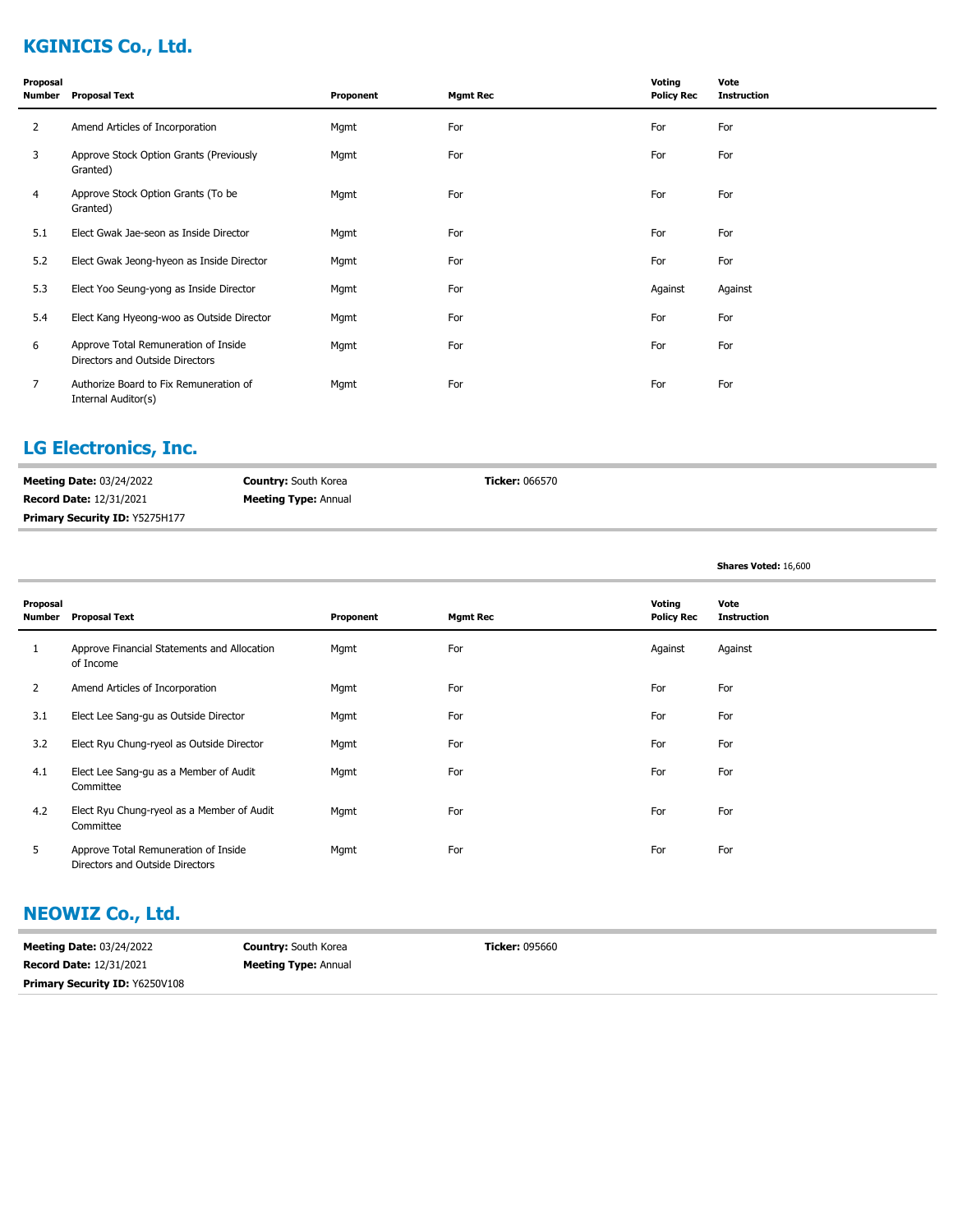# **KGINICIS Co., Ltd.**

| Proposal<br><b>Number</b> | <b>Proposal Text</b>                                                    | Proponent | <b>Mgmt Rec</b> | Voting<br><b>Policy Rec</b> | Vote<br><b>Instruction</b> |
|---------------------------|-------------------------------------------------------------------------|-----------|-----------------|-----------------------------|----------------------------|
| $\overline{2}$            | Amend Articles of Incorporation                                         | Mgmt      | For             | For                         | For                        |
| 3                         | Approve Stock Option Grants (Previously<br>Granted)                     | Mgmt      | For             | For                         | For                        |
| 4                         | Approve Stock Option Grants (To be<br>Granted)                          | Mgmt      | For             | For                         | For                        |
| 5.1                       | Elect Gwak Jae-seon as Inside Director                                  | Mgmt      | For             | For                         | For                        |
| 5.2                       | Elect Gwak Jeong-hyeon as Inside Director                               | Mgmt      | For             | For                         | For                        |
| 5.3                       | Elect Yoo Seung-yong as Inside Director                                 | Mgmt      | For             | Against                     | Against                    |
| 5.4                       | Elect Kang Hyeong-woo as Outside Director                               | Mgmt      | For             | For                         | For                        |
| 6                         | Approve Total Remuneration of Inside<br>Directors and Outside Directors | Mgmt      | For             | For                         | For                        |
| $\overline{7}$            | Authorize Board to Fix Remuneration of<br>Internal Auditor(s)           | Mgmt      | For             | For                         | For                        |

# **LG Electronics, Inc.**

| <b>Meeting Date: 03/24/2022</b>       | <b>Country:</b> South Korea | <b>Ticker: 066570</b> |
|---------------------------------------|-----------------------------|-----------------------|
| <b>Record Date: 12/31/2021</b>        | <b>Meeting Type: Annual</b> |                       |
| <b>Primary Security ID: Y5275H177</b> |                             |                       |

|                    |                                                                         |           |                 |                             | Shares Voted: 16,600       |
|--------------------|-------------------------------------------------------------------------|-----------|-----------------|-----------------------------|----------------------------|
| Proposal<br>Number | <b>Proposal Text</b>                                                    | Proponent | <b>Mgmt Rec</b> | Voting<br><b>Policy Rec</b> | Vote<br><b>Instruction</b> |
|                    | Approve Financial Statements and Allocation<br>of Income                | Mgmt      | For             | Against                     | Against                    |
| 2                  | Amend Articles of Incorporation                                         | Mgmt      | For             | For                         | For                        |
| 3.1                | Elect Lee Sang-gu as Outside Director                                   | Mgmt      | For             | For                         | For                        |
| 3.2                | Elect Ryu Chung-ryeol as Outside Director                               | Mgmt      | For             | For                         | For                        |
| 4.1                | Elect Lee Sang-gu as a Member of Audit<br>Committee                     | Mgmt      | For             | For                         | For                        |
| 4.2                | Elect Ryu Chung-ryeol as a Member of Audit<br>Committee                 | Mgmt      | For             | For                         | For                        |
| 5                  | Approve Total Remuneration of Inside<br>Directors and Outside Directors | Mgmt      | For             | For                         | For                        |

#### **NEOWIZ Co., Ltd.**

| <b>Meeting Date: 03/24/2022</b>       | <b>Country:</b> South Korea | <b>Ticker: 095660</b> |
|---------------------------------------|-----------------------------|-----------------------|
| <b>Record Date: 12/31/2021</b>        | <b>Meeting Type: Annual</b> |                       |
| <b>Primary Security ID: Y6250V108</b> |                             |                       |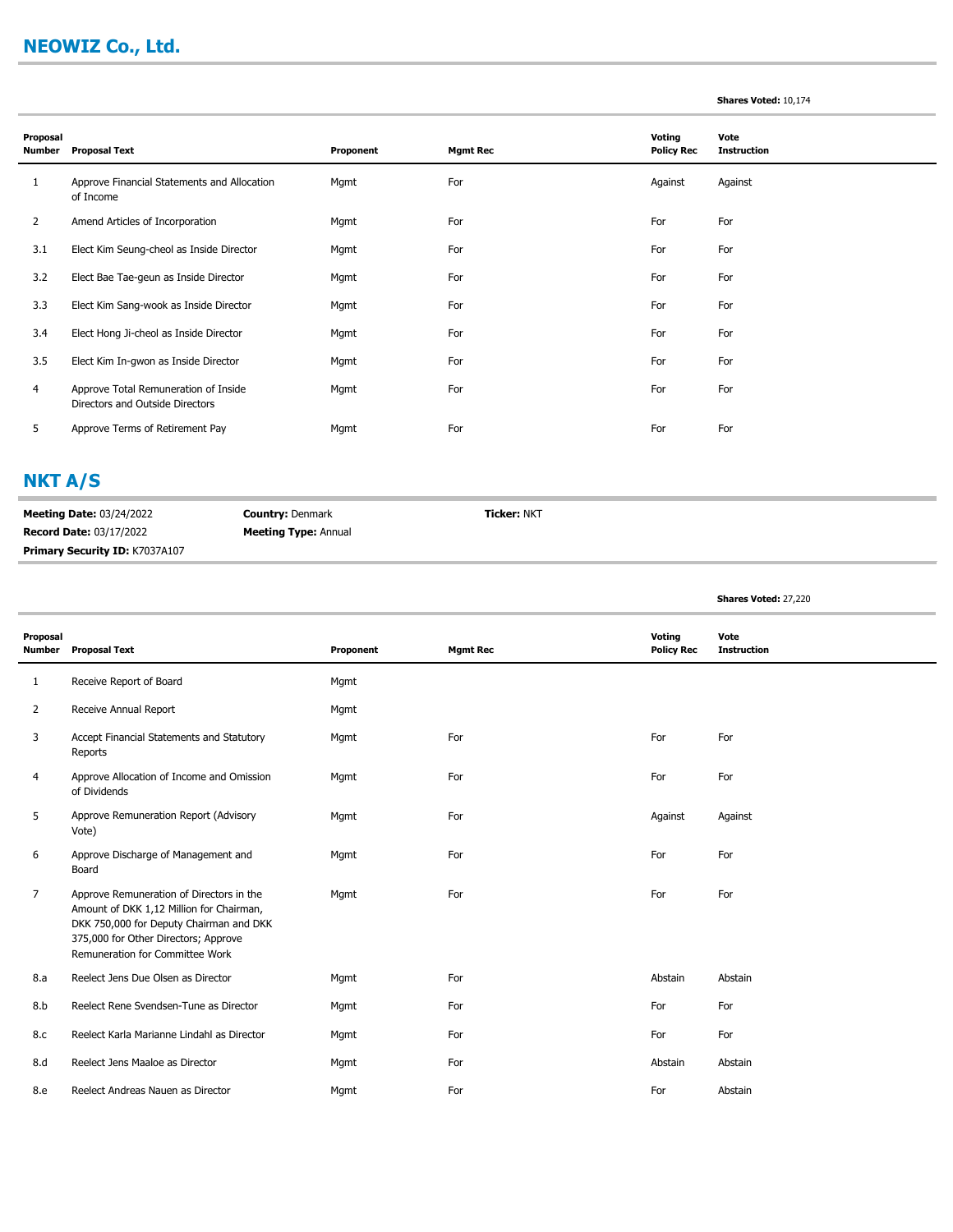# **NEOWIZ Co., Ltd.**

#### **Shares Voted:** 10,174

| Proposal<br>Number | <b>Proposal Text</b>                                                    | Proponent | <b>Mgmt Rec</b> | Voting<br><b>Policy Rec</b> | Vote<br><b>Instruction</b> |
|--------------------|-------------------------------------------------------------------------|-----------|-----------------|-----------------------------|----------------------------|
| 1                  | Approve Financial Statements and Allocation<br>of Income                | Mgmt      | For             | Against                     | Against                    |
| 2                  | Amend Articles of Incorporation                                         | Mgmt      | For             | For                         | For                        |
| 3.1                | Elect Kim Seung-cheol as Inside Director                                | Mgmt      | For             | For                         | For                        |
| 3.2                | Elect Bae Tae-geun as Inside Director                                   | Mgmt      | For             | For                         | For                        |
| 3.3                | Elect Kim Sang-wook as Inside Director                                  | Mgmt      | For             | For                         | For                        |
| 3.4                | Elect Hong Ji-cheol as Inside Director                                  | Mgmt      | For             | For                         | For                        |
| 3.5                | Elect Kim In-gwon as Inside Director                                    | Mgmt      | For             | For                         | For                        |
| 4                  | Approve Total Remuneration of Inside<br>Directors and Outside Directors | Mgmt      | For             | For                         | For                        |
| 5                  | Approve Terms of Retirement Pay                                         | Mgmt      | For             | For                         | For                        |

### **NKT A/S**

**Meeting Date:** 03/24/2022 **Record Date:** 03/17/2022 **Country:** Denmark **Meeting Type:** Annual **Ticker:** NKT **Primary Security ID:** K7037A107

**Shares Voted:** 27,220

| Proposal<br><b>Number</b> | <b>Proposal Text</b>                                                                                                                                                                                       | Proponent | <b>Mgmt Rec</b> | Voting<br><b>Policy Rec</b> | Vote<br><b>Instruction</b> |
|---------------------------|------------------------------------------------------------------------------------------------------------------------------------------------------------------------------------------------------------|-----------|-----------------|-----------------------------|----------------------------|
| 1                         | Receive Report of Board                                                                                                                                                                                    | Mgmt      |                 |                             |                            |
| $\overline{2}$            | Receive Annual Report                                                                                                                                                                                      | Mgmt      |                 |                             |                            |
| 3                         | Accept Financial Statements and Statutory<br>Reports                                                                                                                                                       | Mgmt      | For             | For                         | For                        |
| 4                         | Approve Allocation of Income and Omission<br>of Dividends                                                                                                                                                  | Mgmt      | For             | For                         | For                        |
| 5                         | Approve Remuneration Report (Advisory<br>Vote)                                                                                                                                                             | Mgmt      | For             | Against                     | Against                    |
| 6                         | Approve Discharge of Management and<br>Board                                                                                                                                                               | Mgmt      | For             | For                         | For                        |
| $\overline{7}$            | Approve Remuneration of Directors in the<br>Amount of DKK 1,12 Million for Chairman,<br>DKK 750,000 for Deputy Chairman and DKK<br>375,000 for Other Directors; Approve<br>Remuneration for Committee Work | Mgmt      | For             | For                         | For                        |
| 8.a                       | Reelect Jens Due Olsen as Director                                                                                                                                                                         | Mgmt      | For             | Abstain                     | Abstain                    |
| 8.b                       | Reelect Rene Svendsen-Tune as Director                                                                                                                                                                     | Mgmt      | For             | For                         | For                        |
| 8.c                       | Reelect Karla Marianne Lindahl as Director                                                                                                                                                                 | Mgmt      | For             | For                         | For                        |
| 8.d                       | Reelect Jens Maaloe as Director                                                                                                                                                                            | Mgmt      | For             | Abstain                     | Abstain                    |
| 8.e                       | Reelect Andreas Nauen as Director                                                                                                                                                                          | Mgmt      | For             | For                         | Abstain                    |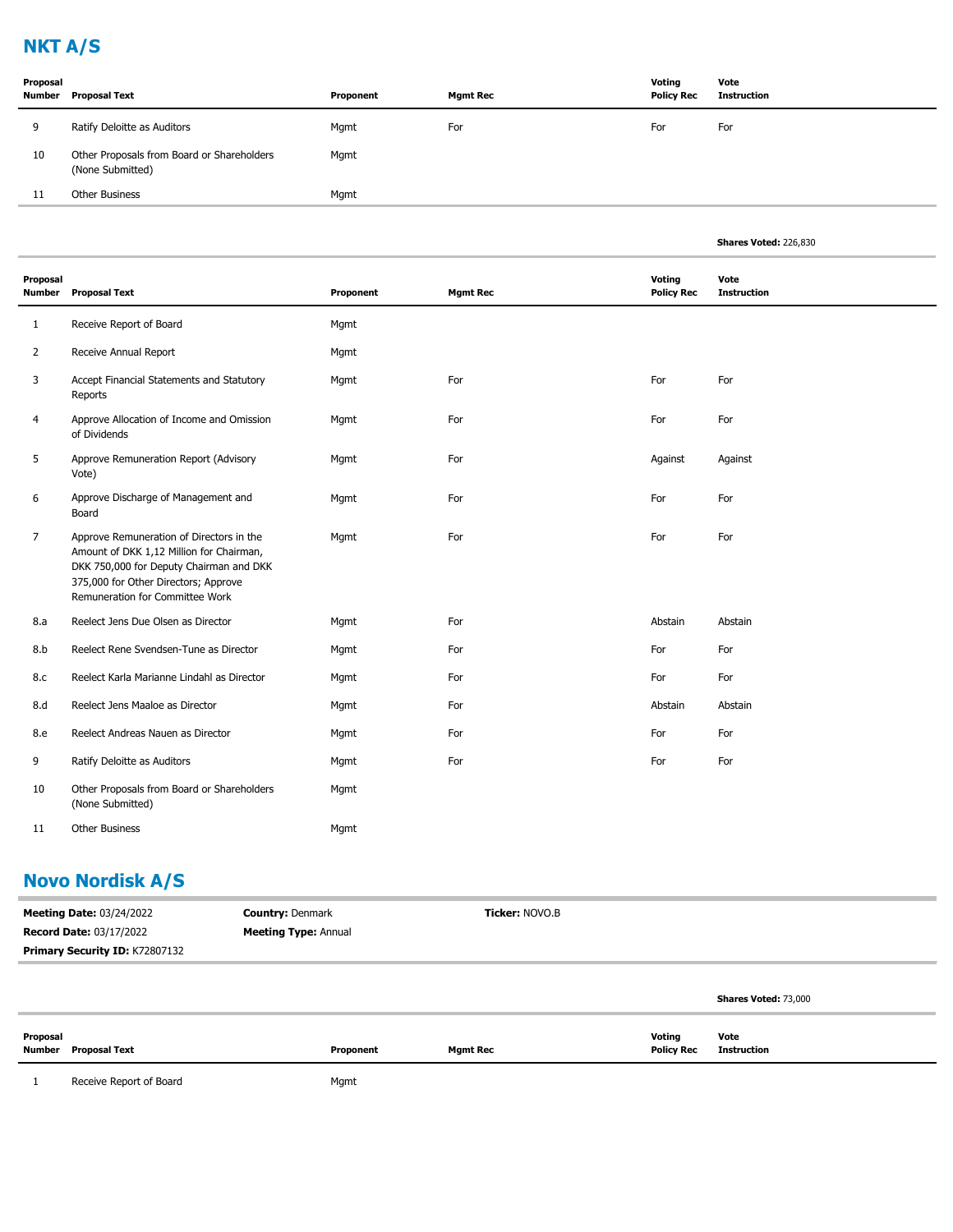# **NKT A/S**

| Proposal | Number Proposal Text                                           | Proponent | <b>Mgmt Rec</b> | Voting<br><b>Policy Rec</b> | Vote<br>Instruction |
|----------|----------------------------------------------------------------|-----------|-----------------|-----------------------------|---------------------|
| 9        | Ratify Deloitte as Auditors                                    | Mgmt      | For             | For                         | For                 |
| 10       | Other Proposals from Board or Shareholders<br>(None Submitted) | Mgmt      |                 |                             |                     |
| 11       | Other Business                                                 | Mgmt      |                 |                             |                     |

|                           |                                                                                                                                                                                                            |           |                 |                             | Shares Voted: 226,830      |
|---------------------------|------------------------------------------------------------------------------------------------------------------------------------------------------------------------------------------------------------|-----------|-----------------|-----------------------------|----------------------------|
| Proposal<br><b>Number</b> | <b>Proposal Text</b>                                                                                                                                                                                       | Proponent | <b>Mgmt Rec</b> | Voting<br><b>Policy Rec</b> | Vote<br><b>Instruction</b> |
| 1                         | Receive Report of Board                                                                                                                                                                                    | Mgmt      |                 |                             |                            |
| $\overline{2}$            | Receive Annual Report                                                                                                                                                                                      | Mgmt      |                 |                             |                            |
| 3                         | Accept Financial Statements and Statutory<br>Reports                                                                                                                                                       | Mgmt      | For             | For                         | For                        |
| 4                         | Approve Allocation of Income and Omission<br>of Dividends                                                                                                                                                  | Mgmt      | For             | For                         | For                        |
| 5                         | Approve Remuneration Report (Advisory<br>Vote)                                                                                                                                                             | Mgmt      | For             | Against                     | Against                    |
| 6                         | Approve Discharge of Management and<br>Board                                                                                                                                                               | Mgmt      | For             | For                         | For                        |
| 7                         | Approve Remuneration of Directors in the<br>Amount of DKK 1,12 Million for Chairman,<br>DKK 750,000 for Deputy Chairman and DKK<br>375,000 for Other Directors; Approve<br>Remuneration for Committee Work | Mgmt      | For             | For                         | For                        |
| 8.a                       | Reelect Jens Due Olsen as Director                                                                                                                                                                         | Mgmt      | For             | Abstain                     | Abstain                    |
| 8.b                       | Reelect Rene Svendsen-Tune as Director                                                                                                                                                                     | Mgmt      | For             | For                         | For                        |
| 8.c                       | Reelect Karla Marianne Lindahl as Director                                                                                                                                                                 | Mgmt      | For             | For                         | For                        |
| 8.d                       | Reelect Jens Maaloe as Director                                                                                                                                                                            | Mgmt      | For             | Abstain                     | Abstain                    |
| 8.e                       | Reelect Andreas Nauen as Director                                                                                                                                                                          | Mgmt      | For             | For                         | For                        |
| 9                         | Ratify Deloitte as Auditors                                                                                                                                                                                | Mgmt      | For             | For                         | For                        |
| 10                        | Other Proposals from Board or Shareholders<br>(None Submitted)                                                                                                                                             | Mgmt      |                 |                             |                            |
| 11                        | <b>Other Business</b>                                                                                                                                                                                      | Mgmt      |                 |                             |                            |

# **Novo Nordisk A/S**

| <b>Meeting Date: 03/24/2022</b> | <b>Country: Denmark</b>     | <b>Ticker: NOVO.B</b> |                             |
|---------------------------------|-----------------------------|-----------------------|-----------------------------|
| <b>Record Date: 03/17/2022</b>  | <b>Meeting Type: Annual</b> |                       |                             |
| Primary Security ID: K72807132  |                             |                       |                             |
|                                 |                             |                       |                             |
|                                 |                             |                       | <b>Shares Voted: 73,000</b> |

| Proposal                       |           |                 | Voting            | Vote        |
|--------------------------------|-----------|-----------------|-------------------|-------------|
| Number<br><b>Proposal Text</b> | Proponent | <b>Mgmt Rec</b> | <b>Policy Rec</b> | Instruction |

1 Receive Report of Board Mgmt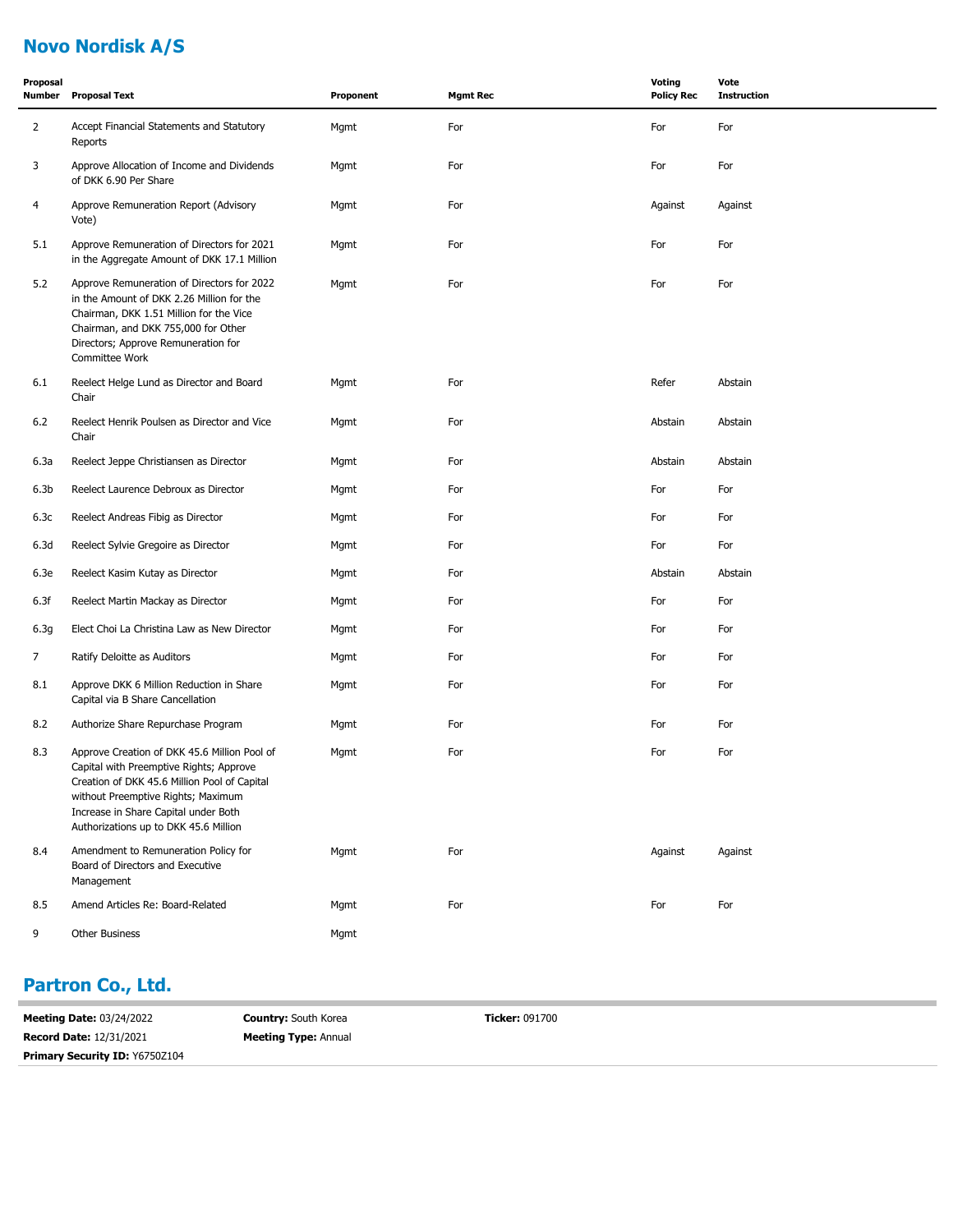# **Novo Nordisk A/S**

| Proposal<br>Number | <b>Proposal Text</b>                                                                                                                                                                                                                                           | Proponent | <b>Mgmt Rec</b> | Voting<br><b>Policy Rec</b> | Vote<br><b>Instruction</b> |
|--------------------|----------------------------------------------------------------------------------------------------------------------------------------------------------------------------------------------------------------------------------------------------------------|-----------|-----------------|-----------------------------|----------------------------|
| $\overline{2}$     | Accept Financial Statements and Statutory<br>Reports                                                                                                                                                                                                           | Mgmt      | For             | For                         | For                        |
| 3                  | Approve Allocation of Income and Dividends<br>of DKK 6.90 Per Share                                                                                                                                                                                            | Mgmt      | For             | For                         | For                        |
| 4                  | Approve Remuneration Report (Advisory<br>Vote)                                                                                                                                                                                                                 | Mgmt      | For             | Against                     | Against                    |
| 5.1                | Approve Remuneration of Directors for 2021<br>in the Aggregate Amount of DKK 17.1 Million                                                                                                                                                                      | Mgmt      | For             | For                         | For                        |
| 5.2                | Approve Remuneration of Directors for 2022<br>in the Amount of DKK 2.26 Million for the<br>Chairman, DKK 1.51 Million for the Vice<br>Chairman, and DKK 755,000 for Other<br>Directors; Approve Remuneration for<br>Committee Work                             | Mgmt      | For             | For                         | For                        |
| 6.1                | Reelect Helge Lund as Director and Board<br>Chair                                                                                                                                                                                                              | Mgmt      | For             | Refer                       | Abstain                    |
| $6.2$              | Reelect Henrik Poulsen as Director and Vice<br>Chair                                                                                                                                                                                                           | Mgmt      | For             | Abstain                     | Abstain                    |
| 6.3a               | Reelect Jeppe Christiansen as Director                                                                                                                                                                                                                         | Mgmt      | For             | Abstain                     | Abstain                    |
| 6.3 <sub>b</sub>   | Reelect Laurence Debroux as Director                                                                                                                                                                                                                           | Mgmt      | For             | For                         | For                        |
| 6.3c               | Reelect Andreas Fibig as Director                                                                                                                                                                                                                              | Mgmt      | For             | For                         | For                        |
| 6.3d               | Reelect Sylvie Gregoire as Director                                                                                                                                                                                                                            | Mgmt      | For             | For                         | For                        |
| 6.3e               | Reelect Kasim Kutay as Director                                                                                                                                                                                                                                | Mgmt      | For             | Abstain                     | Abstain                    |
| 6.3f               | Reelect Martin Mackay as Director                                                                                                                                                                                                                              | Mgmt      | For             | For                         | For                        |
| 6.3g               | Elect Choi La Christina Law as New Director                                                                                                                                                                                                                    | Mgmt      | For             | For                         | For                        |
| 7                  | Ratify Deloitte as Auditors                                                                                                                                                                                                                                    | Mgmt      | For             | For                         | For                        |
| 8.1                | Approve DKK 6 Million Reduction in Share<br>Capital via B Share Cancellation                                                                                                                                                                                   | Mgmt      | For             | For                         | For                        |
| 8.2                | Authorize Share Repurchase Program                                                                                                                                                                                                                             | Mgmt      | For             | For                         | For                        |
| 8.3                | Approve Creation of DKK 45.6 Million Pool of<br>Capital with Preemptive Rights; Approve<br>Creation of DKK 45.6 Million Pool of Capital<br>without Preemptive Rights; Maximum<br>Increase in Share Capital under Both<br>Authorizations up to DKK 45.6 Million | Mgmt      | For             | For                         | For                        |
| 8.4                | Amendment to Remuneration Policy for<br>Board of Directors and Executive<br>Management                                                                                                                                                                         | Mgmt      | For             | Against                     | Against                    |
| 8.5                | Amend Articles Re: Board-Related                                                                                                                                                                                                                               | Mgmt      | For             | For                         | For                        |
| 9                  | Other Business                                                                                                                                                                                                                                                 | Mgmt      |                 |                             |                            |

#### **Partron Co., Ltd.**

| <b>Meeting Date: 03/24/2022</b>       | <b>Country: South Korea</b> | <b>Ticker: 091700</b> |
|---------------------------------------|-----------------------------|-----------------------|
| <b>Record Date: 12/31/2021</b>        | <b>Meeting Type: Annual</b> |                       |
| <b>Primary Security ID: Y6750Z104</b> |                             |                       |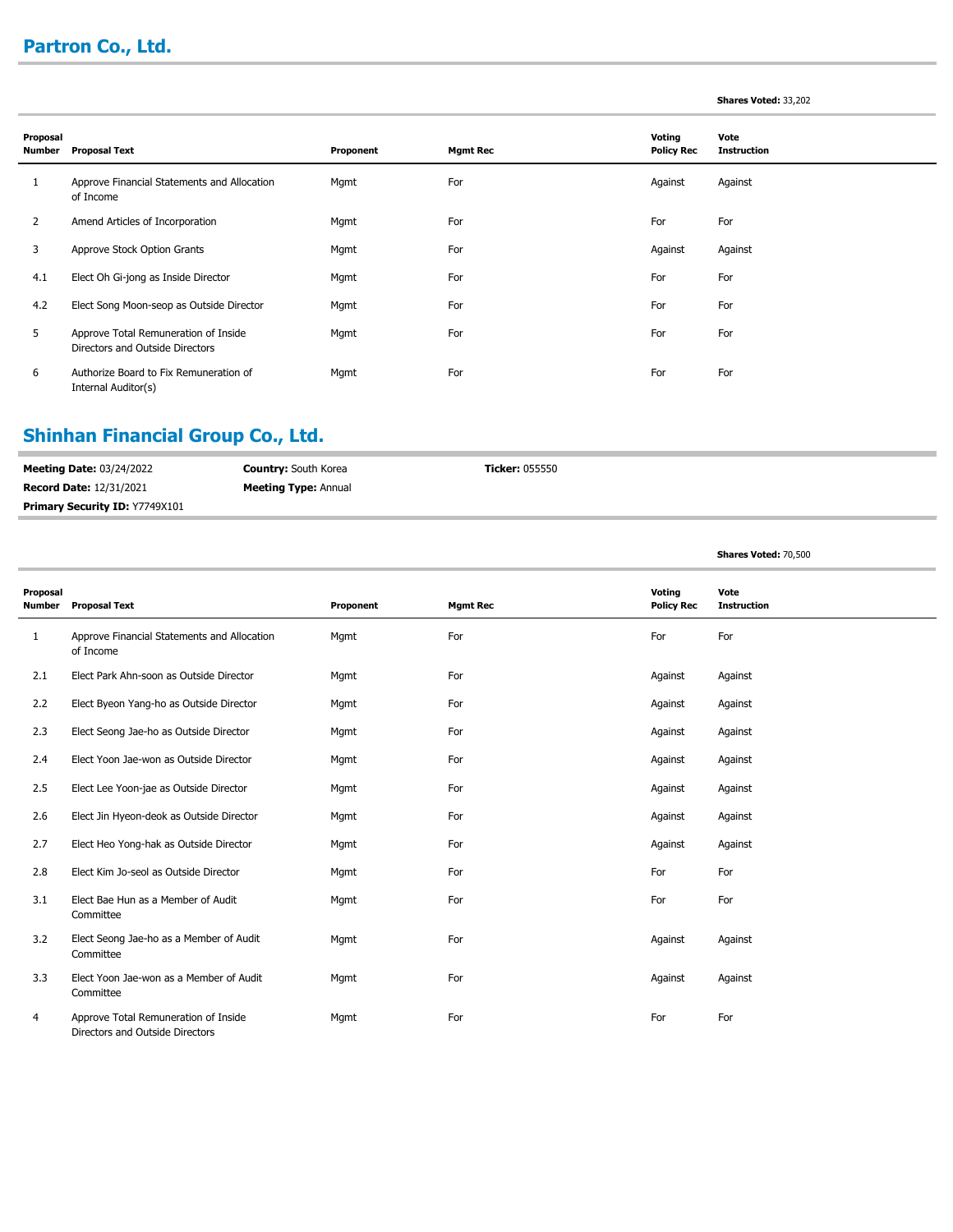# **Partron Co., Ltd.**

| <b>Shares Voted: 33,202</b> |  |  |  |
|-----------------------------|--|--|--|
|-----------------------------|--|--|--|

**Shares Voted:** 70,500

| Proposal<br>Number | <b>Proposal Text</b>                                                    | Proponent | <b>Mgmt Rec</b> | Voting<br><b>Policy Rec</b> | Vote<br><b>Instruction</b> |
|--------------------|-------------------------------------------------------------------------|-----------|-----------------|-----------------------------|----------------------------|
| Τ.                 | Approve Financial Statements and Allocation<br>of Income                | Mgmt      | For             | Against                     | Against                    |
| 2                  | Amend Articles of Incorporation                                         | Mgmt      | For             | For                         | For                        |
| 3                  | Approve Stock Option Grants                                             | Mgmt      | For             | Against                     | Against                    |
| 4.1                | Elect Oh Gi-jong as Inside Director                                     | Mgmt      | For             | For                         | For                        |
| 4.2                | Elect Song Moon-seop as Outside Director                                | Mgmt      | For             | For                         | For                        |
| 5                  | Approve Total Remuneration of Inside<br>Directors and Outside Directors | Mgmt      | For             | For                         | For                        |
| 6                  | Authorize Board to Fix Remuneration of<br>Internal Auditor(s)           | Mgmt      | For             | For                         | For                        |

## **Shinhan Financial Group Co., Ltd.**

| <b>Meeting Date: 03/24/2022</b> | <b>Country:</b> South Korea | <b>Ticker:</b> 055550 |
|---------------------------------|-----------------------------|-----------------------|
| <b>Record Date: 12/31/2021</b>  | <b>Meeting Type: Annual</b> |                       |
| Primary Security ID: Y7749X101  |                             |                       |

| Proposal<br><b>Number</b> | <b>Proposal Text</b>                                                    | Proponent | <b>Mgmt Rec</b> | Voting<br><b>Policy Rec</b> | Vote<br><b>Instruction</b> |
|---------------------------|-------------------------------------------------------------------------|-----------|-----------------|-----------------------------|----------------------------|
| 1                         | Approve Financial Statements and Allocation<br>of Income                | Mgmt      | For             | For                         | For                        |
| 2.1                       | Elect Park Ahn-soon as Outside Director                                 | Mgmt      | For             | Against                     | Against                    |
| 2.2                       | Elect Byeon Yang-ho as Outside Director                                 | Mgmt      | For             | Against                     | Against                    |
| 2.3                       | Elect Seong Jae-ho as Outside Director                                  | Mgmt      | For             | Against                     | Against                    |
| 2.4                       | Elect Yoon Jae-won as Outside Director                                  | Mgmt      | For             | Against                     | Against                    |
| 2.5                       | Elect Lee Yoon-jae as Outside Director                                  | Mgmt      | For             | Against                     | Against                    |
| 2.6                       | Elect Jin Hyeon-deok as Outside Director                                | Mgmt      | For             | Against                     | Against                    |
| 2.7                       | Elect Heo Yong-hak as Outside Director                                  | Mgmt      | For             | Against                     | Against                    |
| 2.8                       | Elect Kim Jo-seol as Outside Director                                   | Mgmt      | For             | For                         | For                        |
| 3.1                       | Elect Bae Hun as a Member of Audit<br>Committee                         | Mgmt      | For             | For                         | For                        |
| 3.2                       | Elect Seong Jae-ho as a Member of Audit<br>Committee                    | Mgmt      | For             | Against                     | Against                    |
| 3.3                       | Elect Yoon Jae-won as a Member of Audit<br>Committee                    | Mgmt      | For             | Against                     | Against                    |
| 4                         | Approve Total Remuneration of Inside<br>Directors and Outside Directors | Mgmt      | For             | For                         | For                        |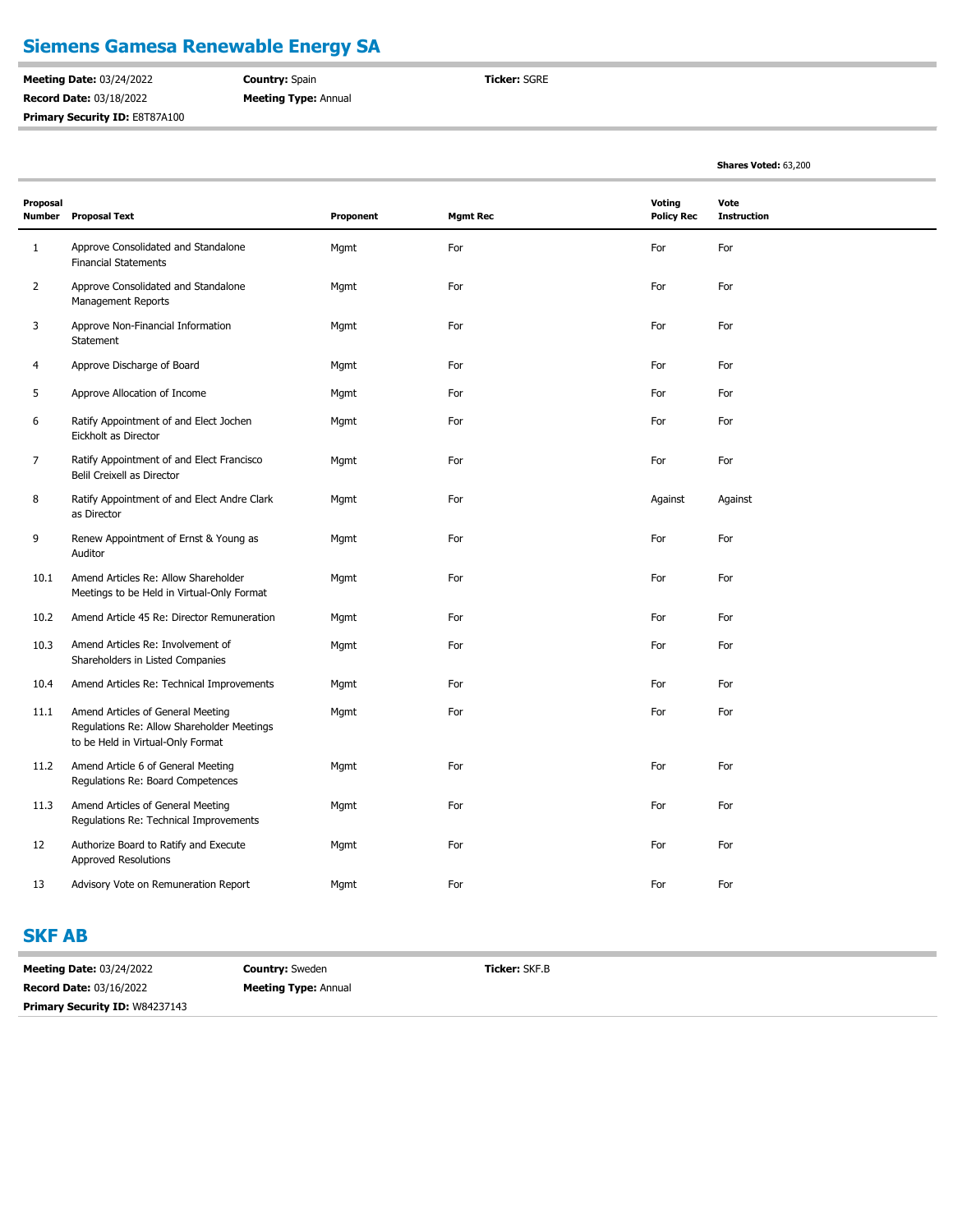## **Siemens Gamesa Renewable Energy SA**

**Meeting Date:** 03/24/2022 **Record Date:** 03/18/2022 **Primary Security ID: E8T87A100**  **Country:** Spain **Meeting Type:** Annual **Ticker:** SGRE

**Shares Voted:** 63,200

| Proposal<br><b>Number</b> | <b>Proposal Text</b>                                                                                                 | Proponent | <b>Mgmt Rec</b> | Voting<br><b>Policy Rec</b> | Vote<br><b>Instruction</b> |
|---------------------------|----------------------------------------------------------------------------------------------------------------------|-----------|-----------------|-----------------------------|----------------------------|
| $1\,$                     | Approve Consolidated and Standalone<br><b>Financial Statements</b>                                                   | Mgmt      | For             | For                         | For                        |
| $\overline{2}$            | Approve Consolidated and Standalone<br><b>Management Reports</b>                                                     | Mgmt      | For             | For                         | For                        |
| 3                         | Approve Non-Financial Information<br>Statement                                                                       | Mgmt      | For             | For                         | For                        |
| 4                         | Approve Discharge of Board                                                                                           | Mgmt      | For             | For                         | For                        |
| 5                         | Approve Allocation of Income                                                                                         | Mgmt      | For             | For                         | For                        |
| 6                         | Ratify Appointment of and Elect Jochen<br>Eickholt as Director                                                       | Mgmt      | For             | For                         | For                        |
| $\overline{7}$            | Ratify Appointment of and Elect Francisco<br>Belil Creixell as Director                                              | Mgmt      | For             | For                         | For                        |
| 8                         | Ratify Appointment of and Elect Andre Clark<br>as Director                                                           | Mgmt      | For             | Against                     | Against                    |
| 9                         | Renew Appointment of Ernst & Young as<br>Auditor                                                                     | Mgmt      | For             | For                         | For                        |
| 10.1                      | Amend Articles Re: Allow Shareholder<br>Meetings to be Held in Virtual-Only Format                                   | Mgmt      | For             | For                         | For                        |
| 10.2                      | Amend Article 45 Re: Director Remuneration                                                                           | Mgmt      | For             | For                         | For                        |
| 10.3                      | Amend Articles Re: Involvement of<br>Shareholders in Listed Companies                                                | Mgmt      | For             | For                         | For                        |
| 10.4                      | Amend Articles Re: Technical Improvements                                                                            | Mgmt      | For             | For                         | For                        |
| 11.1                      | Amend Articles of General Meeting<br>Regulations Re: Allow Shareholder Meetings<br>to be Held in Virtual-Only Format | Mgmt      | For             | For                         | For                        |
| 11.2                      | Amend Article 6 of General Meeting<br>Regulations Re: Board Competences                                              | Mgmt      | For             | For                         | For                        |
| 11.3                      | Amend Articles of General Meeting<br>Regulations Re: Technical Improvements                                          | Mgmt      | For             | For                         | For                        |
| 12                        | Authorize Board to Ratify and Execute<br><b>Approved Resolutions</b>                                                 | Mgmt      | For             | For                         | For                        |
| 13                        | Advisory Vote on Remuneration Report                                                                                 | Mgmt      | For             | For                         | For                        |

## **SKF AB**

**Meeting Date:** 03/24/2022 **Record Date:** 03/16/2022 **Country:** Sweden **Meeting Type:** Annual **Ticker:** SKF.B **Primary Security ID:** W84237143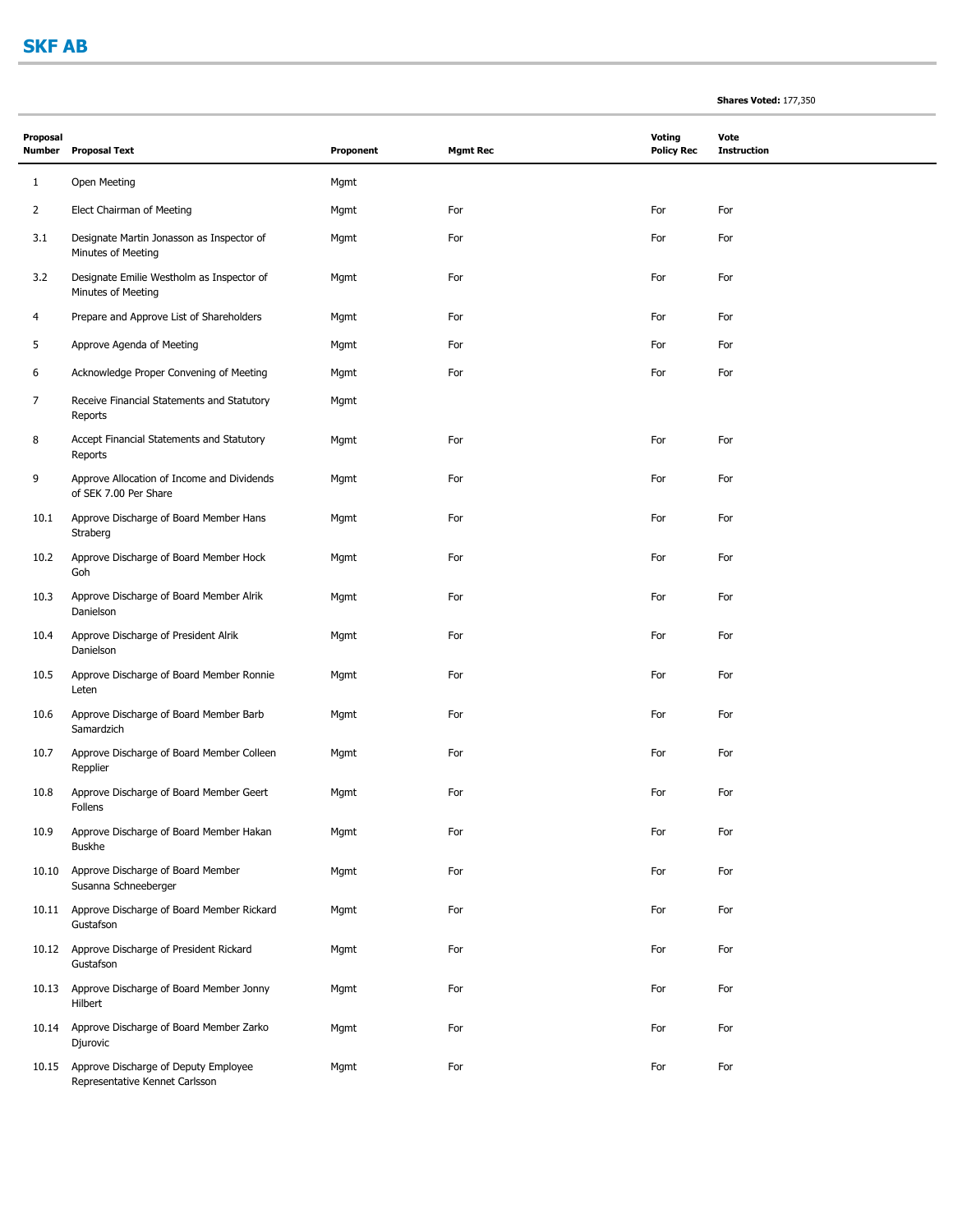Buskhe

Gustafson

Gustafson

Hilbert

Djurovic

Susanna Schneeberger

Representative Kennet Carlsson

10.9

|                |                                                                     |           |                 |                                    | Shares Voted: 177,350      |
|----------------|---------------------------------------------------------------------|-----------|-----------------|------------------------------------|----------------------------|
| Proposal       | Number Proposal Text                                                | Proponent | <b>Mgmt Rec</b> | <b>Voting</b><br><b>Policy Rec</b> | Vote<br><b>Instruction</b> |
| $\mathbf{1}$   | Open Meeting                                                        | Mgmt      |                 |                                    |                            |
| $\overline{2}$ | Elect Chairman of Meeting                                           | Mgmt      | For             | For                                | For                        |
| 3.1            | Designate Martin Jonasson as Inspector of<br>Minutes of Meeting     | Mgmt      | For             | For                                | For                        |
| 3.2            | Designate Emilie Westholm as Inspector of<br>Minutes of Meeting     | Mgmt      | For             | For                                | For                        |
| 4              | Prepare and Approve List of Shareholders                            | Mgmt      | For             | For                                | For                        |
| 5              | Approve Agenda of Meeting                                           | Mgmt      | For             | For                                | For                        |
| 6              | Acknowledge Proper Convening of Meeting                             | Mgmt      | For             | For                                | For                        |
| 7              | Receive Financial Statements and Statutory<br>Reports               | Mgmt      |                 |                                    |                            |
| 8              | Accept Financial Statements and Statutory<br>Reports                | Mgmt      | For             | For                                | For                        |
| 9              | Approve Allocation of Income and Dividends<br>of SEK 7.00 Per Share | Mgmt      | For             | For                                | For                        |
| 10.1           | Approve Discharge of Board Member Hans<br>Straberg                  | Mgmt      | For             | For                                | For                        |
| 10.2           | Approve Discharge of Board Member Hock<br>Goh                       | Mgmt      | For             | For                                | For                        |
| 10.3           | Approve Discharge of Board Member Alrik<br>Danielson                | Mgmt      | For             | For                                | For                        |
| 10.4           | Approve Discharge of President Alrik<br>Danielson                   | Mgmt      | For             | For                                | For                        |
| 10.5           | Approve Discharge of Board Member Ronnie<br>Leten                   | Mgmt      | For             | For                                | For                        |
| 10.6           | Approve Discharge of Board Member Barb<br>Samardzich                | Mgmt      | For             | For                                | For                        |
| 10.7           | Approve Discharge of Board Member Colleen<br>Repplier               | Mgmt      | For             | For                                | For                        |
| 10.8           | Approve Discharge of Board Member Geert<br>Follens                  | Mgmt      | For             | For                                | For                        |

Approve Discharge of Board Member Hakan Mgmt Mgmt For For For For For For For For

Approve Discharge of Board Member Mgmt For For For 10.10

Approve Discharge of Board Member Rickard Mgmt For For For 10.11

Approve Discharge of President Rickard Mgmt For For For 10.12

Approve Discharge of Board Member Jonny Mgmt For For For 10.13

Approve Discharge of Board Member Zarko Mgmt For For For 10.14

Approve Discharge of Deputy Employee Mgmt For For For 10.15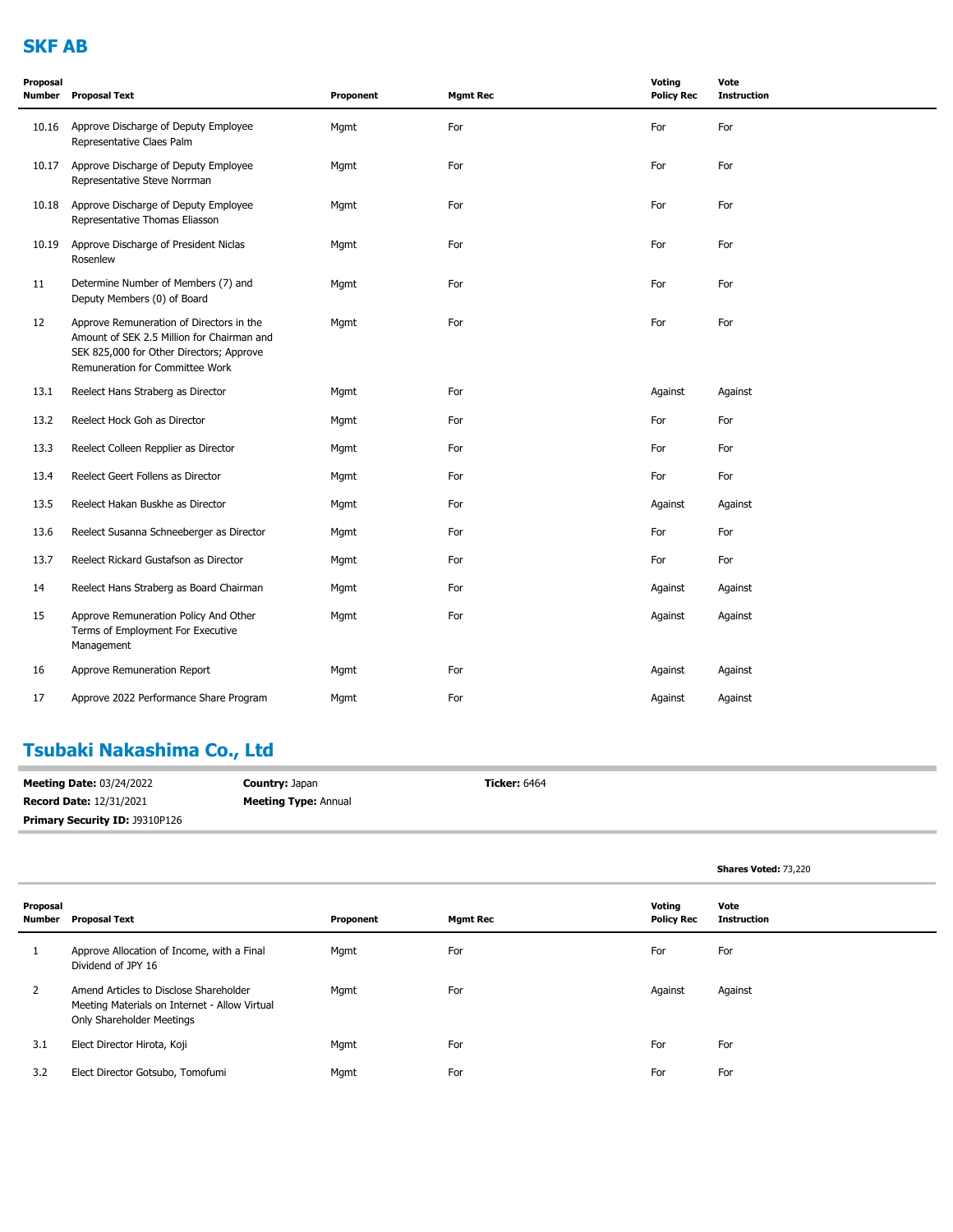## **SKF AB**

| Proposal<br>Number | <b>Proposal Text</b>                                                                                                                                                  | Proponent | <b>Mgmt Rec</b> | <b>Voting</b><br><b>Policy Rec</b> | Vote<br><b>Instruction</b> |
|--------------------|-----------------------------------------------------------------------------------------------------------------------------------------------------------------------|-----------|-----------------|------------------------------------|----------------------------|
| 10.16              | Approve Discharge of Deputy Employee<br>Representative Claes Palm                                                                                                     | Mgmt      | For             | For                                | For                        |
| 10.17              | Approve Discharge of Deputy Employee<br>Representative Steve Norrman                                                                                                  | Mgmt      | For             | For                                | For                        |
| 10.18              | Approve Discharge of Deputy Employee<br>Representative Thomas Eliasson                                                                                                | Mgmt      | For             | For                                | For                        |
| 10.19              | Approve Discharge of President Niclas<br>Rosenlew                                                                                                                     | Mgmt      | For             | For                                | For                        |
| 11                 | Determine Number of Members (7) and<br>Deputy Members (0) of Board                                                                                                    | Mgmt      | For             | For                                | For                        |
| 12                 | Approve Remuneration of Directors in the<br>Amount of SEK 2.5 Million for Chairman and<br>SEK 825,000 for Other Directors; Approve<br>Remuneration for Committee Work | Mgmt      | For             | For                                | For                        |
| 13.1               | Reelect Hans Straberg as Director                                                                                                                                     | Mgmt      | For             | Against                            | Against                    |
| 13.2               | Reelect Hock Goh as Director                                                                                                                                          | Mgmt      | For             | For                                | For                        |
| 13.3               | Reelect Colleen Repplier as Director                                                                                                                                  | Mgmt      | For             | For                                | For                        |
| 13.4               | Reelect Geert Follens as Director                                                                                                                                     | Mgmt      | For             | For                                | For                        |
| 13.5               | Reelect Hakan Buskhe as Director                                                                                                                                      | Mgmt      | For             | Against                            | Against                    |
| 13.6               | Reelect Susanna Schneeberger as Director                                                                                                                              | Mgmt      | For             | For                                | For                        |
| 13.7               | Reelect Rickard Gustafson as Director                                                                                                                                 | Mgmt      | For             | For                                | For                        |
| 14                 | Reelect Hans Straberg as Board Chairman                                                                                                                               | Mgmt      | For             | Against                            | Against                    |
| 15                 | Approve Remuneration Policy And Other<br>Terms of Employment For Executive<br>Management                                                                              | Mgmt      | For             | Against                            | Against                    |
| 16                 | Approve Remuneration Report                                                                                                                                           | Mgmt      | For             | Against                            | Against                    |
| 17                 | Approve 2022 Performance Share Program                                                                                                                                | Mgmt      | For             | Against                            | Against                    |
|                    |                                                                                                                                                                       |           |                 |                                    |                            |

## **Tsubaki Nakashima Co., Ltd**

| <b>Meeting Date: 03/24/2022</b> | <b>Country: Japan</b>       | <b>Ticker: 6464</b> |
|---------------------------------|-----------------------------|---------------------|
| <b>Record Date: 12/31/2021</b>  | <b>Meeting Type: Annual</b> |                     |
| Primary Security ID: J9310P126  |                             |                     |

**Shares Voted:** 73,220

| Proposal<br>Number | <b>Proposal Text</b>                                                                                                 | Proponent | <b>Mgmt Rec</b> | Voting<br><b>Policy Rec</b> | Vote<br>Instruction |
|--------------------|----------------------------------------------------------------------------------------------------------------------|-----------|-----------------|-----------------------------|---------------------|
|                    | Approve Allocation of Income, with a Final<br>Dividend of JPY 16                                                     | Mgmt      | For             | For                         | For                 |
| 2                  | Amend Articles to Disclose Shareholder<br>Meeting Materials on Internet - Allow Virtual<br>Only Shareholder Meetings | Mgmt      | For             | Against                     | Against             |
| 3.1                | Elect Director Hirota, Koji                                                                                          | Mgmt      | For             | For                         | For                 |
| 3.2                | Elect Director Gotsubo, Tomofumi                                                                                     | Mgmt      | For             | For                         | For                 |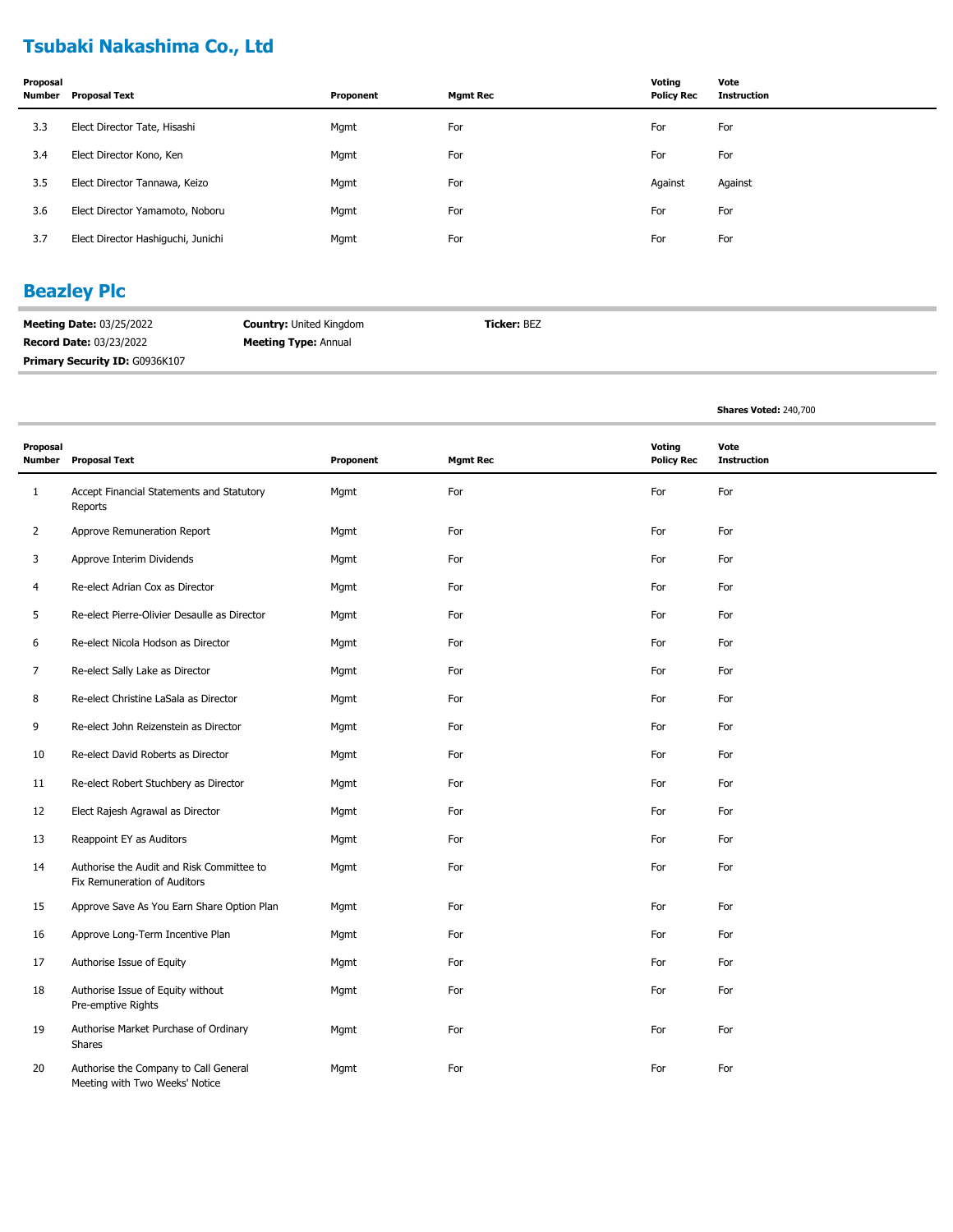# **Tsubaki Nakashima Co., Ltd**

| Proposal<br>Number | Proposal Text                      | Proponent | <b>Mgmt Rec</b> | Voting<br><b>Policy Rec</b> | Vote<br><b>Instruction</b> |
|--------------------|------------------------------------|-----------|-----------------|-----------------------------|----------------------------|
| 3.3                | Elect Director Tate, Hisashi       | Mgmt      | For             | For                         | For                        |
| 3.4                | Elect Director Kono, Ken           | Mgmt      | For             | For                         | For                        |
| 3.5                | Elect Director Tannawa, Keizo      | Mgmt      | For             | Against                     | Against                    |
| 3.6                | Elect Director Yamamoto, Noboru    | Mgmt      | For             | For                         | For                        |
| 3.7                | Elect Director Hashiguchi, Junichi | Mgmt      | For             | For                         | For                        |

## **Beazley Plc**

| <b>Meeting Date: 03/25/2022</b>       | <b>Country: United Kingdom</b> | <b>Ticker:</b> BEZ |
|---------------------------------------|--------------------------------|--------------------|
| <b>Record Date: 03/23/2022</b>        | <b>Meeting Type: Annual</b>    |                    |
| <b>Primary Security ID: G0936K107</b> |                                |                    |

**Shares Voted:** 240,700

| Proposal<br>Number | <b>Proposal Text</b>                                                      | Proponent | <b>Mgmt Rec</b> | <b>Voting</b><br><b>Policy Rec</b> | Vote<br><b>Instruction</b> |
|--------------------|---------------------------------------------------------------------------|-----------|-----------------|------------------------------------|----------------------------|
| 1                  | Accept Financial Statements and Statutory<br>Reports                      | Mgmt      | For             | For                                | For                        |
| 2                  | Approve Remuneration Report                                               | Mgmt      | For             | For                                | For                        |
| 3                  | Approve Interim Dividends                                                 | Mgmt      | For             | For                                | For                        |
| 4                  | Re-elect Adrian Cox as Director                                           | Mgmt      | For             | For                                | For                        |
| 5                  | Re-elect Pierre-Olivier Desaulle as Director                              | Mgmt      | For             | For                                | For                        |
| 6                  | Re-elect Nicola Hodson as Director                                        | Mgmt      | For             | For                                | For                        |
| 7                  | Re-elect Sally Lake as Director                                           | Mgmt      | For             | For                                | For                        |
| 8                  | Re-elect Christine LaSala as Director                                     | Mgmt      | For             | For                                | For                        |
| 9                  | Re-elect John Reizenstein as Director                                     | Mgmt      | For             | For                                | For                        |
| 10                 | Re-elect David Roberts as Director                                        | Mgmt      | For             | For                                | For                        |
| 11                 | Re-elect Robert Stuchbery as Director                                     | Mgmt      | For             | For                                | For                        |
| 12                 | Elect Rajesh Agrawal as Director                                          | Mgmt      | For             | For                                | For                        |
| 13                 | Reappoint EY as Auditors                                                  | Mgmt      | For             | For                                | For                        |
| 14                 | Authorise the Audit and Risk Committee to<br>Fix Remuneration of Auditors | Mgmt      | For             | For                                | For                        |
| 15                 | Approve Save As You Earn Share Option Plan                                | Mgmt      | For             | For                                | For                        |
| 16                 | Approve Long-Term Incentive Plan                                          | Mgmt      | For             | For                                | For                        |
| 17                 | Authorise Issue of Equity                                                 | Mgmt      | For             | For                                | For                        |
| 18                 | Authorise Issue of Equity without<br>Pre-emptive Rights                   | Mgmt      | For             | For                                | For                        |
| 19                 | Authorise Market Purchase of Ordinary<br>Shares                           | Mgmt      | For             | For                                | For                        |
| 20                 | Authorise the Company to Call General<br>Meeting with Two Weeks' Notice   | Mgmt      | For             | For                                | For                        |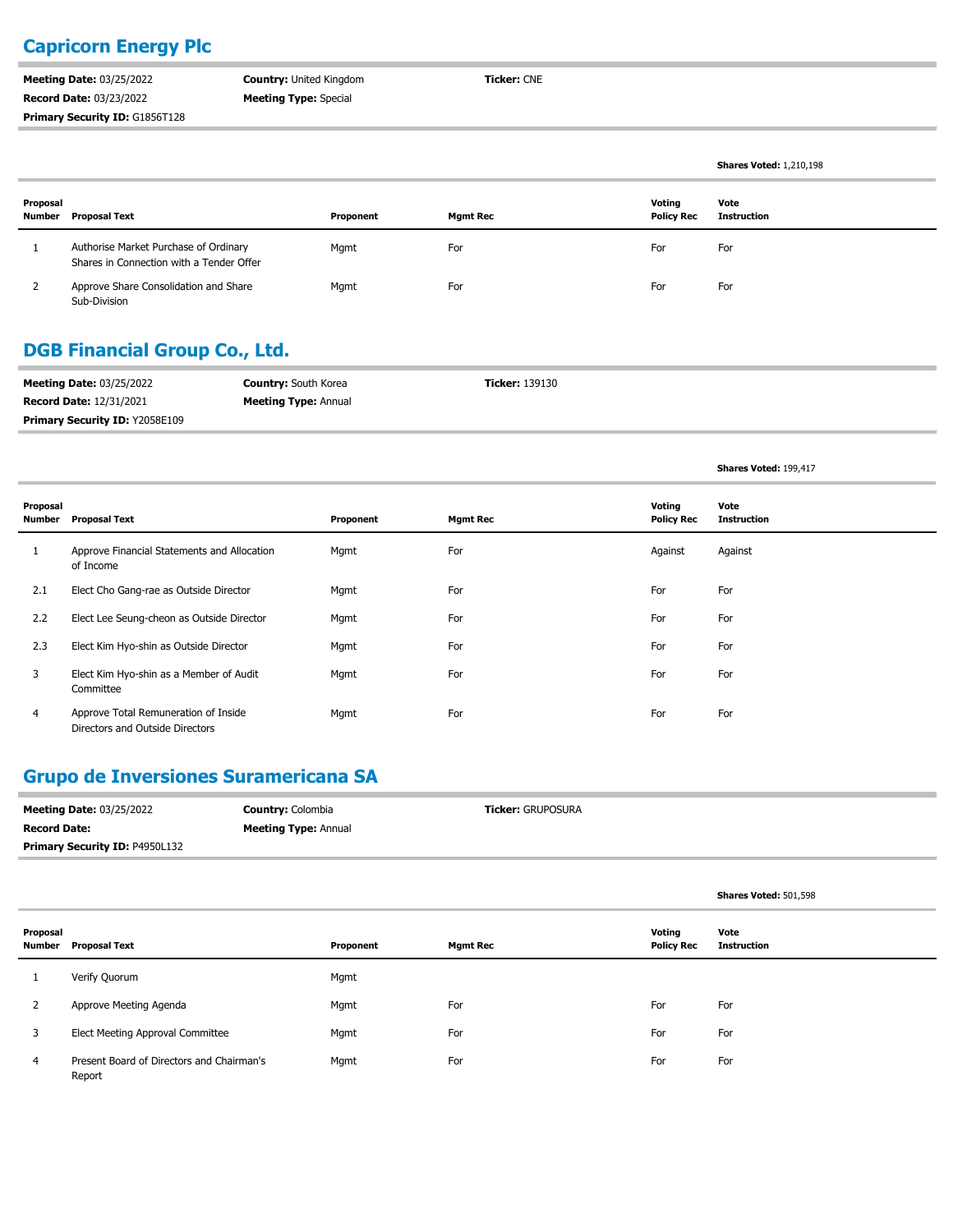## **Capricorn Energy Plc**

**Meeting Date:** 03/25/2022 **Record Date:** 03/23/2022 **Primary Security ID: G1856T128**  **Country:** United Kingdom **Meeting Type:** Special

**Ticker:** CNE

|                    |                                                                                   |           |                 |                             | <b>Shares Voted: 1,210,198</b> |
|--------------------|-----------------------------------------------------------------------------------|-----------|-----------------|-----------------------------|--------------------------------|
| Proposal<br>Number | Proposal Text                                                                     | Proponent | <b>Mgmt Rec</b> | Voting<br><b>Policy Rec</b> | Vote<br><b>Instruction</b>     |
|                    | Authorise Market Purchase of Ordinary<br>Shares in Connection with a Tender Offer | Mgmt      | For             | For                         | For                            |
|                    | Approve Share Consolidation and Share<br>Sub-Division                             | Mgmt      | For             | For                         | For                            |

### **DGB Financial Group Co., Ltd.**

| <b>Meeting Date: 03/25/2022</b>       | <b>Country:</b> South Korea | <b>Ticker:</b> 139130 |
|---------------------------------------|-----------------------------|-----------------------|
| <b>Record Date: 12/31/2021</b>        | <b>Meeting Type: Annual</b> |                       |
| <b>Primary Security ID: Y2058E109</b> |                             |                       |

**Shares Voted:** 199,417

| Proposal<br>Number | <b>Proposal Text</b>                                                    | Proponent | <b>Mgmt Rec</b> | Voting<br><b>Policy Rec</b> | Vote<br><b>Instruction</b> |
|--------------------|-------------------------------------------------------------------------|-----------|-----------------|-----------------------------|----------------------------|
| л.                 | Approve Financial Statements and Allocation<br>of Income                | Mgmt      | For             | Against                     | Against                    |
| 2.1                | Elect Cho Gang-rae as Outside Director                                  | Mgmt      | For             | For                         | For                        |
| 2.2                | Elect Lee Seung-cheon as Outside Director                               | Mgmt      | For             | For                         | For                        |
| 2.3                | Elect Kim Hyo-shin as Outside Director                                  | Mgmt      | For             | For                         | For                        |
| 3                  | Elect Kim Hyo-shin as a Member of Audit<br>Committee                    | Mgmt      | For             | For                         | For                        |
| 4                  | Approve Total Remuneration of Inside<br>Directors and Outside Directors | Mgmt      | For             | For                         | For                        |

#### **Grupo de Inversiones Suramericana SA**

| <b>Meeting Date: 03/25/2022</b>       | <b>Country: Colombia</b>    | <b>Ticker: GRUPOSURA</b> |
|---------------------------------------|-----------------------------|--------------------------|
| <b>Record Date:</b>                   | <b>Meeting Type: Annual</b> |                          |
| <b>Primary Security ID: P4950L132</b> |                             |                          |

|                    |                                                     |           |                 |                             | Shares Voted: 501,598      |
|--------------------|-----------------------------------------------------|-----------|-----------------|-----------------------------|----------------------------|
| Proposal<br>Number | <b>Proposal Text</b>                                | Proponent | <b>Mgmt Rec</b> | Voting<br><b>Policy Rec</b> | Vote<br><b>Instruction</b> |
|                    | Verify Quorum                                       | Mgmt      |                 |                             |                            |
| $\mathcal{L}$      | Approve Meeting Agenda                              | Mgmt      | For             | For                         | For                        |
| 3                  | Elect Meeting Approval Committee                    | Mgmt      | For             | For                         | For                        |
| $\overline{4}$     | Present Board of Directors and Chairman's<br>Report | Mgmt      | For             | For                         | For                        |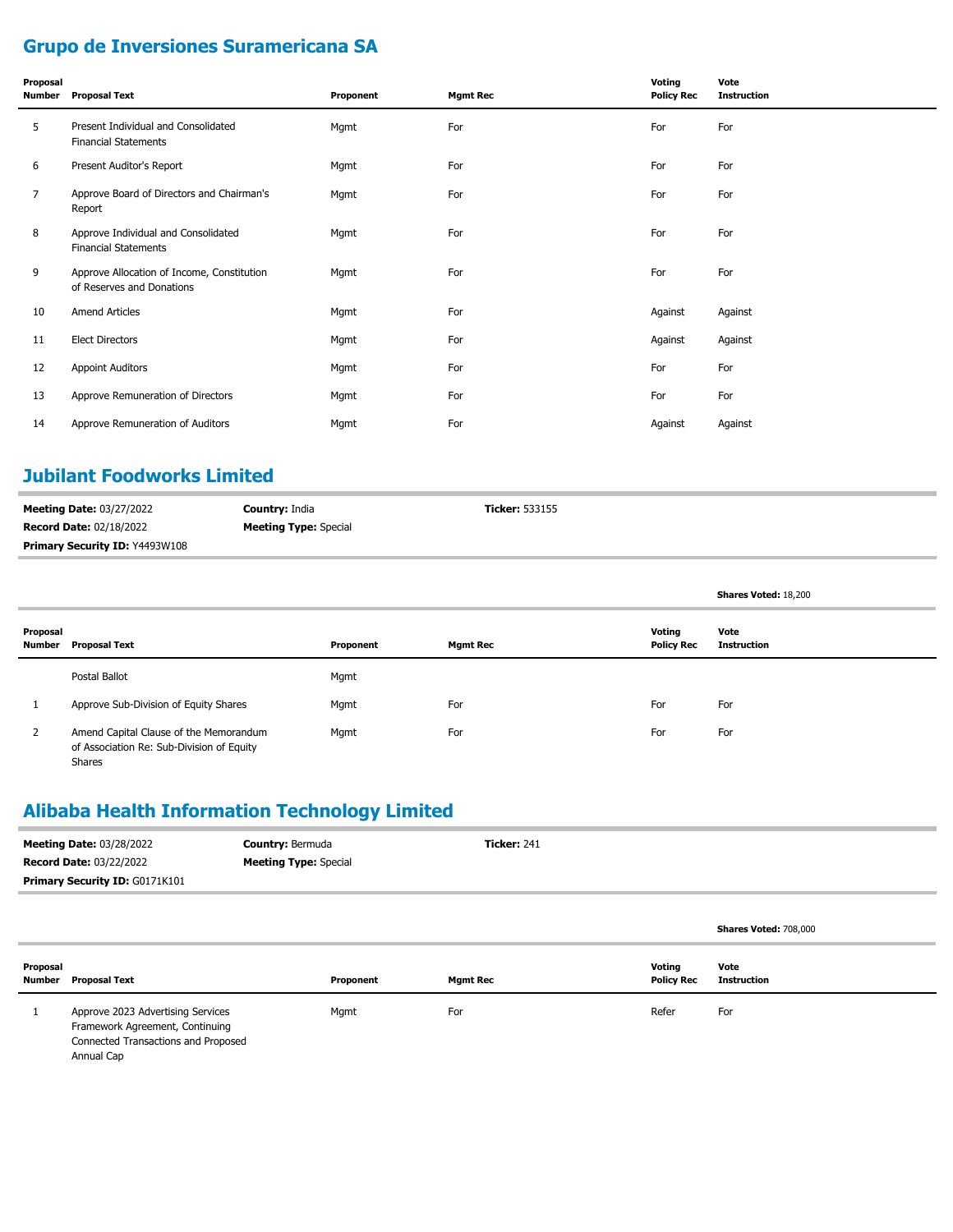# **Grupo de Inversiones Suramericana SA**

| Proposal<br><b>Number</b> | <b>Proposal Text</b>                                                    | Proponent | <b>Mgmt Rec</b> | Voting<br><b>Policy Rec</b> | Vote<br><b>Instruction</b> |
|---------------------------|-------------------------------------------------------------------------|-----------|-----------------|-----------------------------|----------------------------|
| 5                         | Present Individual and Consolidated<br><b>Financial Statements</b>      | Mgmt      | For             | For                         | For                        |
| 6                         | Present Auditor's Report                                                | Mgmt      | For             | For                         | For                        |
| 7                         | Approve Board of Directors and Chairman's<br>Report                     | Mgmt      | For             | For                         | For                        |
| 8                         | Approve Individual and Consolidated<br><b>Financial Statements</b>      | Mgmt      | For             | For                         | For                        |
| 9                         | Approve Allocation of Income, Constitution<br>of Reserves and Donations | Mgmt      | For             | For                         | For                        |
| 10                        | <b>Amend Articles</b>                                                   | Mgmt      | For             | Against                     | Against                    |
| 11                        | <b>Elect Directors</b>                                                  | Mgmt      | For             | Against                     | Against                    |
| 12                        | <b>Appoint Auditors</b>                                                 | Mgmt      | For             | For                         | For                        |
| 13                        | Approve Remuneration of Directors                                       | Mgmt      | For             | For                         | For                        |
| 14                        | Approve Remuneration of Auditors                                        | Mgmt      | For             | Against                     | Against                    |

## **Jubilant Foodworks Limited**

| <b>Meeting Date: 03/27/2022</b>       | <b>Country: India</b>        | <b>Ticker: 533155</b> |
|---------------------------------------|------------------------------|-----------------------|
| <b>Record Date: 02/18/2022</b>        | <b>Meeting Type:</b> Special |                       |
| <b>Primary Security ID: Y4493W108</b> |                              |                       |

|                    |                                                                                                      |           |                 |                             | Shares Voted: 18,200 |
|--------------------|------------------------------------------------------------------------------------------------------|-----------|-----------------|-----------------------------|----------------------|
| Proposal<br>Number | <b>Proposal Text</b>                                                                                 | Proponent | <b>Mgmt Rec</b> | Voting<br><b>Policy Rec</b> | Vote<br>Instruction  |
|                    | Postal Ballot                                                                                        | Mgmt      |                 |                             |                      |
|                    | Approve Sub-Division of Equity Shares                                                                | Mgmt      | For             | For                         | For                  |
| 2                  | Amend Capital Clause of the Memorandum<br>of Association Re: Sub-Division of Equity<br><b>Shares</b> | Mgmt      | For             | For                         | For                  |

# **Alibaba Health Information Technology Limited**

| <b>Meeting Date: 03/28/2022</b> | <b>Country: Bermuda</b>      | <b>Ticker: 241</b> |
|---------------------------------|------------------------------|--------------------|
| <b>Record Date: 03/22/2022</b>  | <b>Meeting Type:</b> Special |                    |
| Primary Security ID: G0171K101  |                              |                    |
|                                 |                              |                    |

|                    |                                                                                                             |           |          |                             | Shares Voted: 708,000      |
|--------------------|-------------------------------------------------------------------------------------------------------------|-----------|----------|-----------------------------|----------------------------|
| Proposal<br>Number | <b>Proposal Text</b>                                                                                        | Proponent | Mgmt Rec | Voting<br><b>Policy Rec</b> | Vote<br><b>Instruction</b> |
|                    | Approve 2023 Advertising Services<br>Framework Agreement, Continuing<br>Connected Transactions and Proposed | Mgmt      | For      | Refer                       | For                        |

Annual Cap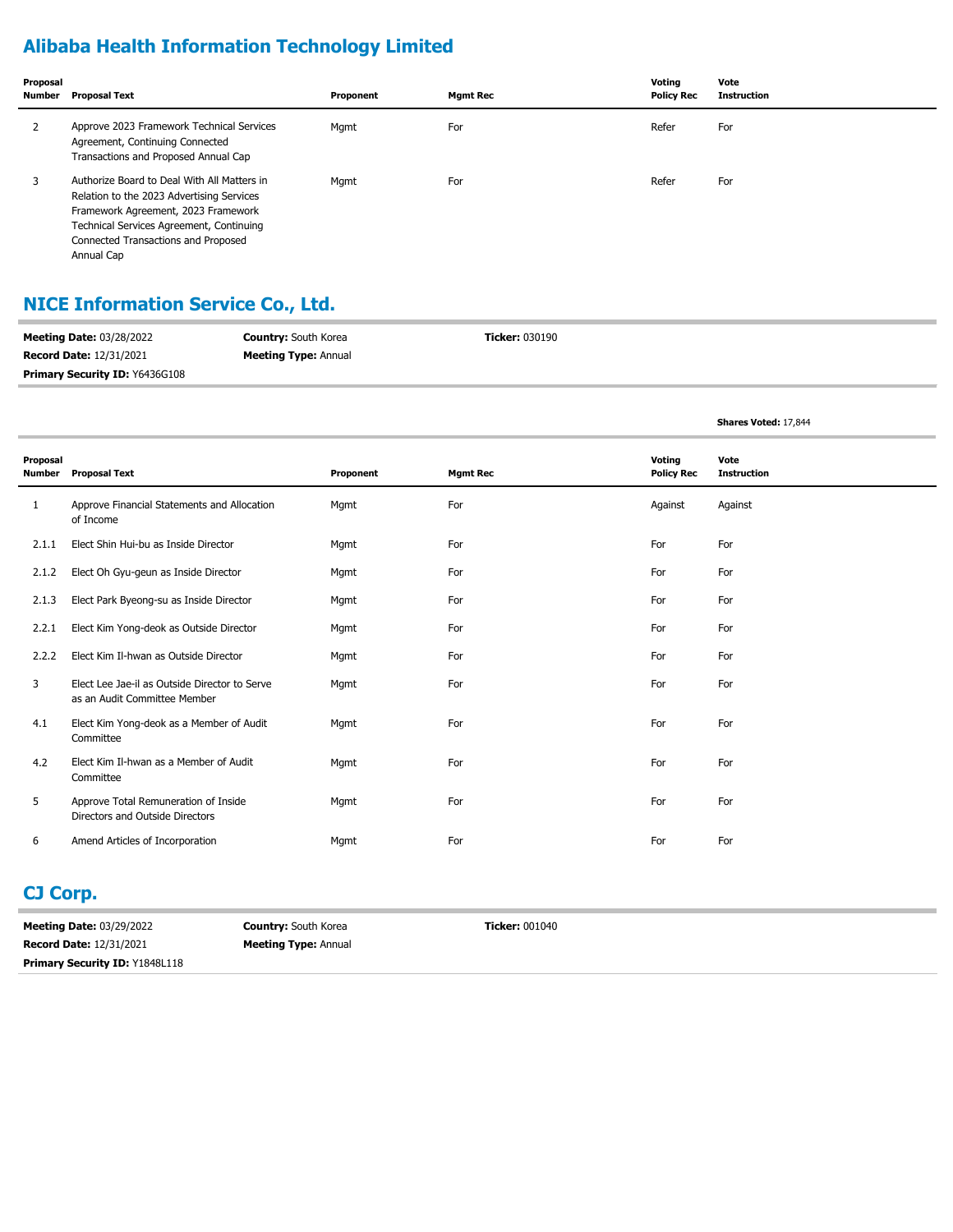# **Alibaba Health Information Technology Limited**

| Proposal<br>Number | Proposal Text                                                                                                                                                                                                                    | Proponent | <b>Mgmt Rec</b> | Voting<br><b>Policy Rec</b> | Vote<br><b>Instruction</b> |
|--------------------|----------------------------------------------------------------------------------------------------------------------------------------------------------------------------------------------------------------------------------|-----------|-----------------|-----------------------------|----------------------------|
| ∠                  | Approve 2023 Framework Technical Services<br>Agreement, Continuing Connected<br>Transactions and Proposed Annual Cap                                                                                                             | Mgmt      | For             | Refer                       | For                        |
|                    | Authorize Board to Deal With All Matters in<br>Relation to the 2023 Advertising Services<br>Framework Agreement, 2023 Framework<br>Technical Services Agreement, Continuing<br>Connected Transactions and Proposed<br>Annual Cap | Mgmt      | For             | Refer                       | For                        |

## **NICE Information Service Co., Ltd.**

| <b>Meeting Date: 03/28/2022</b>       | <b>Country:</b> South Korea | <b>Ticker:</b> 030190 |
|---------------------------------------|-----------------------------|-----------------------|
| <b>Record Date: 12/31/2021</b>        | <b>Meeting Type: Annual</b> |                       |
| <b>Primary Security ID: Y6436G108</b> |                             |                       |

**Shares Voted:** 17,844

| Proposal<br>Number | <b>Proposal Text</b>                                                          | Proponent | <b>Mgmt Rec</b> | Voting<br><b>Policy Rec</b> | Vote<br><b>Instruction</b> |
|--------------------|-------------------------------------------------------------------------------|-----------|-----------------|-----------------------------|----------------------------|
| 1                  | Approve Financial Statements and Allocation<br>of Income                      | Mgmt      | For             | Against                     | Against                    |
| 2.1.1              | Elect Shin Hui-bu as Inside Director                                          | Mgmt      | For             | For                         | For                        |
| 2.1.2              | Elect Oh Gyu-geun as Inside Director                                          | Mgmt      | For             | For                         | For                        |
| 2.1.3              | Elect Park Byeong-su as Inside Director                                       | Mgmt      | For             | For                         | For                        |
| 2.2.1              | Elect Kim Yong-deok as Outside Director                                       | Mgmt      | For             | For                         | For                        |
| 2.2.2              | Elect Kim Il-hwan as Outside Director                                         | Mgmt      | For             | For                         | For                        |
| 3                  | Elect Lee Jae-il as Outside Director to Serve<br>as an Audit Committee Member | Mgmt      | For             | For                         | For                        |
| 4.1                | Elect Kim Yong-deok as a Member of Audit<br>Committee                         | Mgmt      | For             | For                         | For                        |
| 4.2                | Elect Kim Il-hwan as a Member of Audit<br>Committee                           | Mgmt      | For             | For                         | For                        |
| 5                  | Approve Total Remuneration of Inside<br>Directors and Outside Directors       | Mgmt      | For             | For                         | For                        |
| 6                  | Amend Articles of Incorporation                                               | Mgmt      | For             | For                         | For                        |

### **CJ Corp.**

**Meeting Date:** 03/29/2022 **Record Date:** 12/31/2021 **Primary Security ID: Y1848L118**  **Country:** South Korea **Meeting Type:** Annual **Ticker:** 001040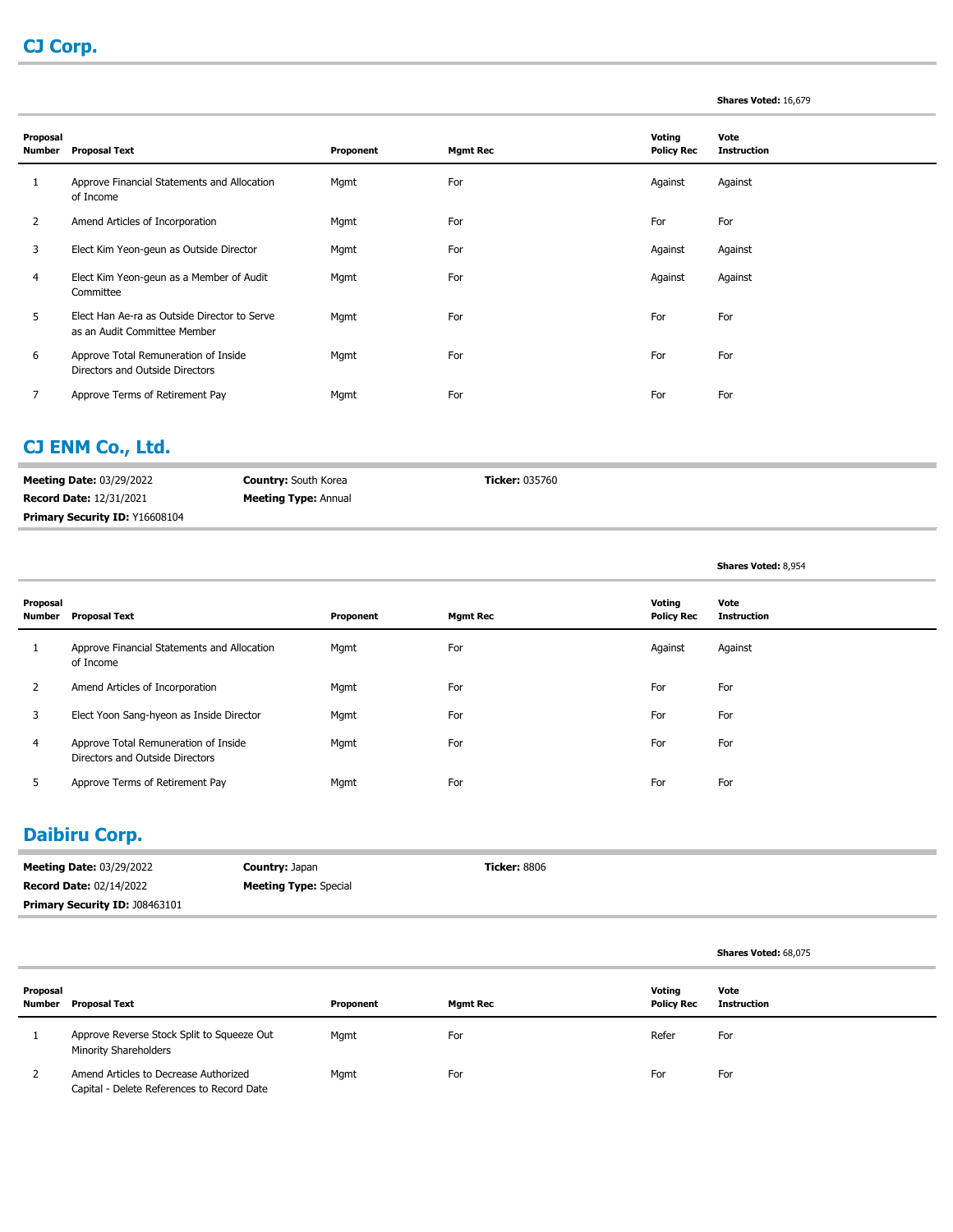#### **Shares Voted:** 16,679

**Shares Voted:** 68,075

| Proposal<br>Number | <b>Proposal Text</b>                                                         | Proponent | <b>Mgmt Rec</b> | Voting<br><b>Policy Rec</b> | Vote<br><b>Instruction</b> |
|--------------------|------------------------------------------------------------------------------|-----------|-----------------|-----------------------------|----------------------------|
|                    | Approve Financial Statements and Allocation<br>of Income                     | Mgmt      | For             | Against                     | Against                    |
| $\overline{2}$     | Amend Articles of Incorporation                                              | Mgmt      | For             | For                         | For                        |
| 3                  | Elect Kim Yeon-geun as Outside Director                                      | Mgmt      | For             | Against                     | Against                    |
| 4                  | Elect Kim Yeon-geun as a Member of Audit<br>Committee                        | Mgmt      | For             | Against                     | Against                    |
| 5                  | Elect Han Ae-ra as Outside Director to Serve<br>as an Audit Committee Member | Mgmt      | For             | For                         | For                        |
| 6                  | Approve Total Remuneration of Inside<br>Directors and Outside Directors      | Mgmt      | For             | For                         | For                        |
|                    | Approve Terms of Retirement Pay                                              | Mgmt      | For             | For                         | For                        |

#### **CJ ENM Co., Ltd.**

| <b>Meeting Date: 03/29/2022</b>       | <b>Country:</b> South Korea | <b>Ticker:</b> 035760 |
|---------------------------------------|-----------------------------|-----------------------|
| <b>Record Date: 12/31/2021</b>        | <b>Meeting Type: Annual</b> |                       |
| <b>Primary Security ID: Y16608104</b> |                             |                       |

|                    |                                                                         |           |                 |                             | <b>Shares Voted: 8,954</b> |
|--------------------|-------------------------------------------------------------------------|-----------|-----------------|-----------------------------|----------------------------|
| Proposal<br>Number | <b>Proposal Text</b>                                                    | Proponent | <b>Mgmt Rec</b> | Voting<br><b>Policy Rec</b> | Vote<br><b>Instruction</b> |
|                    | Approve Financial Statements and Allocation<br>of Income                | Mgmt      | For             | Against                     | Against                    |
| $\overline{2}$     | Amend Articles of Incorporation                                         | Mgmt      | For             | For                         | For                        |
| 3                  | Elect Yoon Sang-hyeon as Inside Director                                | Mgmt      | For             | For                         | For                        |
| 4                  | Approve Total Remuneration of Inside<br>Directors and Outside Directors | Mgmt      | For             | For                         | For                        |
|                    | Approve Terms of Retirement Pay                                         | Mgmt      | For             | For                         | For                        |

## **Daibiru Corp.**

| <b>Meeting Date: 03/29/2022</b>       | <b>Country: Japan</b>        | <b>Ticker:</b> 8806 |
|---------------------------------------|------------------------------|---------------------|
| <b>Record Date: 02/14/2022</b>        | <b>Meeting Type:</b> Special |                     |
| <b>Primary Security ID: J08463101</b> |                              |                     |

| Proposal<br>Number | Proposal Text                                                                       | Proponent | <b>Mgmt Rec</b> | Voting<br><b>Policy Rec</b> | Vote<br><b>Instruction</b> |
|--------------------|-------------------------------------------------------------------------------------|-----------|-----------------|-----------------------------|----------------------------|
|                    | Approve Reverse Stock Split to Squeeze Out<br><b>Minority Shareholders</b>          | Mgmt      | For             | Refer                       | For                        |
|                    | Amend Articles to Decrease Authorized<br>Capital - Delete References to Record Date | Mgmt      | For             | For                         | For                        |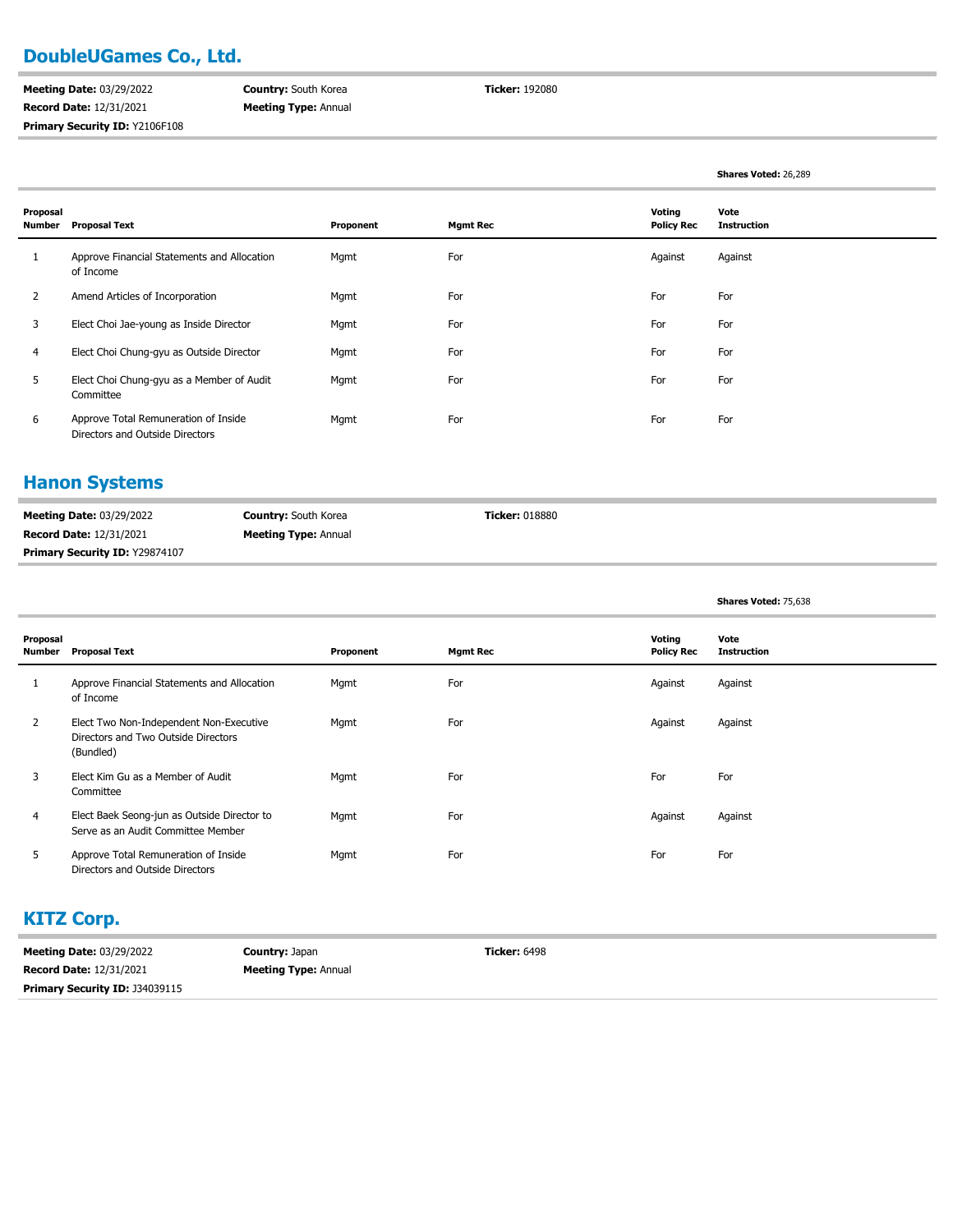## **DoubleUGames Co., Ltd.**

**Meeting Date:** 03/29/2022 **Record Date:** 12/31/2021 **Primary Security ID:** Y2106F108

**Country:** South Korea **Meeting Type:** Annual **Ticker:** 192080

| Proposal<br>Number | <b>Proposal Text</b>                                                    | Proponent | <b>Mgmt Rec</b> | Voting<br><b>Policy Rec</b> | Vote<br><b>Instruction</b> |
|--------------------|-------------------------------------------------------------------------|-----------|-----------------|-----------------------------|----------------------------|
|                    | Approve Financial Statements and Allocation<br>of Income                | Mgmt      | For             | Against                     | Against                    |
| 2                  | Amend Articles of Incorporation                                         | Mgmt      | For             | For                         | For                        |
| 3                  | Elect Choi Jae-young as Inside Director                                 | Mgmt      | For             | For                         | For                        |
| 4                  | Elect Choi Chung-gyu as Outside Director                                | Mgmt      | For             | For                         | For                        |
| 5                  | Elect Choi Chung-gyu as a Member of Audit<br>Committee                  | Mgmt      | For             | For                         | For                        |
| 6                  | Approve Total Remuneration of Inside<br>Directors and Outside Directors | Mgmt      | For             | For                         | For                        |

#### **Hanon Systems**

| <b>Meeting Date: 03/29/2022</b>       | <b>Country:</b> South Korea | <b>Ticker:</b> 018880 |
|---------------------------------------|-----------------------------|-----------------------|
| <b>Record Date: 12/31/2021</b>        | <b>Meeting Type: Annual</b> |                       |
| <b>Primary Security ID: Y29874107</b> |                             |                       |

|  |  | Shares Voted: 75,638 |
|--|--|----------------------|
|--|--|----------------------|

**Shares Voted:** 26,289

| Proposal<br>Number | <b>Proposal Text</b>                                                                        | Proponent | <b>Mgmt Rec</b> | Voting<br><b>Policy Rec</b> | Vote<br><b>Instruction</b> |
|--------------------|---------------------------------------------------------------------------------------------|-----------|-----------------|-----------------------------|----------------------------|
|                    | Approve Financial Statements and Allocation<br>of Income                                    | Mgmt      | For             | Against                     | Against                    |
| 2                  | Elect Two Non-Independent Non-Executive<br>Directors and Two Outside Directors<br>(Bundled) | Mgmt      | For             | Against                     | Against                    |
| 3                  | Elect Kim Gu as a Member of Audit<br>Committee                                              | Mgmt      | For             | For                         | For                        |
| 4                  | Elect Baek Seong-jun as Outside Director to<br>Serve as an Audit Committee Member           | Mgmt      | For             | Against                     | Against                    |
| 5                  | Approve Total Remuneration of Inside<br>Directors and Outside Directors                     | Mgmt      | For             | For                         | For                        |

## **KITZ Corp.**

| <b>Meeting Date: 03/29/2022</b>       | <b>Country: Japan</b>       | <b>Ticker:</b> 6498 |
|---------------------------------------|-----------------------------|---------------------|
| <b>Record Date: 12/31/2021</b>        | <b>Meeting Type: Annual</b> |                     |
| <b>Primary Security ID: J34039115</b> |                             |                     |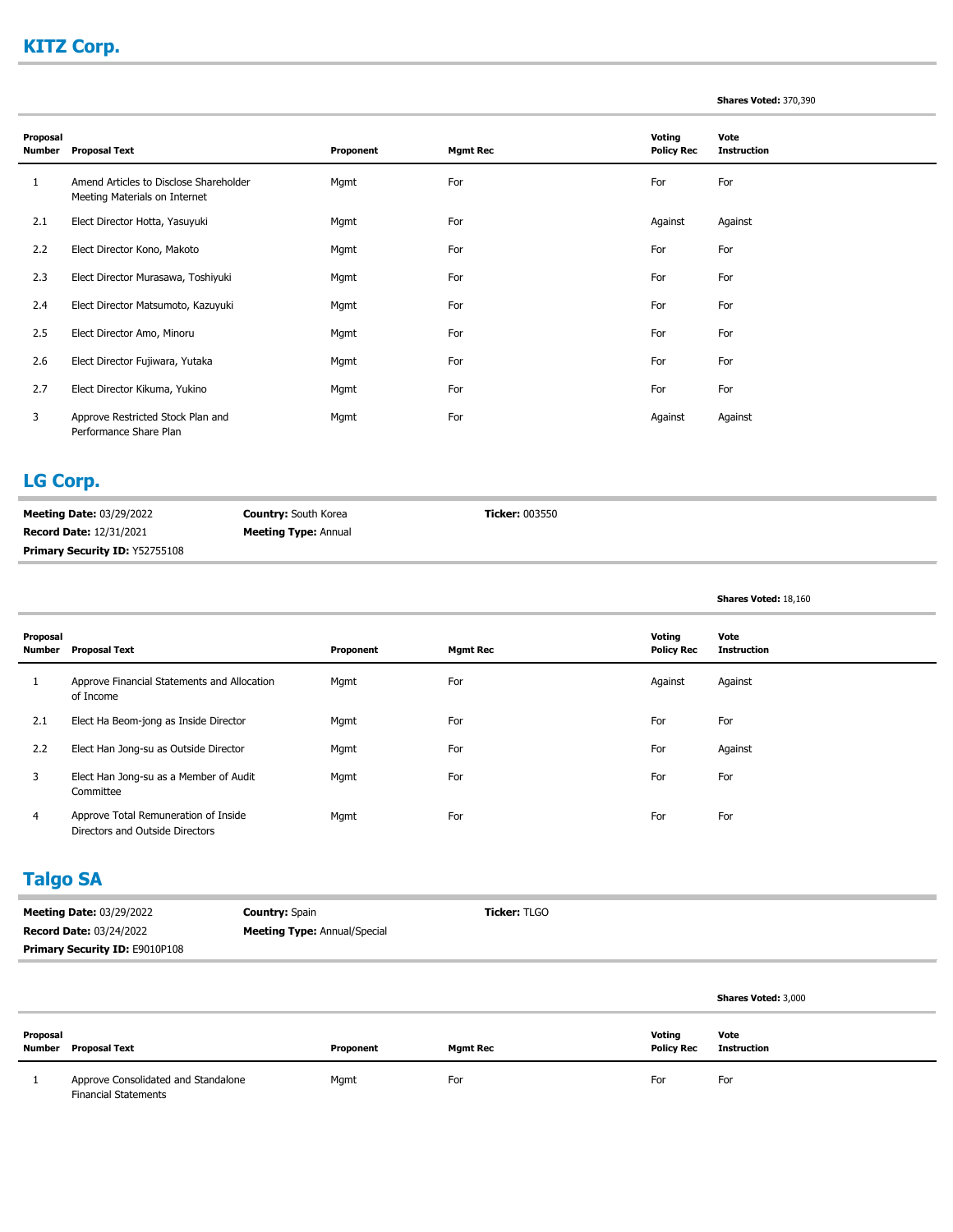# **KITZ Corp.**

#### **Shares Voted:** 370,390

**Shares Voted:** 18,160

| Proposal<br>Number | <b>Proposal Text</b>                                                    | Proponent | <b>Mgmt Rec</b> | Voting<br><b>Policy Rec</b> | Vote<br><b>Instruction</b> |
|--------------------|-------------------------------------------------------------------------|-----------|-----------------|-----------------------------|----------------------------|
|                    | Amend Articles to Disclose Shareholder<br>Meeting Materials on Internet | Mgmt      | For             | For                         | For                        |
| 2.1                | Elect Director Hotta, Yasuyuki                                          | Mgmt      | For             | Against                     | Against                    |
| 2.2                | Elect Director Kono, Makoto                                             | Mgmt      | For             | For                         | For                        |
| 2.3                | Elect Director Murasawa, Toshiyuki                                      | Mgmt      | For             | For                         | For                        |
| 2.4                | Elect Director Matsumoto, Kazuyuki                                      | Mgmt      | For             | For                         | For                        |
| 2.5                | Elect Director Amo, Minoru                                              | Mgmt      | For             | For                         | For                        |
| 2.6                | Elect Director Fujiwara, Yutaka                                         | Mgmt      | For             | For                         | For                        |
| 2.7                | Elect Director Kikuma, Yukino                                           | Mgmt      | For             | For                         | For                        |
| 3                  | Approve Restricted Stock Plan and<br>Performance Share Plan             | Mgmt      | For             | Against                     | Against                    |

### **LG Corp.**

| <b>Meeting Date: 03/29/2022</b>       | <b>Country:</b> South Korea | <b>Ticker:</b> 003550 |
|---------------------------------------|-----------------------------|-----------------------|
| <b>Record Date: 12/31/2021</b>        | <b>Meeting Type: Annual</b> |                       |
| <b>Primary Security ID: Y52755108</b> |                             |                       |

| Proposal<br>Number | <b>Proposal Text</b>                                                    | Proponent | <b>Mgmt Rec</b> | Voting<br><b>Policy Rec</b> | Vote<br><b>Instruction</b> |
|--------------------|-------------------------------------------------------------------------|-----------|-----------------|-----------------------------|----------------------------|
| 1                  | Approve Financial Statements and Allocation<br>of Income                | Mgmt      | For             | Against                     | Against                    |
| 2.1                | Elect Ha Beom-jong as Inside Director                                   | Mgmt      | For             | For                         | For                        |
| 2.2                | Elect Han Jong-su as Outside Director                                   | Mgmt      | For             | For                         | Against                    |
| 3                  | Elect Han Jong-su as a Member of Audit<br>Committee                     | Mgmt      | For             | For                         | For                        |
| 4                  | Approve Total Remuneration of Inside<br>Directors and Outside Directors | Mgmt      | For             | For                         | For                        |

## **Talgo SA**

| <b>Meeting Date: 03/29/2022</b>       | <b>Country: Spain</b>               | <b>Ticker: TLGO</b> |  |
|---------------------------------------|-------------------------------------|---------------------|--|
| <b>Record Date: 03/24/2022</b>        | <b>Meeting Type: Annual/Special</b> |                     |  |
| <b>Primary Security ID: E9010P108</b> |                                     |                     |  |

|                    |                                                                    |           |          |                             | <b>Shares Voted: 3,000</b> |
|--------------------|--------------------------------------------------------------------|-----------|----------|-----------------------------|----------------------------|
| Proposal<br>Number | Proposal Text                                                      | Proponent | Mgmt Rec | Voting<br><b>Policy Rec</b> | Vote<br>Instruction        |
|                    | Approve Consolidated and Standalone<br><b>Financial Statements</b> | Mgmt      | For      | For                         | For                        |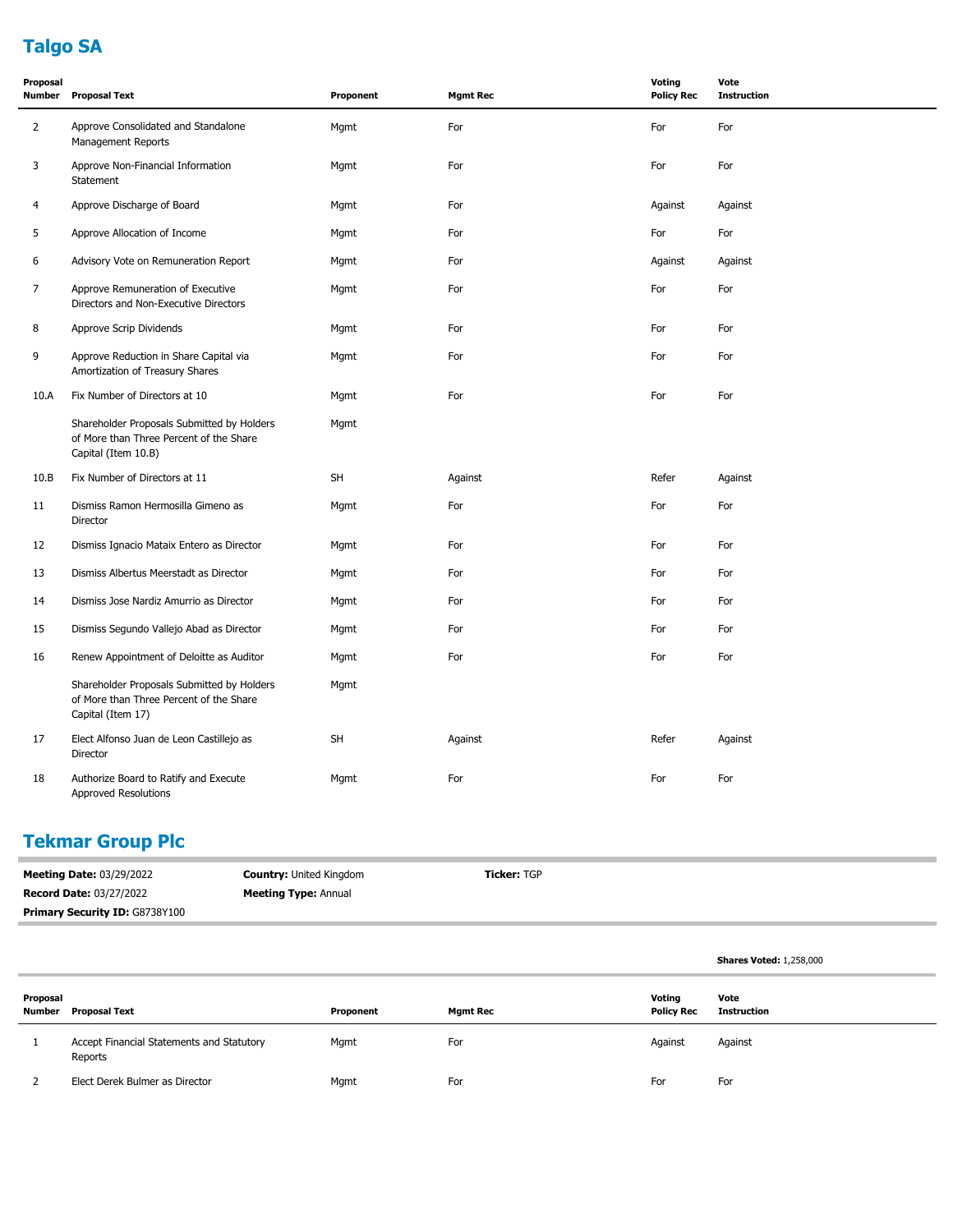# **Talgo SA**

| Proposal<br>Number | <b>Proposal Text</b>                                                                                         | Proponent | <b>Mgmt Rec</b> | <b>Voting</b><br><b>Policy Rec</b> | Vote<br><b>Instruction</b> |
|--------------------|--------------------------------------------------------------------------------------------------------------|-----------|-----------------|------------------------------------|----------------------------|
| $\overline{2}$     | Approve Consolidated and Standalone<br><b>Management Reports</b>                                             | Mgmt      | For             | For                                | For                        |
| 3                  | Approve Non-Financial Information<br>Statement                                                               | Mgmt      | For             | For                                | For                        |
| $\overline{4}$     | Approve Discharge of Board                                                                                   | Mgmt      | For             | Against                            | Against                    |
| 5                  | Approve Allocation of Income                                                                                 | Mgmt      | For             | For                                | For                        |
| 6                  | Advisory Vote on Remuneration Report                                                                         | Mgmt      | For             | Against                            | Against                    |
| 7                  | Approve Remuneration of Executive<br>Directors and Non-Executive Directors                                   | Mgmt      | For             | For                                | For                        |
| 8                  | Approve Scrip Dividends                                                                                      | Mgmt      | For             | For                                | For                        |
| 9                  | Approve Reduction in Share Capital via<br>Amortization of Treasury Shares                                    | Mgmt      | For             | For                                | For                        |
| 10.A               | Fix Number of Directors at 10                                                                                | Mgmt      | For             | For                                | For                        |
|                    | Shareholder Proposals Submitted by Holders<br>of More than Three Percent of the Share<br>Capital (Item 10.B) | Mgmt      |                 |                                    |                            |
| 10.B               | Fix Number of Directors at 11                                                                                | <b>SH</b> | Against         | Refer                              | Against                    |
| 11                 | Dismiss Ramon Hermosilla Gimeno as<br>Director                                                               | Mgmt      | For             | For                                | For                        |
| 12                 | Dismiss Ignacio Mataix Entero as Director                                                                    | Mgmt      | For             | For                                | For                        |
| 13                 | Dismiss Albertus Meerstadt as Director                                                                       | Mgmt      | For             | For                                | For                        |
| 14                 | Dismiss Jose Nardiz Amurrio as Director                                                                      | Mgmt      | For             | For                                | For                        |
| 15                 | Dismiss Segundo Vallejo Abad as Director                                                                     | Mgmt      | For             | For                                | For                        |
| 16                 | Renew Appointment of Deloitte as Auditor                                                                     | Mgmt      | For             | For                                | For                        |
|                    | Shareholder Proposals Submitted by Holders<br>of More than Three Percent of the Share<br>Capital (Item 17)   | Mgmt      |                 |                                    |                            |
| 17                 | Elect Alfonso Juan de Leon Castillejo as<br>Director                                                         | <b>SH</b> | Against         | Refer                              | Against                    |
| 18                 | Authorize Board to Ratify and Execute<br><b>Approved Resolutions</b>                                         | Mgmt      | For             | For                                | For                        |

# **Tekmar Group Plc**

| <b>Meeting Date: 03/29/2022</b>       | <b>Country: United Kingdom</b> | <b>Ticker: TGP</b> |
|---------------------------------------|--------------------------------|--------------------|
| <b>Record Date: 03/27/2022</b>        | <b>Meeting Type: Annual</b>    |                    |
| <b>Primary Security ID: G8738Y100</b> |                                |                    |

|                    |                                                      |           |                 |                             | <b>Shares Voted: 1,258,000</b> |
|--------------------|------------------------------------------------------|-----------|-----------------|-----------------------------|--------------------------------|
| Proposal<br>Number | Proposal Text                                        | Proponent | <b>Mgmt Rec</b> | Voting<br><b>Policy Rec</b> | Vote<br><b>Instruction</b>     |
|                    | Accept Financial Statements and Statutory<br>Reports | Mgmt      | For             | Against                     | Against                        |
|                    | Elect Derek Bulmer as Director                       | Mgmt      | For             | For                         | For                            |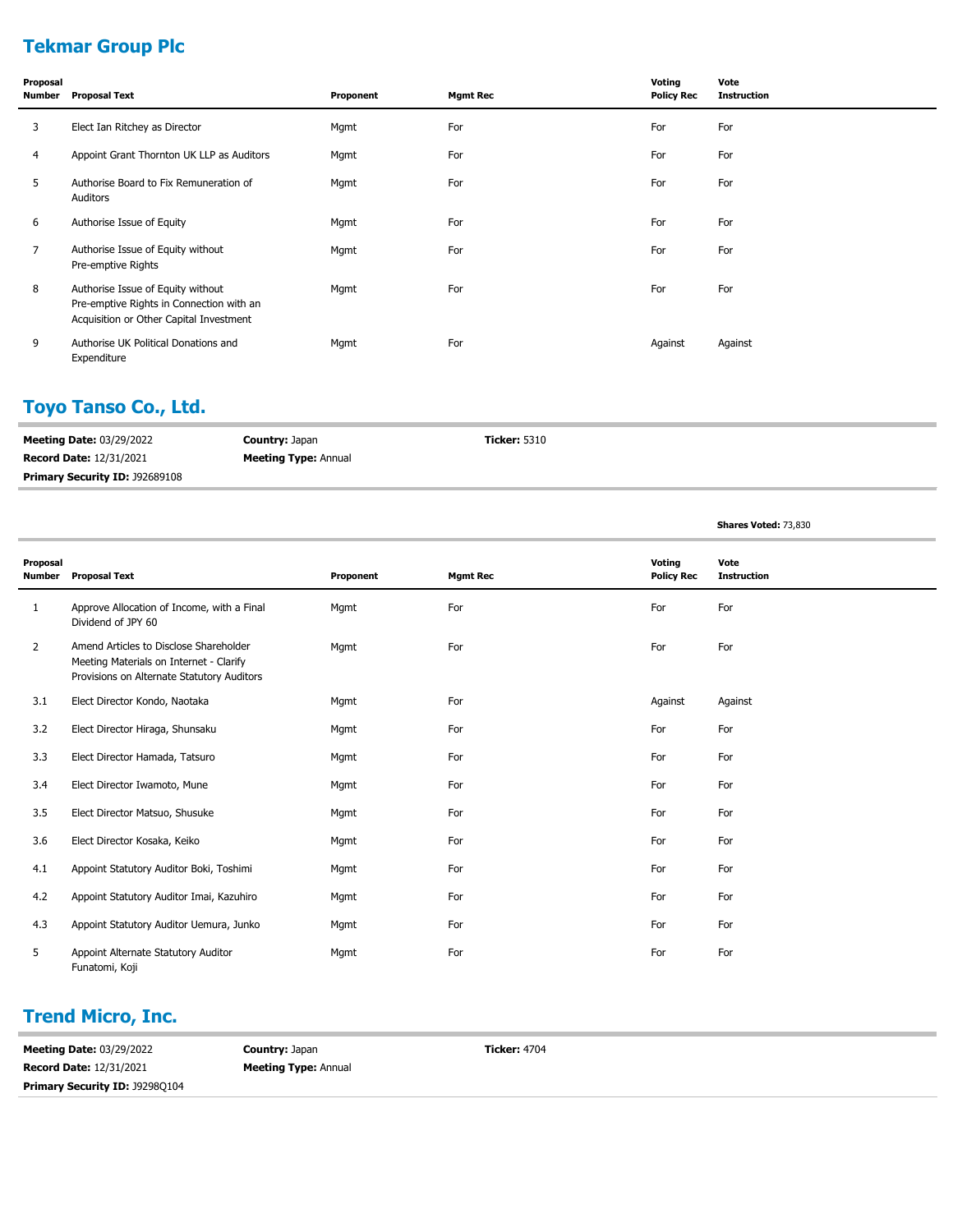# **Tekmar Group Plc**

| Proposal<br>Number | <b>Proposal Text</b>                                                                                                     | Proponent | <b>Mgmt Rec</b> | Voting<br><b>Policy Rec</b> | Vote<br><b>Instruction</b> |
|--------------------|--------------------------------------------------------------------------------------------------------------------------|-----------|-----------------|-----------------------------|----------------------------|
| 3                  | Elect Ian Ritchey as Director                                                                                            | Mgmt      | For             | For                         | For                        |
| 4                  | Appoint Grant Thornton UK LLP as Auditors                                                                                | Mgmt      | For             | For                         | For                        |
| 5                  | Authorise Board to Fix Remuneration of<br>Auditors                                                                       | Mgmt      | For             | For                         | For                        |
| 6                  | Authorise Issue of Equity                                                                                                | Mgmt      | For             | For                         | For                        |
| 7                  | Authorise Issue of Equity without<br>Pre-emptive Rights                                                                  | Mgmt      | For             | For                         | For                        |
| 8                  | Authorise Issue of Equity without<br>Pre-emptive Rights in Connection with an<br>Acquisition or Other Capital Investment | Mgmt      | For             | For                         | For                        |
| 9                  | Authorise UK Political Donations and<br>Expenditure                                                                      | Mgmt      | For             | Against                     | Against                    |

# **Toyo Tanso Co., Ltd.**

| <b>Meeting Date: 03/29/2022</b>       | <b>Country: Japan</b>       | <b>Ticker:</b> 5310 |
|---------------------------------------|-----------------------------|---------------------|
| <b>Record Date: 12/31/2021</b>        | <b>Meeting Type: Annual</b> |                     |
| <b>Primary Security ID: J92689108</b> |                             |                     |

**Shares Voted:** 73,830

| Proposal<br><b>Number</b> | <b>Proposal Text</b>                                                                                                            | Proponent | <b>Mgmt Rec</b> | Voting<br><b>Policy Rec</b> | Vote<br><b>Instruction</b> |
|---------------------------|---------------------------------------------------------------------------------------------------------------------------------|-----------|-----------------|-----------------------------|----------------------------|
| 1                         | Approve Allocation of Income, with a Final<br>Dividend of JPY 60                                                                | Mgmt      | For             | For                         | For                        |
| $\overline{2}$            | Amend Articles to Disclose Shareholder<br>Meeting Materials on Internet - Clarify<br>Provisions on Alternate Statutory Auditors | Mgmt      | For             | For                         | For                        |
| 3.1                       | Elect Director Kondo, Naotaka                                                                                                   | Mgmt      | For             | Against                     | Against                    |
| 3.2                       | Elect Director Hiraga, Shunsaku                                                                                                 | Mgmt      | For             | For                         | For                        |
| 3.3                       | Elect Director Hamada, Tatsuro                                                                                                  | Mgmt      | For             | For                         | For                        |
| 3.4                       | Elect Director Iwamoto, Mune                                                                                                    | Mgmt      | For             | For                         | For                        |
| 3.5                       | Elect Director Matsuo, Shusuke                                                                                                  | Mgmt      | For             | For                         | For                        |
| 3.6                       | Elect Director Kosaka, Keiko                                                                                                    | Mgmt      | For             | For                         | For                        |
| 4.1                       | Appoint Statutory Auditor Boki, Toshimi                                                                                         | Mgmt      | For             | For                         | For                        |
| 4.2                       | Appoint Statutory Auditor Imai, Kazuhiro                                                                                        | Mgmt      | For             | For                         | For                        |
| 4.3                       | Appoint Statutory Auditor Uemura, Junko                                                                                         | Mgmt      | For             | For                         | For                        |
| 5                         | Appoint Alternate Statutory Auditor<br>Funatomi, Koji                                                                           | Mgmt      | For             | For                         | For                        |

# **Trend Micro, Inc.**

| <b>Meeting Date: 03/29/2022</b>       | <b>Country: Japan</b>       | <b>Ticker: 4704</b> |
|---------------------------------------|-----------------------------|---------------------|
| <b>Record Date: 12/31/2021</b>        | <b>Meeting Type: Annual</b> |                     |
| <b>Primary Security ID: J92980104</b> |                             |                     |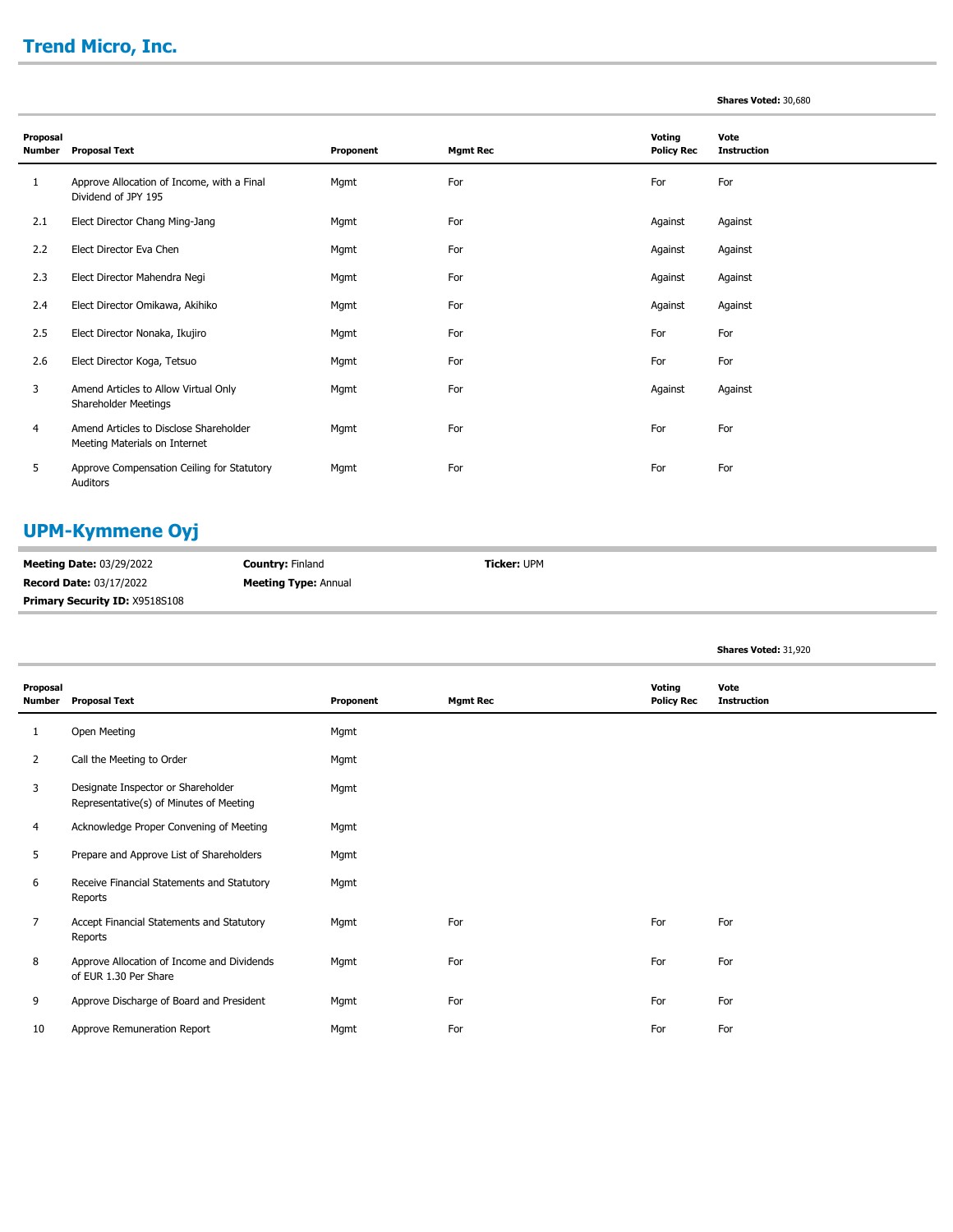# **Trend Micro, Inc.**

#### **Shares Voted:** 30,680

| Proposal |                                                                         |           |                 | Voting            | Vote               |
|----------|-------------------------------------------------------------------------|-----------|-----------------|-------------------|--------------------|
| Number   | <b>Proposal Text</b>                                                    | Proponent | <b>Mgmt Rec</b> | <b>Policy Rec</b> | <b>Instruction</b> |
| 1        | Approve Allocation of Income, with a Final<br>Dividend of JPY 195       | Mgmt      | For             | For               | For                |
| 2.1      | Elect Director Chang Ming-Jang                                          | Mgmt      | For             | Against           | Against            |
| 2.2      | Elect Director Eva Chen                                                 | Mgmt      | For             | Against           | Against            |
| 2.3      | Elect Director Mahendra Negi                                            | Mgmt      | For             | Against           | Against            |
| 2.4      | Elect Director Omikawa, Akihiko                                         | Mgmt      | For             | Against           | Against            |
| 2.5      | Elect Director Nonaka, Ikujiro                                          | Mgmt      | For             | For               | For                |
| 2.6      | Elect Director Koga, Tetsuo                                             | Mgmt      | For             | For               | For                |
| 3        | Amend Articles to Allow Virtual Only<br>Shareholder Meetings            | Mgmt      | For             | Against           | Against            |
| 4        | Amend Articles to Disclose Shareholder<br>Meeting Materials on Internet | Mgmt      | For             | For               | For                |
| 5        | Approve Compensation Ceiling for Statutory<br>Auditors                  | Mgmt      | For             | For               | For                |

## **UPM-Kymmene Oyj**

| <b>Meeting Date: 03/29/2022</b>       | <b>Country: Finland</b>     | <b>Ticker: UPM</b> |
|---------------------------------------|-----------------------------|--------------------|
| <b>Record Date: 03/17/2022</b>        | <b>Meeting Type: Annual</b> |                    |
| <b>Primary Security ID: X9518S108</b> |                             |                    |

|                    |                                                                               |           |                 |                             | Shares Voted: 31,920       |
|--------------------|-------------------------------------------------------------------------------|-----------|-----------------|-----------------------------|----------------------------|
| Proposal<br>Number | <b>Proposal Text</b>                                                          | Proponent | <b>Mgmt Rec</b> | Voting<br><b>Policy Rec</b> | Vote<br><b>Instruction</b> |
| 1                  | Open Meeting                                                                  | Mgmt      |                 |                             |                            |
| 2                  | Call the Meeting to Order                                                     | Mgmt      |                 |                             |                            |
| 3                  | Designate Inspector or Shareholder<br>Representative(s) of Minutes of Meeting | Mgmt      |                 |                             |                            |
| 4                  | Acknowledge Proper Convening of Meeting                                       | Mgmt      |                 |                             |                            |
| 5                  | Prepare and Approve List of Shareholders                                      | Mgmt      |                 |                             |                            |
| 6                  | Receive Financial Statements and Statutory<br>Reports                         | Mgmt      |                 |                             |                            |
| $\overline{7}$     | Accept Financial Statements and Statutory<br>Reports                          | Mgmt      | For             | For                         | For                        |
| 8                  | Approve Allocation of Income and Dividends<br>of EUR 1.30 Per Share           | Mgmt      | For             | For                         | For                        |
| 9                  | Approve Discharge of Board and President                                      | Mgmt      | For             | For                         | For                        |
| 10                 | Approve Remuneration Report                                                   | Mgmt      | For             | For                         | For                        |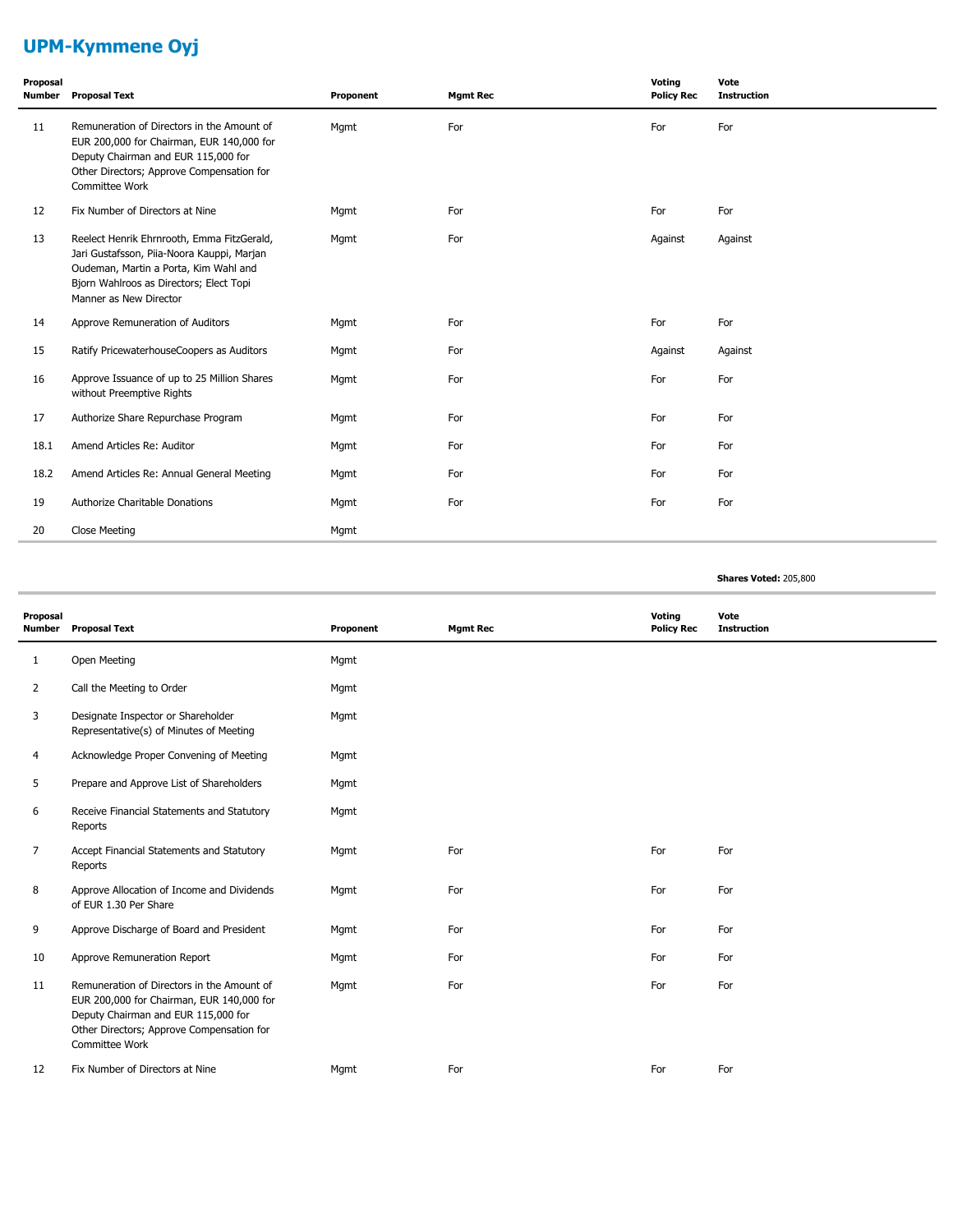# **UPM-Kymmene Oyj**

| Proposal<br>Number | <b>Proposal Text</b>                                                                                                                                                                                   | Proponent | <b>Mgmt Rec</b> | Voting<br><b>Policy Rec</b> | Vote<br><b>Instruction</b> |
|--------------------|--------------------------------------------------------------------------------------------------------------------------------------------------------------------------------------------------------|-----------|-----------------|-----------------------------|----------------------------|
| 11                 | Remuneration of Directors in the Amount of<br>EUR 200,000 for Chairman, EUR 140,000 for<br>Deputy Chairman and EUR 115,000 for<br>Other Directors; Approve Compensation for<br>Committee Work          | Mgmt      | For             | For                         | For                        |
| 12                 | Fix Number of Directors at Nine                                                                                                                                                                        | Mgmt      | For             | For                         | For                        |
| 13                 | Reelect Henrik Ehrnrooth, Emma FitzGerald,<br>Jari Gustafsson, Piia-Noora Kauppi, Marjan<br>Oudeman, Martin a Porta, Kim Wahl and<br>Bjorn Wahlroos as Directors; Elect Topi<br>Manner as New Director | Mgmt      | For             | Against                     | Against                    |
| 14                 | Approve Remuneration of Auditors                                                                                                                                                                       | Mgmt      | For             | For                         | For                        |
| 15                 | Ratify PricewaterhouseCoopers as Auditors                                                                                                                                                              | Mgmt      | For             | Against                     | Against                    |
| 16                 | Approve Issuance of up to 25 Million Shares<br>without Preemptive Rights                                                                                                                               | Mgmt      | For             | For                         | For                        |
| 17                 | Authorize Share Repurchase Program                                                                                                                                                                     | Mgmt      | For             | For                         | For                        |
| 18.1               | Amend Articles Re: Auditor                                                                                                                                                                             | Mgmt      | For             | For                         | For                        |
| 18.2               | Amend Articles Re: Annual General Meeting                                                                                                                                                              | Mgmt      | For             | For                         | For                        |
| 19                 | Authorize Charitable Donations                                                                                                                                                                         | Mgmt      | For             | For                         | For                        |
| 20                 | Close Meeting                                                                                                                                                                                          | Mgmt      |                 |                             |                            |

#### **Shares Voted:** 205,800

| Proposal<br>Number | <b>Proposal Text</b>                                                                                                                                                                          | Proponent | <b>Mgmt Rec</b> | Voting<br><b>Policy Rec</b> | Vote<br><b>Instruction</b> |
|--------------------|-----------------------------------------------------------------------------------------------------------------------------------------------------------------------------------------------|-----------|-----------------|-----------------------------|----------------------------|
| 1                  | Open Meeting                                                                                                                                                                                  | Mgmt      |                 |                             |                            |
| 2                  | Call the Meeting to Order                                                                                                                                                                     | Mgmt      |                 |                             |                            |
| 3                  | Designate Inspector or Shareholder<br>Representative(s) of Minutes of Meeting                                                                                                                 | Mgmt      |                 |                             |                            |
| 4                  | Acknowledge Proper Convening of Meeting                                                                                                                                                       | Mgmt      |                 |                             |                            |
| 5                  | Prepare and Approve List of Shareholders                                                                                                                                                      | Mgmt      |                 |                             |                            |
| 6                  | Receive Financial Statements and Statutory<br>Reports                                                                                                                                         | Mgmt      |                 |                             |                            |
| 7                  | Accept Financial Statements and Statutory<br>Reports                                                                                                                                          | Mgmt      | For             | For                         | For                        |
| 8                  | Approve Allocation of Income and Dividends<br>of EUR 1.30 Per Share                                                                                                                           | Mgmt      | For             | For                         | For                        |
| 9                  | Approve Discharge of Board and President                                                                                                                                                      | Mgmt      | For             | For                         | For                        |
| 10                 | Approve Remuneration Report                                                                                                                                                                   | Mgmt      | For             | For                         | For                        |
| 11                 | Remuneration of Directors in the Amount of<br>EUR 200,000 for Chairman, EUR 140,000 for<br>Deputy Chairman and EUR 115,000 for<br>Other Directors; Approve Compensation for<br>Committee Work | Mgmt      | For             | For                         | For                        |
| 12                 | Fix Number of Directors at Nine                                                                                                                                                               | Mgmt      | For             | For                         | For                        |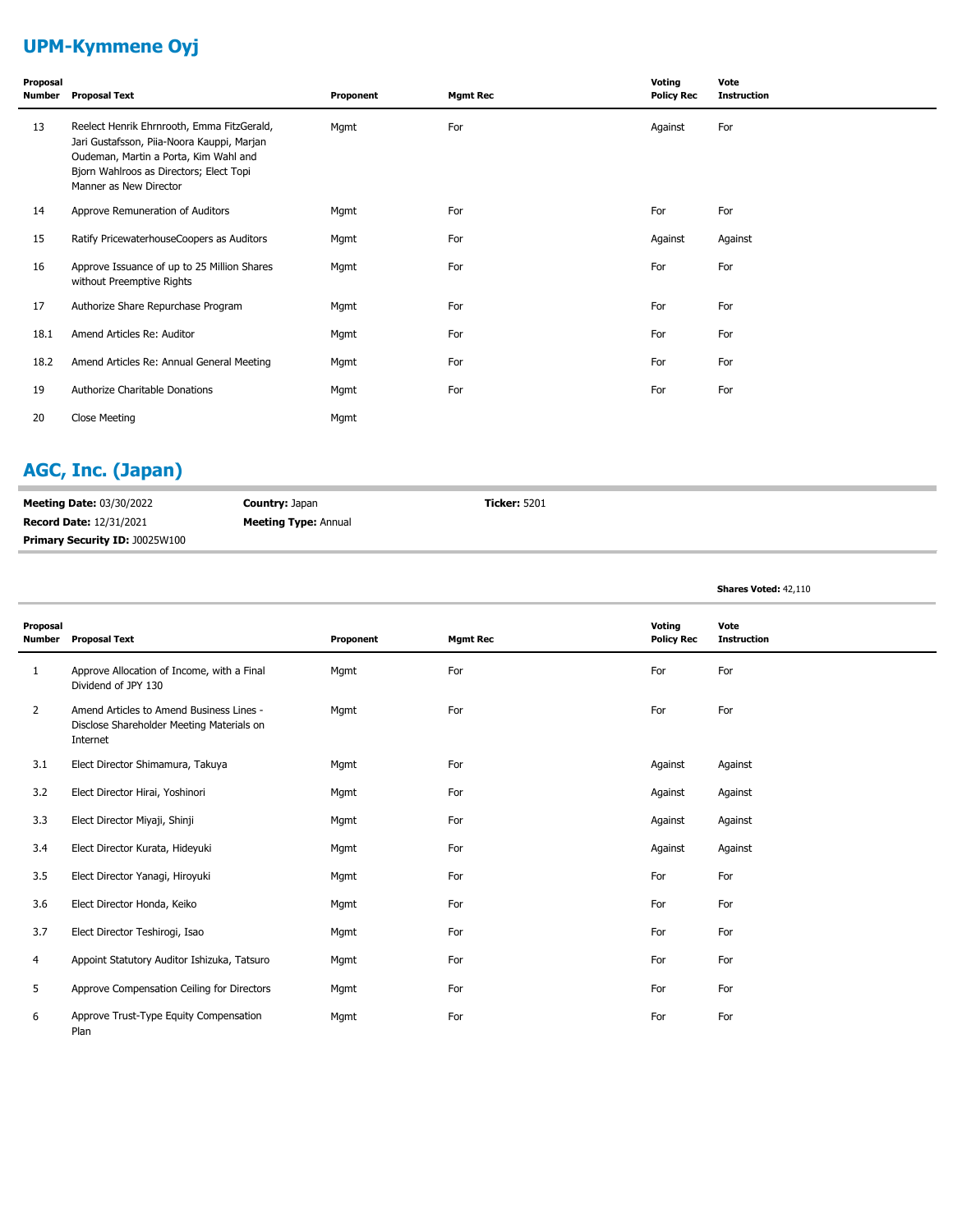# **UPM-Kymmene Oyj**

| Proposal<br>Number | <b>Proposal Text</b>                                                                                                                                                                                   | Proponent | <b>Mgmt Rec</b> | Voting<br><b>Policy Rec</b> | Vote<br><b>Instruction</b> |
|--------------------|--------------------------------------------------------------------------------------------------------------------------------------------------------------------------------------------------------|-----------|-----------------|-----------------------------|----------------------------|
| 13                 | Reelect Henrik Ehrnrooth, Emma FitzGerald,<br>Jari Gustafsson, Piia-Noora Kauppi, Marjan<br>Oudeman, Martin a Porta, Kim Wahl and<br>Bjorn Wahlroos as Directors; Elect Topi<br>Manner as New Director | Mgmt      | For             | Against                     | For                        |
| 14                 | Approve Remuneration of Auditors                                                                                                                                                                       | Mgmt      | For             | For                         | For                        |
| 15                 | Ratify PricewaterhouseCoopers as Auditors                                                                                                                                                              | Mgmt      | For             | Against                     | Against                    |
| 16                 | Approve Issuance of up to 25 Million Shares<br>without Preemptive Rights                                                                                                                               | Mgmt      | For             | For                         | For                        |
| 17                 | Authorize Share Repurchase Program                                                                                                                                                                     | Mgmt      | For             | For                         | For                        |
| 18.1               | Amend Articles Re: Auditor                                                                                                                                                                             | Mgmt      | For             | For                         | For                        |
| 18.2               | Amend Articles Re: Annual General Meeting                                                                                                                                                              | Mgmt      | For             | For                         | For                        |
| 19                 | Authorize Charitable Donations                                                                                                                                                                         | Mgmt      | For             | For                         | For                        |
| 20                 | Close Meeting                                                                                                                                                                                          | Mgmt      |                 |                             |                            |

# **AGC, Inc. (Japan)**

| <b>Meeting Date: 03/30/2022</b>       | <b>Country: Japan</b>       | <b>Ticker: 5201</b> |
|---------------------------------------|-----------------------------|---------------------|
| <b>Record Date: 12/31/2021</b>        | <b>Meeting Type: Annual</b> |                     |
| <b>Primary Security ID: J0025W100</b> |                             |                     |

**Shares Voted:** 42,110

| Proposal<br><b>Number</b> | <b>Proposal Text</b>                                                                              | Proponent | <b>Mgmt Rec</b> | Voting<br><b>Policy Rec</b> | Vote<br><b>Instruction</b> |
|---------------------------|---------------------------------------------------------------------------------------------------|-----------|-----------------|-----------------------------|----------------------------|
| 1                         | Approve Allocation of Income, with a Final<br>Dividend of JPY 130                                 | Mgmt      | For             | For                         | For                        |
| $\overline{2}$            | Amend Articles to Amend Business Lines -<br>Disclose Shareholder Meeting Materials on<br>Internet | Mgmt      | For             | For                         | For                        |
| 3.1                       | Elect Director Shimamura, Takuya                                                                  | Mgmt      | For             | Against                     | Against                    |
| 3.2                       | Elect Director Hirai, Yoshinori                                                                   | Mgmt      | For             | Against                     | Against                    |
| 3.3                       | Elect Director Miyaji, Shinji                                                                     | Mgmt      | For             | Against                     | Against                    |
| 3.4                       | Elect Director Kurata, Hideyuki                                                                   | Mgmt      | For             | Against                     | Against                    |
| 3.5                       | Elect Director Yanagi, Hiroyuki                                                                   | Mgmt      | For             | For                         | For                        |
| 3.6                       | Elect Director Honda, Keiko                                                                       | Mgmt      | For             | For                         | For                        |
| 3.7                       | Elect Director Teshirogi, Isao                                                                    | Mgmt      | For             | For                         | For                        |
| 4                         | Appoint Statutory Auditor Ishizuka, Tatsuro                                                       | Mgmt      | For             | For                         | For                        |
| 5                         | Approve Compensation Ceiling for Directors                                                        | Mgmt      | For             | For                         | For                        |
| 6                         | Approve Trust-Type Equity Compensation<br>Plan                                                    | Mgmt      | For             | For                         | For                        |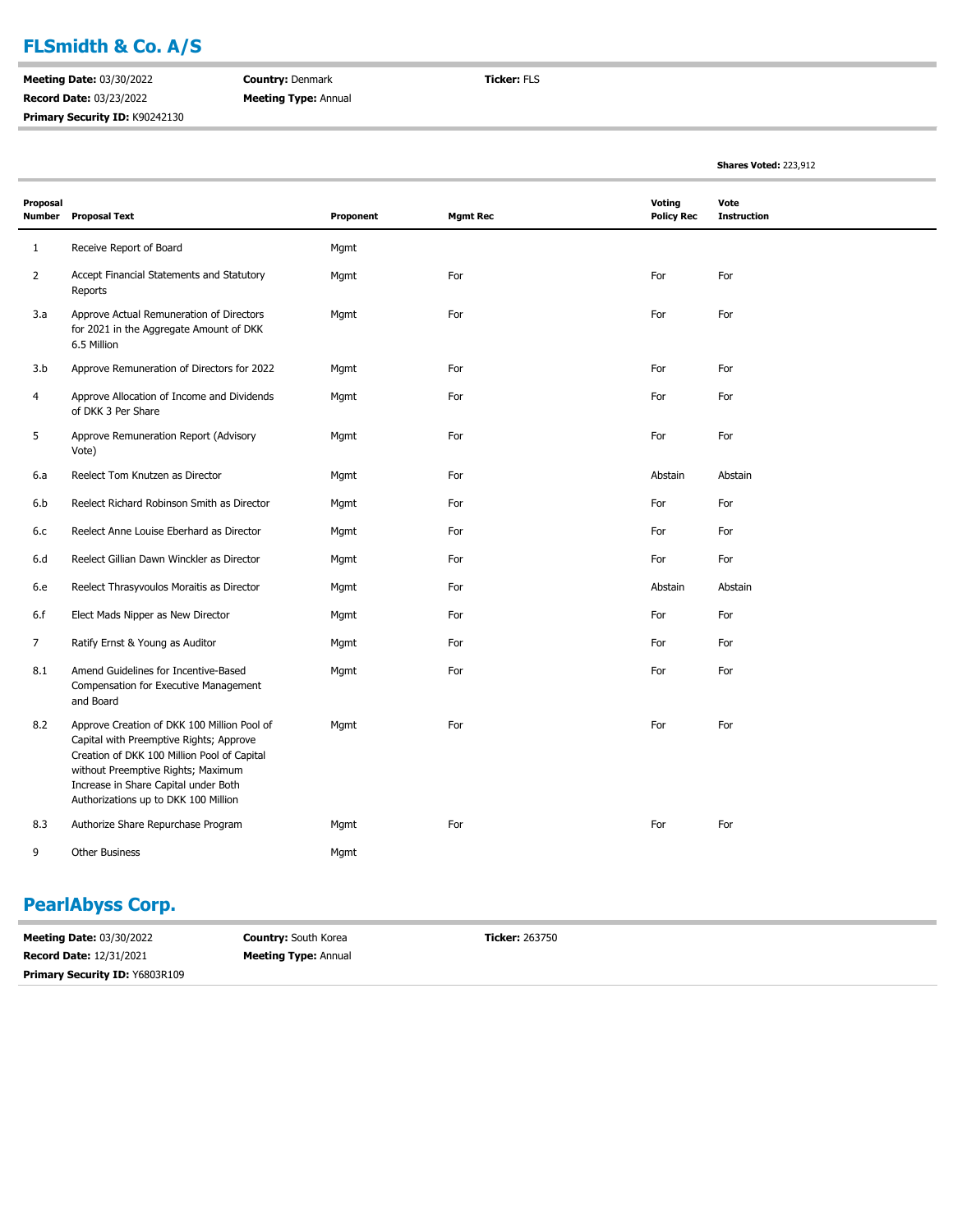## **FLSmidth & Co. A/S**

**Meeting Date:** 03/30/2022 **Record Date:** 03/23/2022 **Primary Security ID:** K90242130 **Country:** Denmark **Meeting Type:** Annual **Ticker:** FLS

**Shares Voted:** 223,912

| Proposal<br><b>Number</b> | <b>Proposal Text</b>                                                                                                                                                                                                                                        | Proponent | <b>Mgmt Rec</b> | Voting<br><b>Policy Rec</b> | Vote<br><b>Instruction</b> |
|---------------------------|-------------------------------------------------------------------------------------------------------------------------------------------------------------------------------------------------------------------------------------------------------------|-----------|-----------------|-----------------------------|----------------------------|
| 1                         | Receive Report of Board                                                                                                                                                                                                                                     | Mgmt      |                 |                             |                            |
| $\overline{2}$            | Accept Financial Statements and Statutory<br>Reports                                                                                                                                                                                                        | Mgmt      | For             | For                         | For                        |
| 3.a                       | Approve Actual Remuneration of Directors<br>for 2021 in the Aggregate Amount of DKK<br>6.5 Million                                                                                                                                                          | Mgmt      | For             | For                         | For                        |
| 3.b                       | Approve Remuneration of Directors for 2022                                                                                                                                                                                                                  | Mgmt      | For             | For                         | For                        |
| 4                         | Approve Allocation of Income and Dividends<br>of DKK 3 Per Share                                                                                                                                                                                            | Mgmt      | For             | For                         | For                        |
| 5                         | Approve Remuneration Report (Advisory<br>Vote)                                                                                                                                                                                                              | Mgmt      | For             | For                         | For                        |
| 6.a                       | Reelect Tom Knutzen as Director                                                                                                                                                                                                                             | Mgmt      | For             | Abstain                     | Abstain                    |
| 6.b                       | Reelect Richard Robinson Smith as Director                                                                                                                                                                                                                  | Mgmt      | For             | For                         | For                        |
| 6.c                       | Reelect Anne Louise Eberhard as Director                                                                                                                                                                                                                    | Mgmt      | For             | For                         | For                        |
| 6.d                       | Reelect Gillian Dawn Winckler as Director                                                                                                                                                                                                                   | Mgmt      | For             | For                         | For                        |
| 6.e                       | Reelect Thrasyvoulos Moraitis as Director                                                                                                                                                                                                                   | Mgmt      | For             | Abstain                     | Abstain                    |
| 6.f                       | Elect Mads Nipper as New Director                                                                                                                                                                                                                           | Mgmt      | For             | For                         | For                        |
| 7                         | Ratify Ernst & Young as Auditor                                                                                                                                                                                                                             | Mgmt      | For             | For                         | For                        |
| 8.1                       | Amend Guidelines for Incentive-Based<br>Compensation for Executive Management<br>and Board                                                                                                                                                                  | Mgmt      | For             | For                         | For                        |
| 8.2                       | Approve Creation of DKK 100 Million Pool of<br>Capital with Preemptive Rights; Approve<br>Creation of DKK 100 Million Pool of Capital<br>without Preemptive Rights; Maximum<br>Increase in Share Capital under Both<br>Authorizations up to DKK 100 Million | Mgmt      | For             | For                         | For                        |
| 8.3                       | Authorize Share Repurchase Program                                                                                                                                                                                                                          | Mgmt      | For             | For                         | For                        |
| 9                         | Other Business                                                                                                                                                                                                                                              | Mgmt      |                 |                             |                            |

### **PearlAbyss Corp.**

**Meeting Date:** 03/30/2022 **Record Date:** 12/31/2021 **Country:** South Korea **Meeting Type:** Annual **Ticker:** 263750 **Primary Security ID:** Y6803R109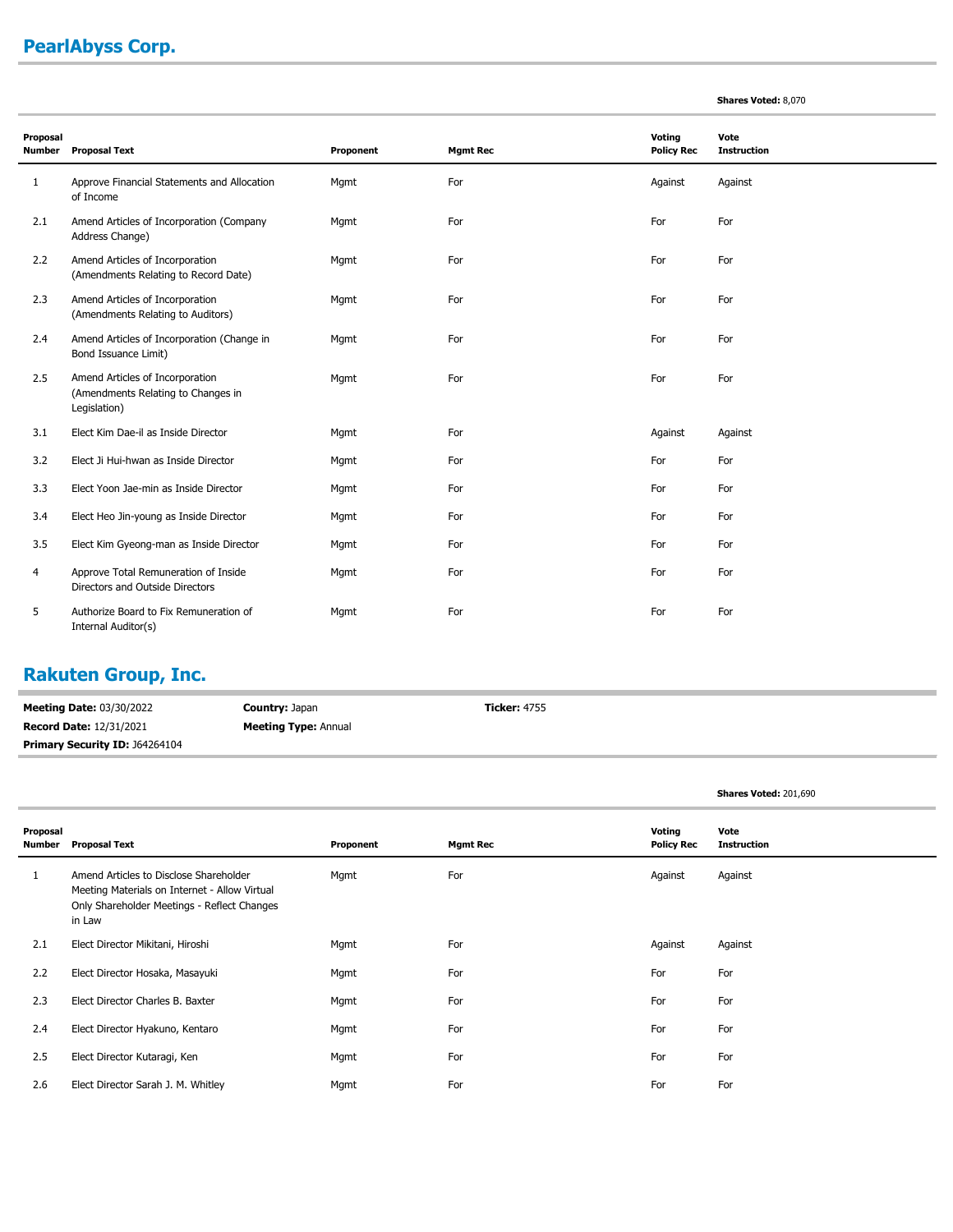# **PearlAbyss Corp.**

| <b>Shares Voted: 8,070</b> |  |  |
|----------------------------|--|--|
|----------------------------|--|--|

| Proposal<br><b>Number</b> | <b>Proposal Text</b>                                                                  | Proponent | <b>Mgmt Rec</b> | Voting<br><b>Policy Rec</b> | Vote<br><b>Instruction</b> |  |
|---------------------------|---------------------------------------------------------------------------------------|-----------|-----------------|-----------------------------|----------------------------|--|
| 1                         | Approve Financial Statements and Allocation<br>of Income                              | Mgmt      | For             | Against                     | Against                    |  |
| 2.1                       | Amend Articles of Incorporation (Company<br>Address Change)                           | Mgmt      | For             | For                         | For                        |  |
| 2.2                       | Amend Articles of Incorporation<br>(Amendments Relating to Record Date)               | Mgmt      | For             | For                         | For                        |  |
| 2.3                       | Amend Articles of Incorporation<br>(Amendments Relating to Auditors)                  | Mgmt      | For             | For                         | For                        |  |
| 2.4                       | Amend Articles of Incorporation (Change in<br>Bond Issuance Limit)                    | Mgmt      | For             | For                         | For                        |  |
| 2.5                       | Amend Articles of Incorporation<br>(Amendments Relating to Changes in<br>Legislation) | Mgmt      | For             | For                         | For                        |  |
| 3.1                       | Elect Kim Dae-il as Inside Director                                                   | Mgmt      | For             | Against                     | Against                    |  |
| 3.2                       | Elect Ji Hui-hwan as Inside Director                                                  | Mgmt      | For             | For                         | For                        |  |
| 3.3                       | Elect Yoon Jae-min as Inside Director                                                 | Mgmt      | For             | For                         | For                        |  |
| 3.4                       | Elect Heo Jin-young as Inside Director                                                | Mgmt      | For             | For                         | For                        |  |
| 3.5                       | Elect Kim Gyeong-man as Inside Director                                               | Mgmt      | For             | For                         | For                        |  |
| 4                         | Approve Total Remuneration of Inside<br>Directors and Outside Directors               | Mgmt      | For             | For                         | For                        |  |
| 5                         | Authorize Board to Fix Remuneration of<br>Internal Auditor(s)                         | Mgmt      | For             | For                         | For                        |  |

# **Rakuten Group, Inc.**

| <b>Meeting Date: 03/30/2022</b>       | <b>Country: Japan</b>       | <b>Ticker:</b> 4755 |
|---------------------------------------|-----------------------------|---------------------|
| <b>Record Date: 12/31/2021</b>        | <b>Meeting Type: Annual</b> |                     |
| <b>Primary Security ID: J64264104</b> |                             |                     |

|  | Shares Voted: 201,690 |
|--|-----------------------|

| Proposal<br>Number | <b>Proposal Text</b>                                                                                                                             | Proponent | <b>Mgmt Rec</b> | Voting<br><b>Policy Rec</b> | Vote<br><b>Instruction</b> |
|--------------------|--------------------------------------------------------------------------------------------------------------------------------------------------|-----------|-----------------|-----------------------------|----------------------------|
|                    | Amend Articles to Disclose Shareholder<br>Meeting Materials on Internet - Allow Virtual<br>Only Shareholder Meetings - Reflect Changes<br>in Law | Mgmt      | For             | Against                     | Against                    |
| 2.1                | Elect Director Mikitani, Hiroshi                                                                                                                 | Mgmt      | For             | Against                     | Against                    |
| 2.2                | Elect Director Hosaka, Masayuki                                                                                                                  | Mgmt      | For             | For                         | For                        |
| 2.3                | Elect Director Charles B. Baxter                                                                                                                 | Mgmt      | For             | For                         | For                        |
| 2.4                | Elect Director Hyakuno, Kentaro                                                                                                                  | Mgmt      | For             | For                         | For                        |
| 2.5                | Elect Director Kutaragi, Ken                                                                                                                     | Mgmt      | For             | For                         | For                        |
| 2.6                | Elect Director Sarah J. M. Whitley                                                                                                               | Mgmt      | For             | For                         | For                        |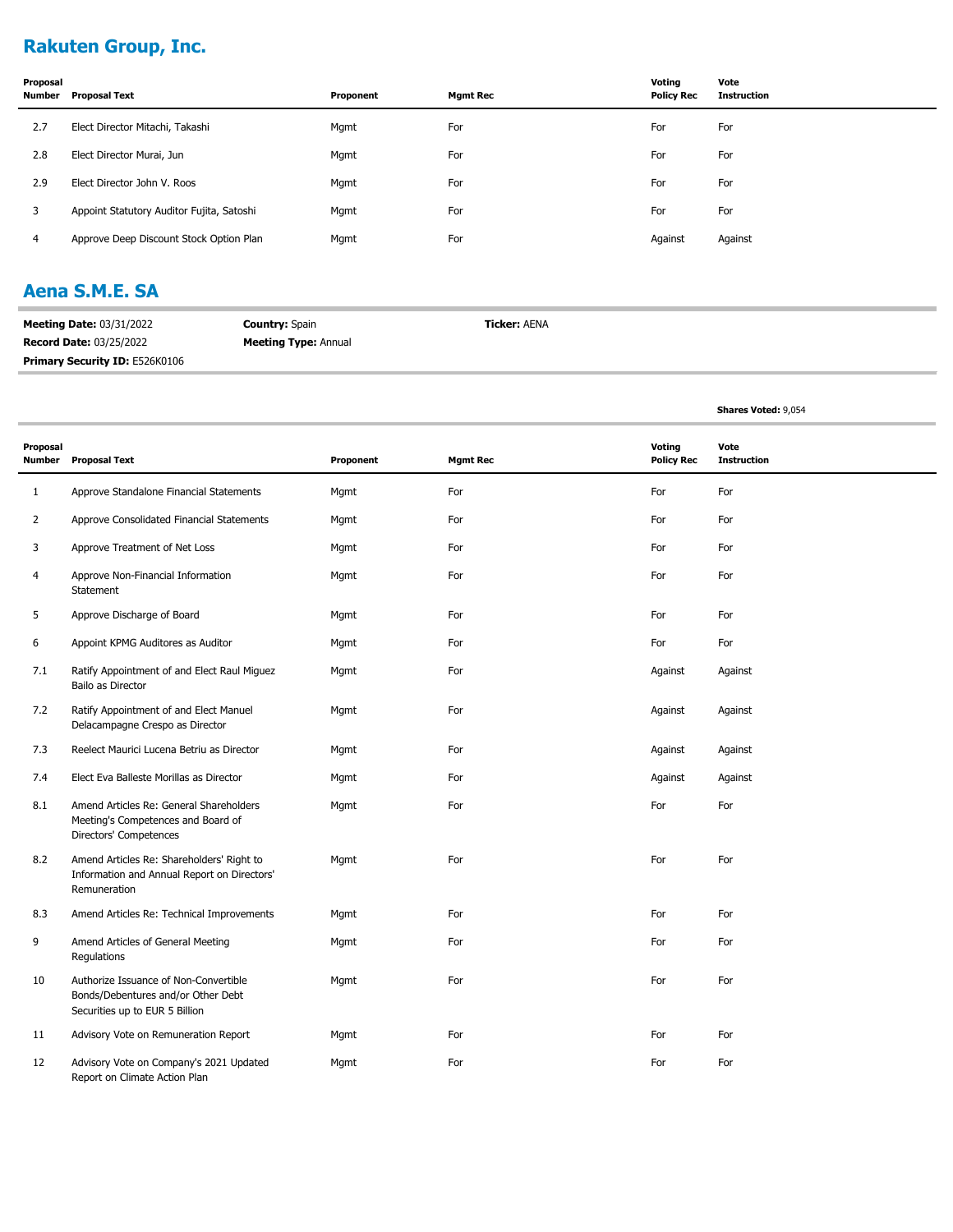## **Rakuten Group, Inc.**

| Proposal<br><b>Number</b> | <b>Proposal Text</b>                      | Proponent | <b>Mgmt Rec</b> | Votina<br><b>Policy Rec</b> | Vote<br><b>Instruction</b> |
|---------------------------|-------------------------------------------|-----------|-----------------|-----------------------------|----------------------------|
| 2.7                       | Elect Director Mitachi, Takashi           | Mgmt      | For             | For                         | For                        |
| 2.8                       | Elect Director Murai, Jun                 | Mgmt      | For             | For                         | For                        |
| 2.9                       | Elect Director John V. Roos               | Mgmt      | For             | For                         | For                        |
| 3                         | Appoint Statutory Auditor Fujita, Satoshi | Mgmt      | For             | For                         | For                        |
| 4                         | Approve Deep Discount Stock Option Plan   | Mgmt      | For             | Against                     | Against                    |

#### **Aena S.M.E. SA**

| <b>Meeting Date: 03/31/2022</b> | <b>Country: Spain</b>       | <b>Ticker: AENA</b> |
|---------------------------------|-----------------------------|---------------------|
| <b>Record Date: 03/25/2022</b>  | <b>Meeting Type: Annual</b> |                     |
| Primary Security ID: E526K0106  |                             |                     |

|                           |                                                                                                               |           |                 |                             | <b>Shares Voted: 9,054</b> |
|---------------------------|---------------------------------------------------------------------------------------------------------------|-----------|-----------------|-----------------------------|----------------------------|
| Proposal<br><b>Number</b> | <b>Proposal Text</b>                                                                                          | Proponent | <b>Mgmt Rec</b> | Voting<br><b>Policy Rec</b> | Vote<br><b>Instruction</b> |
| 1                         | Approve Standalone Financial Statements                                                                       | Mgmt      | For             | For                         | For                        |
| 2                         | Approve Consolidated Financial Statements                                                                     | Mgmt      | For             | For                         | For                        |
| 3                         | Approve Treatment of Net Loss                                                                                 | Mgmt      | For             | For                         | For                        |
| 4                         | Approve Non-Financial Information<br>Statement                                                                | Mgmt      | For             | For                         | For                        |
| 5                         | Approve Discharge of Board                                                                                    | Mgmt      | For             | For                         | For                        |
| 6                         | Appoint KPMG Auditores as Auditor                                                                             | Mgmt      | For             | For                         | For                        |
| 7.1                       | Ratify Appointment of and Elect Raul Miguez<br>Bailo as Director                                              | Mgmt      | For             | Against                     | Against                    |
| 7.2                       | Ratify Appointment of and Elect Manuel<br>Delacampagne Crespo as Director                                     | Mgmt      | For             | Against                     | Against                    |
| 7.3                       | Reelect Maurici Lucena Betriu as Director                                                                     | Mgmt      | For             | Against                     | Against                    |
| 7.4                       | Elect Eva Balleste Morillas as Director                                                                       | Mgmt      | For             | Against                     | Against                    |
| 8.1                       | Amend Articles Re: General Shareholders<br>Meeting's Competences and Board of<br>Directors' Competences       | Mgmt      | For             | For                         | For                        |
| 8.2                       | Amend Articles Re: Shareholders' Right to<br>Information and Annual Report on Directors'<br>Remuneration      | Mgmt      | For             | For                         | For                        |
| 8.3                       | Amend Articles Re: Technical Improvements                                                                     | Mgmt      | For             | For                         | For                        |
| 9                         | Amend Articles of General Meeting<br>Regulations                                                              | Mgmt      | For             | For                         | For                        |
| 10                        | Authorize Issuance of Non-Convertible<br>Bonds/Debentures and/or Other Debt<br>Securities up to EUR 5 Billion | Mgmt      | For             | For                         | For                        |
| 11                        | Advisory Vote on Remuneration Report                                                                          | Mgmt      | For             | For                         | For                        |
| 12                        | Advisory Vote on Company's 2021 Updated<br>Report on Climate Action Plan                                      | Mgmt      | For             | For                         | For                        |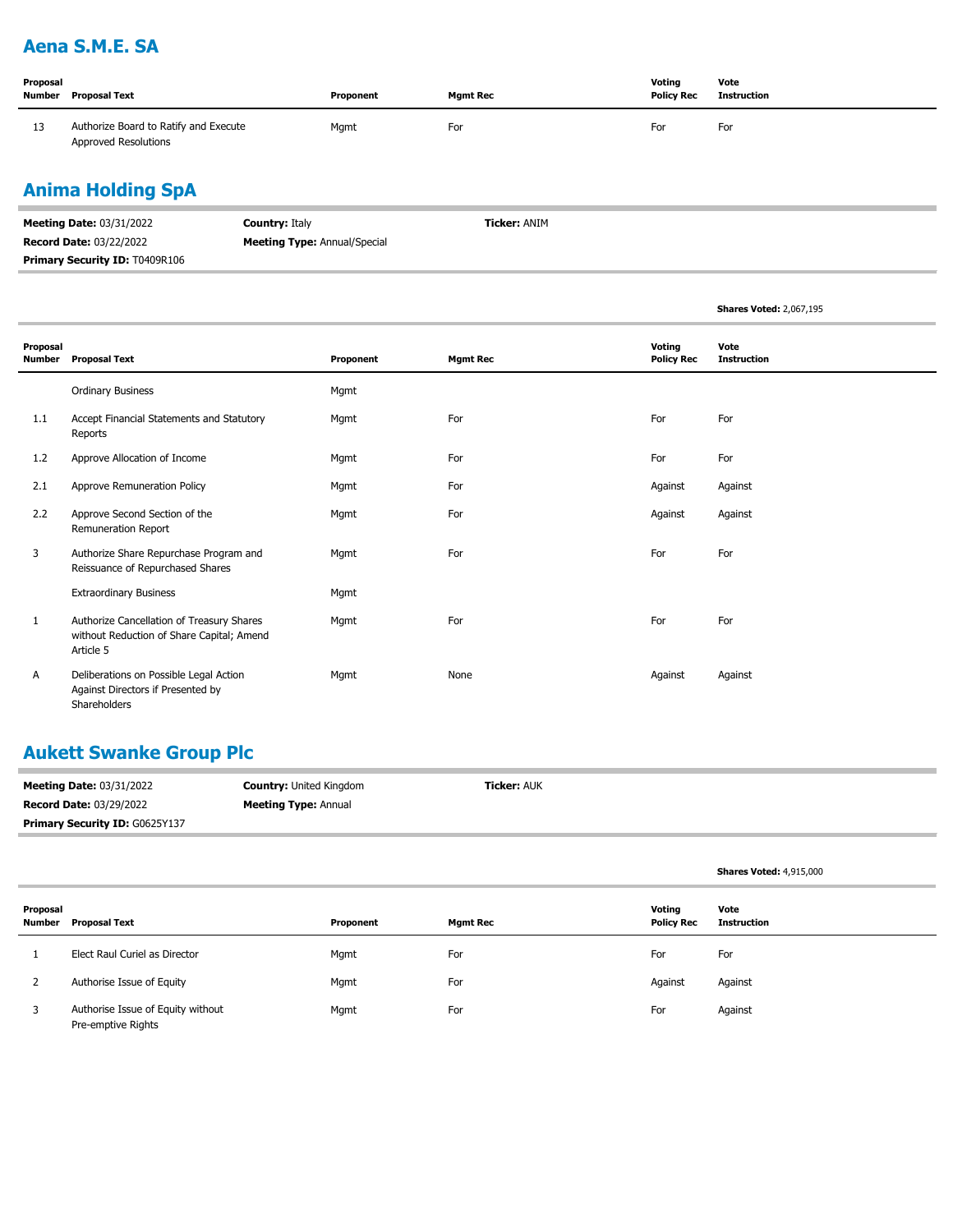## **Aena S.M.E. SA**

| Proposal | Number Proposal Text                                                 | Proponent | <b>Mamt Rec</b> | Voting<br><b>Policy Rec</b> | Vote<br><b>Instruction</b> |
|----------|----------------------------------------------------------------------|-----------|-----------------|-----------------------------|----------------------------|
| 13       | Authorize Board to Ratify and Execute<br><b>Approved Resolutions</b> | Mgmt      | For             | For                         | For                        |

# **Anima Holding SpA**

| <b>Meeting Date: 03/31/2022</b>       | <b>Country: Italy</b>               | <b>Ticker: ANIM</b> |
|---------------------------------------|-------------------------------------|---------------------|
| <b>Record Date: 03/22/2022</b>        | <b>Meeting Type:</b> Annual/Special |                     |
| <b>Primary Security ID: T0409R106</b> |                                     |                     |

|                    |                                                                                                     |           |                 |                             | <b>Shares Voted: 2,067,195</b> |
|--------------------|-----------------------------------------------------------------------------------------------------|-----------|-----------------|-----------------------------|--------------------------------|
| Proposal<br>Number | <b>Proposal Text</b>                                                                                | Proponent | <b>Mgmt Rec</b> | Voting<br><b>Policy Rec</b> | Vote<br><b>Instruction</b>     |
|                    | <b>Ordinary Business</b>                                                                            | Mgmt      |                 |                             |                                |
| 1.1                | Accept Financial Statements and Statutory<br>Reports                                                | Mgmt      | For             | For                         | For                            |
| 1.2                | Approve Allocation of Income                                                                        | Mgmt      | For             | For                         | For                            |
| 2.1                | Approve Remuneration Policy                                                                         | Mgmt      | For             | Against                     | Against                        |
| 2.2                | Approve Second Section of the<br>Remuneration Report                                                | Mgmt      | For             | Against                     | Against                        |
| 3                  | Authorize Share Repurchase Program and<br>Reissuance of Repurchased Shares                          | Mgmt      | For             | For                         | For                            |
|                    | <b>Extraordinary Business</b>                                                                       | Mgmt      |                 |                             |                                |
| 1                  | Authorize Cancellation of Treasury Shares<br>without Reduction of Share Capital; Amend<br>Article 5 | Mgmt      | For             | For                         | For                            |
| А                  | Deliberations on Possible Legal Action<br>Against Directors if Presented by<br>Shareholders         | Mgmt      | None            | Against                     | Against                        |

## **Aukett Swanke Group Plc**

| <b>Meeting Date: 03/31/2022</b>       | <b>Country: United Kingdom</b> | <b>Ticker: AUK</b> |
|---------------------------------------|--------------------------------|--------------------|
| <b>Record Date: 03/29/2022</b>        | <b>Meeting Type: Annual</b>    |                    |
| <b>Primary Security ID: G0625Y137</b> |                                |                    |

|                    |                                                         |           |                 |                             | <b>Shares Voted: 4,915,000</b> |
|--------------------|---------------------------------------------------------|-----------|-----------------|-----------------------------|--------------------------------|
| Proposal<br>Number | Proposal Text                                           | Proponent | <b>Mgmt Rec</b> | Voting<br><b>Policy Rec</b> | Vote<br><b>Instruction</b>     |
|                    | Elect Raul Curiel as Director                           | Mgmt      | For             | For                         | For                            |
|                    | Authorise Issue of Equity                               | Mgmt      | For             | Against                     | Against                        |
| 3                  | Authorise Issue of Equity without<br>Pre-emptive Rights | Mgmt      | For             | For                         | Against                        |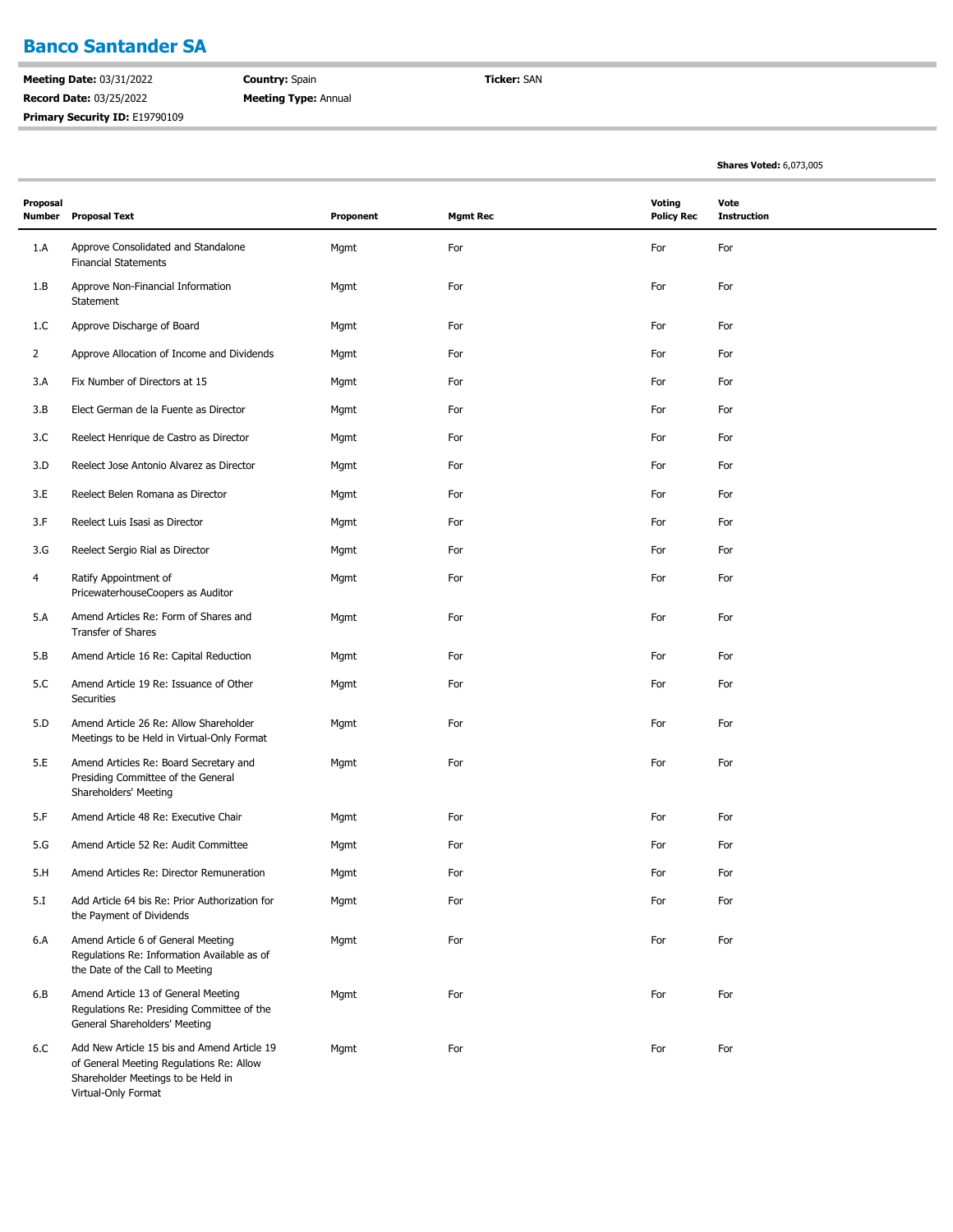### **Banco Santander SA**

**Meeting Date:** 03/31/2022 **Record Date:** 03/25/2022 Primary Security ID: E19790109 **Country:** Spain **Meeting Type:** Annual **Ticker:** SAN

**Shares Voted:** 6,073,005

| Proposal<br>Number | <b>Proposal Text</b>                                                                                                                                 | Proponent | <b>Mgmt Rec</b> | <b>Voting</b><br><b>Policy Rec</b> | Vote<br><b>Instruction</b> |
|--------------------|------------------------------------------------------------------------------------------------------------------------------------------------------|-----------|-----------------|------------------------------------|----------------------------|
| 1.A                | Approve Consolidated and Standalone<br><b>Financial Statements</b>                                                                                   | Mgmt      | For             | For                                | For                        |
| 1.B                | Approve Non-Financial Information<br>Statement                                                                                                       | Mgmt      | For             | For                                | For                        |
| 1.C                | Approve Discharge of Board                                                                                                                           | Mgmt      | For             | For                                | For                        |
| $\overline{2}$     | Approve Allocation of Income and Dividends                                                                                                           | Mgmt      | For             | For                                | For                        |
| 3.A                | Fix Number of Directors at 15                                                                                                                        | Mgmt      | For             | For                                | For                        |
| 3.B                | Elect German de la Fuente as Director                                                                                                                | Mgmt      | For             | For                                | For                        |
| 3.C                | Reelect Henrique de Castro as Director                                                                                                               | Mgmt      | For             | For                                | For                        |
| 3.D                | Reelect Jose Antonio Alvarez as Director                                                                                                             | Mgmt      | For             | For                                | For                        |
| 3.E                | Reelect Belen Romana as Director                                                                                                                     | Mgmt      | For             | For                                | For                        |
| 3.F                | Reelect Luis Isasi as Director                                                                                                                       | Mgmt      | For             | For                                | For                        |
| 3.G                | Reelect Sergio Rial as Director                                                                                                                      | Mgmt      | For             | For                                | For                        |
| 4                  | Ratify Appointment of<br>PricewaterhouseCoopers as Auditor                                                                                           | Mgmt      | For             | For                                | For                        |
| 5.A                | Amend Articles Re: Form of Shares and<br>Transfer of Shares                                                                                          | Mgmt      | For             | For                                | For                        |
| 5.B                | Amend Article 16 Re: Capital Reduction                                                                                                               | Mgmt      | For             | For                                | For                        |
| 5.C                | Amend Article 19 Re: Issuance of Other<br><b>Securities</b>                                                                                          | Mgmt      | For             | For                                | For                        |
| 5.D                | Amend Article 26 Re: Allow Shareholder<br>Meetings to be Held in Virtual-Only Format                                                                 | Mgmt      | For             | For                                | For                        |
| 5.E                | Amend Articles Re: Board Secretary and<br>Presiding Committee of the General<br>Shareholders' Meeting                                                | Mgmt      | For             | For                                | For                        |
| 5.F                | Amend Article 48 Re: Executive Chair                                                                                                                 | Mgmt      | For             | For                                | For                        |
| 5.G                | Amend Article 52 Re: Audit Committee                                                                                                                 | Mgmt      | For             | For                                | For                        |
| 5.H                | Amend Articles Re: Director Remuneration                                                                                                             | Mgmt      | For             | For                                | For                        |
| 5.I                | Add Article 64 bis Re: Prior Authorization for<br>the Payment of Dividends                                                                           | Mgmt      | For             | For                                | For                        |
| 6.A                | Amend Article 6 of General Meeting<br>Regulations Re: Information Available as of<br>the Date of the Call to Meeting                                 | Mgmt      | For             | For                                | For                        |
| 6.B                | Amend Article 13 of General Meeting<br>Regulations Re: Presiding Committee of the<br>General Shareholders' Meeting                                   | Mgmt      | For             | For                                | For                        |
| 6.C                | Add New Article 15 bis and Amend Article 19<br>of General Meeting Regulations Re: Allow<br>Shareholder Meetings to be Held in<br>Virtual-Only Format | Mgmt      | For             | For                                | For                        |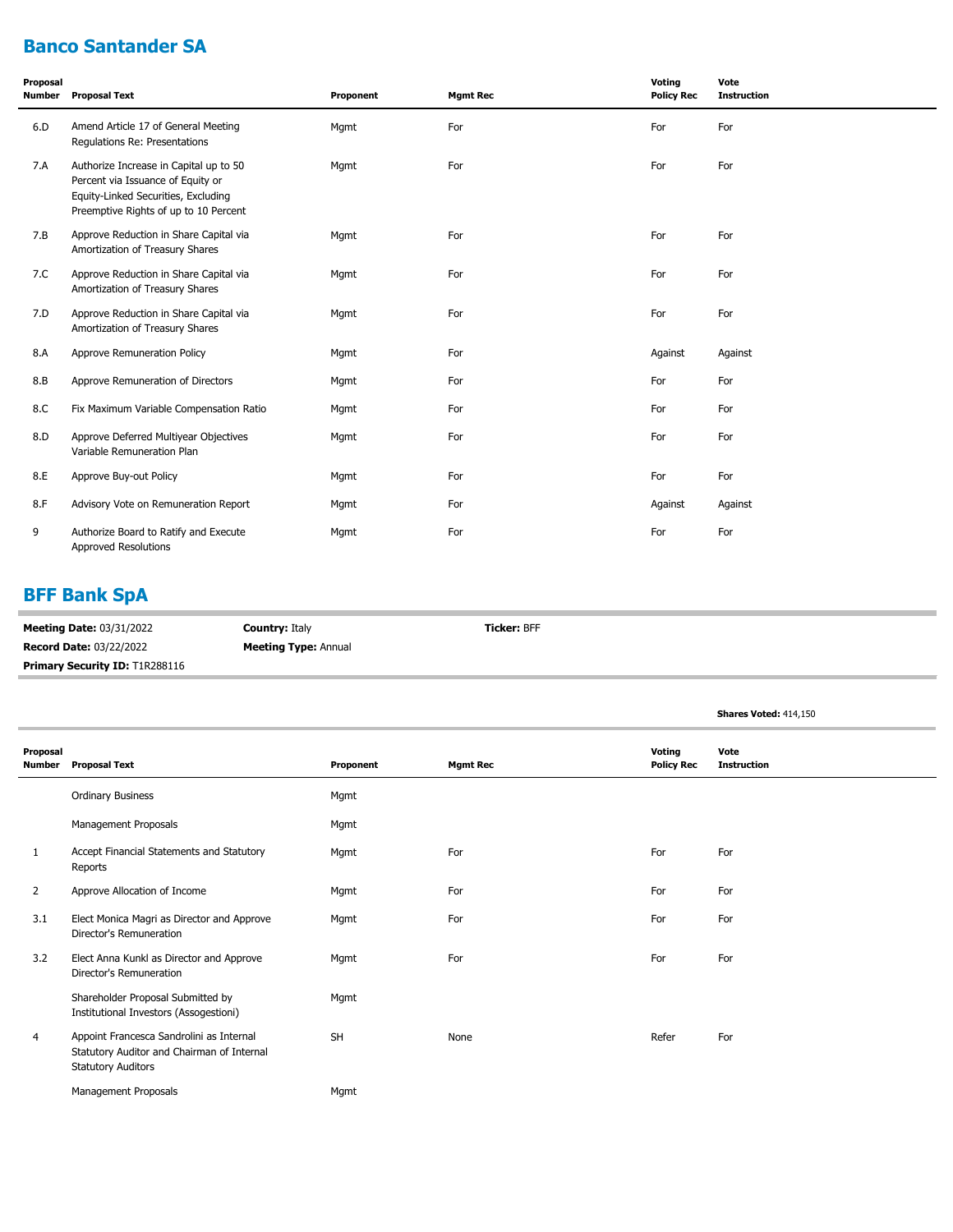# **Banco Santander SA**

| Proposal<br>Number | <b>Proposal Text</b>                                                                                                                                        | Proponent | <b>Mgmt Rec</b> | Voting<br><b>Policy Rec</b> | Vote<br><b>Instruction</b> |
|--------------------|-------------------------------------------------------------------------------------------------------------------------------------------------------------|-----------|-----------------|-----------------------------|----------------------------|
| 6.D                | Amend Article 17 of General Meeting<br>Regulations Re: Presentations                                                                                        | Mgmt      | For             | For                         | For                        |
| 7.A                | Authorize Increase in Capital up to 50<br>Percent via Issuance of Equity or<br>Equity-Linked Securities, Excluding<br>Preemptive Rights of up to 10 Percent | Mgmt      | For             | For                         | For                        |
| 7.B                | Approve Reduction in Share Capital via<br>Amortization of Treasury Shares                                                                                   | Mgmt      | For             | For                         | For                        |
| 7.C                | Approve Reduction in Share Capital via<br>Amortization of Treasury Shares                                                                                   | Mgmt      | For             | For                         | For                        |
| 7.D                | Approve Reduction in Share Capital via<br>Amortization of Treasury Shares                                                                                   | Mgmt      | For             | For                         | For                        |
| 8.A                | Approve Remuneration Policy                                                                                                                                 | Mgmt      | For             | Against                     | Against                    |
| 8.B                | Approve Remuneration of Directors                                                                                                                           | Mgmt      | For             | For                         | For                        |
| 8.C                | Fix Maximum Variable Compensation Ratio                                                                                                                     | Mgmt      | For             | For                         | For                        |
| 8.D                | Approve Deferred Multiyear Objectives<br>Variable Remuneration Plan                                                                                         | Mgmt      | For             | For                         | For                        |
| 8.E                | Approve Buy-out Policy                                                                                                                                      | Mgmt      | For             | For                         | For                        |
| 8.F                | Advisory Vote on Remuneration Report                                                                                                                        | Mgmt      | For             | Against                     | Against                    |
| 9                  | Authorize Board to Ratify and Execute<br><b>Approved Resolutions</b>                                                                                        | Mgmt      | For             | For                         | For                        |

# **BFF Bank SpA**

| <b>Meeting Date: 03/31/2022</b>       | <b>Country: Italy</b>       | <b>Ticker: BFF</b> |
|---------------------------------------|-----------------------------|--------------------|
| <b>Record Date: 03/22/2022</b>        | <b>Meeting Type: Annual</b> |                    |
| <b>Primary Security ID: T1R288116</b> |                             |                    |

|                    |                                                                                                                     |           |                 |                             | <b>Shares Voted: 414,150</b> |
|--------------------|---------------------------------------------------------------------------------------------------------------------|-----------|-----------------|-----------------------------|------------------------------|
| Proposal<br>Number | <b>Proposal Text</b>                                                                                                | Proponent | <b>Mgmt Rec</b> | Voting<br><b>Policy Rec</b> | Vote<br><b>Instruction</b>   |
|                    | <b>Ordinary Business</b>                                                                                            | Mgmt      |                 |                             |                              |
|                    | Management Proposals                                                                                                | Mgmt      |                 |                             |                              |
| 1                  | Accept Financial Statements and Statutory<br>Reports                                                                | Mgmt      | For             | For                         | For                          |
| 2                  | Approve Allocation of Income                                                                                        | Mgmt      | For             | For                         | For                          |
| 3.1                | Elect Monica Magri as Director and Approve<br>Director's Remuneration                                               | Mgmt      | For             | For                         | For                          |
| 3.2                | Elect Anna Kunkl as Director and Approve<br>Director's Remuneration                                                 | Mgmt      | For             | For                         | For                          |
|                    | Shareholder Proposal Submitted by<br>Institutional Investors (Assogestioni)                                         | Mgmt      |                 |                             |                              |
| 4                  | Appoint Francesca Sandrolini as Internal<br>Statutory Auditor and Chairman of Internal<br><b>Statutory Auditors</b> | <b>SH</b> | None            | Refer                       | For                          |
|                    | Management Proposals                                                                                                | Mgmt      |                 |                             |                              |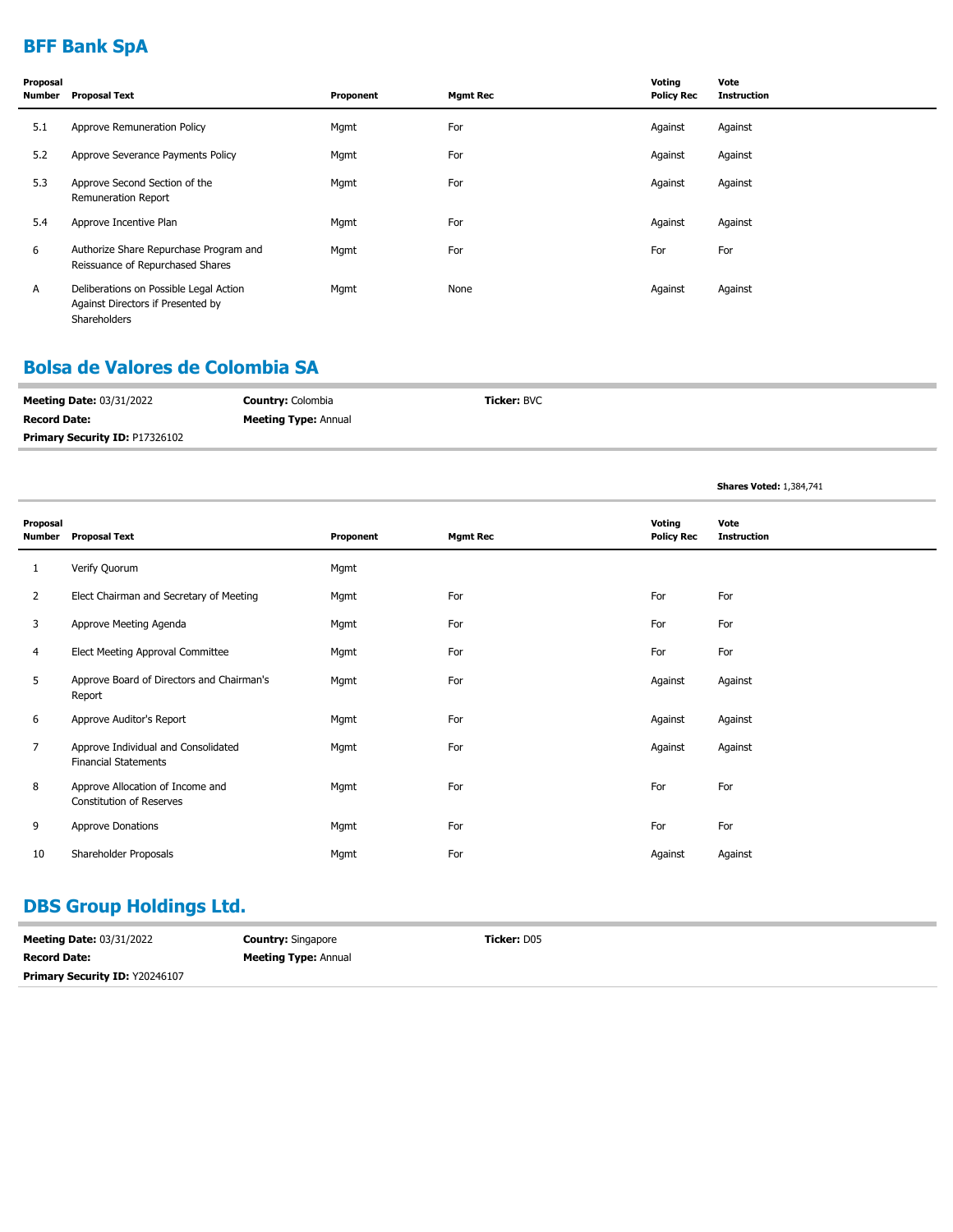# **BFF Bank SpA**

| Proposal<br>Number | <b>Proposal Text</b>                                                                               | Proponent | <b>Mgmt Rec</b> | Voting<br><b>Policy Rec</b> | Vote<br><b>Instruction</b> |
|--------------------|----------------------------------------------------------------------------------------------------|-----------|-----------------|-----------------------------|----------------------------|
| 5.1                | Approve Remuneration Policy                                                                        | Mgmt      | For             | Against                     | Against                    |
| 5.2                | Approve Severance Payments Policy                                                                  | Mgmt      | For             | Against                     | Against                    |
| 5.3                | Approve Second Section of the<br><b>Remuneration Report</b>                                        | Mgmt      | For             | Against                     | Against                    |
| 5.4                | Approve Incentive Plan                                                                             | Mgmt      | For             | Against                     | Against                    |
| 6                  | Authorize Share Repurchase Program and<br>Reissuance of Repurchased Shares                         | Mgmt      | For             | For                         | For                        |
| A                  | Deliberations on Possible Legal Action<br>Against Directors if Presented by<br><b>Shareholders</b> | Mgmt      | None            | Against                     | Against                    |

#### **Bolsa de Valores de Colombia SA**

| <b>Meeting Date: 03/31/2022</b>       | <b>Country: Colombia</b>    | <b>Ticker:</b> BVC |
|---------------------------------------|-----------------------------|--------------------|
| <b>Record Date:</b>                   | <b>Meeting Type: Annual</b> |                    |
| <b>Primary Security ID: P17326102</b> |                             |                    |

**Shares Voted:** 1,384,741

| Proposal<br>Number | <b>Proposal Text</b>                                                | Proponent | <b>Mgmt Rec</b> | Voting<br><b>Policy Rec</b> | Vote<br><b>Instruction</b> |
|--------------------|---------------------------------------------------------------------|-----------|-----------------|-----------------------------|----------------------------|
| 1                  | Verify Quorum                                                       | Mgmt      |                 |                             |                            |
| $\overline{2}$     | Elect Chairman and Secretary of Meeting                             | Mgmt      | For             | For                         | For                        |
| 3                  | Approve Meeting Agenda                                              | Mgmt      | For             | For                         | For                        |
| 4                  | Elect Meeting Approval Committee                                    | Mgmt      | For             | For                         | For                        |
| 5                  | Approve Board of Directors and Chairman's<br>Report                 | Mgmt      | For             | Against                     | Against                    |
| 6                  | Approve Auditor's Report                                            | Mgmt      | For             | Against                     | Against                    |
| 7                  | Approve Individual and Consolidated<br><b>Financial Statements</b>  | Mgmt      | For             | Against                     | Against                    |
| 8                  | Approve Allocation of Income and<br><b>Constitution of Reserves</b> | Mgmt      | For             | For                         | For                        |
| 9                  | Approve Donations                                                   | Mgmt      | For             | For                         | For                        |
| 10                 | Shareholder Proposals                                               | Mgmt      | For             | Against                     | Against                    |

# **DBS Group Holdings Ltd.**

| <b>Meeting Date: 03/31/2022</b>       | <b>Country: Singapore</b>   | <b>Ticker:</b> D05 |
|---------------------------------------|-----------------------------|--------------------|
| <b>Record Date:</b>                   | <b>Meeting Type: Annual</b> |                    |
| <b>Primary Security ID: Y20246107</b> |                             |                    |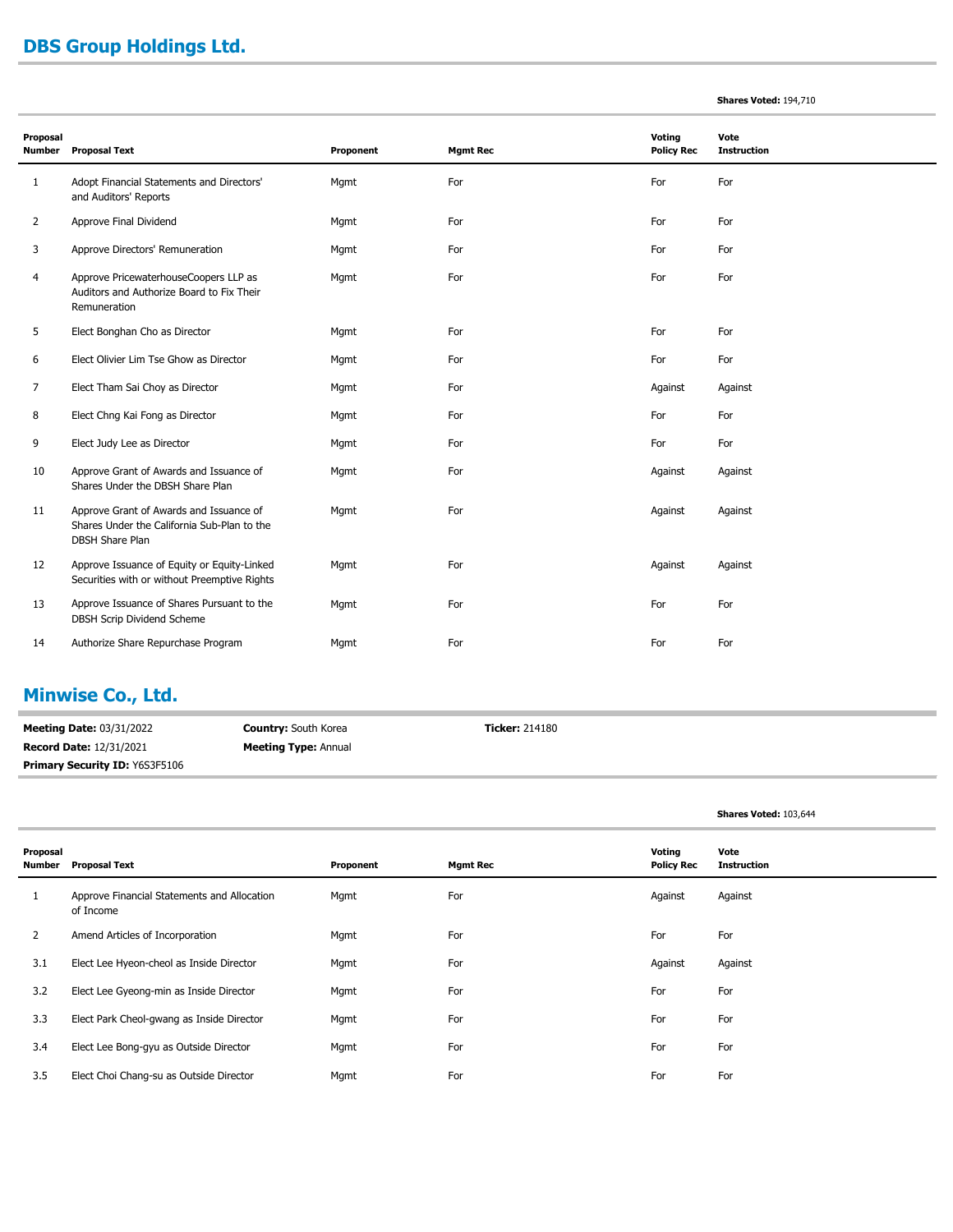## **DBS Group Holdings Ltd.**

#### **Shares Voted:** 194,710

| Proposal<br><b>Number</b> | <b>Proposal Text</b>                                                                                             | Proponent | <b>Mgmt Rec</b> | Voting<br><b>Policy Rec</b> | Vote<br><b>Instruction</b> |
|---------------------------|------------------------------------------------------------------------------------------------------------------|-----------|-----------------|-----------------------------|----------------------------|
| 1                         | Adopt Financial Statements and Directors'<br>and Auditors' Reports                                               | Mgmt      | For             | For                         | For                        |
| $\overline{2}$            | Approve Final Dividend                                                                                           | Mgmt      | For             | For                         | For                        |
| 3                         | Approve Directors' Remuneration                                                                                  | Mgmt      | For             | For                         | For                        |
| 4                         | Approve PricewaterhouseCoopers LLP as<br>Auditors and Authorize Board to Fix Their<br>Remuneration               | Mgmt      | For             | For                         | For                        |
| 5                         | Elect Bonghan Cho as Director                                                                                    | Mgmt      | For             | For                         | For                        |
| 6                         | Elect Olivier Lim Tse Ghow as Director                                                                           | Mgmt      | For             | For                         | For                        |
| 7                         | Elect Tham Sai Choy as Director                                                                                  | Mgmt      | For             | Against                     | Against                    |
| 8                         | Elect Chng Kai Fong as Director                                                                                  | Mgmt      | For             | For                         | For                        |
| 9                         | Elect Judy Lee as Director                                                                                       | Mgmt      | For             | For                         | For                        |
| 10                        | Approve Grant of Awards and Issuance of<br>Shares Under the DBSH Share Plan                                      | Mgmt      | For             | Against                     | Against                    |
| 11                        | Approve Grant of Awards and Issuance of<br>Shares Under the California Sub-Plan to the<br><b>DBSH Share Plan</b> | Mgmt      | For             | Against                     | Against                    |
| 12                        | Approve Issuance of Equity or Equity-Linked<br>Securities with or without Preemptive Rights                      | Mgmt      | For             | Against                     | Against                    |
| 13                        | Approve Issuance of Shares Pursuant to the<br>DBSH Scrip Dividend Scheme                                         | Mgmt      | For             | For                         | For                        |
| 14                        | Authorize Share Repurchase Program                                                                               | Mgmt      | For             | For                         | For                        |

## **Minwise Co., Ltd.**

**Meeting Date:** 03/31/2022 **Record Date:** 12/31/2021 **Country:** South Korea **Meeting Type:** Annual **Ticker:** 214180 **Primary Security ID:** Y6S3F5106

#### **Shares Voted:** 103,644

| Proposal<br>Number | Proposal Text                                            | Proponent | Mgmt Rec | Voting<br><b>Policy Rec</b> | Vote<br><b>Instruction</b> |
|--------------------|----------------------------------------------------------|-----------|----------|-----------------------------|----------------------------|
| 1                  | Approve Financial Statements and Allocation<br>of Income | Mgmt      | For      | Against                     | Against                    |
| 2                  | Amend Articles of Incorporation                          | Mgmt      | For      | For                         | For                        |
| 3.1                | Elect Lee Hyeon-cheol as Inside Director                 | Mgmt      | For      | Against                     | Against                    |
| 3.2                | Elect Lee Gyeong-min as Inside Director                  | Mgmt      | For      | For                         | For                        |
| 3.3                | Elect Park Cheol-gwang as Inside Director                | Mgmt      | For      | For                         | For                        |
| 3.4                | Elect Lee Bong-gyu as Outside Director                   | Mgmt      | For      | For                         | For                        |
| 3.5                | Elect Choi Chang-su as Outside Director                  | Mgmt      | For      | For                         | For                        |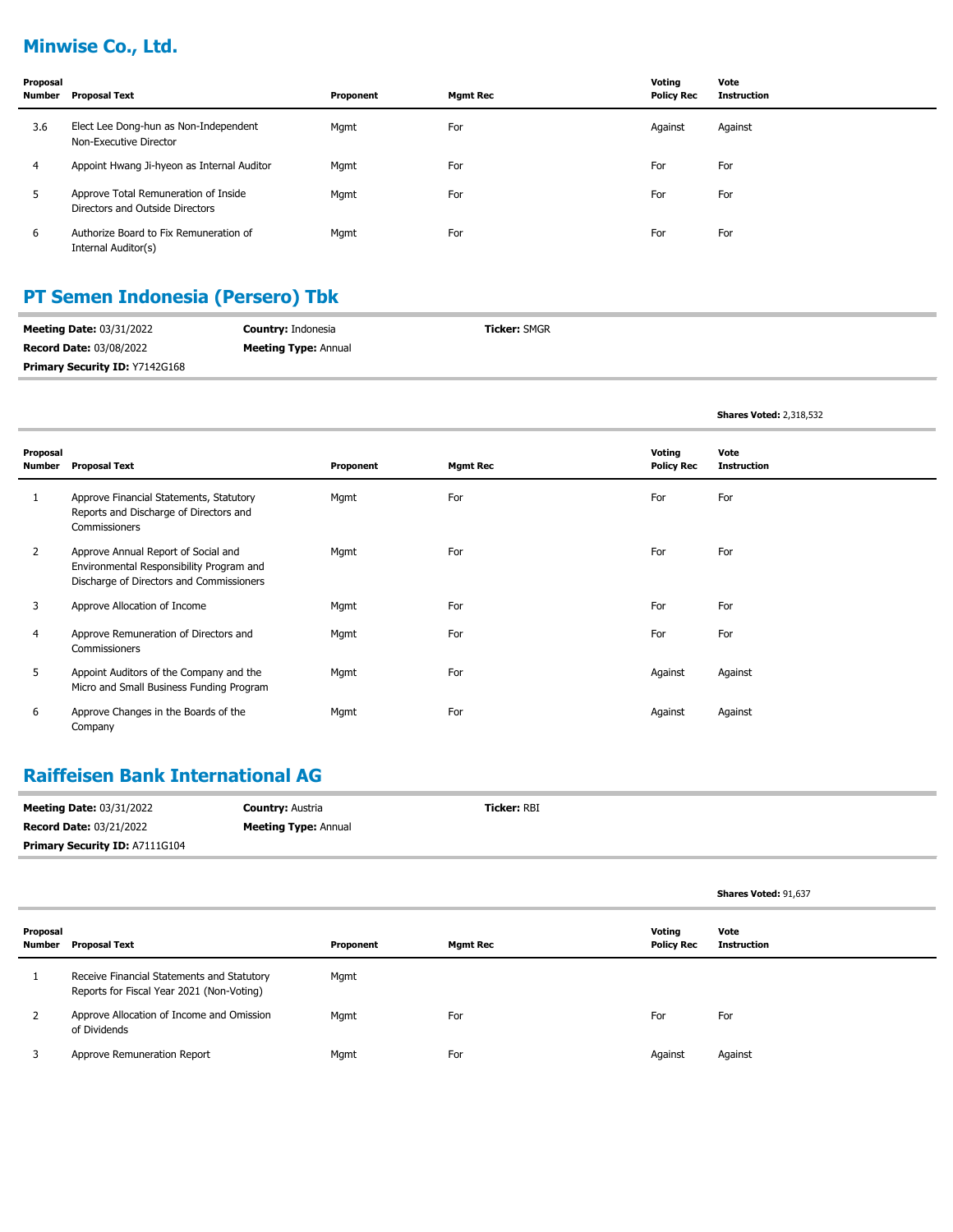# **Minwise Co., Ltd.**

| Proposal<br>Number | <b>Proposal Text</b>                                                    | Proponent | <b>Mgmt Rec</b> | Voting<br><b>Policy Rec</b> | Vote<br><b>Instruction</b> |
|--------------------|-------------------------------------------------------------------------|-----------|-----------------|-----------------------------|----------------------------|
| 3.6                | Elect Lee Dong-hun as Non-Independent<br>Non-Executive Director         | Mgmt      | For             | Against                     | Against                    |
| 4                  | Appoint Hwang Ji-hyeon as Internal Auditor                              | Mgmt      | For             | For                         | For                        |
| 5                  | Approve Total Remuneration of Inside<br>Directors and Outside Directors | Mgmt      | For             | For                         | For                        |
| 6                  | Authorize Board to Fix Remuneration of<br>Internal Auditor(s)           | Mgmt      | For             | For                         | For                        |

## **PT Semen Indonesia (Persero) Tbk**

| <b>Meeting Date: 03/31/2022</b> | <b>Country: Indonesia</b>   | <b>Ticker: SMGR</b> |
|---------------------------------|-----------------------------|---------------------|
| <b>Record Date: 03/08/2022</b>  | <b>Meeting Type: Annual</b> |                     |
| Primary Security ID: Y7142G168  |                             |                     |

|                    |                                                                                                                             |           |                 |                             | <b>Shares Voted: 2,318,532</b> |
|--------------------|-----------------------------------------------------------------------------------------------------------------------------|-----------|-----------------|-----------------------------|--------------------------------|
| Proposal<br>Number | <b>Proposal Text</b>                                                                                                        | Proponent | <b>Mgmt Rec</b> | Voting<br><b>Policy Rec</b> | Vote<br><b>Instruction</b>     |
|                    | Approve Financial Statements, Statutory<br>Reports and Discharge of Directors and<br>Commissioners                          | Mgmt      | For             | For                         | For                            |
| $\overline{2}$     | Approve Annual Report of Social and<br>Environmental Responsibility Program and<br>Discharge of Directors and Commissioners | Mgmt      | For             | For                         | For                            |
| 3                  | Approve Allocation of Income                                                                                                | Mgmt      | For             | For                         | For                            |
| 4                  | Approve Remuneration of Directors and<br>Commissioners                                                                      | Mgmt      | For             | For                         | For                            |
| 5                  | Appoint Auditors of the Company and the<br>Micro and Small Business Funding Program                                         | Mgmt      | For             | Against                     | Against                        |
| 6                  | Approve Changes in the Boards of the<br>Company                                                                             | Mgmt      | For             | Against                     | Against                        |

## **Raiffeisen Bank International AG**

| <b>Meeting Date: 03/31/2022</b>       | <b>Country: Austria</b>     | <b>Ticker: RBI</b> |
|---------------------------------------|-----------------------------|--------------------|
| <b>Record Date: 03/21/2022</b>        | <b>Meeting Type: Annual</b> |                    |
| <b>Primary Security ID: A7111G104</b> |                             |                    |

|                    |                                                                                         |           |                 |                             | Shares Voted: 91,637       |
|--------------------|-----------------------------------------------------------------------------------------|-----------|-----------------|-----------------------------|----------------------------|
| Proposal<br>Number | <b>Proposal Text</b>                                                                    | Proponent | <b>Mgmt Rec</b> | Voting<br><b>Policy Rec</b> | Vote<br><b>Instruction</b> |
|                    | Receive Financial Statements and Statutory<br>Reports for Fiscal Year 2021 (Non-Voting) | Mgmt      |                 |                             |                            |
|                    | Approve Allocation of Income and Omission<br>of Dividends                               | Mgmt      | For             | For                         | For                        |
|                    | Approve Remuneration Report                                                             | Mgmt      | For             | Against                     | Against                    |